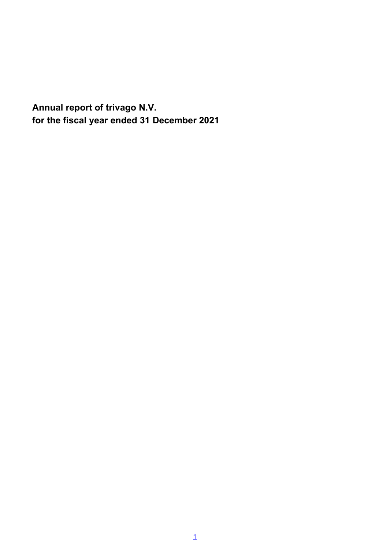**Annual report of trivago N.V. for the fiscal year ended 31 December 2021**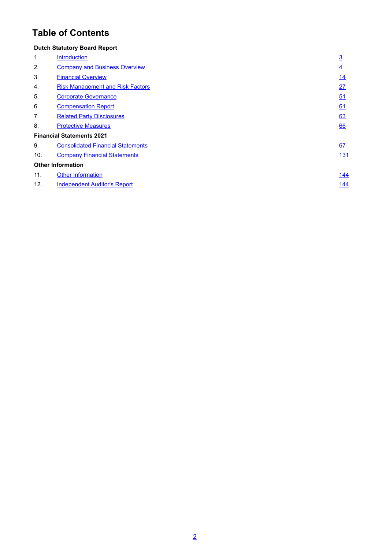# **Table of Contents**

## **Dutch Statutory Board Report**

| 1.  | <b>Introduction</b>                      | $\overline{3}$ |
|-----|------------------------------------------|----------------|
| 2.  | <b>Company and Business Overview</b>     | $\overline{4}$ |
| 3.  | <b>Financial Overview</b>                | <u>14</u>      |
| 4.  | <b>Risk Management and Risk Factors</b>  | 27             |
| 5.  | <b>Corporate Governance</b>              | 51             |
| 6.  | <b>Compensation Report</b>               | 61             |
| 7.  | <b>Related Party Disclosures</b>         | 63             |
| 8.  | <b>Protective Measures</b>               | 66             |
|     | <b>Financial Statements 2021</b>         |                |
| 9.  | <b>Consolidated Financial Statements</b> | <u>67</u>      |
| 10. | <b>Company Financial Statements</b>      | <u>131</u>     |
|     | <b>Other Information</b>                 |                |
| 11. | <b>Other Information</b>                 | 144            |
| 12. | <b>Independent Auditor's Report</b>      | 144            |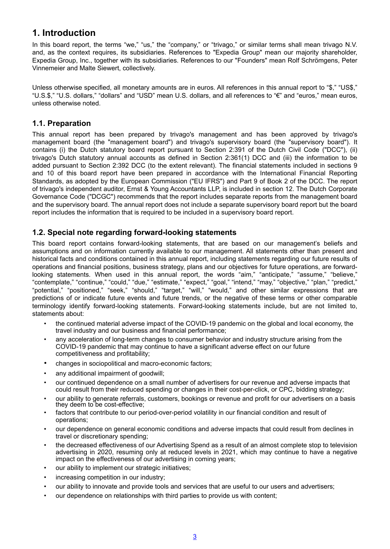# <span id="page-2-0"></span>**1. Introduction**

In this board report, the terms "we," "us," the "company," or "trivago," or similar terms shall mean trivago N.V. and, as the context requires, its subsidiaries. References to "Expedia Group" mean our majority shareholder, Expedia Group, Inc., together with its subsidiaries. References to our "Founders" mean Rolf Schrömgens, Peter Vinnemeier and Malte Siewert, collectively.

Unless otherwise specified, all monetary amounts are in euros. All references in this annual report to "\$," "US\$," "U.S.\$," "U.S. dollars," "dollars" and "USD" mean U.S. dollars, and all references to "€" and "euros," mean euros, unless otherwise noted.

## **1.1. Preparation**

This annual report has been prepared by trivago's management and has been approved by trivago's management board (the "management board") and trivago's supervisory board (the "supervisory board"). It contains (i) the Dutch statutory board report pursuant to Section 2:391 of the Dutch Civil Code ("DCC"), (ii) trivago's Dutch statutory annual accounts as defined in Section 2:361(1) DCC and (iii) the information to be added pursuant to Section 2:392 DCC (to the extent relevant). The financial statements included in sections 9 and 10 of this board report have been prepared in accordance with the International Financial Reporting Standards, as adopted by the European Commission ("EU IFRS") and Part 9 of Book 2 of the DCC. The report of trivago's independent auditor, Ernst & Young Accountants LLP, is included in section 12. The Dutch Corporate Governance Code ("DCGC") recommends that the report includes separate reports from the management board and the supervisory board. The annual report does not include a separate supervisory board report but the board report includes the information that is required to be included in a supervisory board report.

## **1.2. Special note regarding forward-looking statements**

This board report contains forward-looking statements, that are based on our management's beliefs and assumptions and on information currently available to our management. All statements other than present and historical facts and conditions contained in this annual report, including statements regarding our future results of operations and financial positions, business strategy, plans and our objectives for future operations, are forwardlooking statements. When used in this annual report, the words "aim," "anticipate," "assume," "believe," "contemplate," "continue," "could," "due," "estimate," "expect," "goal," "intend," "may," "objective," "plan," "predict," "potential," "positioned," "seek," "should," "target," "will," "would," and other similar expressions that are predictions of or indicate future events and future trends, or the negative of these terms or other comparable terminology identify forward-looking statements. Forward-looking statements include, but are not limited to, statements about:

- the continued material adverse impact of the COVID-19 pandemic on the global and local economy, the travel industry and our business and financial performance;
- any acceleration of long-term changes to consumer behavior and industry structure arising from the COVID-19 pandemic that may continue to have a significant adverse effect on our future competitiveness and profitability;
- changes in sociopolitical and macro-economic factors;
- any additional impairment of goodwill;
- our continued dependence on a small number of advertisers for our revenue and adverse impacts that could result from their reduced spending or changes in their cost-per-click, or CPC, bidding strategy;
- our ability to generate referrals, customers, bookings or revenue and profit for our advertisers on a basis they deem to be cost-effective;
- factors that contribute to our period-over-period volatility in our financial condition and result of operations;
- our dependence on general economic conditions and adverse impacts that could result from declines in travel or discretionary spending;
- the decreased effectiveness of our Advertising Spend as a result of an almost complete stop to television advertising in 2020, resuming only at reduced levels in 2021, which may continue to have a negative impact on the effectiveness of our advertising in coming years;
- our ability to implement our strategic initiatives;
- increasing competition in our industry;
- our ability to innovate and provide tools and services that are useful to our users and advertisers;
- our dependence on relationships with third parties to provide us with content;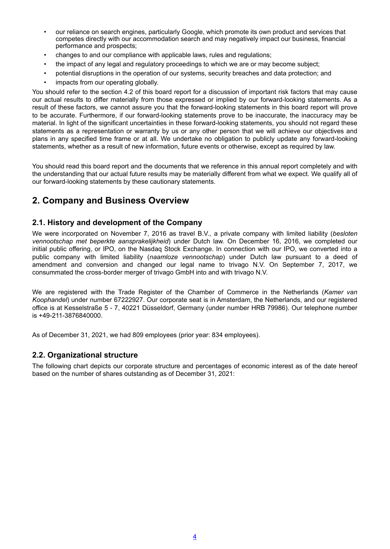- <span id="page-3-0"></span>• our reliance on search engines, particularly Google, which promote its own product and services that competes directly with our accommodation search and may negatively impact our business, financial performance and prospects;
- changes to and our compliance with applicable laws, rules and regulations;
- the impact of any legal and regulatory proceedings to which we are or may become subject;
- potential disruptions in the operation of our systems, security breaches and data protection; and
- impacts from our operating globally.

You should refer to the section 4.2 of this board report for a discussion of important risk factors that may cause our actual results to differ materially from those expressed or implied by our forward-looking statements. As a result of these factors, we cannot assure you that the forward-looking statements in this board report will prove to be accurate. Furthermore, if our forward-looking statements prove to be inaccurate, the inaccuracy may be material. In light of the significant uncertainties in these forward-looking statements, you should not regard these statements as a representation or warranty by us or any other person that we will achieve our objectives and plans in any specified time frame or at all. We undertake no obligation to publicly update any forward-looking statements, whether as a result of new information, future events or otherwise, except as required by law.

You should read this board report and the documents that we reference in this annual report completely and with the understanding that our actual future results may be materially different from what we expect. We qualify all of our forward-looking statements by these cautionary statements.

# **2. Company and Business Overview**

## **2.1. History and development of the Company**

We were incorporated on November 7, 2016 as travel B.V., a private company with limited liability (*besloten vennootschap met beperkte aansprakelijkheid*) under Dutch law. On December 16, 2016, we completed our initial public offering, or IPO, on the Nasdaq Stock Exchange. In connection with our IPO, we converted into a public company with limited liability (*naamloze vennootschap*) under Dutch law pursuant to a deed of amendment and conversion and changed our legal name to trivago N.V. On September 7, 2017, we consummated the cross-border merger of trivago GmbH into and with trivago N.V.

We are registered with the Trade Register of the Chamber of Commerce in the Netherlands (*Kamer van Koophandel*) under number 67222927. Our corporate seat is in Amsterdam, the Netherlands, and our registered office is at Kesselstraße 5 - 7, 40221 Düsseldorf, Germany (under number HRB 79986). Our telephone number is +49-211-3876840000.

As of December 31, 2021, we had 809 employees (prior year: 834 employees).

## **2.2. Organizational structure**

The following chart depicts our corporate structure and percentages of economic interest as of the date hereof based on the number of shares outstanding as of December 31, 2021: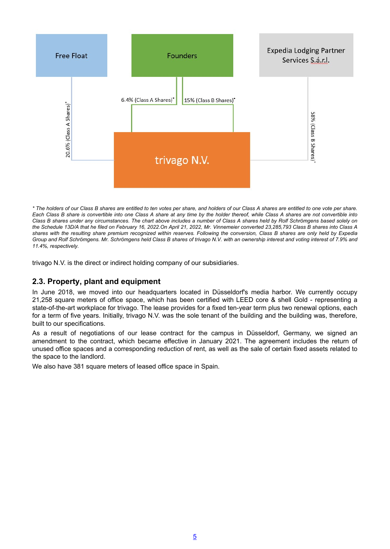

*\* The holders of our Class B shares are entitled to ten votes per share, and holders of our Class A shares are entitled to one vote per share. Each Class B share is convertible into one Class A share at any time by the holder thereof, while Class A shares are not convertible into Class B shares under any circumstances. The chart above includes a number of Class A shares held by Rolf Schrömgens based solely on the Schedule 13D/A that he filed on February 16, 2022.On April 21, 2022, Mr. Vinnemeier converted 23,285,793 Class B shares into Class A shares with the resulting share premium recognized within reserves. Following the conversion, Class B shares are only held by Expedia Group and Rolf Schrömgens. Mr. Schrömgens held Class B shares of trivago N.V. with an ownership interest and voting interest of 7.9% and 11.4%, respectively.*

trivago N.V. is the direct or indirect holding company of our subsidiaries.

## **2.3. Property, plant and equipment**

In June 2018, we moved into our headquarters located in Düsseldorf's media harbor. We currently occupy 21,258 square meters of office space, which has been certified with LEED core & shell Gold - representing a state-of-the-art workplace for trivago. The lease provides for a fixed ten-year term plus two renewal options, each for a term of five years. Initially, trivago N.V. was the sole tenant of the building and the building was, therefore, built to our specifications.

As a result of negotiations of our lease contract for the campus in Düsseldorf, Germany, we signed an amendment to the contract, which became effective in January 2021. The agreement includes the return of unused office spaces and a corresponding reduction of rent, as well as the sale of certain fixed assets related to the space to the landlord.

We also have 381 square meters of leased office space in Spain.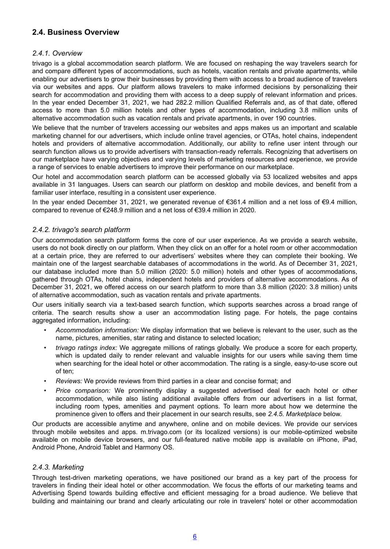## **2.4. Business Overview**

## *2.4.1. Overview*

trivago is a global accommodation search platform. We are focused on reshaping the way travelers search for and compare different types of accommodations, such as hotels, vacation rentals and private apartments, while enabling our advertisers to grow their businesses by providing them with access to a broad audience of travelers via our websites and apps. Our platform allows travelers to make informed decisions by personalizing their search for accommodation and providing them with access to a deep supply of relevant information and prices. In the year ended December 31, 2021, we had 282.2 million Qualified Referrals and, as of that date, offered access to more than 5.0 million hotels and other types of accommodation, including 3.8 million units of alternative accommodation such as vacation rentals and private apartments, in over 190 countries.

We believe that the number of travelers accessing our websites and apps makes us an important and scalable marketing channel for our advertisers, which include online travel agencies, or OTAs, hotel chains, independent hotels and providers of alternative accommodation. Additionally, our ability to refine user intent through our search function allows us to provide advertisers with transaction-ready referrals. Recognizing that advertisers on our marketplace have varying objectives and varying levels of marketing resources and experience, we provide a range of services to enable advertisers to improve their performance on our marketplace.

Our hotel and accommodation search platform can be accessed globally via 53 localized websites and apps available in 31 languages. Users can search our platform on desktop and mobile devices, and benefit from a familiar user interface, resulting in a consistent user experience.

In the year ended December 31, 2021, we generated revenue of €361.4 million and a net loss of €9.4 million, compared to revenue of €248.9 million and a net loss of €39.4 million in 2020.

## *2.4.2. trivago's search platform*

Our accommodation search platform forms the core of our user experience. As we provide a search website, users do not book directly on our platform. When they click on an offer for a hotel room or other accommodation at a certain price, they are referred to our advertisers' websites where they can complete their booking. We maintain one of the largest searchable databases of accommodations in the world. As of December 31, 2021, our database included more than 5.0 million (2020: 5.0 million) hotels and other types of accommodations, gathered through OTAs, hotel chains, independent hotels and providers of alternative accommodations. As of December 31, 2021, we offered access on our search platform to more than 3.8 million (2020: 3.8 million) units of alternative accommodation, such as vacation rentals and private apartments.

Our users initially search via a text-based search function, which supports searches across a broad range of criteria. The search results show a user an accommodation listing page. For hotels, the page contains aggregated information, including:

- *Accommodation information:* We display information that we believe is relevant to the user, such as the name, pictures, amenities, star rating and distance to selected location;
- *trivago ratings index:* We aggregate millions of ratings globally. We produce a score for each property, which is updated daily to render relevant and valuable insights for our users while saving them time when searching for the ideal hotel or other accommodation. The rating is a single, easy-to-use score out of ten;
- *Reviews:* We provide reviews from third parties in a clear and concise format; and
- *Price comparison:* We prominently display a suggested advertised deal for each hotel or other accommodation, while also listing additional available offers from our advertisers in a list format, including room types, amenities and payment options. To learn more about how we determine the prominence given to offers and their placement in our search results, see *2.4.5. Marketplace* below.

Our products are accessible anytime and anywhere, online and on mobile devices. We provide our services through mobile websites and apps. m.trivago.com (or its localized versions) is our mobile-optimized website available on mobile device browsers, and our full-featured native mobile app is available on iPhone, iPad, Android Phone, Android Tablet and Harmony OS.

## *2.4.3. Marketing*

Through test-driven marketing operations, we have positioned our brand as a key part of the process for travelers in finding their ideal hotel or other accommodation. We focus the efforts of our marketing teams and Advertising Spend towards building effective and efficient messaging for a broad audience. We believe that building and maintaining our brand and clearly articulating our role in travelers' hotel or other accommodation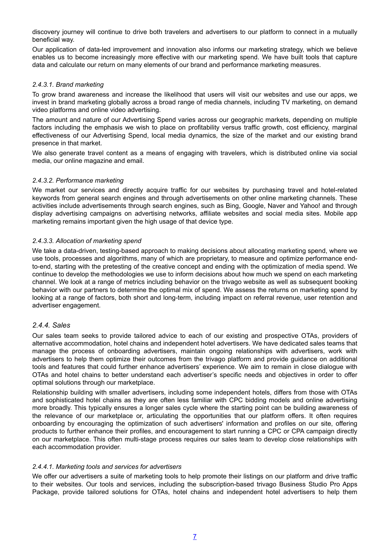discovery journey will continue to drive both travelers and advertisers to our platform to connect in a mutually beneficial way.

Our application of data-led improvement and innovation also informs our marketing strategy, which we believe enables us to become increasingly more effective with our marketing spend. We have built tools that capture data and calculate our return on many elements of our brand and performance marketing measures.

#### *2.4.3.1. Brand marketing*

To grow brand awareness and increase the likelihood that users will visit our websites and use our apps, we invest in brand marketing globally across a broad range of media channels, including TV marketing, on demand video platforms and online video advertising.

The amount and nature of our Advertising Spend varies across our geographic markets, depending on multiple factors including the emphasis we wish to place on profitability versus traffic growth, cost efficiency, marginal effectiveness of our Advertising Spend, local media dynamics, the size of the market and our existing brand presence in that market.

We also generate travel content as a means of engaging with travelers, which is distributed online via social media, our online magazine and email.

#### *2.4.3.2. Performance marketing*

We market our services and directly acquire traffic for our websites by purchasing travel and hotel-related keywords from general search engines and through advertisements on other online marketing channels. These activities include advertisements through search engines, such as Bing, Google, Naver and Yahoo! and through display advertising campaigns on advertising networks, affiliate websites and social media sites. Mobile app marketing remains important given the high usage of that device type.

#### *2.4.3.3. Allocation of marketing spend*

We take a data-driven, testing-based approach to making decisions about allocating marketing spend, where we use tools, processes and algorithms, many of which are proprietary, to measure and optimize performance endto-end, starting with the pretesting of the creative concept and ending with the optimization of media spend. We continue to develop the methodologies we use to inform decisions about how much we spend on each marketing channel. We look at a range of metrics including behavior on the trivago website as well as subsequent booking behavior with our partners to determine the optimal mix of spend. We assess the returns on marketing spend by looking at a range of factors, both short and long-term, including impact on referral revenue, user retention and advertiser engagement.

#### *2.4.4. Sales*

Our sales team seeks to provide tailored advice to each of our existing and prospective OTAs, providers of alternative accommodation, hotel chains and independent hotel advertisers. We have dedicated sales teams that manage the process of onboarding advertisers, maintain ongoing relationships with advertisers, work with advertisers to help them optimize their outcomes from the trivago platform and provide guidance on additional tools and features that could further enhance advertisers' experience. We aim to remain in close dialogue with OTAs and hotel chains to better understand each advertiser's specific needs and objectives in order to offer optimal solutions through our marketplace.

Relationship building with smaller advertisers, including some independent hotels, differs from those with OTAs and sophisticated hotel chains as they are often less familiar with CPC bidding models and online advertising more broadly. This typically ensures a longer sales cycle where the starting point can be building awareness of the relevance of our marketplace or, articulating the opportunities that our platform offers. It often requires onboarding by encouraging the optimization of such advertisers' information and profiles on our site, offering products to further enhance their profiles, and encouragement to start running a CPC or CPA campaign directly on our marketplace. This often multi-stage process requires our sales team to develop close relationships with each accommodation provider.

#### *2.4.4.1. Marketing tools and services for advertisers*

We offer our advertisers a suite of marketing tools to help promote their listings on our platform and drive traffic to their websites. Our tools and services, including the subscription-based trivago Business Studio Pro Apps Package, provide tailored solutions for OTAs, hotel chains and independent hotel advertisers to help them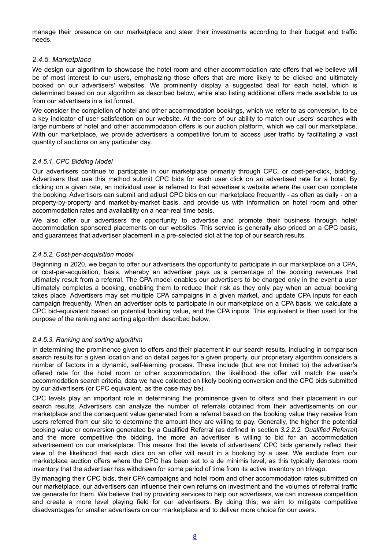manage their presence on our marketplace and steer their investments according to their budget and traffic needs.

### *2.4.5. Marketplace*

We design our algorithm to showcase the hotel room and other accommodation rate offers that we believe will be of most interest to our users, emphasizing those offers that are more likely to be clicked and ultimately booked on our advertisers' websites. We prominently display a suggested deal for each hotel, which is determined based on our algorithm as described below, while also listing additional offers made available to us from our advertisers in a list format.

We consider the completion of hotel and other accommodation bookings, which we refer to as conversion, to be a key indicator of user satisfaction on our website. At the core of our ability to match our users' searches with large numbers of hotel and other accommodation offers is our auction platform, which we call our marketplace. With our marketplace, we provide advertisers a competitive forum to access user traffic by facilitating a vast quantity of auctions on any particular day.

### *2.4.5.1. CPC Bidding Model*

Our advertisers continue to participate in our marketplace primarily through CPC, or cost-per-click, bidding. Advertisers that use this method submit CPC bids for each user click on an advertised rate for a hotel. By clicking on a given rate, an individual user is referred to that advertiser's website where the user can complete the booking. Advertisers can submit and adjust CPC bids on our marketplace frequently - as often as daily - on a property-by-property and market-by-market basis, and provide us with information on hotel room and other accommodation rates and availability on a near-real time basis.

We also offer our advertisers the opportunity to advertise and promote their business through hotel/ accommodation sponsored placements on our websites. This service is generally also priced on a CPC basis, and guarantees that advertiser placement in a pre-selected slot at the top of our search results.

### *2.4.5.2. Cost-per-acquisition model*

Beginning in 2020, we began to offer our advertisers the opportunity to participate in our marketplace on a CPA, or cost-per-acquisition, basis, whereby an advertiser pays us a percentage of the booking revenues that ultimately result from a referral. The CPA model enables our advertisers to be charged only in the event a user ultimately completes a booking, enabling them to reduce their risk as they only pay when an actual booking takes place. Advertisers may set multiple CPA campaigns in a given market, and update CPA inputs for each campaign frequently. When an advertiser opts to participate in our marketplace on a CPA basis, we calculate a CPC bid-equivalent based on potential booking value, and the CPA inputs. This equivalent is then used for the purpose of the ranking and sorting algorithm described below.

#### *2.4.5.3. Ranking and sorting algorithm*

In determining the prominence given to offers and their placement in our search results, including in comparison search results for a given location and on detail pages for a given property, our proprietary algorithm considers a number of factors in a dynamic, self-learning process. These include (but are not limited to) the advertiser's offered rate for the hotel room or other accommodation, the likelihood the offer will match the user's accommodation search criteria, data we have collected on likely booking conversion and the CPC bids submitted by our advertisers (or CPC equivalent, as the case may be).

CPC levels play an important role in determining the prominence given to offers and their placement in our search results. Advertisers can analyze the number of referrals obtained from their advertisements on our marketplace and the consequent value generated from a referral based on the booking value they receive from users referred from our site to determine the amount they are willing to pay. Generally, the higher the potential booking value or conversion generated by a Qualified Referral (as defined in section *3.2.2.2. Qualified Referral*) and the more competitive the bidding, the more an advertiser is willing to bid for an accommodation advertisement on our marketplace. This means that the levels of advertisers' CPC bids generally reflect their view of the likelihood that each click on an offer will result in a booking by a user. We exclude from our marketplace auction offers where the CPC has been set to a de minimis level, as this typically denotes room inventory that the advertiser has withdrawn for some period of time from its active inventory on trivago.

By managing their CPC bids, their CPA campaigns and hotel room and other accommodation rates submitted on our marketplace, our advertisers can influence their own returns on investment and the volumes of referral traffic we generate for them. We believe that by providing services to help our advertisers, we can increase competition and create a more level playing field for our advertisers. By doing this, we aim to mitigate competitive disadvantages for smaller advertisers on our marketplace and to deliver more choice for our users.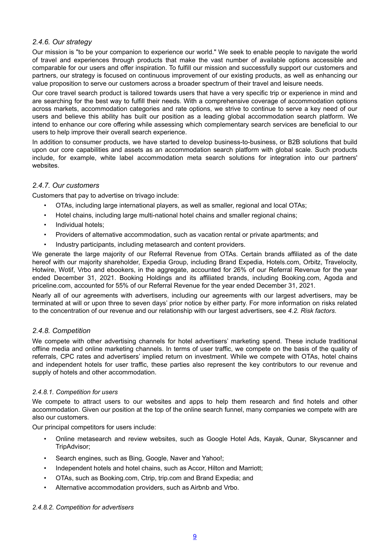### *2.4.6. Our strategy*

Our mission is "to be your companion to experience our world." We seek to enable people to navigate the world of travel and experiences through products that make the vast number of available options accessible and comparable for our users and offer inspiration. To fulfill our mission and successfully support our customers and partners, our strategy is focused on continuous improvement of our existing products, as well as enhancing our value proposition to serve our customers across a broader spectrum of their travel and leisure needs.

Our core travel search product is tailored towards users that have a very specific trip or experience in mind and are searching for the best way to fulfill their needs. With a comprehensive coverage of accommodation options across markets, accommodation categories and rate options, we strive to continue to serve a key need of our users and believe this ability has built our position as a leading global accommodation search platform. We intend to enhance our core offering while assessing which complementary search services are beneficial to our users to help improve their overall search experience.

In addition to consumer products, we have started to develop business-to-business, or B2B solutions that build upon our core capabilities and assets as an accommodation search platform with global scale. Such products include, for example, white label accommodation meta search solutions for integration into our partners' websites.

### *2.4.7. Our customers*

Customers that pay to advertise on trivago include:

- OTAs, including large international players, as well as smaller, regional and local OTAs;
- Hotel chains, including large multi-national hotel chains and smaller regional chains;
- Individual hotels;
- Providers of alternative accommodation, such as vacation rental or private apartments; and
- Industry participants, including metasearch and content providers.

We generate the large majority of our Referral Revenue from OTAs. Certain brands affiliated as of the date hereof with our majority shareholder, Expedia Group, including Brand Expedia, Hotels.com, Orbitz, Travelocity, Hotwire, Wotif, Vrbo and ebookers, in the aggregate, accounted for 26% of our Referral Revenue for the year ended December 31, 2021. Booking Holdings and its affiliated brands, including Booking.com, Agoda and priceline.com, accounted for 55% of our Referral Revenue for the year ended December 31, 2021.

Nearly all of our agreements with advertisers, including our agreements with our largest advertisers, may be terminated at will or upon three to seven days' prior notice by either party. For more information on risks related to the concentration of our revenue and our relationship with our largest advertisers, see *4.2. Risk factors*.

#### *2.4.8. Competition*

We compete with other advertising channels for hotel advertisers' marketing spend. These include traditional offline media and online marketing channels. In terms of user traffic, we compete on the basis of the quality of referrals, CPC rates and advertisers' implied return on investment. While we compete with OTAs, hotel chains and independent hotels for user traffic, these parties also represent the key contributors to our revenue and supply of hotels and other accommodation.

#### *2.4.8.1. Competition for users*

We compete to attract users to our websites and apps to help them research and find hotels and other accommodation. Given our position at the top of the online search funnel, many companies we compete with are also our customers.

Our principal competitors for users include:

- Online metasearch and review websites, such as Google Hotel Ads, Kayak, Qunar, Skyscanner and TripAdvisor;
- Search engines, such as Bing, Google, Naver and Yahoo!;
- Independent hotels and hotel chains, such as Accor, Hilton and Marriott;
- OTAs, such as Booking.com, Ctrip, trip.com and Brand Expedia; and
- Alternative accommodation providers, such as Airbnb and Vrbo.

#### *2.4.8.2. Competition for advertisers*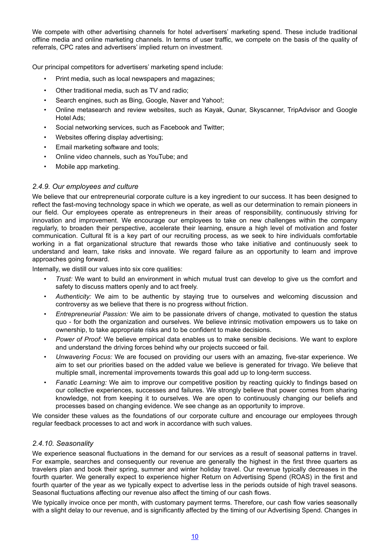We compete with other advertising channels for hotel advertisers' marketing spend. These include traditional offline media and online marketing channels. In terms of user traffic, we compete on the basis of the quality of referrals, CPC rates and advertisers' implied return on investment.

Our principal competitors for advertisers' marketing spend include:

- Print media, such as local newspapers and magazines;
- Other traditional media, such as TV and radio;
- Search engines, such as Bing, Google, Naver and Yahoo!;
- Online metasearch and review websites, such as Kayak, Qunar, Skyscanner, TripAdvisor and Google Hotel Ads;
- Social networking services, such as Facebook and Twitter;
- Websites offering display advertising;
- Email marketing software and tools;
- Online video channels, such as YouTube; and
- Mobile app marketing.

### *2.4.9. Our employees and culture*

We believe that our entrepreneurial corporate culture is a key ingredient to our success. It has been designed to reflect the fast-moving technology space in which we operate, as well as our determination to remain pioneers in our field. Our employees operate as entrepreneurs in their areas of responsibility, continuously striving for innovation and improvement. We encourage our employees to take on new challenges within the company regularly, to broaden their perspective, accelerate their learning, ensure a high level of motivation and foster communication. Cultural fit is a key part of our recruiting process, as we seek to hire individuals comfortable working in a flat organizational structure that rewards those who take initiative and continuously seek to understand and learn, take risks and innovate. We regard failure as an opportunity to learn and improve approaches going forward.

Internally, we distill our values into six core qualities:

- *• Trust:* We want to build an environment in which mutual trust can develop to give us the comfort and safety to discuss matters openly and to act freely.
- *• Authenticity:* We aim to be authentic by staying true to ourselves and welcoming discussion and controversy as we believe that there is no progress without friction.
- *• Entrepreneurial Passion:* We aim to be passionate drivers of change, motivated to question the status quo - for both the organization and ourselves. We believe intrinsic motivation empowers us to take on ownership, to take appropriate risks and to be confident to make decisions.
- *• Power of Proof:* We believe empirical data enables us to make sensible decisions. We want to explore and understand the driving forces behind why our projects succeed or fail.
- *• Unwavering Focus:* We are focused on providing our users with an amazing, five-star experience. We aim to set our priorities based on the added value we believe is generated for trivago. We believe that multiple small, incremental improvements towards this goal add up to long-term success.
- *• Fanatic Learning:* We aim to improve our competitive position by reacting quickly to findings based on our collective experiences, successes and failures. We strongly believe that power comes from sharing knowledge, not from keeping it to ourselves. We are open to continuously changing our beliefs and processes based on changing evidence. We see change as an opportunity to improve.

We consider these values as the foundations of our corporate culture and encourage our employees through regular feedback processes to act and work in accordance with such values.

## *2.4.10. Seasonality*

We experience seasonal fluctuations in the demand for our services as a result of seasonal patterns in travel. For example, searches and consequently our revenue are generally the highest in the first three quarters as travelers plan and book their spring, summer and winter holiday travel. Our revenue typically decreases in the fourth quarter. We generally expect to experience higher Return on Advertising Spend (ROAS) in the first and fourth quarter of the year as we typically expect to advertise less in the periods outside of high travel seasons. Seasonal fluctuations affecting our revenue also affect the timing of our cash flows.

We typically invoice once per month, with customary payment terms. Therefore, our cash flow varies seasonally with a slight delay to our revenue, and is significantly affected by the timing of our Advertising Spend. Changes in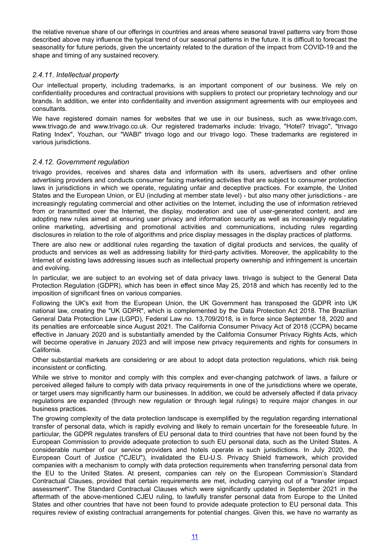the relative revenue share of our offerings in countries and areas where seasonal travel patterns vary from those described above may influence the typical trend of our seasonal patterns in the future. It is difficult to forecast the seasonality for future periods, given the uncertainty related to the duration of the impact from COVID-19 and the shape and timing of any sustained recovery.

## *2.4.11. Intellectual property*

Our intellectual property, including trademarks, is an important component of our business. We rely on confidentiality procedures and contractual provisions with suppliers to protect our proprietary technology and our brands. In addition, we enter into confidentiality and invention assignment agreements with our employees and consultants.

We have registered domain names for websites that we use in our business, such as www.trivago.com, www.trivago.de and www.trivago.co.uk. Our registered trademarks include: trivago, "Hotel? trivago", "trivago Rating Index", Youzhan, our "WABI" trivago logo and our trivago logo. These trademarks are registered in various jurisdictions.

#### *2.4.12. Government regulation*

trivago provides, receives and shares data and information with its users, advertisers and other online advertising providers and conducts consumer facing marketing activities that are subject to consumer protection laws in jurisdictions in which we operate, regulating unfair and deceptive practices. For example, the United States and the European Union, or EU (including at member state level) - but also many other jurisdictions - are increasingly regulating commercial and other activities on the Internet, including the use of information retrieved from or transmitted over the Internet, the display, moderation and use of user-generated content, and are adopting new rules aimed at ensuring user privacy and information security as well as increasingly regulating online marketing, advertising and promotional activities and communications, including rules regarding disclosures in relation to the role of algorithms and price display messages in the display practices of platforms.

There are also new or additional rules regarding the taxation of digital products and services, the quality of products and services as well as addressing liability for third-party activities. Moreover, the applicability to the Internet of existing laws addressing issues such as intellectual property ownership and infringement is uncertain and evolving.

In particular, we are subject to an evolving set of data privacy laws. trivago is subject to the General Data Protection Regulation (GDPR), which has been in effect since May 25, 2018 and which has recently led to the imposition of significant fines on various companies.

Following the UK's exit from the European Union, the UK Government has transposed the GDPR into UK national law, creating the "UK GDPR", which is complemented by the Data Protection Act 2018. The Brazilian General Data Protection Law (LGPD), Federal Law no. 13,709/2018, is in force since September 18, 2020 and its penalties are enforceable since August 2021. The California Consumer Privacy Act of 2018 (CCPA) became effective in January 2020 and is substantially amended by the California Consumer Privacy Rights Acts, which will become operative in January 2023 and will impose new privacy requirements and rights for consumers in California.

Other substantial markets are considering or are about to adopt data protection regulations, which risk being inconsistent or conflicting.

While we strive to monitor and comply with this complex and ever-changing patchwork of laws, a failure or perceived alleged failure to comply with data privacy requirements in one of the jurisdictions where we operate, or target users may significantly harm our businesses. In addition, we could be adversely affected if data privacy regulations are expanded (through new regulation or through legal rulings) to require major changes in our business practices.

The growing complexity of the data protection landscape is exemplified by the regulation regarding international transfer of personal data, which is rapidly evolving and likely to remain uncertain for the foreseeable future. In particular, the GDPR regulates transfers of EU personal data to third countries that have not been found by the European Commission to provide adequate protection to such EU personal data, such as the United States. A considerable number of our service providers and hotels operate in such jurisdictions. In July 2020, the European Court of Justice ("CJEU"), invalidated the EU-U.S. Privacy Shield framework, which provided companies with a mechanism to comply with data protection requirements when transferring personal data from the EU to the United States. At present, companies can rely on the European Commission's Standard Contractual Clauses, provided that certain requirements are met, including carrying out of a "transfer impact assessment". The Standard Contractual Clauses which were significantly updated in September 2021 in the aftermath of the above-mentioned CJEU ruling, to lawfully transfer personal data from Europe to the United States and other countries that have not been found to provide adequate protection to EU personal data. This requires review of existing contractual arrangements for potential changes. Given this, we have no warranty as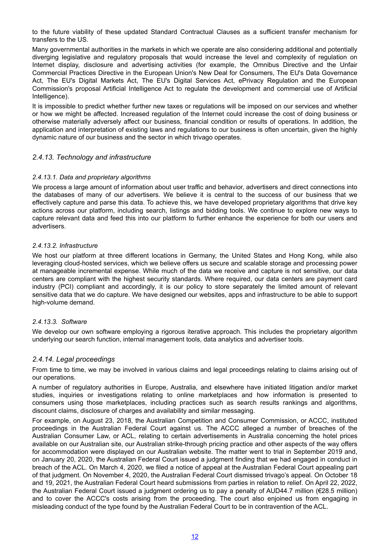to the future viability of these updated Standard Contractual Clauses as a sufficient transfer mechanism for transfers to the US.

Many governmental authorities in the markets in which we operate are also considering additional and potentially diverging legislative and regulatory proposals that would increase the level and complexity of regulation on Internet display, disclosure and advertising activities (for example, the Omnibus Directive and the Unfair Commercial Practices Directive in the European Union's New Deal for Consumers, The EU's Data Governance Act, The EU's Digital Markets Act, The EU's Digital Services Act, ePrivacy Regulation and the European Commission's proposal Artificial Intelligence Act to regulate the development and commercial use of Artificial Intelligence).

It is impossible to predict whether further new taxes or regulations will be imposed on our services and whether or how we might be affected. Increased regulation of the Internet could increase the cost of doing business or otherwise materially adversely affect our business, financial condition or results of operations. In addition, the application and interpretation of existing laws and regulations to our business is often uncertain, given the highly dynamic nature of our business and the sector in which trivago operates.

### *2.4.13. Technology and infrastructure*

#### *2.4.13.1. Data and proprietary algorithms*

We process a large amount of information about user traffic and behavior, advertisers and direct connections into the databases of many of our advertisers. We believe it is central to the success of our business that we effectively capture and parse this data. To achieve this, we have developed proprietary algorithms that drive key actions across our platform, including search, listings and bidding tools. We continue to explore new ways to capture relevant data and feed this into our platform to further enhance the experience for both our users and advertisers.

#### *2.4.13.2. Infrastructure*

We host our platform at three different locations in Germany, the United States and Hong Kong, while also leveraging cloud-hosted services, which we believe offers us secure and scalable storage and processing power at manageable incremental expense. While much of the data we receive and capture is not sensitive, our data centers are compliant with the highest security standards. Where required, our data centers are payment card industry (PCI) compliant and accordingly, it is our policy to store separately the limited amount of relevant sensitive data that we do capture. We have designed our websites, apps and infrastructure to be able to support high-volume demand.

#### *2.4.13.3. Software*

We develop our own software employing a rigorous iterative approach. This includes the proprietary algorithm underlying our search function, internal management tools, data analytics and advertiser tools.

#### *2.4.14. Legal proceedings*

From time to time, we may be involved in various claims and legal proceedings relating to claims arising out of our operations.

A number of regulatory authorities in Europe, Australia, and elsewhere have initiated litigation and/or market studies, inquiries or investigations relating to online marketplaces and how information is presented to consumers using those marketplaces, including practices such as search results rankings and algorithms, discount claims, disclosure of charges and availability and similar messaging.

For example, on August 23, 2018, the Australian Competition and Consumer Commission, or ACCC, instituted proceedings in the Australian Federal Court against us. The ACCC alleged a number of breaches of the Australian Consumer Law, or ACL, relating to certain advertisements in Australia concerning the hotel prices available on our Australian site, our Australian strike-through pricing practice and other aspects of the way offers for accommodation were displayed on our Australian website. The matter went to trial in September 2019 and, on January 20, 2020, the Australian Federal Court issued a judgment finding that we had engaged in conduct in breach of the ACL. On March 4, 2020, we filed a notice of appeal at the Australian Federal Court appealing part of that judgment. On November 4, 2020, the Australian Federal Court dismissed trivago's appeal. On October 18 and 19, 2021, the Australian Federal Court heard submissions from parties in relation to relief. On April 22, 2022, the Australian Federal Court issued a judgment ordering us to pay a penalty of AUD44.7 million (€28.5 million) and to cover the ACCC's costs arising from the proceeding. The court also enjoined us from engaging in misleading conduct of the type found by the Australian Federal Court to be in contravention of the ACL.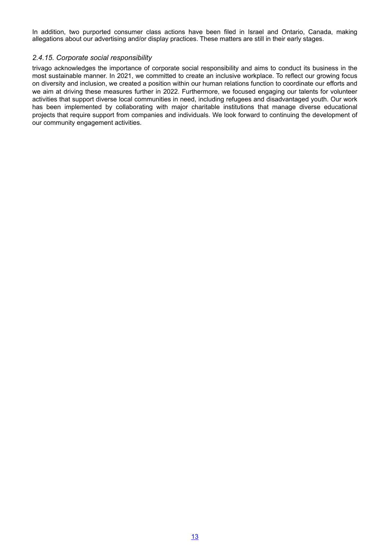In addition, two purported consumer class actions have been filed in Israel and Ontario, Canada, making allegations about our advertising and/or display practices. These matters are still in their early stages.

### *2.4.15. Corporate social responsibility*

trivago acknowledges the importance of corporate social responsibility and aims to conduct its business in the most sustainable manner. In 2021, we committed to create an inclusive workplace. To reflect our growing focus on diversity and inclusion, we created a position within our human relations function to coordinate our efforts and we aim at driving these measures further in 2022. Furthermore, we focused engaging our talents for volunteer activities that support diverse local communities in need, including refugees and disadvantaged youth. Our work has been implemented by collaborating with major charitable institutions that manage diverse educational projects that require support from companies and individuals. We look forward to continuing the development of our community engagement activities.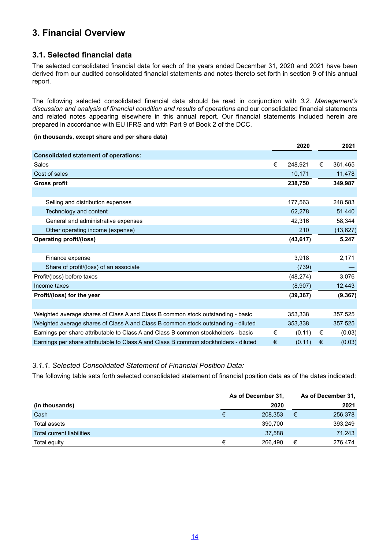# <span id="page-13-0"></span>**3. Financial Overview**

## **3.1. Selected financial data**

The selected consolidated financial data for each of the years ended December 31, 2020 and 2021 have been derived from our audited consolidated financial statements and notes thereto set forth in section 9 of this annual report.

The following selected consolidated financial data should be read in conjunction with *3.2. Management's discussion and analysis of financial condition and results of operations* and our consolidated financial statements and related notes appearing elsewhere in this annual report. Our financial statements included herein are prepared in accordance with EU IFRS and with Part 9 of Book 2 of the DCC.

|                                                                                      |   | 2020      |   | 2021      |
|--------------------------------------------------------------------------------------|---|-----------|---|-----------|
| <b>Consolidated statement of operations:</b>                                         |   |           |   |           |
| Sales                                                                                | € | 248.921   | € | 361,465   |
| Cost of sales                                                                        |   | 10,171    |   | 11,478    |
| <b>Gross profit</b>                                                                  |   | 238,750   |   | 349,987   |
|                                                                                      |   |           |   |           |
| Selling and distribution expenses                                                    |   | 177,563   |   | 248,583   |
| Technology and content                                                               |   | 62,278    |   | 51,440    |
| General and administrative expenses                                                  |   | 42.316    |   | 58,344    |
| Other operating income (expense)                                                     |   | 210       |   | (13, 627) |
| <b>Operating profit/(loss)</b>                                                       |   | (43, 617) |   | 5,247     |
|                                                                                      |   |           |   |           |
| Finance expense                                                                      |   | 3,918     |   | 2,171     |
| Share of profit/(loss) of an associate                                               |   | (739)     |   |           |
| Profit/(loss) before taxes                                                           |   | (48, 274) |   | 3,076     |
| Income taxes                                                                         |   | (8,907)   |   | 12,443    |
| Profit/(loss) for the year                                                           |   | (39, 367) |   | (9, 367)  |
|                                                                                      |   |           |   |           |
| Weighted average shares of Class A and Class B common stock outstanding - basic      |   | 353,338   |   | 357,525   |
| Weighted average shares of Class A and Class B common stock outstanding - diluted    |   | 353,338   |   | 357,525   |
| Earnings per share attributable to Class A and Class B common stockholders - basic   | € | (0.11)    | € | (0.03)    |
| Earnings per share attributable to Class A and Class B common stockholders - diluted | € | (0.11)    | € | (0.03)    |

#### **(in thousands, except share and per share data)**

#### *3.1.1. Selected Consolidated Statement of Financial Position Data:*

The following table sets forth selected consolidated statement of financial position data as of the dates indicated:

|                                  | As of December 31. |         | As of December 31, |         |
|----------------------------------|--------------------|---------|--------------------|---------|
| (in thousands)                   |                    | 2020    |                    | 2021    |
| Cash                             | €                  | 208,353 | €                  | 256,378 |
| Total assets                     |                    | 390,700 |                    | 393,249 |
| <b>Total current liabilities</b> |                    | 37,588  |                    | 71,243  |
| Total equity                     | €                  | 266.490 | €                  | 276,474 |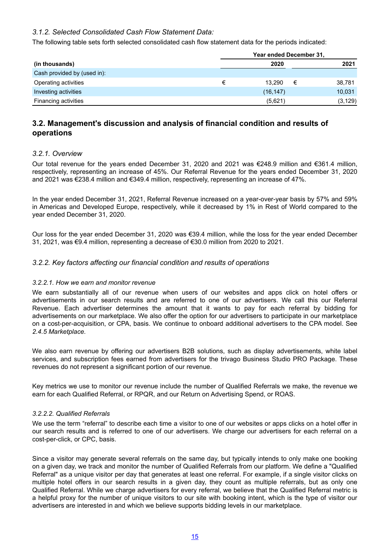## *3.1.2. Selected Consolidated Cash Flow Statement Data:*

The following table sets forth selected consolidated cash flow statement data for the periods indicated:

|                             | Year ended December 31, |           |      |          |
|-----------------------------|-------------------------|-----------|------|----------|
| (in thousands)              | 2020                    |           | 2021 |          |
| Cash provided by (used in): |                         |           |      |          |
| Operating activities        | €                       | 13.290    | €    | 38,781   |
| Investing activities        |                         | (16, 147) |      | 10,031   |
| Financing activities        |                         | (5,621)   |      | (3, 129) |

## **3.2. Management's discussion and analysis of financial condition and results of operations**

#### *3.2.1. Overview*

Our total revenue for the years ended December 31, 2020 and 2021 was €248.9 million and €361.4 million, respectively, representing an increase of 45%. Our Referral Revenue for the years ended December 31, 2020 and 2021 was €238.4 million and €349.4 million, respectively, representing an increase of 47%.

In the year ended December 31, 2021, Referral Revenue increased on a year-over-year basis by 57% and 59% in Americas and Developed Europe, respectively, while it decreased by 1% in Rest of World compared to the year ended December 31, 2020.

Our loss for the year ended December 31, 2020 was €39.4 million, while the loss for the year ended December 31, 2021, was €9.4 million, representing a decrease of €30.0 million from 2020 to 2021.

### *3.2.2. Key factors affecting our financial condition and results of operations*

#### *3.2.2.1. How we earn and monitor revenue*

We earn substantially all of our revenue when users of our websites and apps click on hotel offers or advertisements in our search results and are referred to one of our advertisers. We call this our Referral Revenue. Each advertiser determines the amount that it wants to pay for each referral by bidding for advertisements on our marketplace. We also offer the option for our advertisers to participate in our marketplace on a cost-per-acquisition, or CPA, basis. We continue to onboard additional advertisers to the CPA model. See *2.4.5 Marketplace.*

We also earn revenue by offering our advertisers B2B solutions, such as display advertisements, white label services, and subscription fees earned from advertisers for the trivago Business Studio PRO Package. These revenues do not represent a significant portion of our revenue.

Key metrics we use to monitor our revenue include the number of Qualified Referrals we make, the revenue we earn for each Qualified Referral, or RPQR, and our Return on Advertising Spend, or ROAS.

#### *3.2.2.2. Qualified Referrals*

We use the term "referral" to describe each time a visitor to one of our websites or apps clicks on a hotel offer in our search results and is referred to one of our advertisers. We charge our advertisers for each referral on a cost-per-click, or CPC, basis.

Since a visitor may generate several referrals on the same day, but typically intends to only make one booking on a given day, we track and monitor the number of Qualified Referrals from our platform. We define a "Qualified Referral" as a unique visitor per day that generates at least one referral. For example, if a single visitor clicks on multiple hotel offers in our search results in a given day, they count as multiple referrals, but as only one Qualified Referral. While we charge advertisers for every referral, we believe that the Qualified Referral metric is a helpful proxy for the number of unique visitors to our site with booking intent, which is the type of visitor our advertisers are interested in and which we believe supports bidding levels in our marketplace.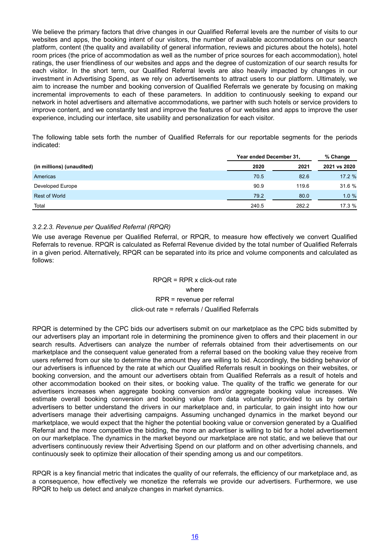We believe the primary factors that drive changes in our Qualified Referral levels are the number of visits to our websites and apps, the booking intent of our visitors, the number of available accommodations on our search platform, content (the quality and availability of general information, reviews and pictures about the hotels), hotel room prices (the price of accommodation as well as the number of price sources for each accommodation), hotel ratings, the user friendliness of our websites and apps and the degree of customization of our search results for each visitor. In the short term, our Qualified Referral levels are also heavily impacted by changes in our investment in Advertising Spend, as we rely on advertisements to attract users to our platform. Ultimately, we aim to increase the number and booking conversion of Qualified Referrals we generate by focusing on making incremental improvements to each of these parameters. In addition to continuously seeking to expand our network in hotel advertisers and alternative accommodations, we partner with such hotels or service providers to improve content, and we constantly test and improve the features of our websites and apps to improve the user experience, including our interface, site usability and personalization for each visitor.

The following table sets forth the number of Qualified Referrals for our reportable segments for the periods indicated:

|                           | Year ended December 31, |       |              |  |
|---------------------------|-------------------------|-------|--------------|--|
| (in millions) (unaudited) | 2020                    | 2021  | 2021 vs 2020 |  |
| Americas                  | 70.5                    | 82.6  | 17.2 %       |  |
| Developed Europe          | 90.9                    | 119.6 | 31.6 %       |  |
| <b>Rest of World</b>      | 79.2                    | 80.0  | 1.0%         |  |
| Total                     | 240.5                   | 282.2 | 17.3 %       |  |

#### *3.2.2.3. Revenue per Qualified Referral (RPQR)*

We use average Revenue per Qualified Referral, or RPQR, to measure how effectively we convert Qualified Referrals to revenue. RPQR is calculated as Referral Revenue divided by the total number of Qualified Referrals in a given period. Alternatively, RPQR can be separated into its price and volume components and calculated as follows:

## RPQR = RPR x click-out rate where RPR = revenue per referral click-out rate = referrals / Qualified Referrals

RPQR is determined by the CPC bids our advertisers submit on our marketplace as the CPC bids submitted by our advertisers play an important role in determining the prominence given to offers and their placement in our search results. Advertisers can analyze the number of referrals obtained from their advertisements on our marketplace and the consequent value generated from a referral based on the booking value they receive from users referred from our site to determine the amount they are willing to bid. Accordingly, the bidding behavior of our advertisers is influenced by the rate at which our Qualified Referrals result in bookings on their websites, or booking conversion, and the amount our advertisers obtain from Qualified Referrals as a result of hotels and other accommodation booked on their sites, or booking value. The quality of the traffic we generate for our advertisers increases when aggregate booking conversion and/or aggregate booking value increases. We estimate overall booking conversion and booking value from data voluntarily provided to us by certain advertisers to better understand the drivers in our marketplace and, in particular, to gain insight into how our advertisers manage their advertising campaigns. Assuming unchanged dynamics in the market beyond our marketplace, we would expect that the higher the potential booking value or conversion generated by a Qualified Referral and the more competitive the bidding, the more an advertiser is willing to bid for a hotel advertisement on our marketplace. The dynamics in the market beyond our marketplace are not static, and we believe that our advertisers continuously review their Advertising Spend on our platform and on other advertising channels, and continuously seek to optimize their allocation of their spending among us and our competitors.

RPQR is a key financial metric that indicates the quality of our referrals, the efficiency of our marketplace and, as a consequence, how effectively we monetize the referrals we provide our advertisers. Furthermore, we use RPQR to help us detect and analyze changes in market dynamics.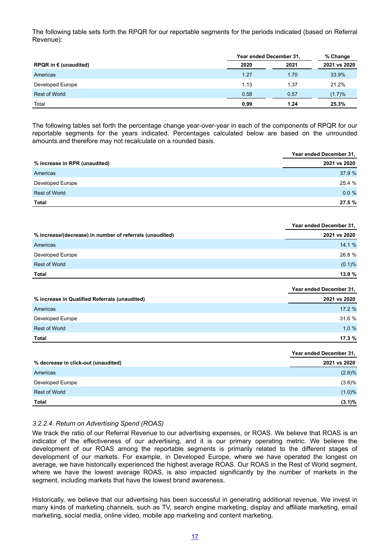The following table sets forth the RPQR for our reportable segments for the periods indicated (based on Referral Revenue):

|                                | Year ended December 31, |      |              |  |
|--------------------------------|-------------------------|------|--------------|--|
| RPQR in $\epsilon$ (unaudited) | 2020                    | 2021 | 2021 vs 2020 |  |
| Americas                       | 1.27                    | 1.70 | 33.9%        |  |
| Developed Europe               | 1.13                    | 1.37 | 21.2%        |  |
| <b>Rest of World</b>           | 0.58                    | 0.57 | (1.7)%       |  |
| Total                          | 0.99                    | 1.24 | 25.3%        |  |

The following tables set forth the percentage change year-over-year in each of the components of RPQR for our reportable segments for the years indicated. Percentages calculated below are based on the unrounded amounts and therefore may not recalculate on a rounded basis.

|                               | Year ended December 31, |
|-------------------------------|-------------------------|
| % increase in RPR (unaudited) | 2021 vs 2020            |
| Americas                      | 37.9 %                  |
| Developed Europe              | 25.4 %                  |
| <b>Rest of World</b>          | $0.0 \%$                |
| Total                         | 27.5 %                  |

|                                                          | Year ended December 31, |
|----------------------------------------------------------|-------------------------|
| % increase/(decrease) in number of referrals (unaudited) | 2021 vs 2020            |
| Americas                                                 | 14.1 %                  |
| Developed Europe                                         | 26.8 %                  |
| <b>Rest of World</b>                                     | $(0.1)\%$               |
| Total                                                    | 13.9 %                  |

|                                               | Year ended December 31, |
|-----------------------------------------------|-------------------------|
| % increase in Qualified Referrals (unaudited) | 2021 vs 2020            |
| Americas                                      | 17.2%                   |
| Developed Europe                              | 31.6 %                  |
| <b>Rest of World</b>                          | 1.0%                    |
| Total                                         | 17.3 %                  |

|                                     | Year ended December 31, |
|-------------------------------------|-------------------------|
| % decrease in click-out (unaudited) | 2021 vs 2020            |
| Americas                            | $(2.6)\%$               |
| Developed Europe                    | $(3.6)\%$               |
| <b>Rest of World</b>                | $(1.0)\%$               |
| Total                               | $(3.1)\%$               |

#### *3.2.2.4. Return on Advertising Spend (ROAS)*

We track the ratio of our Referral Revenue to our advertising expenses, or ROAS. We believe that ROAS is an indicator of the effectiveness of our advertising, and it is our primary operating metric. We believe the development of our ROAS among the reportable segments is primarily related to the different stages of development of our markets. For example, in Developed Europe, where we have operated the longest on average, we have historically experienced the highest average ROAS. Our ROAS in the Rest of World segment, where we have the lowest average ROAS, is also impacted significantly by the number of markets in the segment, including markets that have the lowest brand awareness.

Historically, we believe that our advertising has been successful in generating additional revenue. We invest in many kinds of marketing channels, such as TV, search engine marketing, display and affiliate marketing, email marketing, social media, online video, mobile app marketing and content marketing.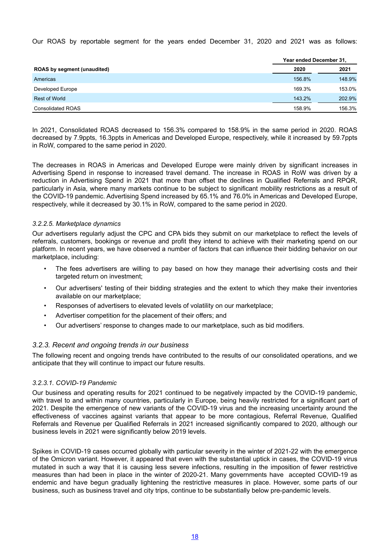Our ROAS by reportable segment for the years ended December 31, 2020 and 2021 was as follows:

|                                    | Year ended December 31, |        |  |  |
|------------------------------------|-------------------------|--------|--|--|
| <b>ROAS by segment (unaudited)</b> | 2020                    | 2021   |  |  |
| Americas                           | 156.8%                  | 148.9% |  |  |
| Developed Europe                   | 169.3%                  | 153.0% |  |  |
| <b>Rest of World</b>               | 143.2%                  | 202.9% |  |  |
| <b>Consolidated ROAS</b>           | 158.9%                  | 156.3% |  |  |

In 2021, Consolidated ROAS decreased to 156.3% compared to 158.9% in the same period in 2020. ROAS decreased by 7.9ppts, 16.3ppts in Americas and Developed Europe, respectively, while it increased by 59.7ppts in RoW, compared to the same period in 2020.

The decreases in ROAS in Americas and Developed Europe were mainly driven by significant increases in Advertising Spend in response to increased travel demand. The increase in ROAS in RoW was driven by a reduction in Advertising Spend in 2021 that more than offset the declines in Qualified Referrals and RPQR, particularly in Asia, where many markets continue to be subject to significant mobility restrictions as a result of the COVID-19 pandemic. Advertising Spend increased by 65.1% and 76.0% in Americas and Developed Europe, respectively, while it decreased by 30.1% in RoW, compared to the same period in 2020.

#### *3.2.2.5. Marketplace dynamics*

Our advertisers regularly adjust the CPC and CPA bids they submit on our marketplace to reflect the levels of referrals, customers, bookings or revenue and profit they intend to achieve with their marketing spend on our platform. In recent years, we have observed a number of factors that can influence their bidding behavior on our marketplace, including:

- The fees advertisers are willing to pay based on how they manage their advertising costs and their targeted return on investment;
- Our advertisers' testing of their bidding strategies and the extent to which they make their inventories available on our marketplace;
- Responses of advertisers to elevated levels of volatility on our marketplace;
- Advertiser competition for the placement of their offers; and
- Our advertisers' response to changes made to our marketplace, such as bid modifiers.

#### *3.2.3. Recent and ongoing trends in our business*

The following recent and ongoing trends have contributed to the results of our consolidated operations, and we anticipate that they will continue to impact our future results.

#### *3.2.3.1. COVID-19 Pandemic*

Our business and operating results for 2021 continued to be negatively impacted by the COVID-19 pandemic, with travel to and within many countries, particularly in Europe, being heavily restricted for a significant part of 2021. Despite the emergence of new variants of the COVID-19 virus and the increasing uncertainty around the effectiveness of vaccines against variants that appear to be more contagious, Referral Revenue, Qualified Referrals and Revenue per Qualified Referrals in 2021 increased significantly compared to 2020, although our business levels in 2021 were significantly below 2019 levels.

Spikes in COVID-19 cases occurred globally with particular severity in the winter of 2021-22 with the emergence of the Omicron variant. However, it appeared that even with the substantial uptick in cases, the COVID-19 virus mutated in such a way that it is causing less severe infections, resulting in the imposition of fewer restrictive measures than had been in place in the winter of 2020-21. Many governments have accepted COVID-19 as endemic and have begun gradually lightening the restrictive measures in place. However, some parts of our business, such as business travel and city trips, continue to be substantially below pre-pandemic levels.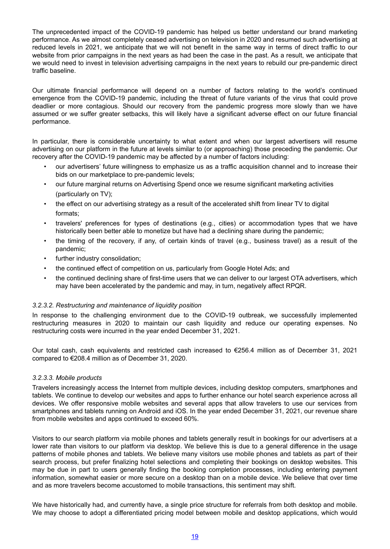The unprecedented impact of the COVID-19 pandemic has helped us better understand our brand marketing performance. As we almost completely ceased advertising on television in 2020 and resumed such advertising at reduced levels in 2021, we anticipate that we will not benefit in the same way in terms of direct traffic to our website from prior campaigns in the next years as had been the case in the past. As a result, we anticipate that we would need to invest in television advertising campaigns in the next years to rebuild our pre-pandemic direct traffic baseline.

Our ultimate financial performance will depend on a number of factors relating to the world's continued emergence from the COVID-19 pandemic, including the threat of future variants of the virus that could prove deadlier or more contagious. Should our recovery from the pandemic progress more slowly than we have assumed or we suffer greater setbacks, this will likely have a significant adverse effect on our future financial performance.

In particular, there is considerable uncertainty to what extent and when our largest advertisers will resume advertising on our platform in the future at levels similar to (or approaching) those preceding the pandemic. Our recovery after the COVID-19 pandemic may be affected by a number of factors including:

- our advertisers' future willingness to emphasize us as a traffic acquisition channel and to increase their bids on our marketplace to pre-pandemic levels;
- our future marginal returns on Advertising Spend once we resume significant marketing activities (particularly on TV);
- the effect on our advertising strategy as a result of the accelerated shift from linear TV to digital formats;
- travelers' preferences for types of destinations (e.g., cities) or accommodation types that we have historically been better able to monetize but have had a declining share during the pandemic;
- the timing of the recovery, if any, of certain kinds of travel (e.g., business travel) as a result of the pandemic;
- further industry consolidation;
- the continued effect of competition on us, particularly from Google Hotel Ads; and
- the continued declining share of first-time users that we can deliver to our largest OTA advertisers, which may have been accelerated by the pandemic and may, in turn, negatively affect RPQR.

#### *3.2.3.2. Restructuring and maintenance of liquidity position*

In response to the challenging environment due to the COVID-19 outbreak, we successfully implemented restructuring measures in 2020 to maintain our cash liquidity and reduce our operating expenses. No restructuring costs were incurred in the year ended December 31, 2021.

Our total cash, cash equivalents and restricted cash increased to €256.4 million as of December 31, 2021 compared to €208.4 million as of December 31, 2020.

#### *3.2.3.3. Mobile products*

Travelers increasingly access the Internet from multiple devices, including desktop computers, smartphones and tablets. We continue to develop our websites and apps to further enhance our hotel search experience across all devices. We offer responsive mobile websites and several apps that allow travelers to use our services from smartphones and tablets running on Android and iOS. In the year ended December 31, 2021, our revenue share from mobile websites and apps continued to exceed 60%.

Visitors to our search platform via mobile phones and tablets generally result in bookings for our advertisers at a lower rate than visitors to our platform via desktop. We believe this is due to a general difference in the usage patterns of mobile phones and tablets. We believe many visitors use mobile phones and tablets as part of their search process, but prefer finalizing hotel selections and completing their bookings on desktop websites. This may be due in part to users generally finding the booking completion processes, including entering payment information, somewhat easier or more secure on a desktop than on a mobile device. We believe that over time and as more travelers become accustomed to mobile transactions, this sentiment may shift.

We have historically had, and currently have, a single price structure for referrals from both desktop and mobile. We may choose to adopt a differentiated pricing model between mobile and desktop applications, which would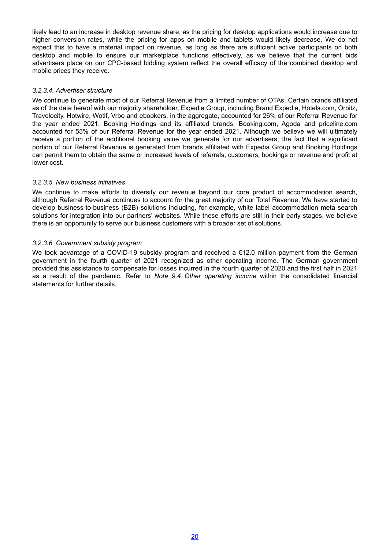likely lead to an increase in desktop revenue share, as the pricing for desktop applications would increase due to higher conversion rates, while the pricing for apps on mobile and tablets would likely decrease. We do not expect this to have a material impact on revenue, as long as there are sufficient active participants on both desktop and mobile to ensure our marketplace functions effectively, as we believe that the current bids advertisers place on our CPC-based bidding system reflect the overall efficacy of the combined desktop and mobile prices they receive.

#### *3.2.3.4. Advertiser structure*

We continue to generate most of our Referral Revenue from a limited number of OTAs. Certain brands affiliated as of the date hereof with our majority shareholder, Expedia Group, including Brand Expedia, Hotels.com, Orbitz, Travelocity, Hotwire, Wotif, Vrbo and ebookers, in the aggregate, accounted for 26% of our Referral Revenue for the year ended 2021. Booking Holdings and its affiliated brands, Booking.com, Agoda and priceline.com accounted for 55% of our Referral Revenue for the year ended 2021. Although we believe we will ultimately receive a portion of the additional booking value we generate for our advertisers, the fact that a significant portion of our Referral Revenue is generated from brands affiliated with Expedia Group and Booking Holdings can permit them to obtain the same or increased levels of referrals, customers, bookings or revenue and profit at lower cost.

#### *3.2.3.5. New business initiatives*

We continue to make efforts to diversify our revenue beyond our core product of accommodation search, although Referral Revenue continues to account for the great majority of our Total Revenue. We have started to develop business-to-business (B2B) solutions including, for example, white label accommodation meta search solutions for integration into our partners' websites. While these efforts are still in their early stages, we believe there is an opportunity to serve our business customers with a broader set of solutions.

#### *3.2.3.6. Government subsidy program*

We took advantage of a COVID-19 subsidy program and received a €12.0 million payment from the German government in the fourth quarter of 2021 recognized as other operating income. The German government provided this assistance to compensate for losses incurred in the fourth quarter of 2020 and the first half in 2021 as a result of the pandemic. Refer to *Note 9.4 Other operating income* within the consolidated financial statements for further details.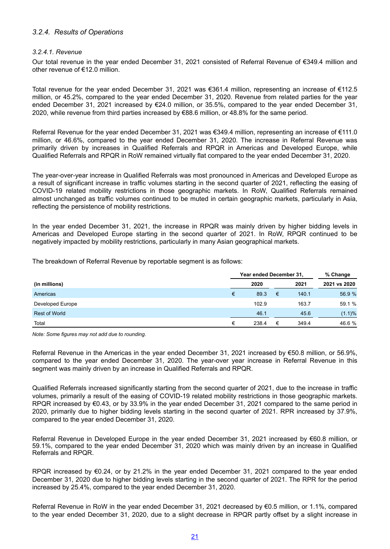## *3.2.4. Results of Operations*

#### *3.2.4.1. Revenue*

Our total revenue in the year ended December 31, 2021 consisted of Referral Revenue of €349.4 million and other revenue of €12.0 million.

Total revenue for the year ended December 31, 2021 was €361.4 million, representing an increase of €112.5 million, or 45.2%, compared to the year ended December 31, 2020. Revenue from related parties for the year ended December 31, 2021 increased by €24.0 million, or 35.5%, compared to the year ended December 31, 2020, while revenue from third parties increased by €88.6 million, or 48.8% for the same period.

Referral Revenue for the year ended December 31, 2021 was €349.4 million, representing an increase of €111.0 million, or 46.6%, compared to the year ended December 31, 2020. The increase in Referral Revenue was primarily driven by increases in Qualified Referrals and RPQR in Americas and Developed Europe, while Qualified Referrals and RPQR in RoW remained virtually flat compared to the year ended December 31, 2020.

The year-over-year increase in Qualified Referrals was most pronounced in Americas and Developed Europe as a result of significant increase in traffic volumes starting in the second quarter of 2021, reflecting the easing of COVID-19 related mobility restrictions in those geographic markets. In RoW, Qualified Referrals remained almost unchanged as traffic volumes continued to be muted in certain geographic markets, particularly in Asia, reflecting the persistence of mobility restrictions.

In the year ended December 31, 2021, the increase in RPQR was mainly driven by higher bidding levels in Americas and Developed Europe starting in the second quarter of 2021. In RoW, RPQR continued to be negatively impacted by mobility restrictions, particularly in many Asian geographical markets.

The breakdown of Referral Revenue by reportable segment is as follows:

|                      | Year ended December 31, |       |   |       | % Change     |  |
|----------------------|-------------------------|-------|---|-------|--------------|--|
| (in millions)        |                         | 2020  |   | 2021  | 2021 vs 2020 |  |
| Americas             | €                       | 89.3  | € | 140.1 | 56.9 %       |  |
| Developed Europe     |                         | 102.9 |   | 163.7 | 59.1 %       |  |
| <b>Rest of World</b> |                         | 46.1  |   | 45.6  | (1.1)%       |  |
| Total                | €                       | 238.4 | € | 349.4 | 46.6 %       |  |

*Note: Some figures may not add due to rounding.*

Referral Revenue in the Americas in the year ended December 31, 2021 increased by €50.8 million, or 56.9%, compared to the year ended December 31, 2020. The year-over year increase in Referral Revenue in this segment was mainly driven by an increase in Qualified Referrals and RPQR.

Qualified Referrals increased significantly starting from the second quarter of 2021, due to the increase in traffic volumes, primarily a result of the easing of COVID-19 related mobility restrictions in those geographic markets. RPQR increased by €0.43, or by 33.9% in the year ended December 31, 2021 compared to the same period in 2020, primarily due to higher bidding levels starting in the second quarter of 2021. RPR increased by 37.9%, compared to the year ended December 31, 2020.

Referral Revenue in Developed Europe in the year ended December 31, 2021 increased by €60.8 million, or 59.1%, compared to the year ended December 31, 2020 which was mainly driven by an increase in Qualified Referrals and RPQR.

RPQR increased by €0.24, or by 21.2% in the year ended December 31, 2021 compared to the year ended December 31, 2020 due to higher bidding levels starting in the second quarter of 2021. The RPR for the period increased by 25.4%, compared to the year ended December 31, 2020.

Referral Revenue in RoW in the year ended December 31, 2021 decreased by €0.5 million, or 1.1%, compared to the year ended December 31, 2020, due to a slight decrease in RPQR partly offset by a slight increase in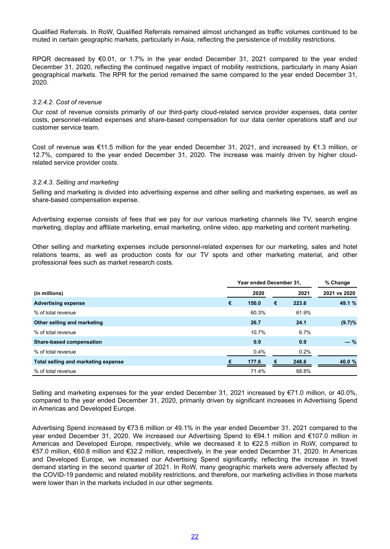Qualified Referrals. In RoW, Qualified Referrals remained almost unchanged as traffic volumes continued to be muted in certain geographic markets, particularly in Asia, reflecting the persistence of mobility restrictions.

RPQR decreased by  $\epsilon$ 0.01, or 1.7% in the year ended December 31, 2021 compared to the year ended December 31, 2020, reflecting the continued negative impact of mobility restrictions, particularly in many Asian geographical markets. The RPR for the period remained the same compared to the year ended December 31, 2020.

#### *3.2.4.2. Cost of revenue*

Our cost of revenue consists primarily of our third-party cloud-related service provider expenses, data center costs, personnel-related expenses and share-based compensation for our data center operations staff and our customer service team.

Cost of revenue was €11.5 million for the year ended December 31, 2021, and increased by €1.3 million, or 12.7%, compared to the year ended December 31, 2020. The increase was mainly driven by higher cloudrelated service provider costs.

#### *3.2.4.3. Selling and marketing*

Selling and marketing is divided into advertising expense and other selling and marketing expenses, as well as share-based compensation expense.

Advertising expense consists of fees that we pay for our various marketing channels like TV, search engine marketing, display and affiliate marketing, email marketing, online video, app marketing and content marketing.

Other selling and marketing expenses include personnel-related expenses for our marketing, sales and hotel relations teams, as well as production costs for our TV spots and other marketing material, and other professional fees such as market research costs.

|                                     |   | Year ended December 31, |   |       |              |  |
|-------------------------------------|---|-------------------------|---|-------|--------------|--|
| (in millions)                       |   | 2020                    |   | 2021  | 2021 vs 2020 |  |
| <b>Advertising expense</b>          | € | 150.0                   | € | 223.6 | 49.1 %       |  |
| % of total revenue                  |   | 60.3%                   |   | 61.9% |              |  |
| Other selling and marketing         |   | 26.7                    |   | 24.1  | (9.7)%       |  |
| % of total revenue                  |   | 10.7%                   |   | 6.7%  |              |  |
| <b>Share-based compensation</b>     |   | 0.9                     |   | 0.9   | — %          |  |
| % of total revenue                  |   | 0.4%                    |   | 0.2%  |              |  |
| Total selling and marketing expense |   | 177.6                   | € | 248.6 | 40.0 %       |  |
| % of total revenue                  |   | 71.4%                   |   | 68.8% |              |  |

Selling and marketing expenses for the year ended December 31, 2021 increased by €71.0 million, or 40.0%, compared to the year ended December 31, 2020, primarily driven by significant increases in Advertising Spend in Americas and Developed Europe.

Advertising Spend increased by €73.6 million or 49.1% in the year ended December 31, 2021 compared to the year ended December 31, 2020. We increased our Advertising Spend to €94.1 million and €107.0 million in Americas and Developed Europe, respectively, while we decreased it to €22.5 million in RoW, compared to €57.0 million, €60.8 million and €32.2 million, respectively, in the year ended December 31, 2020. In Americas and Developed Europe, we increased our Advertising Spend significantly, reflecting the increase in travel demand starting in the second quarter of 2021. In RoW, many geographic markets were adversely affected by the COVID-19 pandemic and related mobility restrictions, and therefore, our marketing activities in those markets were lower than in the markets included in our other segments.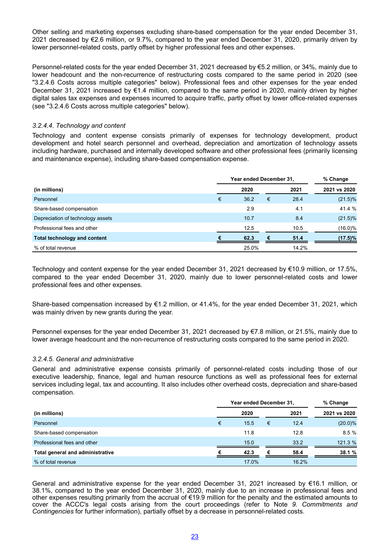Other selling and marketing expenses excluding share-based compensation for the year ended December 31, 2021 decreased by €2.6 million, or 9.7%, compared to the year ended December 31, 2020, primarily driven by lower personnel-related costs, partly offset by higher professional fees and other expenses.

Personnel-related costs for the year ended December 31, 2021 decreased by €5.2 million, or 34%, mainly due to lower headcount and the non-recurrence of restructuring costs compared to the same period in 2020 (see "3.2.4.6 Costs across multiple categories" below). Professional fees and other expenses for the year ended December 31, 2021 increased by €1.4 million, compared to the same period in 2020, mainly driven by higher digital sales tax expenses and expenses incurred to acquire traffic, partly offset by lower office-related expenses (see "3.2.4.6 Costs across multiple categories" below).

#### *3.2.4.4. Technology and content*

Technology and content expense consists primarily of expenses for technology development, product development and hotel search personnel and overhead, depreciation and amortization of technology assets including hardware, purchased and internally developed software and other professional fees (primarily licensing and maintenance expense), including share-based compensation expense.

|                                     | Year ended December 31, | % Change |   |       |              |
|-------------------------------------|-------------------------|----------|---|-------|--------------|
| (in millions)                       |                         | 2020     |   | 2021  | 2021 vs 2020 |
| Personnel                           | €                       | 36.2     | € | 28.4  | $(21.5)\%$   |
| Share-based compensation            |                         | 2.9      |   | 4.1   | 41.4 %       |
| Depreciation of technology assets   |                         | 10.7     |   | 8.4   | $(21.5)\%$   |
| Professional fees and other         |                         | 12.5     |   | 10.5  | $(16.0)\%$   |
| <b>Total technology and content</b> |                         | 62.3     | € | 51.4  | $(17.5)\%$   |
| % of total revenue                  |                         | 25.0%    |   | 14.2% |              |

Technology and content expense for the year ended December 31, 2021 decreased by €10.9 million, or 17.5%, compared to the year ended December 31, 2020, mainly due to lower personnel-related costs and lower professional fees and other expenses.

Share-based compensation increased by €1.2 million, or 41.4%, for the year ended December 31, 2021, which was mainly driven by new grants during the year.

Personnel expenses for the year ended December 31, 2021 decreased by €7.8 million, or 21.5%, mainly due to lower average headcount and the non-recurrence of restructuring costs compared to the same period in 2020.

#### *3.2.4.5. General and administrative*

General and administrative expense consists primarily of personnel-related costs including those of our executive leadership, finance, legal and human resource functions as well as professional fees for external services including legal, tax and accounting. It also includes other overhead costs, depreciation and share-based compensation.

|                                  |   | Year ended December 31, | % Change |       |              |
|----------------------------------|---|-------------------------|----------|-------|--------------|
| (in millions)                    |   | 2020                    |          | 2021  | 2021 vs 2020 |
| Personnel                        | € | 15.5                    | €        | 12.4  | $(20.0)\%$   |
| Share-based compensation         |   | 11.8                    |          | 12.8  | 8.5%         |
| Professional fees and other      |   | 15.0                    |          | 33.2  | 121.3 %      |
| Total general and administrative | € | 42.3                    | €        | 58.4  | 38.1 %       |
| % of total revenue               |   | 17.0%                   |          | 16.2% |              |

General and administrative expense for the year ended December 31, 2021 increased by €16.1 million, or 38.1%, compared to the year ended December 31, 2020, mainly due to an increase in professional fees and other expenses resulting primarily from the accrual of €19.9 million for the penalty and the estimated amounts to cover the ACCC's legal costs arising from the court proceedings (refer to Note *9. Commitments and Contingencies* for further information), partially offset by a decrease in personnel-related costs.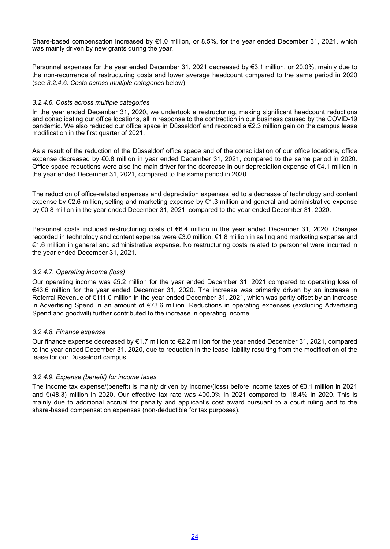Share-based compensation increased by €1.0 million, or 8.5%, for the year ended December 31, 2021, which was mainly driven by new grants during the year.

Personnel expenses for the year ended December 31, 2021 decreased by €3.1 million, or 20.0%, mainly due to the non-recurrence of restructuring costs and lower average headcount compared to the same period in 2020 (see *3.2.4.6. Costs across multiple categories* below).

#### *3.2.4.6. Costs across multiple categories*

In the year ended December 31, 2020, we undertook a restructuring, making significant headcount reductions and consolidating our office locations, all in response to the contraction in our business caused by the COVID-19 pandemic. We also reduced our office space in Düsseldorf and recorded a €2.3 million gain on the campus lease modification in the first quarter of 2021.

As a result of the reduction of the Düsseldorf office space and of the consolidation of our office locations, office expense decreased by €0.8 million in year ended December 31, 2021, compared to the same period in 2020. Office space reductions were also the main driver for the decrease in our depreciation expense of €4.1 million in the year ended December 31, 2021, compared to the same period in 2020.

The reduction of office-related expenses and depreciation expenses led to a decrease of technology and content expense by €2.6 million, selling and marketing expense by €1.3 million and general and administrative expense by €0.8 million in the year ended December 31, 2021, compared to the year ended December 31, 2020.

Personnel costs included restructuring costs of €6.4 million in the year ended December 31, 2020. Charges recorded in technology and content expense were €3.0 million, €1.8 million in selling and marketing expense and €1.6 million in general and administrative expense. No restructuring costs related to personnel were incurred in the year ended December 31, 2021.

### *3.2.4.7. Operating income (loss)*

Our operating income was €5.2 million for the year ended December 31, 2021 compared to operating loss of €43.6 million for the year ended December 31, 2020. The increase was primarily driven by an increase in Referral Revenue of €111.0 million in the year ended December 31, 2021, which was partly offset by an increase in Advertising Spend in an amount of €73.6 million. Reductions in operating expenses (excluding Advertising Spend and goodwill) further contributed to the increase in operating income.

#### *3.2.4.8. Finance expense*

Our finance expense decreased by €1.7 million to €2.2 million for the year ended December 31, 2021, compared to the year ended December 31, 2020, due to reduction in the lease liability resulting from the modification of the lease for our Düsseldorf campus.

#### *3.2.4.9. Expense (benefit) for income taxes*

The income tax expense/(benefit) is mainly driven by income/(loss) before income taxes of €3.1 million in 2021 and €(48.3) million in 2020. Our effective tax rate was 400.0% in 2021 compared to 18.4% in 2020. This is mainly due to additional accrual for penalty and applicant's cost award pursuant to a court ruling and to the share-based compensation expenses (non-deductible for tax purposes).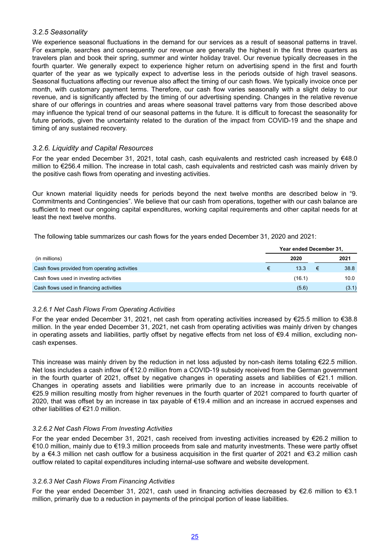### *3.2.5 Seasonality*

We experience seasonal fluctuations in the demand for our services as a result of seasonal patterns in travel. For example, searches and consequently our revenue are generally the highest in the first three quarters as travelers plan and book their spring, summer and winter holiday travel. Our revenue typically decreases in the fourth quarter. We generally expect to experience higher return on advertising spend in the first and fourth quarter of the year as we typically expect to advertise less in the periods outside of high travel seasons. Seasonal fluctuations affecting our revenue also affect the timing of our cash flows. We typically invoice once per month, with customary payment terms. Therefore, our cash flow varies seasonally with a slight delay to our revenue, and is significantly affected by the timing of our advertising spending. Changes in the relative revenue share of our offerings in countries and areas where seasonal travel patterns vary from those described above may influence the typical trend of our seasonal patterns in the future. It is difficult to forecast the seasonality for future periods, given the uncertainty related to the duration of the impact from COVID-19 and the shape and timing of any sustained recovery.

### *3.2.6. Liquidity and Capital Resources*

For the year ended December 31, 2021, total cash, cash equivalents and restricted cash increased by €48.0 million to €256.4 million. The increase in total cash, cash equivalents and restricted cash was mainly driven by the positive cash flows from operating and investing activities.

Our known material liquidity needs for periods beyond the next twelve months are described below in "9. Commitments and Contingencies". We believe that our cash from operations, together with our cash balance are sufficient to meet our ongoing capital expenditures, working capital requirements and other capital needs for at least the next twelve months.

The following table summarizes our cash flows for the years ended December 31, 2020 and 2021:

|                                               | Year ended December 31, |        |   |       |  |  |
|-----------------------------------------------|-------------------------|--------|---|-------|--|--|
| (in millions)                                 |                         | 2020   |   | 2021  |  |  |
| Cash flows provided from operating activities | €                       | 13.3   | € | 38.8  |  |  |
| Cash flows used in investing activities       |                         | (16.1) |   | 10.0  |  |  |
| Cash flows used in financing activities       |                         | (5.6)  |   | (3.1) |  |  |

#### *3.2.6.1 Net Cash Flows From Operating Activities*

For the year ended December 31, 2021, net cash from operating activities increased by €25.5 million to €38.8 million. In the year ended December 31, 2021, net cash from operating activities was mainly driven by changes in operating assets and liabilities, partly offset by negative effects from net loss of €9.4 million, excluding noncash expenses.

This increase was mainly driven by the reduction in net loss adjusted by non-cash items totaling €22.5 million. Net loss includes a cash inflow of €12.0 million from a COVID-19 subsidy received from the German government in the fourth quarter of 2021, offset by negative changes in operating assets and liabilities of €21.1 million. Changes in operating assets and liabilities were primarily due to an increase in accounts receivable of €25.9 million resulting mostly from higher revenues in the fourth quarter of 2021 compared to fourth quarter of 2020, that was offset by an increase in tax payable of €19.4 million and an increase in accrued expenses and other liabilities of €21.0 million.

#### *3.2.6.2 Net Cash Flows From Investing Activities*

For the year ended December 31, 2021, cash received from investing activities increased by €26.2 million to €10.0 million, mainly due to €19.3 million proceeds from sale and maturity investments. These were partly offset by a €4.3 million net cash outflow for a business acquisition in the first quarter of 2021 and €3.2 million cash outflow related to capital expenditures including internal-use software and website development.

#### *3.2.6.3 Net Cash Flows From Financing Activities*

For the year ended December 31, 2021, cash used in financing activities decreased by  $\epsilon$ 2.6 million to  $\epsilon$ 3.1 million, primarily due to a reduction in payments of the principal portion of lease liabilities.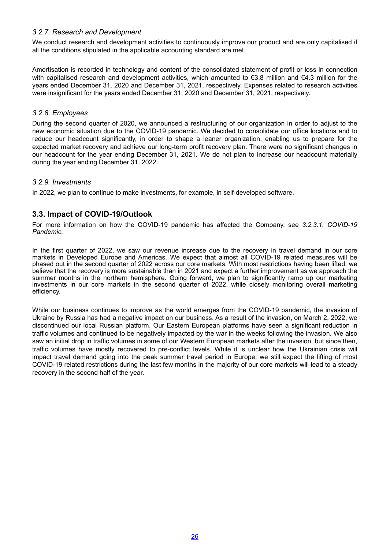## *3.2.7. Research and Development*

We conduct research and development activities to continuously improve our product and are only capitalised if all the conditions stipulated in the applicable accounting standard are met.

Amortisation is recorded in technology and content of the consolidated statement of profit or loss in connection with capitalised research and development activities, which amounted to €3.8 million and €4.3 million for the years ended December 31, 2020 and December 31, 2021, respectively. Expenses related to research activities were insignificant for the years ended December 31, 2020 and December 31, 2021, respectively.

#### *3.2.8. Employees*

During the second quarter of 2020, we announced a restructuring of our organization in order to adjust to the new economic situation due to the COVID-19 pandemic. We decided to consolidate our office locations and to reduce our headcount significantly, in order to shape a leaner organization, enabling us to prepare for the expected market recovery and achieve our long-term profit recovery plan. There were no significant changes in our headcount for the year ending December 31, 2021. We do not plan to increase our headcount materially during the year ending December 31, 2022.

### *3.2.9. Investments*

In 2022, we plan to continue to make investments, for example, in self-developed software.

## **3.3. Impact of COVID-19/Outlook**

For more information on how the COVID-19 pandemic has affected the Company, see *3.2.3.1. COVID-19 Pandemic.*

In the first quarter of 2022, we saw our revenue increase due to the recovery in travel demand in our core markets in Developed Europe and Americas. We expect that almost all COVID-19 related measures will be phased out in the second quarter of 2022 across our core markets. With most restrictions having been lifted, we believe that the recovery is more sustainable than in 2021 and expect a further improvement as we approach the summer months in the northern hemisphere. Going forward, we plan to significantly ramp up our marketing investments in our core markets in the second quarter of 2022, while closely monitoring overall marketing efficiency.

While our business continues to improve as the world emerges from the COVID-19 pandemic, the invasion of Ukraine by Russia has had a negative impact on our business. As a result of the invasion, on March 2, 2022, we discontinued our local Russian platform. Our Eastern European platforms have seen a significant reduction in traffic volumes and continued to be negatively impacted by the war in the weeks following the invasion. We also saw an initial drop in traffic volumes in some of our Western European markets after the invasion, but since then, traffic volumes have mostly recovered to pre-conflict levels. While it is unclear how the Ukrainian crisis will impact travel demand going into the peak summer travel period in Europe, we still expect the lifting of most COVID-19 related restrictions during the last few months in the majority of our core markets will lead to a steady recovery in the second half of the year.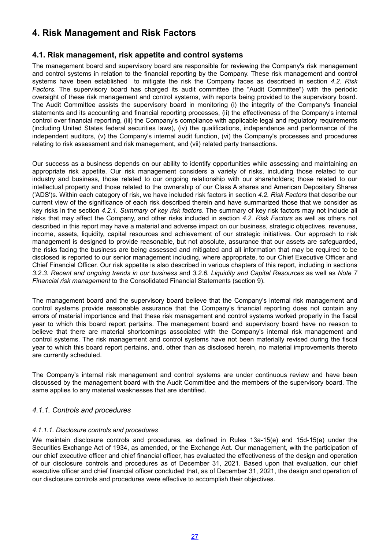# <span id="page-26-0"></span>**4. Risk Management and Risk Factors**

## **4.1. Risk management, risk appetite and control systems**

The management board and supervisory board are responsible for reviewing the Company's risk management and control systems in relation to the financial reporting by the Company. These risk management and control systems have been established to mitigate the risk the Company faces as described in section *4.2. Risk Factors*. The supervisory board has charged its audit committee (the "Audit Committee") with the periodic oversight of these risk management and control systems, with reports being provided to the supervisory board. The Audit Committee assists the supervisory board in monitoring (i) the integrity of the Company's financial statements and its accounting and financial reporting processes, (ii) the effectiveness of the Company's internal control over financial reporting, (iii) the Company's compliance with applicable legal and regulatory requirements (including United States federal securities laws), (iv) the qualifications, independence and performance of the independent auditors, (v) the Company's internal audit function, (vi) the Company's processes and procedures relating to risk assessment and risk management, and (vii) related party transactions.

Our success as a business depends on our ability to identify opportunities while assessing and maintaining an appropriate risk appetite. Our risk management considers a variety of risks, including those related to our industry and business, those related to our ongoing relationship with our shareholders; those related to our intellectual property and those related to the ownership of our Class A shares and American Depositary Shares ('ADS')s. Within each category of risk, we have included risk factors in section *4.2. Risk Factors* that describe our current view of the significance of each risk described therein and have summarized those that we consider as key risks in the section *4.2.1. Summary of key risk factors*. The summary of key risk factors may not include all risks that may affect the Company, and other risks included in section *4.2. Risk Factors* as well as others not described in this report may have a material and adverse impact on our business, strategic objectives, revenues, income, assets, liquidity, capital resources and achievement of our strategic initiatives. Our approach to risk management is designed to provide reasonable, but not absolute, assurance that our assets are safeguarded, the risks facing the business are being assessed and mitigated and all information that may be required to be disclosed is reported to our senior management including, where appropriate, to our Chief Executive Officer and Chief Financial Officer. Our risk appetite is also described in various chapters of this report, including in sections *3.2.3. Recent and ongoing trends in our business* and *3.2.6. Liquidity and Capital Resources* as well as *Note 7 Financial risk management* to the Consolidated Financial Statements (section 9).

The management board and the supervisory board believe that the Company's internal risk management and control systems provide reasonable assurance that the Company's financial reporting does not contain any errors of material importance and that these risk management and control systems worked properly in the fiscal year to which this board report pertains. The management board and supervisory board have no reason to believe that there are material shortcomings associated with the Company's internal risk management and control systems. The risk management and control systems have not been materially revised during the fiscal year to which this board report pertains, and, other than as disclosed herein, no material improvements thereto are currently scheduled.

The Company's internal risk management and control systems are under continuous review and have been discussed by the management board with the Audit Committee and the members of the supervisory board. The same applies to any material weaknesses that are identified.

## *4.1.1. Controls and procedures*

#### *4.1.1.1. Disclosure controls and procedures*

We maintain disclosure controls and procedures, as defined in Rules 13a-15(e) and 15d-15(e) under the Securities Exchange Act of 1934, as amended, or the Exchange Act. Our management, with the participation of our chief executive officer and chief financial officer, has evaluated the effectiveness of the design and operation of our disclosure controls and procedures as of December 31, 2021. Based upon that evaluation, our chief executive officer and chief financial officer concluded that, as of December 31, 2021, the design and operation of our disclosure controls and procedures were effective to accomplish their objectives.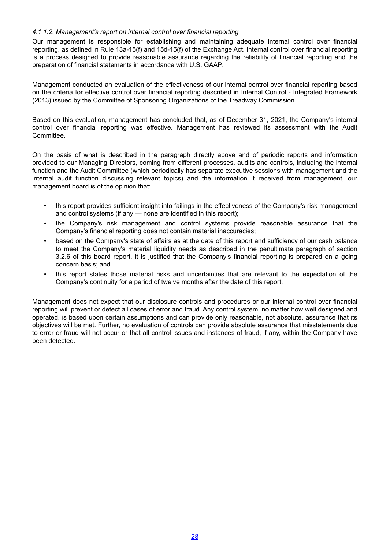#### *4.1.1.2. Management's report on internal control over financial reporting*

Our management is responsible for establishing and maintaining adequate internal control over financial reporting, as defined in Rule 13a-15(f) and 15d-15(f) of the Exchange Act. Internal control over financial reporting is a process designed to provide reasonable assurance regarding the reliability of financial reporting and the preparation of financial statements in accordance with U.S. GAAP.

Management conducted an evaluation of the effectiveness of our internal control over financial reporting based on the criteria for effective control over financial reporting described in Internal Control - Integrated Framework (2013) issued by the Committee of Sponsoring Organizations of the Treadway Commission.

Based on this evaluation, management has concluded that, as of December 31, 2021, the Company's internal control over financial reporting was effective. Management has reviewed its assessment with the Audit **Committee.** 

On the basis of what is described in the paragraph directly above and of periodic reports and information provided to our Managing Directors, coming from different processes, audits and controls, including the internal function and the Audit Committee (which periodically has separate executive sessions with management and the internal audit function discussing relevant topics) and the information it received from management, our management board is of the opinion that:

- this report provides sufficient insight into failings in the effectiveness of the Company's risk management and control systems (if any — none are identified in this report);
- the Company's risk management and control systems provide reasonable assurance that the Company's financial reporting does not contain material inaccuracies;
- based on the Company's state of affairs as at the date of this report and sufficiency of our cash balance to meet the Company's material liquidity needs as described in the penultimate paragraph of section 3.2.6 of this board report, it is justified that the Company's financial reporting is prepared on a going concern basis; and
- this report states those material risks and uncertainties that are relevant to the expectation of the Company's continuity for a period of twelve months after the date of this report.

Management does not expect that our disclosure controls and procedures or our internal control over financial reporting will prevent or detect all cases of error and fraud. Any control system, no matter how well designed and operated, is based upon certain assumptions and can provide only reasonable, not absolute, assurance that its objectives will be met. Further, no evaluation of controls can provide absolute assurance that misstatements due to error or fraud will not occur or that all control issues and instances of fraud, if any, within the Company have been detected.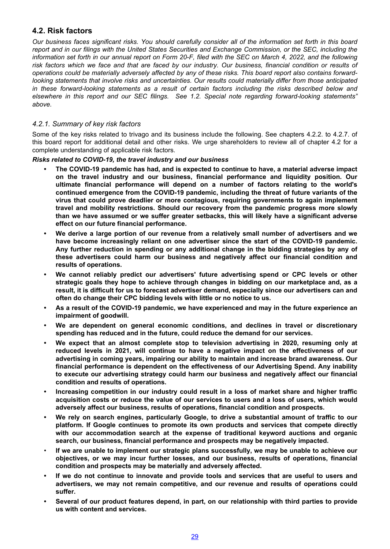## **4.2. Risk factors**

*Our business faces significant risks. You should carefully consider all of the information set forth in this board*  report and in our filings with the United States Securities and Exchange Commission, or the SEC, including the information set forth in our annual report on Form 20-F, filed with the SEC on March 4, 2022, and the following *risk factors which we face and that are faced by our industry. Our business, financial condition or results of operations could be materially adversely affected by any of these risks. This board report also contains forward*looking statements that involve risks and uncertainties. Our results could materially differ from those anticipated *in these forward-looking statements as a result of certain factors including the risks described below and elsewhere in this report and our SEC filings. See 1.2. Special note regarding forward-looking statements" above.* 

### *4.2.1. Summary of key risk factors*

Some of the key risks related to trivago and its business include the following. See chapters 4.2.2. to 4.2.7. of this board report for additional detail and other risks. We urge shareholders to review all of chapter 4.2 for a complete understanding of applicable risk factors.

#### *Risks related to COVID-19, the travel industry and our business*

- **• The COVID-19 pandemic has had, and is expected to continue to have, a material adverse impact on the travel industry and our business, financial performance and liquidity position. Our ultimate financial performance will depend on a number of factors relating to the world's continued emergence from the COVID-19 pandemic, including the threat of future variants of the virus that could prove deadlier or more contagious, requiring governments to again implement travel and mobility restrictions. Should our recovery from the pandemic progress more slowly than we have assumed or we suffer greater setbacks, this will likely have a significant adverse effect on our future financial performance.**
- **• We derive a large portion of our revenue from a relatively small number of advertisers and we have become increasingly reliant on one advertiser since the start of the COVID-19 pandemic. Any further reduction in spending or any additional change in the bidding strategies by any of these advertisers could harm our business and negatively affect our financial condition and results of operations.**
- **• We cannot reliably predict our advertisers' future advertising spend or CPC levels or other strategic goals they hope to achieve through changes in bidding on our marketplace and, as a result, it is difficult for us to forecast advertiser demand, especially since our advertisers can and often do change their CPC bidding levels with little or no notice to us.**
- **• As a result of the COVID-19 pandemic, we have experienced and may in the future experience an impairment of goodwill.**
- **• We are dependent on general economic conditions, and declines in travel or discretionary spending has reduced and in the future, could reduce the demand for our services.**
- **• We expect that an almost complete stop to television advertising in 2020, resuming only at reduced levels in 2021, will continue to have a negative impact on the effectiveness of our advertising in coming years, impairing our ability to maintain and increase brand awareness. Our financial performance is dependent on the effectiveness of our Advertising Spend. Any inability to execute our advertising strategy could harm our business and negatively affect our financial condition and results of operations.**
- **• Increasing competition in our industry could result in a loss of market share and higher traffic acquisition costs or reduce the value of our services to users and a loss of users, which would adversely affect our business, results of operations, financial condition and prospects.**
- **• We rely on search engines, particularly Google, to drive a substantial amount of traffic to our platform. If Google continues to promote its own products and services that compete directly with our accommodation search at the expense of traditional keyword auctions and organic search, our business, financial performance and prospects may be negatively impacted.**
- **If we are unable to implement our strategic plans successfully, we may be unable to achieve our objectives, or we may incur further losses, and our business, results of operations, financial condition and prospects may be materially and adversely affected.**
- **• If we do not continue to innovate and provide tools and services that are useful to users and advertisers, we may not remain competitive, and our revenue and results of operations could suffer.**
- **• Several of our product features depend, in part, on our relationship with third parties to provide us with content and services.**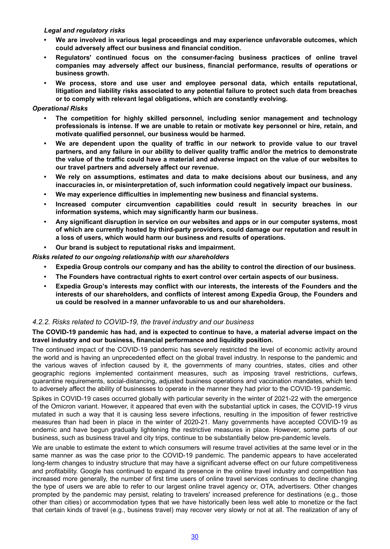#### *Legal and regulatory risks*

- **• We are involved in various legal proceedings and may experience unfavorable outcomes, which could adversely affect our business and financial condition.**
- **• Regulators' continued focus on the consumer-facing business practices of online travel companies may adversely affect our business, financial performance, results of operations or business growth.**
- **• We process, store and use user and employee personal data, which entails reputational, litigation and liability risks associated to any potential failure to protect such data from breaches or to comply with relevant legal obligations, which are constantly evolving.**

#### *Operational Risks*

- **• The competition for highly skilled personnel, including senior management and technology professionals is intense. If we are unable to retain or motivate key personnel or hire, retain, and motivate qualified personnel, our business would be harmed.**
- **• We are dependent upon the quality of traffic in our network to provide value to our travel partners, and any failure in our ability to deliver quality traffic and/or the metrics to demonstrate the value of the traffic could have a material and adverse impact on the value of our websites to our travel partners and adversely affect our revenue.**
- **• We rely on assumptions, estimates and data to make decisions about our business, and any inaccuracies in, or misinterpretation of, such information could negatively impact our business.**
- **• We may experience difficulties in implementing new business and financial systems.**
- **• Increased computer circumvention capabilities could result in security breaches in our information systems, which may significantly harm our business.**
- **• Any significant disruption in service on our websites and apps or in our computer systems, most of which are currently hosted by third-party providers, could damage our reputation and result in a loss of users, which would harm our business and results of operations.**
- **• Our brand is subject to reputational risks and impairment.**

*Risks related to our ongoing relationship with our shareholders* 

- **• Expedia Group controls our company and has the ability to control the direction of our business.**
- **• The Founders have contractual rights to exert control over certain aspects of our business.**
- **• Expedia Group's interests may conflict with our interests, the interests of the Founders and the interests of our shareholders, and conflicts of interest among Expedia Group, the Founders and us could be resolved in a manner unfavorable to us and our shareholders.**

## *4.2.2. Risks related to COVID-19, the travel industry and our business*

#### **The COVID-19 pandemic has had, and is expected to continue to have, a material adverse impact on the travel industry and our business, financial performance and liquidity position.**

The continued impact of the COVID-19 pandemic has severely restricted the level of economic activity around the world and is having an unprecedented effect on the global travel industry. In response to the pandemic and the various waves of infection caused by it, the governments of many countries, states, cities and other geographic regions implemented containment measures, such as imposing travel restrictions, curfews, quarantine requirements, social-distancing, adjusted business operations and vaccination mandates, which tend to adversely affect the ability of businesses to operate in the manner they had prior to the COVID-19 pandemic.

Spikes in COVID-19 cases occurred globally with particular severity in the winter of 2021-22 with the emergence of the Omicron variant. However, it appeared that even with the substantial uptick in cases, the COVID-19 virus mutated in such a way that it is causing less severe infections, resulting in the imposition of fewer restrictive measures than had been in place in the winter of 2020-21. Many governments have accepted COVID-19 as endemic and have begun gradually lightening the restrictive measures in place. However, some parts of our business, such as business travel and city trips, continue to be substantially below pre-pandemic levels.

We are unable to estimate the extent to which consumers will resume travel activities at the same level or in the same manner as was the case prior to the COVID-19 pandemic. The pandemic appears to have accelerated long-term changes to industry structure that may have a significant adverse effect on our future competitiveness and profitability. Google has continued to expand its presence in the online travel industry and competition has increased more generally, the number of first time users of online travel services continues to decline changing the type of users we are able to refer to our largest online travel agency or, OTA, advertisers. Other changes prompted by the pandemic may persist, relating to travelers' increased preference for destinations (e.g., those other than cities) or accommodation types that we have historically been less well able to monetize or the fact that certain kinds of travel (e.g., business travel) may recover very slowly or not at all. The realization of any of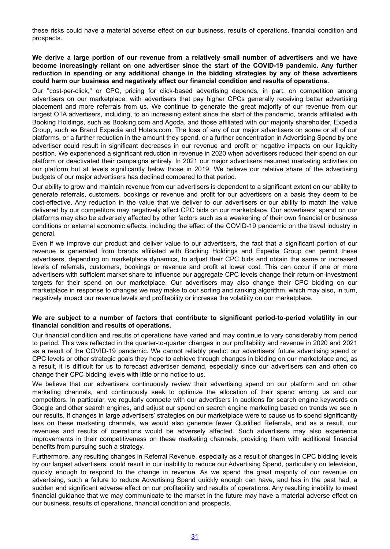these risks could have a material adverse effect on our business, results of operations, financial condition and prospects.

**We derive a large portion of our revenue from a relatively small number of advertisers and we have become increasingly reliant on one advertiser since the start of the COVID-19 pandemic. Any further reduction in spending or any additional change in the bidding strategies by any of these advertisers could harm our business and negatively affect our financial condition and results of operations.** 

Our "cost-per-click," or CPC, pricing for click-based advertising depends, in part, on competition among advertisers on our marketplace, with advertisers that pay higher CPCs generally receiving better advertising placement and more referrals from us. We continue to generate the great majority of our revenue from our largest OTA advertisers, including, to an increasing extent since the start of the pandemic, brands affiliated with Booking Holdings, such as Booking.com and Agoda, and those affiliated with our majority shareholder, Expedia Group, such as Brand Expedia and Hotels.com. The loss of any of our major advertisers on some or all of our platforms, or a further reduction in the amount they spend, or a further concentration in Advertising Spend by one advertiser could result in significant decreases in our revenue and profit or negative impacts on our liquidity position. We experienced a significant reduction in revenue in 2020 when advertisers reduced their spend on our platform or deactivated their campaigns entirely. In 2021 our major advertisers resumed marketing activities on our platform but at levels significantly below those in 2019. We believe our relative share of the advertising budgets of our major advertisers has declined compared to that period.

Our ability to grow and maintain revenue from our advertisers is dependent to a significant extent on our ability to generate referrals, customers, bookings or revenue and profit for our advertisers on a basis they deem to be cost-effective. Any reduction in the value that we deliver to our advertisers or our ability to match the value delivered by our competitors may negatively affect CPC bids on our marketplace. Our advertisers' spend on our platforms may also be adversely affected by other factors such as a weakening of their own financial or business conditions or external economic effects, including the effect of the COVID-19 pandemic on the travel industry in general.

Even if we improve our product and deliver value to our advertisers, the fact that a significant portion of our revenue is generated from brands affiliated with Booking Holdings and Expedia Group can permit these advertisers, depending on marketplace dynamics, to adjust their CPC bids and obtain the same or increased levels of referrals, customers, bookings or revenue and profit at lower cost. This can occur if one or more advertisers with sufficient market share to influence our aggregate CPC levels change their return-on-investment targets for their spend on our marketplace. Our advertisers may also change their CPC bidding on our marketplace in response to changes we may make to our sorting and ranking algorithm, which may also, in turn, negatively impact our revenue levels and profitability or increase the volatility on our marketplace.

#### **We are subject to a number of factors that contribute to significant period-to-period volatility in our financial condition and results of operations.**

Our financial condition and results of operations have varied and may continue to vary considerably from period to period. This was reflected in the quarter-to-quarter changes in our profitability and revenue in 2020 and 2021 as a result of the COVID-19 pandemic. We cannot reliably predict our advertisers' future advertising spend or CPC levels or other strategic goals they hope to achieve through changes in bidding on our marketplace and, as a result, it is difficult for us to forecast advertiser demand, especially since our advertisers can and often do change their CPC bidding levels with little or no notice to us.

We believe that our advertisers continuously review their advertising spend on our platform and on other marketing channels, and continuously seek to optimize the allocation of their spend among us and our competitors. In particular, we regularly compete with our advertisers in auctions for search engine keywords on Google and other search engines, and adjust our spend on search engine marketing based on trends we see in our results. If changes in large advertisers' strategies on our marketplace were to cause us to spend significantly less on these marketing channels, we would also generate fewer Qualified Referrals, and as a result, our revenues and results of operations would be adversely affected. Such advertisers may also experience improvements in their competitiveness on these marketing channels, providing them with additional financial benefits from pursuing such a strategy.

Furthermore, any resulting changes in Referral Revenue, especially as a result of changes in CPC bidding levels by our largest advertisers, could result in our inability to reduce our Advertising Spend, particularly on television, quickly enough to respond to the change in revenue. As we spend the great majority of our revenue on advertising, such a failure to reduce Advertising Spend quickly enough can have, and has in the past had, a sudden and significant adverse effect on our profitability and results of operations. Any resulting inability to meet financial guidance that we may communicate to the market in the future may have a material adverse effect on our business, results of operations, financial condition and prospects.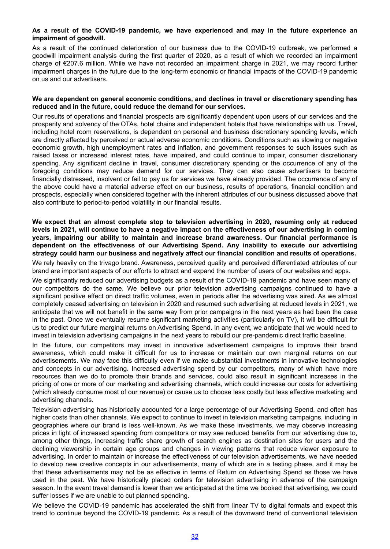#### **As a result of the COVID-19 pandemic, we have experienced and may in the future experience an impairment of goodwill.**

As a result of the continued deterioration of our business due to the COVID-19 outbreak, we performed a goodwill impairment analysis during the first quarter of 2020, as a result of which we recorded an impairment charge of €207.6 million. While we have not recorded an impairment charge in 2021, we may record further impairment charges in the future due to the long-term economic or financial impacts of the COVID-19 pandemic on us and our advertisers.

#### **We are dependent on general economic conditions, and declines in travel or discretionary spending has reduced and in the future, could reduce the demand for our services.**

Our results of operations and financial prospects are significantly dependent upon users of our services and the prosperity and solvency of the OTAs, hotel chains and independent hotels that have relationships with us. Travel, including hotel room reservations, is dependent on personal and business discretionary spending levels, which are directly affected by perceived or actual adverse economic conditions. Conditions such as slowing or negative economic growth, high unemployment rates and inflation, and government responses to such issues such as raised taxes or increased interest rates, have impaired, and could continue to impair, consumer discretionary spending. Any significant decline in travel, consumer discretionary spending or the occurrence of any of the foregoing conditions may reduce demand for our services. They can also cause advertisers to become financially distressed, insolvent or fail to pay us for services we have already provided. The occurrence of any of the above could have a material adverse effect on our business, results of operations, financial condition and prospects, especially when considered together with the inherent attributes of our business discussed above that also contribute to period-to-period volatility in our financial results.

**We expect that an almost complete stop to television advertising in 2020, resuming only at reduced levels in 2021, will continue to have a negative impact on the effectiveness of our advertising in coming years, impairing our ability to maintain and increase brand awareness. Our financial performance is dependent on the effectiveness of our Advertising Spend. Any inability to execute our advertising strategy could harm our business and negatively affect our financial condition and results of operations.**

We rely heavily on the trivago brand. Awareness, perceived quality and perceived differentiated attributes of our brand are important aspects of our efforts to attract and expand the number of users of our websites and apps.

We significantly reduced our advertising budgets as a result of the COVID-19 pandemic and have seen many of our competitors do the same. We believe our prior television advertising campaigns continued to have a significant positive effect on direct traffic volumes, even in periods after the advertising was aired. As we almost completely ceased advertising on television in 2020 and resumed such advertising at reduced levels in 2021, we anticipate that we will not benefit in the same way from prior campaigns in the next years as had been the case in the past. Once we eventually resume significant marketing activities (particularly on TV), it will be difficult for us to predict our future marginal returns on Advertising Spend. In any event, we anticipate that we would need to invest in television advertising campaigns in the next years to rebuild our pre-pandemic direct traffic baseline.

In the future, our competitors may invest in innovative advertisement campaigns to improve their brand awareness, which could make it difficult for us to increase or maintain our own marginal returns on our advertisements. We may face this difficulty even if we make substantial investments in innovative technologies and concepts in our advertising. Increased advertising spend by our competitors, many of which have more resources than we do to promote their brands and services, could also result in significant increases in the pricing of one or more of our marketing and advertising channels, which could increase our costs for advertising (which already consume most of our revenue) or cause us to choose less costly but less effective marketing and advertising channels.

Television advertising has historically accounted for a large percentage of our Advertising Spend, and often has higher costs than other channels. We expect to continue to invest in television marketing campaigns, including in geographies where our brand is less well-known. As we make these investments, we may observe increasing prices in light of increased spending from competitors or may see reduced benefits from our advertising due to, among other things, increasing traffic share growth of search engines as destination sites for users and the declining viewership in certain age groups and changes in viewing patterns that reduce viewer exposure to advertising. In order to maintain or increase the effectiveness of our television advertisements, we have needed to develop new creative concepts in our advertisements, many of which are in a testing phase, and it may be that these advertisements may not be as effective in terms of Return on Advertising Spend as those we have used in the past. We have historically placed orders for television advertising in advance of the campaign season. In the event travel demand is lower than we anticipated at the time we booked that advertising, we could suffer losses if we are unable to cut planned spending.

We believe the COVID-19 pandemic has accelerated the shift from linear TV to digital formats and expect this trend to continue beyond the COVID-19 pandemic. As a result of the downward trend of conventional television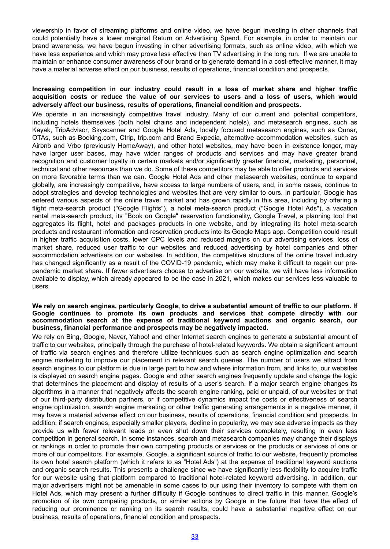viewership in favor of streaming platforms and online video, we have begun investing in other channels that could potentially have a lower marginal Return on Advertising Spend. For example, in order to maintain our brand awareness, we have begun investing in other advertising formats, such as online video, with which we have less experience and which may prove less effective than TV advertising in the long run. If we are unable to maintain or enhance consumer awareness of our brand or to generate demand in a cost-effective manner, it may have a material adverse effect on our business, results of operations, financial condition and prospects.

#### **Increasing competition in our industry could result in a loss of market share and higher traffic acquisition costs or reduce the value of our services to users and a loss of users, which would adversely affect our business, results of operations, financial condition and prospects.**

We operate in an increasingly competitive travel industry. Many of our current and potential competitors, including hotels themselves (both hotel chains and independent hotels), and metasearch engines, such as Kayak, TripAdvisor, Skyscanner and Google Hotel Ads, locally focused metasearch engines, such as Qunar, OTAs, such as Booking.com, Ctrip, trip.com and Brand Expedia, alternative accommodation websites, such as Airbnb and Vrbo (previously HomeAway), and other hotel websites, may have been in existence longer, may have larger user bases, may have wider ranges of products and services and may have greater brand recognition and customer loyalty in certain markets and/or significantly greater financial, marketing, personnel, technical and other resources than we do. Some of these competitors may be able to offer products and services on more favorable terms than we can. Google Hotel Ads and other metasearch websites, continue to expand globally, are increasingly competitive, have access to large numbers of users, and, in some cases, continue to adopt strategies and develop technologies and websites that are very similar to ours. In particular, Google has entered various aspects of the online travel market and has grown rapidly in this area, including by offering a flight meta-search product ("Google Flights"), a hotel meta-search product ("Google Hotel Ads"), a vacation rental meta-search product, its "Book on Google" reservation functionality, Google Travel, a planning tool that aggregates its flight, hotel and packages products in one website, and by integrating its hotel meta-search products and restaurant information and reservation products into its Google Maps app. Competition could result in higher traffic acquisition costs, lower CPC levels and reduced margins on our advertising services, loss of market share, reduced user traffic to our websites and reduced advertising by hotel companies and other accommodation advertisers on our websites. In addition, the competitive structure of the online travel industry has changed significantly as a result of the COVID-19 pandemic, which may make it difficult to regain our prepandemic market share. If fewer advertisers choose to advertise on our website, we will have less information available to display, which already appeared to be the case in 2021, which makes our services less valuable to users.

#### **We rely on search engines, particularly Google, to drive a substantial amount of traffic to our platform. If Google continues to promote its own products and services that compete directly with our accommodation search at the expense of traditional keyword auctions and organic search, our business, financial performance and prospects may be negatively impacted.**

We rely on Bing, Google, Naver, Yahoo! and other Internet search engines to generate a substantial amount of traffic to our websites, principally through the purchase of hotel-related keywords. We obtain a significant amount of traffic via search engines and therefore utilize techniques such as search engine optimization and search engine marketing to improve our placement in relevant search queries. The number of users we attract from search engines to our platform is due in large part to how and where information from, and links to, our websites is displayed on search engine pages. Google and other search engines frequently update and change the logic that determines the placement and display of results of a user's search. If a major search engine changes its algorithms in a manner that negatively affects the search engine ranking, paid or unpaid, of our websites or that of our third-party distribution partners, or if competitive dynamics impact the costs or effectiveness of search engine optimization, search engine marketing or other traffic generating arrangements in a negative manner, it may have a material adverse effect on our business, results of operations, financial condition and prospects. In addition, if search engines, especially smaller players, decline in popularity, we may see adverse impacts as they provide us with fewer relevant leads or even shut down their services completely, resulting in even less competition in general search. In some instances, search and metasearch companies may change their displays or rankings in order to promote their own competing products or services or the products or services of one or more of our competitors. For example, Google, a significant source of traffic to our website, frequently promotes its own hotel search platform (which it refers to as "Hotel Ads") at the expense of traditional keyword auctions and organic search results. This presents a challenge since we have significantly less flexibility to acquire traffic for our website using that platform compared to traditional hotel-related keyword advertising. In addition, our major advertisers might not be amenable in some cases to our using their inventory to compete with them on Hotel Ads, which may present a further difficulty if Google continues to direct traffic in this manner. Google's promotion of its own competing products, or similar actions by Google in the future that have the effect of reducing our prominence or ranking on its search results, could have a substantial negative effect on our business, results of operations, financial condition and prospects.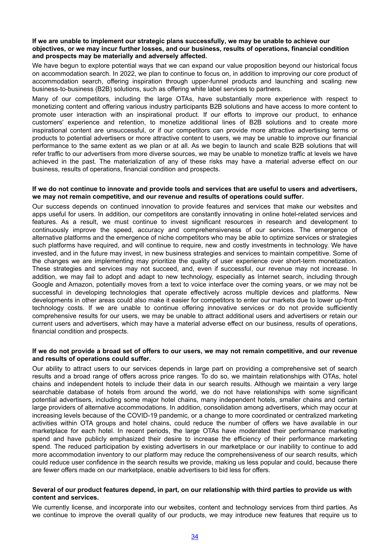#### **If we are unable to implement our strategic plans successfully, we may be unable to achieve our objectives, or we may incur further losses, and our business, results of operations, financial condition and prospects may be materially and adversely affected.**

We have begun to explore potential ways that we can expand our value proposition beyond our historical focus on accommodation search. In 2022, we plan to continue to focus on, in addition to improving our core product of accommodation search, offering inspiration through upper-funnel products and launching and scaling new business-to-business (B2B) solutions, such as offering white label services to partners.

Many of our competitors, including the large OTAs, have substantially more experience with respect to monetizing content and offering various industry participants B2B solutions and have access to more content to promote user interaction with an inspirational product. If our efforts to improve our product, to enhance customers' experience and retention, to monetize additional lines of B2B solutions and to create more inspirational content are unsuccessful, or if our competitors can provide more attractive advertising terms or products to potential advertisers or more attractive content to users, we may be unable to improve our financial performance to the same extent as we plan or at all. As we begin to launch and scale B2B solutions that will refer traffic to our advertisers from more diverse sources, we may be unable to monetize traffic at levels we have achieved in the past. The materialization of any of these risks may have a material adverse effect on our business, results of operations, financial condition and prospects.

#### **If we do not continue to innovate and provide tools and services that are useful to users and advertisers, we may not remain competitive, and our revenue and results of operations could suffer.**

Our success depends on continued innovation to provide features and services that make our websites and apps useful for users. In addition, our competitors are constantly innovating in online hotel-related services and features. As a result, we must continue to invest significant resources in research and development to continuously improve the speed, accuracy and comprehensiveness of our services. The emergence of alternative platforms and the emergence of niche competitors who may be able to optimize services or strategies such platforms have required, and will continue to require, new and costly investments in technology. We have invested, and in the future may invest, in new business strategies and services to maintain competitive. Some of the changes we are implementing may prioritize the quality of user experience over short-term monetization. These strategies and services may not succeed, and, even if successful, our revenue may not increase. In addition, we may fail to adopt and adapt to new technology, especially as Internet search, including through Google and Amazon, potentially moves from a text to voice interface over the coming years, or we may not be successful in developing technologies that operate effectively across multiple devices and platforms. New developments in other areas could also make it easier for competitors to enter our markets due to lower up-front technology costs. If we are unable to continue offering innovative services or do not provide sufficiently comprehensive results for our users, we may be unable to attract additional users and advertisers or retain our current users and advertisers, which may have a material adverse effect on our business, results of operations, financial condition and prospects.

#### **If we do not provide a broad set of offers to our users, we may not remain competitive, and our revenue and results of operations could suffer.**

Our ability to attract users to our services depends in large part on providing a comprehensive set of search results and a broad range of offers across price ranges. To do so, we maintain relationships with OTAs, hotel chains and independent hotels to include their data in our search results. Although we maintain a very large searchable database of hotels from around the world, we do not have relationships with some significant potential advertisers, including some major hotel chains, many independent hotels, smaller chains and certain large providers of alternative accommodations. In addition, consolidation among advertisers, which may occur at increasing levels because of the COVID-19 pandemic, or a change to more coordinated or centralized marketing activities within OTA groups and hotel chains, could reduce the number of offers we have available in our marketplace for each hotel. In recent periods, the large OTAs have moderated their performance marketing spend and have publicly emphasized their desire to increase the efficiency of their performance marketing spend. The reduced participation by existing advertisers in our marketplace or our inability to continue to add more accommodation inventory to our platform may reduce the comprehensiveness of our search results, which could reduce user confidence in the search results we provide, making us less popular and could, because there are fewer offers made on our marketplace, enable advertisers to bid less for offers.

#### **Several of our product features depend, in part, on our relationship with third parties to provide us with content and services.**

We currently license, and incorporate into our websites, content and technology services from third parties. As we continue to improve the overall quality of our products, we may introduce new features that require us to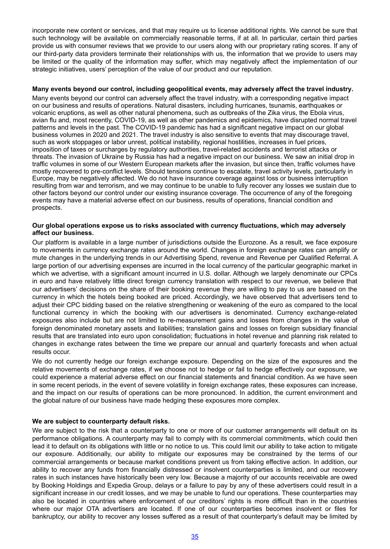incorporate new content or services, and that may require us to license additional rights. We cannot be sure that such technology will be available on commercially reasonable terms, if at all. In particular, certain third parties provide us with consumer reviews that we provide to our users along with our proprietary rating scores. If any of our third-party data providers terminate their relationships with us, the information that we provide to users may be limited or the quality of the information may suffer, which may negatively affect the implementation of our strategic initiatives, users' perception of the value of our product and our reputation.

#### **Many events beyond our control, including geopolitical events, may adversely affect the travel industry.**

Many events beyond our control can adversely affect the travel industry, with a corresponding negative impact on our business and results of operations. Natural disasters, including hurricanes, tsunamis, earthquakes or volcanic eruptions, as well as other natural phenomena, such as outbreaks of the Zika virus, the Ebola virus, avian flu and, most recently, COVID-19, as well as other pandemics and epidemics, have disrupted normal travel patterns and levels in the past. The COVID-19 pandemic has had a significant negative impact on our global business volumes in 2020 and 2021. The travel industry is also sensitive to events that may discourage travel, such as work stoppages or labor unrest, political instability, regional hostilities, increases in fuel prices, imposition of taxes or surcharges by regulatory authorities, travel-related accidents and terrorist attacks or threats. The invasion of Ukraine by Russia has had a negative impact on our business. We saw an initial drop in traffic volumes in some of our Western European markets after the invasion, but since then, traffic volumes have mostly recovered to pre-conflict levels. Should tensions continue to escalate, travel activity levels, particularly in Europe, may be negatively affected. We do not have insurance coverage against loss or business interruption resulting from war and terrorism, and we may continue to be unable to fully recover any losses we sustain due to other factors beyond our control under our existing insurance coverage. The occurrence of any of the foregoing events may have a material adverse effect on our business, results of operations, financial condition and prospects.

#### **Our global operations expose us to risks associated with currency fluctuations, which may adversely affect our business.**

Our platform is available in a large number of jurisdictions outside the Eurozone. As a result, we face exposure to movements in currency exchange rates around the world. Changes in foreign exchange rates can amplify or mute changes in the underlying trends in our Advertising Spend, revenue and Revenue per Qualified Referral. A large portion of our advertising expenses are incurred in the local currency of the particular geographic market in which we advertise, with a significant amount incurred in U.S. dollar. Although we largely denominate our CPCs in euro and have relatively little direct foreign currency translation with respect to our revenue, we believe that our advertisers' decisions on the share of their booking revenue they are willing to pay to us are based on the currency in which the hotels being booked are priced. Accordingly, we have observed that advertisers tend to adjust their CPC bidding based on the relative strengthening or weakening of the euro as compared to the local functional currency in which the booking with our advertisers is denominated. Currency exchange-related exposures also include but are not limited to re-measurement gains and losses from changes in the value of foreign denominated monetary assets and liabilities; translation gains and losses on foreign subsidiary financial results that are translated into euro upon consolidation; fluctuations in hotel revenue and planning risk related to changes in exchange rates between the time we prepare our annual and quarterly forecasts and when actual results occur.

We do not currently hedge our foreign exchange exposure. Depending on the size of the exposures and the relative movements of exchange rates, if we choose not to hedge or fail to hedge effectively our exposure, we could experience a material adverse effect on our financial statements and financial condition. As we have seen in some recent periods, in the event of severe volatility in foreign exchange rates, these exposures can increase, and the impact on our results of operations can be more pronounced. In addition, the current environment and the global nature of our business have made hedging these exposures more complex.

#### **We are subject to counterparty default risks.**

We are subject to the risk that a counterparty to one or more of our customer arrangements will default on its performance obligations. A counterparty may fail to comply with its commercial commitments, which could then lead it to default on its obligations with little or no notice to us. This could limit our ability to take action to mitigate our exposure. Additionally, our ability to mitigate our exposures may be constrained by the terms of our commercial arrangements or because market conditions prevent us from taking effective action. In addition, our ability to recover any funds from financially distressed or insolvent counterparties is limited, and our recovery rates in such instances have historically been very low. Because a majority of our accounts receivable are owed by Booking Holdings and Expedia Group, delays or a failure to pay by any of these advertisers could result in a significant increase in our credit losses, and we may be unable to fund our operations. These counterparties may also be located in countries where enforcement of our creditors' rights is more difficult than in the countries where our major OTA advertisers are located. If one of our counterparties becomes insolvent or files for bankruptcy, our ability to recover any losses suffered as a result of that counterparty's default may be limited by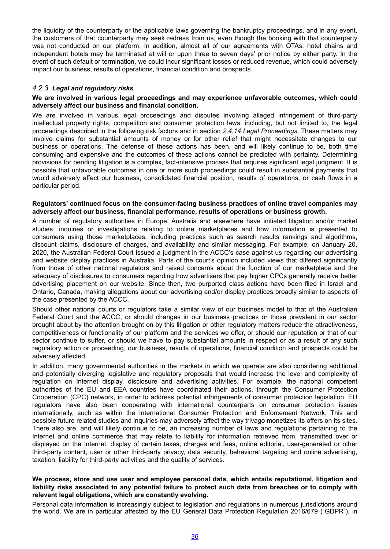the liquidity of the counterparty or the applicable laws governing the bankruptcy proceedings, and in any event, the customers of that counterparty may seek redress from us, even though the booking with that counterparty was not conducted on our platform. In addition, almost all of our agreements with OTAs, hotel chains and independent hotels may be terminated at will or upon three to seven days' prior notice by either party. In the event of such default or termination, we could incur significant losses or reduced revenue, which could adversely impact our business, results of operations, financial condition and prospects.

#### *4.2.3. Legal and regulatory risks*

#### **We are involved in various legal proceedings and may experience unfavorable outcomes, which could adversely affect our business and financial condition.**

We are involved in various legal proceedings and disputes involving alleged infringement of third-party intellectual property rights, competition and consumer protection laws, including, but not limited to, the legal proceedings described in the following risk factors and in section *2.4.14 Legal Proceedings*. These matters may involve claims for substantial amounts of money or for other relief that might necessitate changes to our business or operations. The defense of these actions has been, and will likely continue to be, both time consuming and expensive and the outcomes of these actions cannot be predicted with certainty. Determining provisions for pending litigation is a complex, fact-intensive process that requires significant legal judgment. It is possible that unfavorable outcomes in one or more such proceedings could result in substantial payments that would adversely affect our business, consolidated financial position, results of operations, or cash flows in a particular period.

#### **Regulators' continued focus on the consumer-facing business practices of online travel companies may adversely affect our business, financial performance, results of operations or business growth.**

A number of regulatory authorities in Europe, Australia and elsewhere have initiated litigation and/or market studies, inquiries or investigations relating to online marketplaces and how information is presented to consumers using those marketplaces, including practices such as search results rankings and algorithms, discount claims, disclosure of charges, and availability and similar messaging. For example, on January 20, 2020, the Australian Federal Court issued a judgment in the ACCC's case against us regarding our advertising and website display practices in Australia. Parts of the court's opinion included views that differed significantly from those of other national regulators and raised concerns about the function of our marketplace and the adequacy of disclosures to consumers regarding how advertisers that pay higher CPCs generally receive better advertising placement on our website. Since then, two purported class actions have been filed in Israel and Ontario, Canada, making allegations about our advertising and/or display practices broadly similar to aspects of the case presented by the ACCC.

Should other national courts or regulators take a similar view of our business model to that of the Australian Federal Court and the ACCC, or should changes in our business practices or those prevalent in our sector brought about by the attention brought on by this litigation or other regulatory matters reduce the attractiveness, competitiveness or functionality of our platform and the services we offer, or should our reputation or that of our sector continue to suffer, or should we have to pay substantial amounts in respect or as a result of any such regulatory action or proceeding, our business, results of operations, financial condition and prospects could be adversely affected.

In addition, many governmental authorities in the markets in which we operate are also considering additional and potentially diverging legislative and regulatory proposals that would increase the level and complexity of regulation on Internet display, disclosure and advertising activities. For example, the national competent authorities of the EU and EEA countries have coordinated their actions, through the Consumer Protection Cooperation (CPC) network, in order to address potential infringements of consumer protection legislation. EU regulators have also been cooperating with international counterparts on consumer protection issues internationally, such as within the International Consumer Protection and Enforcement Network. This and possible future related studies and inquiries may adversely affect the way trivago monetizes its offers on its sites. There also are, and will likely continue to be, an increasing number of laws and regulations pertaining to the Internet and online commerce that may relate to liability for information retrieved from, transmitted over or displayed on the Internet, display of certain taxes, charges and fees, online editorial, user-generated or other third-party content, user or other third-party privacy, data security, behavioral targeting and online advertising, taxation, liability for third-party activities and the quality of services.

#### **We process, store and use user and employee personal data, which entails reputational, litigation and liability risks associated to any potential failure to protect such data from breaches or to comply with relevant legal obligations, which are constantly evolving.**

Personal data information is increasingly subject to legislation and regulations in numerous jurisdictions around the world. We are in particular affected by the EU General Data Protection Regulation 2016/679 ("GDPR"), in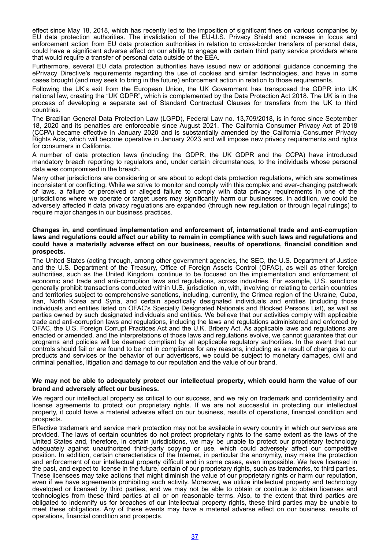effect since May 18, 2018, which has recently led to the imposition of significant fines on various companies by EU data protection authorities. The invalidation of the EU-U.S. Privacy Shield and increase in focus and enforcement action from EU data protection authorities in relation to cross-border transfers of personal data, could have a significant adverse effect on our ability to engage with certain third party service providers where that would require a transfer of personal data outside of the EEA.

Furthermore, several EU data protection authorities have issued new or additional guidance concerning the ePrivacy Directive's requirements regarding the use of cookies and similar technologies, and have in some cases brought (and may seek to bring in the future) enforcement action in relation to those requirements.

Following the UK's exit from the European Union, the UK Government has transposed the GDPR into UK national law, creating the "UK GDPR", which is complemented by the Data Protection Act 2018. The UK is in the process of developing a separate set of Standard Contractual Clauses for transfers from the UK to third countries.

The Brazilian General Data Protection Law (LGPD), Federal Law no. 13,709/2018, is in force since September 18, 2020 and its penalties are enforceable since August 2021. The California Consumer Privacy Act of 2018 (CCPA) became effective in January 2020 and is substantially amended by the California Consumer Privacy Rights Acts, which will become operative in January 2023 and will impose new privacy requirements and rights for consumers in California.

A number of data protection laws (including the GDPR, the UK GDPR and the CCPA) have introduced mandatory breach reporting to regulators and, under certain circumstances, to the individuals whose personal data was compromised in the breach.

Many other jurisdictions are considering or are about to adopt data protection regulations, which are sometimes inconsistent or conflicting. While we strive to monitor and comply with this complex and ever-changing patchwork of laws, a failure or perceived or alleged failure to comply with data privacy requirements in one of the jurisdictions where we operate or target users may significantly harm our businesses. In addition, we could be adversely affected if data privacy regulations are expanded (through new regulation or through legal rulings) to require major changes in our business practices.

#### **Changes in, and continued implementation and enforcement of, international trade and anti-corruption laws and regulations could affect our ability to remain in compliance with such laws and regulations and could have a materially adverse effect on our business, results of operations, financial condition and prospects.**

The United States (acting through, among other government agencies, the SEC, the U.S. Department of Justice and the U.S. Department of the Treasury, Office of Foreign Assets Control (OFAC), as well as other foreign authorities, such as the United Kingdom, continue to be focused on the implementation and enforcement of economic and trade and anti-corruption laws and regulations, across industries. For example, U.S. sanctions generally prohibit transactions conducted within U.S. jurisdiction in, with, involving or relating to certain countries and territories subject to comprehensive sanctions, including, currently, the Crimea region of the Ukraine, Cuba, Iran, North Korea and Syria, and certain specifically designated individuals and entities (including those individuals and entities listed on OFAC's Specially Designated Nationals and Blocked Persons List), as well as parties owned by such designated individuals and entities. We believe that our activities comply with applicable trade and anti-corruption laws and regulations, including the laws and regulations administered and enforced by OFAC, the U.S. Foreign Corrupt Practices Act and the U.K. Bribery Act. As applicable laws and regulations are enacted or amended, and the interpretations of those laws and regulations evolve, we cannot guarantee that our programs and policies will be deemed compliant by all applicable regulatory authorities. In the event that our controls should fail or are found to be not in compliance for any reasons, including as a result of changes to our products and services or the behavior of our advertisers, we could be subject to monetary damages, civil and criminal penalties, litigation and damage to our reputation and the value of our brand.

#### **We may not be able to adequately protect our intellectual property, which could harm the value of our brand and adversely affect our business.**

We regard our intellectual property as critical to our success, and we rely on trademark and confidentiality and license agreements to protect our proprietary rights. If we are not successful in protecting our intellectual property, it could have a material adverse effect on our business, results of operations, financial condition and prospects.

Effective trademark and service mark protection may not be available in every country in which our services are provided. The laws of certain countries do not protect proprietary rights to the same extent as the laws of the United States and, therefore, in certain jurisdictions, we may be unable to protect our proprietary technology adequately against unauthorized third-party copying or use, which could adversely affect our competitive position. In addition, certain characteristics of the Internet, in particular the anonymity, may make the protection and enforcement of our intellectual property difficult and in some cases, even impossible. We have licensed in the past, and expect to license in the future, certain of our proprietary rights, such as trademarks, to third parties. These licensees may take actions that might diminish the value of our proprietary rights or harm our reputation, even if we have agreements prohibiting such activity. Moreover, we utilize intellectual property and technology developed or licensed by third parties, and we may not be able to obtain or continue to obtain licenses and technologies from these third parties at all or on reasonable terms. Also, to the extent that third parties are obligated to indemnify us for breaches of our intellectual property rights, these third parties may be unable to meet these obligations. Any of these events may have a material adverse effect on our business, results of operations, financial condition and prospects.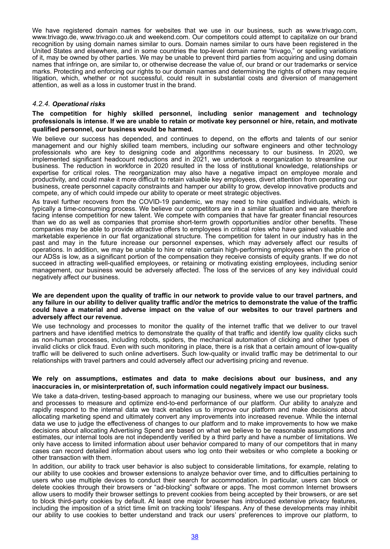We have registered domain names for websites that we use in our business, such as www.trivago.com, www.trivago.de, www.trivago.co.uk and weekend.com. Our competitors could attempt to capitalize on our brand recognition by using domain names similar to ours. Domain names similar to ours have been registered in the United States and elsewhere, and in some countries the top-level domain name "trivago," or spelling variations of it, may be owned by other parties. We may be unable to prevent third parties from acquiring and using domain names that infringe on, are similar to, or otherwise decrease the value of, our brand or our trademarks or service marks. Protecting and enforcing our rights to our domain names and determining the rights of others may require litigation, which, whether or not successful, could result in substantial costs and diversion of management attention, as well as a loss in customer trust in the brand.

### *4.2.4. Operational risks*

#### **The competition for highly skilled personnel, including senior management and technology professionals is intense. If we are unable to retain or motivate key personnel or hire, retain, and motivate qualified personnel, our business would be harmed.**

We believe our success has depended, and continues to depend, on the efforts and talents of our senior management and our highly skilled team members, including our software engineers and other technology professionals who are key to designing code and algorithms necessary to our business. In 2020, we implemented significant headcount reductions and in 2021, we undertook a reorganization to streamline our business. The reduction in workforce in 2020 resulted in the loss of institutional knowledge, relationships or expertise for critical roles. The reorganization may also have a negative impact on employee morale and productivity, and could make it more difficult to retain valuable key employees, divert attention from operating our business, create personnel capacity constraints and hamper our ability to grow, develop innovative products and compete, any of which could impede our ability to operate or meet strategic objectives.

As travel further recovers from the COVID-19 pandemic, we may need to hire qualified individuals, which is typically a time-consuming process. We believe our competitors are in a similar situation and we are therefore facing intense competition for new talent. We compete with companies that have far greater financial resources than we do as well as companies that promise short-term growth opportunities and/or other benefits. These companies may be able to provide attractive offers to employees in critical roles who have gained valuable and marketable experience in our flat organizational structure. The competition for talent in our industry has in the past and may in the future increase our personnel expenses, which may adversely affect our results of operations. In addition, we may be unable to hire or retain certain high-performing employees when the price of our ADSs is low, as a significant portion of the compensation they receive consists of equity grants. If we do not succeed in attracting well-qualified employees, or retaining or motivating existing employees, including senior management, our business would be adversely affected. The loss of the services of any key individual could negatively affect our business.

#### **We are dependent upon the quality of traffic in our network to provide value to our travel partners, and any failure in our ability to deliver quality traffic and/or the metrics to demonstrate the value of the traffic could have a material and adverse impact on the value of our websites to our travel partners and adversely affect our revenue.**

We use technology and processes to monitor the quality of the internet traffic that we deliver to our travel partners and have identified metrics to demonstrate the quality of that traffic and identify low quality clicks such as non-human processes, including robots, spiders, the mechanical automation of clicking and other types of invalid clicks or click fraud. Even with such monitoring in place, there is a risk that a certain amount of low-quality traffic will be delivered to such online advertisers. Such low-quality or invalid traffic may be detrimental to our relationships with travel partners and could adversely affect our advertising pricing and revenue.

#### **We rely on assumptions, estimates and data to make decisions about our business, and any inaccuracies in, or misinterpretation of, such information could negatively impact our business.**

We take a data-driven, testing-based approach to managing our business, where we use our proprietary tools and processes to measure and optimize end-to-end performance of our platform. Our ability to analyze and rapidly respond to the internal data we track enables us to improve our platform and make decisions about allocating marketing spend and ultimately convert any improvements into increased revenue. While the internal data we use to judge the effectiveness of changes to our platform and to make improvements to how we make decisions about allocating Advertising Spend are based on what we believe to be reasonable assumptions and estimates, our internal tools are not independently verified by a third party and have a number of limitations. We only have access to limited information about user behavior compared to many of our competitors that in many cases can record detailed information about users who log onto their websites or who complete a booking or other transaction with them.

In addition, our ability to track user behavior is also subject to considerable limitations, for example, relating to our ability to use cookies and browser extensions to analyze behavior over time, and to difficulties pertaining to users who use multiple devices to conduct their search for accommodation. In particular, users can block or delete cookies through their browsers or "ad-blocking" software or apps. The most common Internet browsers allow users to modify their browser settings to prevent cookies from being accepted by their browsers, or are set to block third-party cookies by default. At least one major browser has introduced extensive privacy features, including the imposition of a strict time limit on tracking tools' lifespans. Any of these developments may inhibit our ability to use cookies to better understand and track our users' preferences to improve our platform, to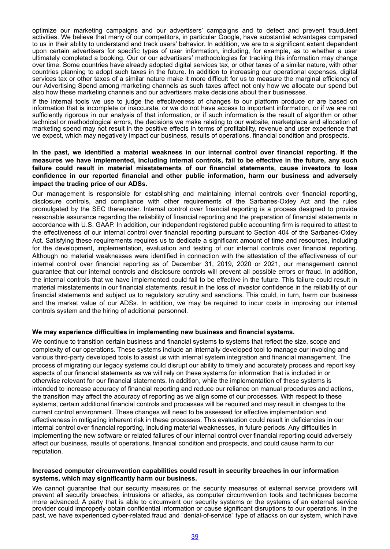optimize our marketing campaigns and our advertisers' campaigns and to detect and prevent fraudulent activities. We believe that many of our competitors, in particular Google, have substantial advantages compared to us in their ability to understand and track users' behavior. In addition, we are to a significant extent dependent upon certain advertisers for specific types of user information, including, for example, as to whether a user ultimately completed a booking. Our or our advertisers' methodologies for tracking this information may change over time. Some countries have already adopted digital services tax, or other taxes of a similar nature, with other countries planning to adopt such taxes in the future. In addition to increasing our operational expenses, digital services tax or other taxes of a similar nature make it more difficult for us to measure the marginal efficiency of our Advertising Spend among marketing channels as such taxes affect not only how we allocate our spend but also how these marketing channels and our advertisers make decisions about their businesses.

If the internal tools we use to judge the effectiveness of changes to our platform produce or are based on information that is incomplete or inaccurate, or we do not have access to important information, or if we are not sufficiently rigorous in our analysis of that information, or if such information is the result of algorithm or other technical or methodological errors, the decisions we make relating to our website, marketplace and allocation of marketing spend may not result in the positive effects in terms of profitability, revenue and user experience that we expect, which may negatively impact our business, results of operations, financial condition and prospects.

#### **In the past, we identified a material weakness in our internal control over financial reporting. If the measures we have implemented, including internal controls, fail to be effective in the future, any such failure could result in material misstatements of our financial statements, cause investors to lose confidence in our reported financial and other public information, harm our business and adversely impact the trading price of our ADSs.**

Our management is responsible for establishing and maintaining internal controls over financial reporting, disclosure controls, and compliance with other requirements of the Sarbanes-Oxley Act and the rules promulgated by the SEC thereunder. Internal control over financial reporting is a process designed to provide reasonable assurance regarding the reliability of financial reporting and the preparation of financial statements in accordance with U.S. GAAP. In addition, our independent registered public accounting firm is required to attest to the effectiveness of our internal control over financial reporting pursuant to Section 404 of the Sarbanes-Oxley Act. Satisfying these requirements requires us to dedicate a significant amount of time and resources, including for the development, implementation, evaluation and testing of our internal controls over financial reporting. Although no material weaknesses were identified in connection with the attestation of the effectiveness of our internal control over financial reporting as of December 31, 2019, 2020 or 2021, our management cannot guarantee that our internal controls and disclosure controls will prevent all possible errors or fraud. In addition, the internal controls that we have implemented could fail to be effective in the future. This failure could result in material misstatements in our financial statements, result in the loss of investor confidence in the reliability of our financial statements and subject us to regulatory scrutiny and sanctions. This could, in turn, harm our business and the market value of our ADSs. In addition, we may be required to incur costs in improving our internal controls system and the hiring of additional personnel.

#### **We may experience difficulties in implementing new business and financial systems.**

We continue to transition certain business and financial systems to systems that reflect the size, scope and complexity of our operations. These systems include an internally developed tool to manage our invoicing and various third-party developed tools to assist us with internal system integration and financial management. The process of migrating our legacy systems could disrupt our ability to timely and accurately process and report key aspects of our financial statements as we will rely on these systems for information that is included in or otherwise relevant for our financial statements. In addition, while the implementation of these systems is intended to increase accuracy of financial reporting and reduce our reliance on manual procedures and actions, the transition may affect the accuracy of reporting as we align some of our processes. With respect to these systems, certain additional financial controls and processes will be required and may result in changes to the current control environment. These changes will need to be assessed for effective implementation and effectiveness in mitigating inherent risk in these processes. This evaluation could result in deficiencies in our internal control over financial reporting, including material weaknesses, in future periods. Any difficulties in implementing the new software or related failures of our internal control over financial reporting could adversely affect our business, results of operations, financial condition and prospects, and could cause harm to our reputation.

#### **Increased computer circumvention capabilities could result in security breaches in our information systems, which may significantly harm our business.**

We cannot guarantee that our security measures or the security measures of external service providers will prevent all security breaches, intrusions or attacks, as computer circumvention tools and techniques become more advanced. A party that is able to circumvent our security systems or the systems of an external service provider could improperly obtain confidential information or cause significant disruptions to our operations. In the past, we have experienced cyber-related fraud and "denial-of-service" type of attacks on our system, which have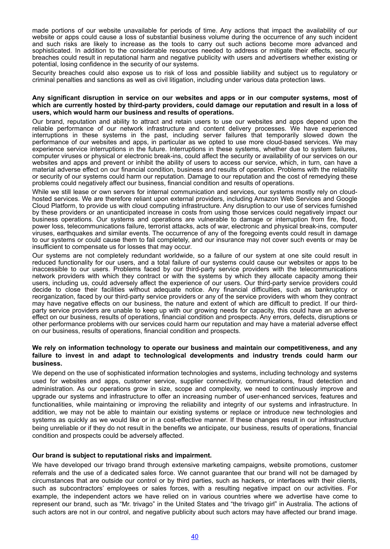made portions of our website unavailable for periods of time. Any actions that impact the availability of our website or apps could cause a loss of substantial business volume during the occurrence of any such incident and such risks are likely to increase as the tools to carry out such actions become more advanced and sophisticated. In addition to the considerable resources needed to address or mitigate their effects, security breaches could result in reputational harm and negative publicity with users and advertisers whether existing or potential, losing confidence in the security of our systems.

Security breaches could also expose us to risk of loss and possible liability and subject us to regulatory or criminal penalties and sanctions as well as civil litigation, including under various data protection laws.

#### **Any significant disruption in service on our websites and apps or in our computer systems, most of which are currently hosted by third-party providers, could damage our reputation and result in a loss of users, which would harm our business and results of operations.**

Our brand, reputation and ability to attract and retain users to use our websites and apps depend upon the reliable performance of our network infrastructure and content delivery processes. We have experienced interruptions in these systems in the past, including server failures that temporarily slowed down the performance of our websites and apps, in particular as we opted to use more cloud-based services. We may experience service interruptions in the future. Interruptions in these systems, whether due to system failures, computer viruses or physical or electronic break-ins, could affect the security or availability of our services on our websites and apps and prevent or inhibit the ability of users to access our service, which, in turn, can have a material adverse effect on our financial condition, business and results of operation. Problems with the reliability or security of our systems could harm our reputation. Damage to our reputation and the cost of remedying these problems could negatively affect our business, financial condition and results of operations.

While we still lease or own servers for internal communication and services, our systems mostly rely on cloudhosted services. We are therefore reliant upon external providers, including Amazon Web Services and Google Cloud Platform, to provide us with cloud computing infrastructure. Any disruption to our use of services furnished by these providers or an unanticipated increase in costs from using those services could negatively impact our business operations. Our systems and operations are vulnerable to damage or interruption from fire, flood, power loss, telecommunications failure, terrorist attacks, acts of war, electronic and physical break-ins, computer viruses, earthquakes and similar events. The occurrence of any of the foregoing events could result in damage to our systems or could cause them to fail completely, and our insurance may not cover such events or may be insufficient to compensate us for losses that may occur.

Our systems are not completely redundant worldwide, so a failure of our system at one site could result in reduced functionality for our users, and a total failure of our systems could cause our websites or apps to be inaccessible to our users. Problems faced by our third-party service providers with the telecommunications network providers with which they contract or with the systems by which they allocate capacity among their users, including us, could adversely affect the experience of our users. Our third-party service providers could decide to close their facilities without adequate notice. Any financial difficulties, such as bankruptcy or reorganization, faced by our third-party service providers or any of the service providers with whom they contract may have negative effects on our business, the nature and extent of which are difficult to predict. If our thirdparty service providers are unable to keep up with our growing needs for capacity, this could have an adverse effect on our business, results of operations, financial condition and prospects. Any errors, defects, disruptions or other performance problems with our services could harm our reputation and may have a material adverse effect on our business, results of operations, financial condition and prospects.

#### **We rely on information technology to operate our business and maintain our competitiveness, and any failure to invest in and adapt to technological developments and industry trends could harm our business.**

We depend on the use of sophisticated information technologies and systems, including technology and systems used for websites and apps, customer service, supplier connectivity, communications, fraud detection and administration. As our operations grow in size, scope and complexity, we need to continuously improve and upgrade our systems and infrastructure to offer an increasing number of user-enhanced services, features and functionalities, while maintaining or improving the reliability and integrity of our systems and infrastructure. In addition, we may not be able to maintain our existing systems or replace or introduce new technologies and systems as quickly as we would like or in a cost-effective manner. If these changes result in our infrastructure being unreliable or if they do not result in the benefits we anticipate, our business, results of operations, financial condition and prospects could be adversely affected.

#### **Our brand is subject to reputational risks and impairment.**

We have developed our trivago brand through extensive marketing campaigns, website promotions, customer referrals and the use of a dedicated sales force. We cannot guarantee that our brand will not be damaged by circumstances that are outside our control or by third parties, such as hackers, or interfaces with their clients, such as subcontractors' employees or sales forces, with a resulting negative impact on our activities. For example, the independent actors we have relied on in various countries where we advertise have come to represent our brand, such as "Mr. trivago" in the United States and "the trivago girl" in Australia. The actions of such actors are not in our control, and negative publicity about such actors may have affected our brand image.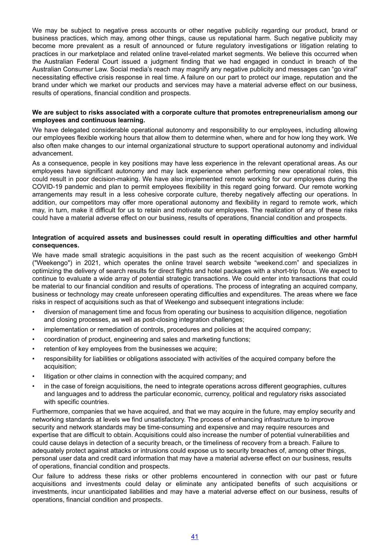We may be subject to negative press accounts or other negative publicity regarding our product, brand or business practices, which may, among other things, cause us reputational harm. Such negative publicity may become more prevalent as a result of announced or future regulatory investigations or litigation relating to practices in our marketplace and related online travel-related market segments. We believe this occurred when the Australian Federal Court issued a judgment finding that we had engaged in conduct in breach of the Australian Consumer Law. Social media's reach may magnify any negative publicity and messages can "go viral" necessitating effective crisis response in real time. A failure on our part to protect our image, reputation and the brand under which we market our products and services may have a material adverse effect on our business, results of operations, financial condition and prospects.

#### **We are subject to risks associated with a corporate culture that promotes entrepreneurialism among our employees and continuous learning.**

We have delegated considerable operational autonomy and responsibility to our employees, including allowing our employees flexible working hours that allow them to determine when, where and for how long they work. We also often make changes to our internal organizational structure to support operational autonomy and individual advancement.

As a consequence, people in key positions may have less experience in the relevant operational areas. As our employees have significant autonomy and may lack experience when performing new operational roles, this could result in poor decision-making. We have also implemented remote working for our employees during the COVID-19 pandemic and plan to permit employees flexibility in this regard going forward. Our remote working arrangements may result in a less cohesive corporate culture, thereby negatively affecting our operations. In addition, our competitors may offer more operational autonomy and flexibility in regard to remote work, which may, in turn, make it difficult for us to retain and motivate our employees. The realization of any of these risks could have a material adverse effect on our business, results of operations, financial condition and prospects.

## **Integration of acquired assets and businesses could result in operating difficulties and other harmful consequences.**

We have made small strategic acquisitions in the past such as the recent acquisition of weekengo GmbH ("Weekengo") in 2021, which operates the online travel search website "weekend.com" and specializes in optimizing the delivery of search results for direct flights and hotel packages with a short-trip focus. We expect to continue to evaluate a wide array of potential strategic transactions. We could enter into transactions that could be material to our financial condition and results of operations. The process of integrating an acquired company, business or technology may create unforeseen operating difficulties and expenditures. The areas where we face risks in respect of acquisitions such as that of Weekengo and subsequent integrations include:

- diversion of management time and focus from operating our business to acquisition diligence, negotiation and closing processes, as well as post-closing integration challenges;
- implementation or remediation of controls, procedures and policies at the acquired company;
- coordination of product, engineering and sales and marketing functions;
- retention of key employees from the businesses we acquire;
- responsibility for liabilities or obligations associated with activities of the acquired company before the acquisition;
- litigation or other claims in connection with the acquired company; and
- in the case of foreign acquisitions, the need to integrate operations across different geographies, cultures and languages and to address the particular economic, currency, political and regulatory risks associated with specific countries.

Furthermore, companies that we have acquired, and that we may acquire in the future, may employ security and networking standards at levels we find unsatisfactory. The process of enhancing infrastructure to improve security and network standards may be time-consuming and expensive and may require resources and expertise that are difficult to obtain. Acquisitions could also increase the number of potential vulnerabilities and could cause delays in detection of a security breach, or the timeliness of recovery from a breach. Failure to adequately protect against attacks or intrusions could expose us to security breaches of, among other things, personal user data and credit card information that may have a material adverse effect on our business, results of operations, financial condition and prospects.

Our failure to address these risks or other problems encountered in connection with our past or future acquisitions and investments could delay or eliminate any anticipated benefits of such acquisitions or investments, incur unanticipated liabilities and may have a material adverse effect on our business, results of operations, financial condition and prospects.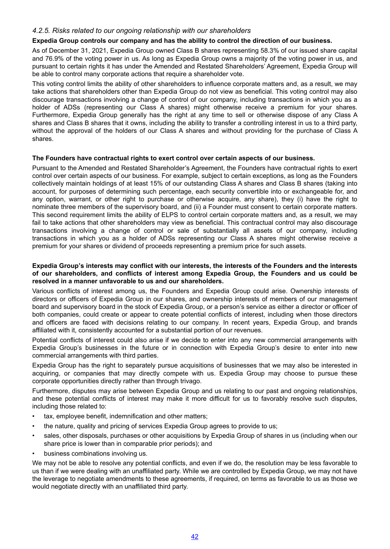## *4.2.5. Risks related to our ongoing relationship with our shareholders*

## **Expedia Group controls our company and has the ability to control the direction of our business.**

As of December 31, 2021, Expedia Group owned Class B shares representing 58.3% of our issued share capital and 76.9% of the voting power in us. As long as Expedia Group owns a majority of the voting power in us, and pursuant to certain rights it has under the Amended and Restated Shareholders' Agreement, Expedia Group will be able to control many corporate actions that require a shareholder vote.

This voting control limits the ability of other shareholders to influence corporate matters and, as a result, we may take actions that shareholders other than Expedia Group do not view as beneficial. This voting control may also discourage transactions involving a change of control of our company, including transactions in which you as a holder of ADSs (representing our Class A shares) might otherwise receive a premium for your shares. Furthermore, Expedia Group generally has the right at any time to sell or otherwise dispose of any Class A shares and Class B shares that it owns, including the ability to transfer a controlling interest in us to a third party, without the approval of the holders of our Class A shares and without providing for the purchase of Class A shares.

### **The Founders have contractual rights to exert control over certain aspects of our business.**

Pursuant to the Amended and Restated Shareholder's Agreement, the Founders have contractual rights to exert control over certain aspects of our business. For example, subject to certain exceptions, as long as the Founders collectively maintain holdings of at least 15% of our outstanding Class A shares and Class B shares (taking into account, for purposes of determining such percentage, each security convertible into or exchangeable for, and any option, warrant, or other right to purchase or otherwise acquire, any share), they (i) have the right to nominate three members of the supervisory board, and (ii) a Founder must consent to certain corporate matters. This second requirement limits the ability of ELPS to control certain corporate matters and, as a result, we may fail to take actions that other shareholders may view as beneficial. This contractual control may also discourage transactions involving a change of control or sale of substantially all assets of our company, including transactions in which you as a holder of ADSs representing our Class A shares might otherwise receive a premium for your shares or dividend of proceeds representing a premium price for such assets.

### **Expedia Group's interests may conflict with our interests, the interests of the Founders and the interests of our shareholders, and conflicts of interest among Expedia Group, the Founders and us could be resolved in a manner unfavorable to us and our shareholders.**

Various conflicts of interest among us, the Founders and Expedia Group could arise. Ownership interests of directors or officers of Expedia Group in our shares, and ownership interests of members of our management board and supervisory board in the stock of Expedia Group, or a person's service as either a director or officer of both companies, could create or appear to create potential conflicts of interest, including when those directors and officers are faced with decisions relating to our company. In recent years, Expedia Group, and brands affiliated with it, consistently accounted for a substantial portion of our revenues.

Potential conflicts of interest could also arise if we decide to enter into any new commercial arrangements with Expedia Group's businesses in the future or in connection with Expedia Group's desire to enter into new commercial arrangements with third parties.

Expedia Group has the right to separately pursue acquisitions of businesses that we may also be interested in acquiring, or companies that may directly compete with us. Expedia Group may choose to pursue these corporate opportunities directly rather than through trivago.

Furthermore, disputes may arise between Expedia Group and us relating to our past and ongoing relationships, and these potential conflicts of interest may make it more difficult for us to favorably resolve such disputes, including those related to:

- tax, employee benefit, indemnification and other matters;
- the nature, quality and pricing of services Expedia Group agrees to provide to us;
- sales, other disposals, purchases or other acquisitions by Expedia Group of shares in us (including when our share price is lower than in comparable prior periods); and
- business combinations involving us.

We may not be able to resolve any potential conflicts, and even if we do, the resolution may be less favorable to us than if we were dealing with an unaffiliated party. While we are controlled by Expedia Group, we may not have the leverage to negotiate amendments to these agreements, if required, on terms as favorable to us as those we would negotiate directly with an unaffiliated third party.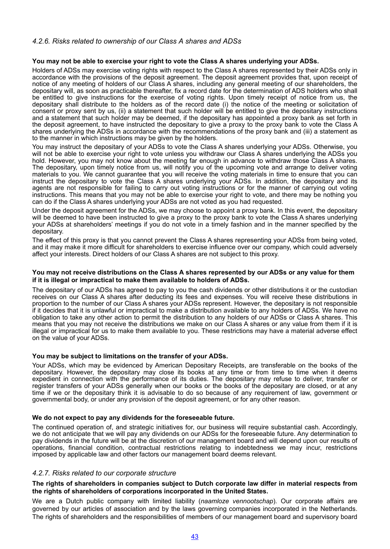## *4.2.6. Risks related to ownership of our Class A shares and ADSs*

#### **You may not be able to exercise your right to vote the Class A shares underlying your ADSs.**

Holders of ADSs may exercise voting rights with respect to the Class A shares represented by their ADSs only in accordance with the provisions of the deposit agreement. The deposit agreement provides that, upon receipt of notice of any meeting of holders of our Class A shares, including any general meeting of our shareholders, the depositary will, as soon as practicable thereafter, fix a record date for the determination of ADS holders who shall be entitled to give instructions for the exercise of voting rights. Upon timely receipt of notice from us, the depositary shall distribute to the holders as of the record date (i) the notice of the meeting or solicitation of consent or proxy sent by us, (ii) a statement that such holder will be entitled to give the depositary instructions and a statement that such holder may be deemed, if the depositary has appointed a proxy bank as set forth in the deposit agreement, to have instructed the depositary to give a proxy to the proxy bank to vote the Class A shares underlying the ADSs in accordance with the recommendations of the proxy bank and (iii) a statement as to the manner in which instructions may be given by the holders.

You may instruct the depositary of your ADSs to vote the Class A shares underlying your ADSs. Otherwise, you will not be able to exercise your right to vote unless you withdraw our Class A shares underlying the ADSs you hold. However, you may not know about the meeting far enough in advance to withdraw those Class A shares. The depositary, upon timely notice from us, will notify you of the upcoming vote and arrange to deliver voting materials to you. We cannot guarantee that you will receive the voting materials in time to ensure that you can instruct the depositary to vote the Class A shares underlying your ADSs. In addition, the depositary and its agents are not responsible for failing to carry out voting instructions or for the manner of carrying out voting instructions. This means that you may not be able to exercise your right to vote, and there may be nothing you can do if the Class A shares underlying your ADSs are not voted as you had requested.

Under the deposit agreement for the ADSs, we may choose to appoint a proxy bank. In this event, the depositary will be deemed to have been instructed to give a proxy to the proxy bank to vote the Class A shares underlying your ADSs at shareholders' meetings if you do not vote in a timely fashion and in the manner specified by the depositary.

The effect of this proxy is that you cannot prevent the Class A shares representing your ADSs from being voted, and it may make it more difficult for shareholders to exercise influence over our company, which could adversely affect your interests. Direct holders of our Class A shares are not subject to this proxy.

#### **You may not receive distributions on the Class A shares represented by our ADSs or any value for them if it is illegal or impractical to make them available to holders of ADSs.**

The depositary of our ADSs has agreed to pay to you the cash dividends or other distributions it or the custodian receives on our Class A shares after deducting its fees and expenses. You will receive these distributions in proportion to the number of our Class A shares your ADSs represent. However, the depositary is not responsible if it decides that it is unlawful or impractical to make a distribution available to any holders of ADSs. We have no obligation to take any other action to permit the distribution to any holders of our ADSs or Class A shares. This means that you may not receive the distributions we make on our Class A shares or any value from them if it is illegal or impractical for us to make them available to you. These restrictions may have a material adverse effect on the value of your ADSs.

#### **You may be subject to limitations on the transfer of your ADSs.**

Your ADSs, which may be evidenced by American Depositary Receipts, are transferable on the books of the depositary. However, the depositary may close its books at any time or from time to time when it deems expedient in connection with the performance of its duties. The depositary may refuse to deliver, transfer or register transfers of your ADSs generally when our books or the books of the depositary are closed, or at any time if we or the depositary think it is advisable to do so because of any requirement of law, government or governmental body, or under any provision of the deposit agreement, or for any other reason.

#### **We do not expect to pay any dividends for the foreseeable future.**

The continued operation of, and strategic initiatives for, our business will require substantial cash. Accordingly, we do not anticipate that we will pay any dividends on our ADSs for the foreseeable future. Any determination to pay dividends in the future will be at the discretion of our management board and will depend upon our results of operations, financial condition, contractual restrictions relating to indebtedness we may incur, restrictions imposed by applicable law and other factors our management board deems relevant.

## *4.2.7. Risks related to our corporate structure*

### **The rights of shareholders in companies subject to Dutch corporate law differ in material respects from the rights of shareholders of corporations incorporated in the United States.**

We are a Dutch public company with limited liability (*naamloze vennootschap*). Our corporate affairs are governed by our articles of association and by the laws governing companies incorporated in the Netherlands. The rights of shareholders and the responsibilities of members of our management board and supervisory board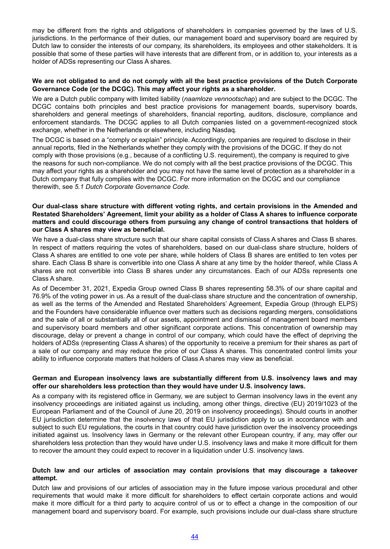may be different from the rights and obligations of shareholders in companies governed by the laws of U.S. jurisdictions. In the performance of their duties, our management board and supervisory board are required by Dutch law to consider the interests of our company, its shareholders, its employees and other stakeholders. It is possible that some of these parties will have interests that are different from, or in addition to, your interests as a holder of ADSs representing our Class A shares.

### **We are not obligated to and do not comply with all the best practice provisions of the Dutch Corporate Governance Code (or the DCGC). This may affect your rights as a shareholder.**

We are a Dutch public company with limited liability (*naamloze vennootschap*) and are subject to the DCGC. The DCGC contains both principles and best practice provisions for management boards, supervisory boards, shareholders and general meetings of shareholders, financial reporting, auditors, disclosure, compliance and enforcement standards. The DCGC applies to all Dutch companies listed on a government-recognized stock exchange, whether in the Netherlands or elsewhere, including Nasdaq.

The DCGC is based on a "comply or explain" principle. Accordingly, companies are required to disclose in their annual reports, filed in the Netherlands whether they comply with the provisions of the DCGC. If they do not comply with those provisions (e.g., because of a conflicting U.S. requirement), the company is required to give the reasons for such non-compliance. We do not comply with all the best practice provisions of the DCGC. This may affect your rights as a shareholder and you may not have the same level of protection as a shareholder in a Dutch company that fully complies with the DCGC. For more information on the DCGC and our compliance therewith, see *5.1 Dutch Corporate Governance Code.*

## **Our dual-class share structure with different voting rights, and certain provisions in the Amended and Restated Shareholders' Agreement, limit your ability as a holder of Class A shares to influence corporate matters and could discourage others from pursuing any change of control transactions that holders of our Class A shares may view as beneficial.**

We have a dual-class share structure such that our share capital consists of Class A shares and Class B shares. In respect of matters requiring the votes of shareholders, based on our dual-class share structure, holders of Class A shares are entitled to one vote per share, while holders of Class B shares are entitled to ten votes per share. Each Class B share is convertible into one Class A share at any time by the holder thereof, while Class A shares are not convertible into Class B shares under any circumstances. Each of our ADSs represents one Class A share.

As of December 31, 2021, Expedia Group owned Class B shares representing 58.3% of our share capital and 76.9% of the voting power in us. As a result of the dual-class share structure and the concentration of ownership, as well as the terms of the Amended and Restated Shareholders' Agreement, Expedia Group (through ELPS) and the Founders have considerable influence over matters such as decisions regarding mergers, consolidations and the sale of all or substantially all of our assets, appointment and dismissal of management board members and supervisory board members and other significant corporate actions. This concentration of ownership may discourage, delay or prevent a change in control of our company, which could have the effect of depriving the holders of ADSs (representing Class A shares) of the opportunity to receive a premium for their shares as part of a sale of our company and may reduce the price of our Class A shares. This concentrated control limits your ability to influence corporate matters that holders of Class A shares may view as beneficial.

#### **German and European insolvency laws are substantially different from U.S. insolvency laws and may offer our shareholders less protection than they would have under U.S. insolvency laws.**

As a company with its registered office in Germany, we are subject to German insolvency laws in the event any insolvency proceedings are initiated against us including, among other things, directive (EU) 2019/1023 of the European Parliament and of the Council of June 20, 2019 on insolvency proceedings). Should courts in another EU jurisdiction determine that the insolvency laws of that EU jurisdiction apply to us in accordance with and subject to such EU regulations, the courts in that country could have jurisdiction over the insolvency proceedings initiated against us. Insolvency laws in Germany or the relevant other European country, if any, may offer our shareholders less protection than they would have under U.S. insolvency laws and make it more difficult for them to recover the amount they could expect to recover in a liquidation under U.S. insolvency laws.

### **Dutch law and our articles of association may contain provisions that may discourage a takeover attempt.**

Dutch law and provisions of our articles of association may in the future impose various procedural and other requirements that would make it more difficult for shareholders to effect certain corporate actions and would make it more difficult for a third party to acquire control of us or to effect a change in the composition of our management board and supervisory board. For example, such provisions include our dual-class share structure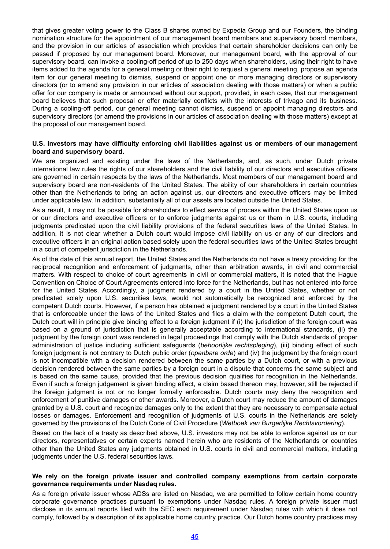that gives greater voting power to the Class B shares owned by Expedia Group and our Founders, the binding nomination structure for the appointment of our management board members and supervisory board members, and the provision in our articles of association which provides that certain shareholder decisions can only be passed if proposed by our management board. Moreover, our management board, with the approval of our supervisory board, can invoke a cooling-off period of up to 250 days when shareholders, using their right to have items added to the agenda for a general meeting or their right to request a general meeting, propose an agenda item for our general meeting to dismiss, suspend or appoint one or more managing directors or supervisory directors (or to amend any provision in our articles of association dealing with those matters) or when a public offer for our company is made or announced without our support, provided, in each case, that our management board believes that such proposal or offer materially conflicts with the interests of trivago and its business. During a cooling-off period, our general meeting cannot dismiss, suspend or appoint managing directors and supervisory directors (or amend the provisions in our articles of association dealing with those matters) except at the proposal of our management board.

#### **U.S. investors may have difficulty enforcing civil liabilities against us or members of our management board and supervisory board.**

We are organized and existing under the laws of the Netherlands, and, as such, under Dutch private international law rules the rights of our shareholders and the civil liability of our directors and executive officers are governed in certain respects by the laws of the Netherlands. Most members of our management board and supervisory board are non-residents of the United States. The ability of our shareholders in certain countries other than the Netherlands to bring an action against us, our directors and executive officers may be limited under applicable law. In addition, substantially all of our assets are located outside the United States.

As a result, it may not be possible for shareholders to effect service of process within the United States upon us or our directors and executive officers or to enforce judgments against us or them in U.S. courts, including judgments predicated upon the civil liability provisions of the federal securities laws of the United States. In addition, it is not clear whether a Dutch court would impose civil liability on us or any of our directors and executive officers in an original action based solely upon the federal securities laws of the United States brought in a court of competent jurisdiction in the Netherlands.

As of the date of this annual report, the United States and the Netherlands do not have a treaty providing for the reciprocal recognition and enforcement of judgments, other than arbitration awards, in civil and commercial matters. With respect to choice of court agreements in civil or commercial matters, it is noted that the Hague Convention on Choice of Court Agreements entered into force for the Netherlands, but has not entered into force for the United States. Accordingly, a judgment rendered by a court in the United States, whether or not predicated solely upon U.S. securities laws, would not automatically be recognized and enforced by the competent Dutch courts. However, if a person has obtained a judgment rendered by a court in the United States that is enforceable under the laws of the United States and files a claim with the competent Dutch court, the Dutch court will in principle give binding effect to a foreign judgment if (i) the jurisdiction of the foreign court was based on a ground of jurisdiction that is generally acceptable according to international standards, (ii) the judgment by the foreign court was rendered in legal proceedings that comply with the Dutch standards of proper administration of justice including sufficient safeguards (*behoorlijke rechtspleging*), (iii) binding effect of such foreign judgment is not contrary to Dutch public order (*openbare orde*) and (iv) the judgment by the foreign court is not incompatible with a decision rendered between the same parties by a Dutch court, or with a previous decision rendered between the same parties by a foreign court in a dispute that concerns the same subject and is based on the same cause, provided that the previous decision qualifies for recognition in the Netherlands. Even if such a foreign judgement is given binding effect, a claim based thereon may, however, still be rejected if the foreign judgment is not or no longer formally enforceable. Dutch courts may deny the recognition and enforcement of punitive damages or other awards. Moreover, a Dutch court may reduce the amount of damages granted by a U.S. court and recognize damages only to the extent that they are necessary to compensate actual losses or damages. Enforcement and recognition of judgments of U.S. courts in the Netherlands are solely governed by the provisions of the Dutch Code of Civil Procedure (*Wetboek van Burgerlijke Rechtsvordering*).

Based on the lack of a treaty as described above, U.S. investors may not be able to enforce against us or our directors, representatives or certain experts named herein who are residents of the Netherlands or countries other than the United States any judgments obtained in U.S. courts in civil and commercial matters, including judgments under the U.S. federal securities laws.

#### **We rely on the foreign private issuer and controlled company exemptions from certain corporate governance requirements under Nasdaq rules.**

As a foreign private issuer whose ADSs are listed on Nasdaq, we are permitted to follow certain home country corporate governance practices pursuant to exemptions under Nasdaq rules. A foreign private issuer must disclose in its annual reports filed with the SEC each requirement under Nasdaq rules with which it does not comply, followed by a description of its applicable home country practice. Our Dutch home country practices may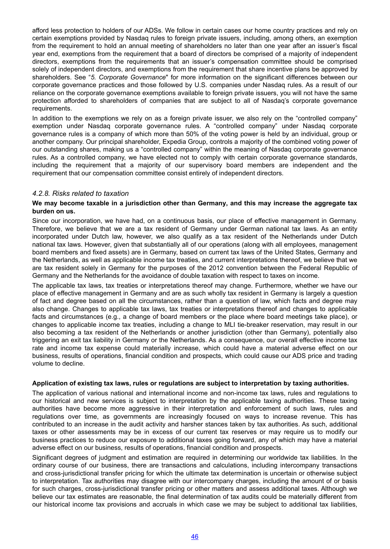afford less protection to holders of our ADSs. We follow in certain cases our home country practices and rely on certain exemptions provided by Nasdaq rules to foreign private issuers, including, among others, an exemption from the requirement to hold an annual meeting of shareholders no later than one year after an issuer's fiscal year end, exemptions from the requirement that a board of directors be comprised of a majority of independent directors, exemptions from the requirements that an issuer's compensation committee should be comprised solely of independent directors, and exemptions from the requirement that share incentive plans be approved by shareholders. See "*5. Corporate Governance*" for more information on the significant differences between our corporate governance practices and those followed by U.S. companies under Nasdaq rules. As a result of our reliance on the corporate governance exemptions available to foreign private issuers, you will not have the same protection afforded to shareholders of companies that are subject to all of Nasdaq's corporate governance requirements.

In addition to the exemptions we rely on as a foreign private issuer, we also rely on the "controlled company" exemption under Nasdaq corporate governance rules. A "controlled company" under Nasdaq corporate governance rules is a company of which more than 50% of the voting power is held by an individual, group or another company. Our principal shareholder, Expedia Group, controls a majority of the combined voting power of our outstanding shares, making us a "controlled company" within the meaning of Nasdaq corporate governance rules. As a controlled company, we have elected not to comply with certain corporate governance standards, including the requirement that a majority of our supervisory board members are independent and the requirement that our compensation committee consist entirely of independent directors.

### *4.2.8. Risks related to taxation*

#### **We may become taxable in a jurisdiction other than Germany, and this may increase the aggregate tax burden on us.**

Since our incorporation, we have had, on a continuous basis, our place of effective management in Germany. Therefore, we believe that we are a tax resident of Germany under German national tax laws. As an entity incorporated under Dutch law, however, we also qualify as a tax resident of the Netherlands under Dutch national tax laws. However, given that substantially all of our operations (along with all employees, management board members and fixed assets) are in Germany, based on current tax laws of the United States, Germany and the Netherlands, as well as applicable income tax treaties, and current interpretations thereof, we believe that we are tax resident solely in Germany for the purposes of the 2012 convention between the Federal Republic of Germany and the Netherlands for the avoidance of double taxation with respect to taxes on income.

The applicable tax laws, tax treaties or interpretations thereof may change. Furthermore, whether we have our place of effective management in Germany and are as such wholly tax resident in Germany is largely a question of fact and degree based on all the circumstances, rather than a question of law, which facts and degree may also change. Changes to applicable tax laws, tax treaties or interpretations thereof and changes to applicable facts and circumstances (e.g., a change of board members or the place where board meetings take place), or changes to applicable income tax treaties, including a change to MLI tie-breaker reservation, may result in our also becoming a tax resident of the Netherlands or another jurisdiction (other than Germany), potentially also triggering an exit tax liability in Germany or the Netherlands. As a consequence, our overall effective income tax rate and income tax expense could materially increase, which could have a material adverse effect on our business, results of operations, financial condition and prospects, which could cause our ADS price and trading volume to decline.

#### **Application of existing tax laws, rules or regulations are subject to interpretation by taxing authorities.**

The application of various national and international income and non-income tax laws, rules and regulations to our historical and new services is subject to interpretation by the applicable taxing authorities. These taxing authorities have become more aggressive in their interpretation and enforcement of such laws, rules and regulations over time, as governments are increasingly focused on ways to increase revenue. This has contributed to an increase in the audit activity and harsher stances taken by tax authorities. As such, additional taxes or other assessments may be in excess of our current tax reserves or may require us to modify our business practices to reduce our exposure to additional taxes going forward, any of which may have a material adverse effect on our business, results of operations, financial condition and prospects.

Significant degrees of judgment and estimation are required in determining our worldwide tax liabilities. In the ordinary course of our business, there are transactions and calculations, including intercompany transactions and cross-jurisdictional transfer pricing for which the ultimate tax determination is uncertain or otherwise subject to interpretation. Tax authorities may disagree with our intercompany charges, including the amount of or basis for such charges, cross-jurisdictional transfer pricing or other matters and assess additional taxes. Although we believe our tax estimates are reasonable, the final determination of tax audits could be materially different from our historical income tax provisions and accruals in which case we may be subject to additional tax liabilities,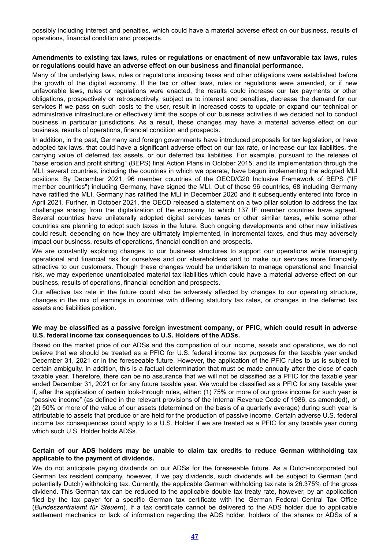possibly including interest and penalties, which could have a material adverse effect on our business, results of operations, financial condition and prospects.

#### **Amendments to existing tax laws, rules or regulations or enactment of new unfavorable tax laws, rules or regulations could have an adverse effect on our business and financial performance.**

Many of the underlying laws, rules or regulations imposing taxes and other obligations were established before the growth of the digital economy. If the tax or other laws, rules or regulations were amended, or if new unfavorable laws, rules or regulations were enacted, the results could increase our tax payments or other obligations, prospectively or retrospectively, subject us to interest and penalties, decrease the demand for our services if we pass on such costs to the user, result in increased costs to update or expand our technical or administrative infrastructure or effectively limit the scope of our business activities if we decided not to conduct business in particular jurisdictions. As a result, these changes may have a material adverse effect on our business, results of operations, financial condition and prospects.

In addition, in the past, Germany and foreign governments have introduced proposals for tax legislation, or have adopted tax laws, that could have a significant adverse effect on our tax rate, or increase our tax liabilities, the carrying value of deferred tax assets, or our deferred tax liabilities. For example, pursuant to the release of "base erosion and profit shifting" (BEPS) final Action Plans in October 2015, and its implementation through the MLI, several countries, including the countries in which we operate, have begun implementing the adopted MLI positions. By December 2021, 96 member countries of the OECD/G20 Inclusive Framework of BEPS ("IF member countries") including Germany, have signed the MLI. Out of these 96 countries, 68 including Germany have ratified the MLI. Germany has ratified the MLI in December 2020 and it subsequently entered into force in April 2021. Further, in October 2021, the OECD released a statement on a two pillar solution to address the tax challenges arising from the digitalization of the economy, to which 137 IF member countries have agreed. Several countries have unilaterally adopted digital services taxes or other similar taxes, while some other countries are planning to adopt such taxes in the future. Such ongoing developments and other new initiatives could result, depending on how they are ultimately implemented, in incremental taxes, and thus may adversely impact our business, results of operations, financial condition and prospects.

We are constantly exploring changes to our business structures to support our operations while managing operational and financial risk for ourselves and our shareholders and to make our services more financially attractive to our customers. Though these changes would be undertaken to manage operational and financial risk, we may experience unanticipated material tax liabilities which could have a material adverse effect on our business, results of operations, financial condition and prospects.

Our effective tax rate in the future could also be adversely affected by changes to our operating structure, changes in the mix of earnings in countries with differing statutory tax rates, or changes in the deferred tax assets and liabilities position.

#### **We may be classified as a passive foreign investment company, or PFIC, which could result in adverse U.S. federal income tax consequences to U.S. Holders of the ADSs.**

Based on the market price of our ADSs and the composition of our income, assets and operations, we do not believe that we should be treated as a PFIC for U.S. federal income tax purposes for the taxable year ended December 31, 2021 or in the foreseeable future. However, the application of the PFIC rules to us is subject to certain ambiguity. In addition, this is a factual determination that must be made annually after the close of each taxable year. Therefore, there can be no assurance that we will not be classified as a PFIC for the taxable year ended December 31, 2021 or for any future taxable year. We would be classified as a PFIC for any taxable year if, after the application of certain look-through rules, either: (1) 75% or more of our gross income for such year is "passive income" (as defined in the relevant provisions of the Internal Revenue Code of 1986, as amended), or (2) 50% or more of the value of our assets (determined on the basis of a quarterly average) during such year is attributable to assets that produce or are held for the production of passive income. Certain adverse U.S. federal income tax consequences could apply to a U.S. Holder if we are treated as a PFIC for any taxable year during which such U.S. Holder holds ADSs.

### **Certain of our ADS holders may be unable to claim tax credits to reduce German withholding tax applicable to the payment of dividends.**

We do not anticipate paying dividends on our ADSs for the foreseeable future. As a Dutch-incorporated but German tax resident company, however, if we pay dividends, such dividends will be subject to German (and potentially Dutch) withholding tax. Currently, the applicable German withholding tax rate is 26.375% of the gross dividend. This German tax can be reduced to the applicable double tax treaty rate, however, by an application filed by the tax payer for a specific German tax certificate with the German Federal Central Tax Office (*Bundeszentralamt für Steuern*). If a tax certificate cannot be delivered to the ADS holder due to applicable settlement mechanics or lack of information regarding the ADS holder, holders of the shares or ADSs of a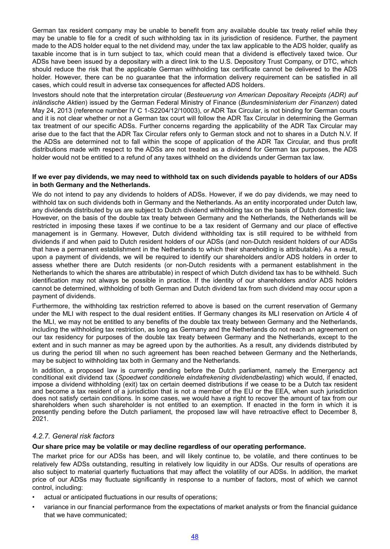German tax resident company may be unable to benefit from any available double tax treaty relief while they may be unable to file for a credit of such withholding tax in its jurisdiction of residence. Further, the payment made to the ADS holder equal to the net dividend may, under the tax law applicable to the ADS holder, qualify as taxable income that is in turn subject to tax, which could mean that a dividend is effectively taxed twice. Our ADSs have been issued by a depositary with a direct link to the U.S. Depository Trust Company, or DTC, which should reduce the risk that the applicable German withholding tax certificate cannot be delivered to the ADS holder. However, there can be no guarantee that the information delivery requirement can be satisfied in all cases, which could result in adverse tax consequences for affected ADS holders.

Investors should note that the interpretation circular (*Besteuerung von American Depositary Receipts (ADR) auf inländische Aktien*) issued by the German Federal Ministry of Finance (*Bundesministerium der Finanzen*) dated May 24, 2013 (reference number IV C 1-S2204/12/10003), or ADR Tax Circular, is not binding for German courts and it is not clear whether or not a German tax court will follow the ADR Tax Circular in determining the German tax treatment of our specific ADSs. Further concerns regarding the applicability of the ADR Tax Circular may arise due to the fact that the ADR Tax Circular refers only to German stock and not to shares in a Dutch N.V. If the ADSs are determined not to fall within the scope of application of the ADR Tax Circular, and thus profit distributions made with respect to the ADSs are not treated as a dividend for German tax purposes, the ADS holder would not be entitled to a refund of any taxes withheld on the dividends under German tax law.

#### **If we ever pay dividends, we may need to withhold tax on such dividends payable to holders of our ADSs in both Germany and the Netherlands.**

We do not intend to pay any dividends to holders of ADSs. However, if we do pay dividends, we may need to withhold tax on such dividends both in Germany and the Netherlands. As an entity incorporated under Dutch law, any dividends distributed by us are subject to Dutch dividend withholding tax on the basis of Dutch domestic law. However, on the basis of the double tax treaty between Germany and the Netherlands, the Netherlands will be restricted in imposing these taxes if we continue to be a tax resident of Germany and our place of effective management is in Germany. However, Dutch dividend withholding tax is still required to be withheld from dividends if and when paid to Dutch resident holders of our ADSs (and non-Dutch resident holders of our ADSs that have a permanent establishment in the Netherlands to which their shareholding is attributable). As a result, upon a payment of dividends, we will be required to identify our shareholders and/or ADS holders in order to assess whether there are Dutch residents (or non-Dutch residents with a permanent establishment in the Netherlands to which the shares are attributable) in respect of which Dutch dividend tax has to be withheld. Such identification may not always be possible in practice. If the identity of our shareholders and/or ADS holders cannot be determined, withholding of both German and Dutch dividend tax from such dividend may occur upon a payment of dividends.

Furthermore, the withholding tax restriction referred to above is based on the current reservation of Germany under the MLI with respect to the dual resident entities. If Germany changes its MLI reservation on Article 4 of the MLI, we may not be entitled to any benefits of the double tax treaty between Germany and the Netherlands, including the withholding tax restriction, as long as Germany and the Netherlands do not reach an agreement on our tax residency for purposes of the double tax treaty between Germany and the Netherlands, except to the extent and in such manner as may be agreed upon by the authorities. As a result, any dividends distributed by us during the period till when no such agreement has been reached between Germany and the Netherlands, may be subject to withholding tax both in Germany and the Netherlands.

In addition, a proposed law is currently pending before the Dutch parliament, namely the Emergency act conditional exit dividend tax (*Spoedwet conditionele eindafrekening dividendbelasting*) which would, if enacted, impose a dividend withholding (exit) tax on certain deemed distributions if we cease to be a Dutch tax resident and become a tax resident of a jurisdiction that is not a member of the EU or the EEA, when such jurisdiction does not satisfy certain conditions. In some cases, we would have a right to recover the amount of tax from our shareholders when such shareholder is not entitled to an exemption. If enacted in the form in which it is presently pending before the Dutch parliament, the proposed law will have retroactive effect to December 8, 2021.

## *4.2.7. General risk factors*

## **Our share price may be volatile or may decline regardless of our operating performance.**

The market price for our ADSs has been, and will likely continue to, be volatile, and there continues to be relatively few ADSs outstanding, resulting in relatively low liquidity in our ADSs. Our results of operations are also subject to material quarterly fluctuations that may affect the volatility of our ADSs. In addition, the market price of our ADSs may fluctuate significantly in response to a number of factors, most of which we cannot control, including:

- actual or anticipated fluctuations in our results of operations;
- variance in our financial performance from the expectations of market analysts or from the financial guidance that we have communicated;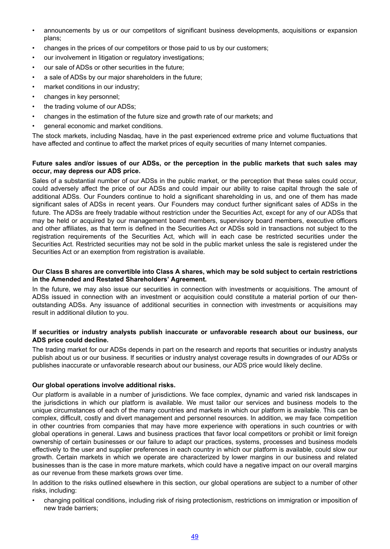- announcements by us or our competitors of significant business developments, acquisitions or expansion plans;
- changes in the prices of our competitors or those paid to us by our customers;
- our involvement in litigation or regulatory investigations;
- our sale of ADSs or other securities in the future;
- a sale of ADSs by our major shareholders in the future;
- market conditions in our industry;
- changes in key personnel;
- the trading volume of our ADSs;
- changes in the estimation of the future size and growth rate of our markets; and
- general economic and market conditions.

The stock markets, including Nasdaq, have in the past experienced extreme price and volume fluctuations that have affected and continue to affect the market prices of equity securities of many Internet companies.

## **Future sales and/or issues of our ADSs, or the perception in the public markets that such sales may occur, may depress our ADS price.**

Sales of a substantial number of our ADSs in the public market, or the perception that these sales could occur, could adversely affect the price of our ADSs and could impair our ability to raise capital through the sale of additional ADSs. Our Founders continue to hold a significant shareholding in us, and one of them has made significant sales of ADSs in recent years. Our Founders may conduct further significant sales of ADSs in the future. The ADSs are freely tradable without restriction under the Securities Act, except for any of our ADSs that may be held or acquired by our management board members, supervisory board members, executive officers and other affiliates, as that term is defined in the Securities Act or ADSs sold in transactions not subject to the registration requirements of the Securities Act, which will in each case be restricted securities under the Securities Act. Restricted securities may not be sold in the public market unless the sale is registered under the Securities Act or an exemption from registration is available.

## **Our Class B shares are convertible into Class A shares, which may be sold subject to certain restrictions in the Amended and Restated Shareholders' Agreement.**

In the future, we may also issue our securities in connection with investments or acquisitions. The amount of ADSs issued in connection with an investment or acquisition could constitute a material portion of our thenoutstanding ADSs. Any issuance of additional securities in connection with investments or acquisitions may result in additional dilution to you.

## **If securities or industry analysts publish inaccurate or unfavorable research about our business, our ADS price could decline.**

The trading market for our ADSs depends in part on the research and reports that securities or industry analysts publish about us or our business. If securities or industry analyst coverage results in downgrades of our ADSs or publishes inaccurate or unfavorable research about our business, our ADS price would likely decline.

## **Our global operations involve additional risks.**

Our platform is available in a number of jurisdictions. We face complex, dynamic and varied risk landscapes in the jurisdictions in which our platform is available. We must tailor our services and business models to the unique circumstances of each of the many countries and markets in which our platform is available. This can be complex, difficult, costly and divert management and personnel resources. In addition, we may face competition in other countries from companies that may have more experience with operations in such countries or with global operations in general. Laws and business practices that favor local competitors or prohibit or limit foreign ownership of certain businesses or our failure to adapt our practices, systems, processes and business models effectively to the user and supplier preferences in each country in which our platform is available, could slow our growth. Certain markets in which we operate are characterized by lower margins in our business and related businesses than is the case in more mature markets, which could have a negative impact on our overall margins as our revenue from these markets grows over time.

In addition to the risks outlined elsewhere in this section, our global operations are subject to a number of other risks, including:

• changing political conditions, including risk of rising protectionism, restrictions on immigration or imposition of new trade barriers;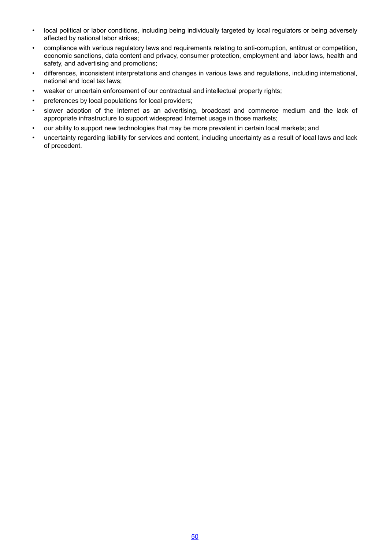- local political or labor conditions, including being individually targeted by local regulators or being adversely affected by national labor strikes;
- compliance with various regulatory laws and requirements relating to anti-corruption, antitrust or competition, economic sanctions, data content and privacy, consumer protection, employment and labor laws, health and safety, and advertising and promotions;
- differences, inconsistent interpretations and changes in various laws and regulations, including international, national and local tax laws;
- weaker or uncertain enforcement of our contractual and intellectual property rights;
- preferences by local populations for local providers;
- slower adoption of the Internet as an advertising, broadcast and commerce medium and the lack of appropriate infrastructure to support widespread Internet usage in those markets;
- our ability to support new technologies that may be more prevalent in certain local markets; and
- uncertainty regarding liability for services and content, including uncertainty as a result of local laws and lack of precedent.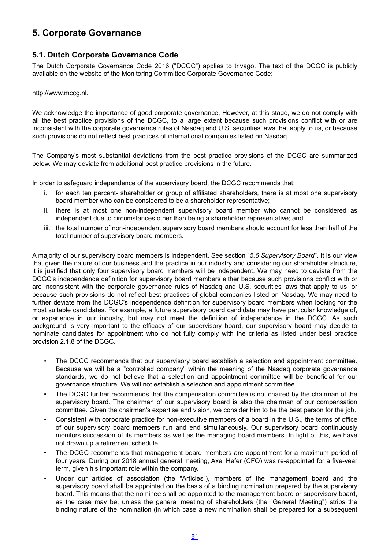# **5. Corporate Governance**

# **5.1. Dutch Corporate Governance Code**

The Dutch Corporate Governance Code 2016 ("DCGC") applies to trivago. The text of the DCGC is publicly available on the website of the Monitoring Committee Corporate Governance Code:

## http://www.mccg.nl.

We acknowledge the importance of good corporate governance. However, at this stage, we do not comply with all the best practice provisions of the DCGC, to a large extent because such provisions conflict with or are inconsistent with the corporate governance rules of Nasdaq and U.S. securities laws that apply to us, or because such provisions do not reflect best practices of international companies listed on Nasdaq.

The Company's most substantial deviations from the best practice provisions of the DCGC are summarized below. We may deviate from additional best practice provisions in the future.

In order to safeguard independence of the supervisory board, the DCGC recommends that:

- i. for each ten percent- shareholder or group of affiliated shareholders, there is at most one supervisory board member who can be considered to be a shareholder representative;
- ii. there is at most one non-independent supervisory board member who cannot be considered as independent due to circumstances other than being a shareholder representative; and
- iii. the total number of non-independent supervisory board members should account for less than half of the total number of supervisory board members.

A majority of our supervisory board members is independent. See section "*5.6 Supervisory Board*". It is our view that given the nature of our business and the practice in our industry and considering our shareholder structure, it is justified that only four supervisory board members will be independent. We may need to deviate from the DCGC's independence definition for supervisory board members either because such provisions conflict with or are inconsistent with the corporate governance rules of Nasdaq and U.S. securities laws that apply to us, or because such provisions do not reflect best practices of global companies listed on Nasdaq. We may need to further deviate from the DCGC's independence definition for supervisory board members when looking for the most suitable candidates. For example, a future supervisory board candidate may have particular knowledge of, or experience in our industry, but may not meet the definition of independence in the DCGC. As such background is very important to the efficacy of our supervisory board, our supervisory board may decide to nominate candidates for appointment who do not fully comply with the criteria as listed under best practice provision 2.1.8 of the DCGC.

- The DCGC recommends that our supervisory board establish a selection and appointment committee. Because we will be a "controlled company" within the meaning of the Nasdaq corporate governance standards, we do not believe that a selection and appointment committee will be beneficial for our governance structure. We will not establish a selection and appointment committee.
- The DCGC further recommends that the compensation committee is not chaired by the chairman of the supervisory board. The chairman of our supervisory board is also the chairman of our compensation committee. Given the chairman's expertise and vision, we consider him to be the best person for the job.
- Consistent with corporate practice for non-executive members of a board in the U.S., the terms of office of our supervisory board members run and end simultaneously. Our supervisory board continuously monitors succession of its members as well as the managing board members. In light of this, we have not drawn up a retirement schedule.
- The DCGC recommends that management board members are appointment for a maximum period of four years. During our 2018 annual general meeting, Axel Hefer (CFO) was re-appointed for a five-year term, given his important role within the company.
- Under our articles of association (the "Articles"), members of the management board and the supervisory board shall be appointed on the basis of a binding nomination prepared by the supervisory board. This means that the nominee shall be appointed to the management board or supervisory board, as the case may be, unless the general meeting of shareholders (the "General Meeting") strips the binding nature of the nomination (in which case a new nomination shall be prepared for a subsequent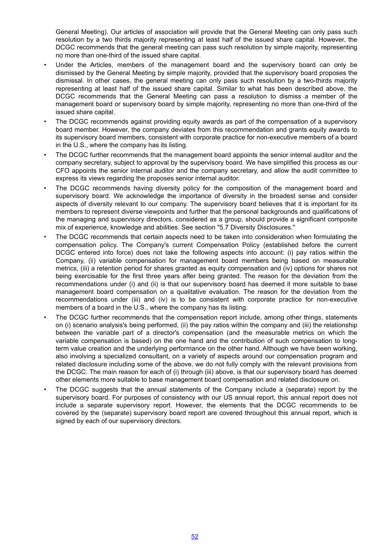General Meeting). Our articles of association will provide that the General Meeting can only pass such resolution by a two thirds majority representing at least half of the issued share capital. However, the DCGC recommends that the general meeting can pass such resolution by simple majority, representing no more than one-third of the issued share capital.

- Under the Articles, members of the management board and the supervisory board can only be dismissed by the General Meeting by simple majority, provided that the supervisory board proposes the dismissal. In other cases, the general meeting can only pass such resolution by a two-thirds majority representing at least half of the issued share capital. Similar to what has been described above, the DCGC recommends that the General Meeting can pass a resolution to dismiss a member of the management board or supervisory board by simple majority, representing no more than one-third of the issued share capital.
- The DCGC recommends against providing equity awards as part of the compensation of a supervisory board member. However, the company deviates from this recommendation and grants equity awards to its supervisory board members, consistent with corporate practice for non-executive members of a board in the U.S., where the company has its listing.
- The DCGC further recommends that the management board appoints the senior internal auditor and the company secretary, subject to approval by the supervisory board. We have simplified this process as our CFO appoints the senior internal auditor and the company secretary, and allow the audit committee to express its views regarding the proposes senior internal auditor.
- The DCGC recommends having diversity policy for the composition of the management board and supervisory board. We acknowledge the importance of diversity in the broadest sense and consider aspects of diversity relevant to our company. The supervisory board believes that it is important for its members to represent diverse viewpoints and further that the personal backgrounds and qualifications of the managing and supervisory directors, considered as a group, should provide a significant composite mix of experience, knowledge and abilities. See section "5.7 Diversity Disclosures."
- The DCGC recommends that certain aspects need to be taken into consideration when formulating the compensation policy. The Company's current Compensation Policy (established before the current DCGC entered into force) does not take the following aspects into account: (i) pay ratios within the Company, (ii) variable compensation for management board members being based on measurable metrics, (iii) a retention period for shares granted as equity compensation and (iv) options for shares not being exercisable for the first three years after being granted. The reason for the deviation from the recommendations under (i) and (ii) is that our supervisory board has deemed it more suitable to base management board compensation on a qualitative evaluation. The reason for the deviation from the recommendations under (iii) and (iv) is to be consistent with corporate practice for non-executive members of a board in the U.S., where the company has its listing.
- The DCGC further recommends that the compensation report include, among other things, statements on (i) scenario analysis's being performed, (ii) the pay ratios within the company and (iii) the relationship between the variable part of a director's compensation (and the measurable metrics on which the variable compensation is based) on the one hand and the contribution of such compensation to longterm value creation and the underlying performance on the other hand. Although we have been working, also involving a specialized consultant, on a variety of aspects around our compensation program and related disclosure including some of the above, we do not fully comply with the relevant provisions from the DCGC. The main reason for each of (i) through (iii) above, is that our supervisory board has deemed other elements more suitable to base management board compensation and related disclosure on.
- The DCGC suggests that the annual statements of the Company include a (separate) report by the supervisory board. For purposes of consistency with our US annual report, this annual report does not include a separate supervisory report. However, the elements that the DCGC recommends to be covered by the (separate) supervisory board report are covered throughout this annual report, which is signed by each of our supervisory directors.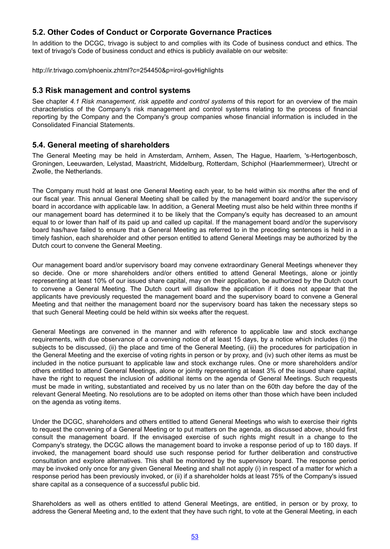# **5.2. Other Codes of Conduct or Corporate Governance Practices**

In addition to the DCGC, trivago is subject to and complies with its Code of business conduct and ethics. The text of trivago's Code of business conduct and ethics is publicly available on our website:

http://ir.trivago.com/phoenix.zhtml?c=254450&p=irol-govHighlights

## **5.3 Risk management and control systems**

See chapter *4.1 Risk management, risk appetite and control systems* of this report for an overview of the main characteristics of the Company's risk management and control systems relating to the process of financial reporting by the Company and the Company's group companies whose financial information is included in the Consolidated Financial Statements.

# **5.4. General meeting of shareholders**

The General Meeting may be held in Amsterdam, Arnhem, Assen, The Hague, Haarlem, 's-Hertogenbosch, Groningen, Leeuwarden, Lelystad, Maastricht, Middelburg, Rotterdam, Schiphol (Haarlemmermeer), Utrecht or Zwolle, the Netherlands.

The Company must hold at least one General Meeting each year, to be held within six months after the end of our fiscal year. This annual General Meeting shall be called by the management board and/or the supervisory board in accordance with applicable law. In addition, a General Meeting must also be held within three months if our management board has determined it to be likely that the Company's equity has decreased to an amount equal to or lower than half of its paid up and called up capital. If the management board and/or the supervisory board has/have failed to ensure that a General Meeting as referred to in the preceding sentences is held in a timely fashion, each shareholder and other person entitled to attend General Meetings may be authorized by the Dutch court to convene the General Meeting.

Our management board and/or supervisory board may convene extraordinary General Meetings whenever they so decide. One or more shareholders and/or others entitled to attend General Meetings, alone or jointly representing at least 10% of our issued share capital, may on their application, be authorized by the Dutch court to convene a General Meeting. The Dutch court will disallow the application if it does not appear that the applicants have previously requested the management board and the supervisory board to convene a General Meeting and that neither the management board nor the supervisory board has taken the necessary steps so that such General Meeting could be held within six weeks after the request.

General Meetings are convened in the manner and with reference to applicable law and stock exchange requirements, with due observance of a convening notice of at least 15 days, by a notice which includes (i) the subjects to be discussed, (ii) the place and time of the General Meeting, (iii) the procedures for participation in the General Meeting and the exercise of voting rights in person or by proxy, and (iv) such other items as must be included in the notice pursuant to applicable law and stock exchange rules. One or more shareholders and/or others entitled to attend General Meetings, alone or jointly representing at least 3% of the issued share capital, have the right to request the inclusion of additional items on the agenda of General Meetings. Such requests must be made in writing, substantiated and received by us no later than on the 60th day before the day of the relevant General Meeting. No resolutions are to be adopted on items other than those which have been included on the agenda as voting items.

Under the DCGC, shareholders and others entitled to attend General Meetings who wish to exercise their rights to request the convening of a General Meeting or to put matters on the agenda, as discussed above, should first consult the management board. If the envisaged exercise of such rights might result in a change to the Company's strategy, the DCGC allows the management board to invoke a response period of up to 180 days. If invoked, the management board should use such response period for further deliberation and constructive consultation and explore alternatives. This shall be monitored by the supervisory board. The response period may be invoked only once for any given General Meeting and shall not apply (i) in respect of a matter for which a response period has been previously invoked, or (ii) if a shareholder holds at least 75% of the Company's issued share capital as a consequence of a successful public bid.

Shareholders as well as others entitled to attend General Meetings, are entitled, in person or by proxy, to address the General Meeting and, to the extent that they have such right, to vote at the General Meeting, in each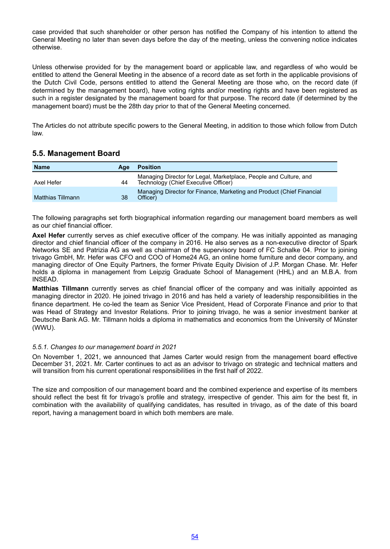case provided that such shareholder or other person has notified the Company of his intention to attend the General Meeting no later than seven days before the day of the meeting, unless the convening notice indicates otherwise.

Unless otherwise provided for by the management board or applicable law, and regardless of who would be entitled to attend the General Meeting in the absence of a record date as set forth in the applicable provisions of the Dutch Civil Code, persons entitled to attend the General Meeting are those who, on the record date (if determined by the management board), have voting rights and/or meeting rights and have been registered as such in a register designated by the management board for that purpose. The record date (if determined by the management board) must be the 28th day prior to that of the General Meeting concerned.

The Articles do not attribute specific powers to the General Meeting, in addition to those which follow from Dutch law.

# **5.5. Management Board**

| <b>Name</b>       | Age | <b>Position</b>                                                                                           |
|-------------------|-----|-----------------------------------------------------------------------------------------------------------|
| Axel Hefer        | 44  | Managing Director for Legal, Marketplace, People and Culture, and<br>Technology (Chief Executive Officer) |
| Matthias Tillmann | 38  | Managing Director for Finance, Marketing and Product (Chief Financial<br>Officer)                         |

The following paragraphs set forth biographical information regarding our management board members as well as our chief financial officer.

**Axel Hefer** currently serves as chief executive officer of the company. He was initially appointed as managing director and chief financial officer of the company in 2016. He also serves as a non-executive director of Spark Networks SE and Patrizia AG as well as chairman of the supervisory board of FC Schalke 04. Prior to joining trivago GmbH, Mr. Hefer was CFO and COO of Home24 AG, an online home furniture and decor company, and managing director of One Equity Partners, the former Private Equity Division of J.P. Morgan Chase. Mr. Hefer holds a diploma in management from Leipzig Graduate School of Management (HHL) and an M.B.A. from INSEAD.

**Matthias Tillmann** currently serves as chief financial officer of the company and was initially appointed as managing director in 2020. He joined trivago in 2016 and has held a variety of leadership responsibilities in the finance department. He co-led the team as Senior Vice President, Head of Corporate Finance and prior to that was Head of Strategy and Investor Relations. Prior to joining trivago, he was a senior investment banker at Deutsche Bank AG. Mr. Tillmann holds a diploma in mathematics and economics from the University of Münster (WWU).

## *5.5.1. Changes to our management board in 2021*

On November 1, 2021, we announced that James Carter would resign from the management board effective December 31, 2021. Mr. Carter continues to act as an advisor to trivago on strategic and technical matters and will transition from his current operational responsibilities in the first half of 2022.

The size and composition of our management board and the combined experience and expertise of its members should reflect the best fit for trivago's profile and strategy, irrespective of gender. This aim for the best fit, in combination with the availability of qualifying candidates, has resulted in trivago, as of the date of this board report, having a management board in which both members are male.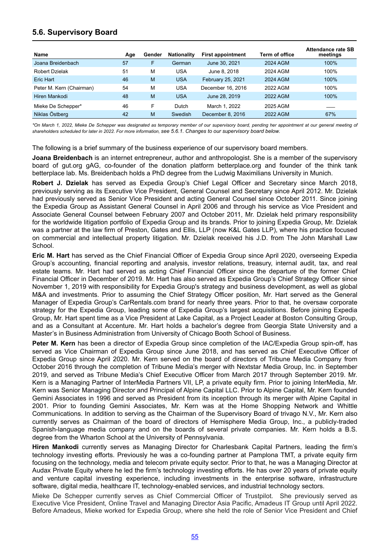# **5.6. Supervisory Board**

| Name                     | Age | Gender | <b>Nationality</b> | <b>First appointment</b> | <b>Term of office</b> | Attendance rate SB<br>meetings |
|--------------------------|-----|--------|--------------------|--------------------------|-----------------------|--------------------------------|
| Joana Breidenbach        | 57  | F      | German             | June 30, 2021            | 2024 AGM              | 100%                           |
| <b>Robert Dzielak</b>    | 51  | M      | <b>USA</b>         | June 8, 2018             | 2024 AGM              | 100%                           |
| Eric Hart                | 46  | M      | <b>USA</b>         | February 25, 2021        | 2024 AGM              | 100%                           |
| Peter M. Kern (Chairman) | 54  | M      | <b>USA</b>         | December 16, 2016        | 2022 AGM              | 100%                           |
| Hiren Mankodi            | 48  | M      | <b>USA</b>         | June 28, 2019            | 2022 AGM              | 100%                           |
| Mieke De Schepper*       | 46  | F      | Dutch              | March 1, 2022            | 2025 AGM              |                                |
| Niklas Östberg           | 42  | M      | Swedish            | December 8, 2016         | 2022 AGM              | 67%                            |

*\*On March 1, 2022, Mieke De Schepper was designated as temporary member of our supervisory board, pending her appointment at our general meeting of shareholders scheduled for later in 2022. For more information, see 5.6.1. Changes to our supervisory board below.*

The following is a brief summary of the business experience of our supervisory board members.

**Joana Breidenbach** is an internet entrepreneur, author and anthropologist. She is a member of the supervisory board of gut.org gAG, co-founder of the donation platform betterplace.org and founder of the think tank betterplace lab. Ms. Breidenbach holds a PhD degree from the Ludwig Maximilians University in Munich.

**Robert J. Dzielak** has served as Expedia Group's Chief Legal Officer and Secretary since March 2018, previously serving as its Executive Vice President, General Counsel and Secretary since April 2012. Mr. Dzielak had previously served as Senior Vice President and acting General Counsel since October 2011. Since joining the Expedia Group as Assistant General Counsel in April 2006 and through his service as Vice President and Associate General Counsel between February 2007 and October 2011, Mr. Dzielak held primary responsibility for the worldwide litigation portfolio of Expedia Group and its brands. Prior to joining Expedia Group, Mr. Dzielak was a partner at the law firm of Preston, Gates and Ellis, LLP (now K&L Gates LLP), where his practice focused on commercial and intellectual property litigation. Mr. Dzielak received his J.D. from The John Marshall Law School.

**Eric M. Hart** has served as the Chief Financial Officer of Expedia Group since April 2020, overseeing Expedia Group's accounting, financial reporting and analysis, investor relations, treasury, internal audit, tax, and real estate teams. Mr. Hart had served as acting Chief Financial Officer since the departure of the former Chief Financial Officer in December of 2019. Mr. Hart has also served as Expedia Group's Chief Strategy Officer since November 1, 2019 with responsibility for Expedia Group's strategy and business development, as well as global M&A and investments. Prior to assuming the Chief Strategy Officer position, Mr. Hart served as the General Manager of Expedia Group's CarRentals.com brand for nearly three years. Prior to that, he oversaw corporate strategy for the Expedia Group, leading some of Expedia Group's largest acquisitions. Before joining Expedia Group, Mr. Hart spent time as a Vice President at Lake Capital, as a Project Leader at Boston Consulting Group, and as a Consultant at Accenture. Mr. Hart holds a bachelor's degree from Georgia State University and a Master's in Business Administration from University of Chicago Booth School of Business.

**Peter M. Kern** has been a director of Expedia Group since completion of the IAC/Expedia Group spin-off, has served as Vice Chairman of Expedia Group since June 2018, and has served as Chief Executive Officer of Expedia Group since April 2020. Mr. Kern served on the board of directors of Tribune Media Company from October 2016 through the completion of Tribune Media's merger with Nextstar Media Group, Inc. in September 2019, and served as Tribune Media's Chief Executive Officer from March 2017 through September 2019. Mr. Kern is a Managing Partner of InterMedia Partners VII, LP, a private equity firm. Prior to joining InterMedia, Mr. Kern was Senior Managing Director and Principal of Alpine Capital LLC. Prior to Alpine Capital, Mr. Kern founded Gemini Associates in 1996 and served as President from its inception through its merger with Alpine Capital in 2001. Prior to founding Gemini Associates, Mr. Kern was at the Home Shopping Network and Whittle Communications. In addition to serving as the Chairman of the Supervisory Board of trivago N.V., Mr. Kern also currently serves as Chairman of the board of directors of Hemisphere Media Group, Inc., a publicly-traded Spanish-language media company and on the boards of several private companies. Mr. Kern holds a B.S. degree from the Wharton School at the University of Pennsylvania.

**Hiren Mankodi** currently serves as Managing Director for Charlesbank Capital Partners, leading the firm's technology investing efforts. Previously he was a co-founding partner at Pamplona TMT, a private equity firm focusing on the technology, media and telecom private equity sector. Prior to that, he was a Managing Director at Audax Private Equity where he led the firm's technology investing efforts. He has over 20 years of private equity and venture capital investing experience, including investments in the enterprise software, infrastructure software, digital media, healthcare IT, technology-enabled services, and industrial technology sectors.

Mieke De Schepper currently serves as Chief Commercial Officer of Trustpilot. She previously served as Executive Vice President, Online Travel and Managing Director Asia Pacific, Amadeus IT Group until April 2022. Before Amadeus, Mieke worked for Expedia Group, where she held the role of Senior Vice President and Chief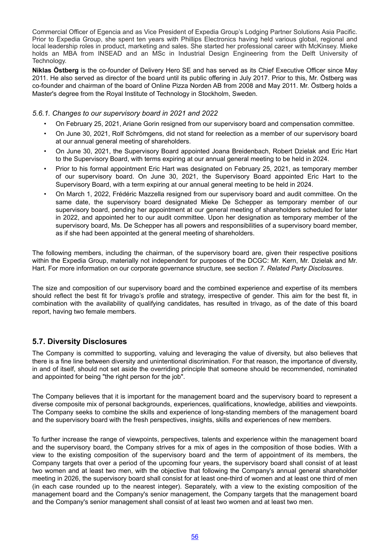Commercial Officer of Egencia and as Vice President of Expedia Group's Lodging Partner Solutions Asia Pacific. Prior to Expedia Group, she spent ten years with Phillips Electronics having held various global, regional and local leadership roles in product, marketing and sales. She started her professional career with McKinsey. Mieke holds an MBA from INSEAD and an MSc in Industrial Design Engineering from the Delft University of Technology.

**Niklas Östberg** is the co-founder of Delivery Hero SE and has served as its Chief Executive Officer since May 2011. He also served as director of the board until its public offering in July 2017. Prior to this, Mr. Östberg was co-founder and chairman of the board of Online Pizza Norden AB from 2008 and May 2011. Mr. Östberg holds a Master's degree from the Royal Institute of Technology in Stockholm, Sweden.

## *5.6.1. Changes to our supervisory board in 2021 and 2022*

- On February 25, 2021, Ariane Gorin resigned from our supervisory board and compensation committee.
- On June 30, 2021, Rolf Schrömgens, did not stand for reelection as a member of our supervisory board at our annual general meeting of shareholders.
- On June 30, 2021, the Supervisory Board appointed Joana Breidenbach, Robert Dzielak and Eric Hart to the Supervisory Board, with terms expiring at our annual general meeting to be held in 2024.
- Prior to his formal appointment Eric Hart was designated on February 25, 2021, as temporary member of our supervisory board. On June 30, 2021, the Supervisory Board appointed Eric Hart to the Supervisory Board, with a term expiring at our annual general meeting to be held in 2024.
- On March 1, 2022, Frédéric Mazzella resigned from our supervisory board and audit committee. On the same date, the supervisory board designated Mieke De Schepper as temporary member of our supervisory board, pending her appointment at our general meeting of shareholders scheduled for later in 2022, and appointed her to our audit committee. Upon her designation as temporary member of the supervisory board, Ms. De Schepper has all powers and responsibilities of a supervisory board member, as if she had been appointed at the general meeting of shareholders.

The following members, including the chairman, of the supervisory board are, given their respective positions within the Expedia Group, materially not independent for purposes of the DCGC: Mr. Kern, Mr. Dzielak and Mr. Hart. For more information on our corporate governance structure, see section *7. Related Party Disclosures*.

The size and composition of our supervisory board and the combined experience and expertise of its members should reflect the best fit for trivago's profile and strategy, irrespective of gender. This aim for the best fit, in combination with the availability of qualifying candidates, has resulted in trivago, as of the date of this board report, having two female members.

# **5.7. Diversity Disclosures**

The Company is committed to supporting, valuing and leveraging the value of diversity, but also believes that there is a fine line between diversity and unintentional discrimination. For that reason, the importance of diversity, in and of itself, should not set aside the overriding principle that someone should be recommended, nominated and appointed for being "the right person for the job".

The Company believes that it is important for the management board and the supervisory board to represent a diverse composite mix of personal backgrounds, experiences, qualifications, knowledge, abilities and viewpoints. The Company seeks to combine the skills and experience of long-standing members of the management board and the supervisory board with the fresh perspectives, insights, skills and experiences of new members.

To further increase the range of viewpoints, perspectives, talents and experience within the management board and the supervisory board, the Company strives for a mix of ages in the composition of those bodies. With a view to the existing composition of the supervisory board and the term of appointment of its members, the Company targets that over a period of the upcoming four years, the supervisory board shall consist of at least two women and at least two men, with the objective that following the Company's annual general shareholder meeting in 2026, the supervisory board shall consist for at least one-third of women and at least one third of men (in each case rounded up to the nearest integer). Separately, with a view to the existing composition of the management board and the Company's senior management, the Company targets that the management board and the Company's senior management shall consist of at least two women and at least two men.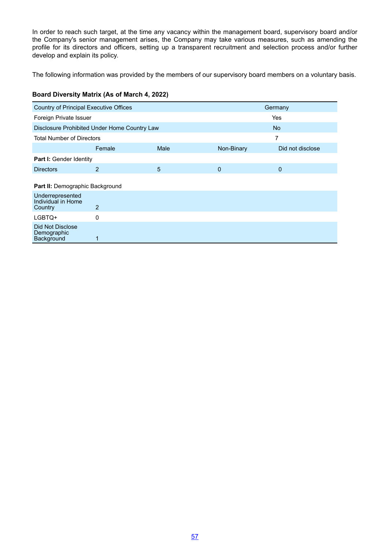In order to reach such target, at the time any vacancy within the management board, supervisory board and/or the Company's senior management arises, the Company may take various measures, such as amending the profile for its directors and officers, setting up a transparent recruitment and selection process and/or further develop and explain its policy.

The following information was provided by the members of our supervisory board members on a voluntary basis.

## **Board Diversity Matrix (As of March 4, 2022)**

| <b>Country of Principal Executive Offices</b>     |        |      | Germany     |                  |  |
|---------------------------------------------------|--------|------|-------------|------------------|--|
| Foreign Private Issuer                            |        |      | Yes         |                  |  |
| Disclosure Prohibited Under Home Country Law      |        |      | <b>No</b>   |                  |  |
| <b>Total Number of Directors</b>                  |        |      |             | 7                |  |
|                                                   | Female | Male | Non-Binary  | Did not disclose |  |
| <b>Part I:</b> Gender Identity                    |        |      |             |                  |  |
| <b>Directors</b>                                  | 2      | 5    | $\mathbf 0$ | $\mathbf 0$      |  |
|                                                   |        |      |             |                  |  |
| Part II: Demographic Background                   |        |      |             |                  |  |
| Underrepresented<br>Individual in Home<br>Country | 2      |      |             |                  |  |
| I GRTO+                                           | U      |      |             |                  |  |

| ⊤שו טט∟                                       |  |
|-----------------------------------------------|--|
| Did Not Disclose<br>Demographic<br>Background |  |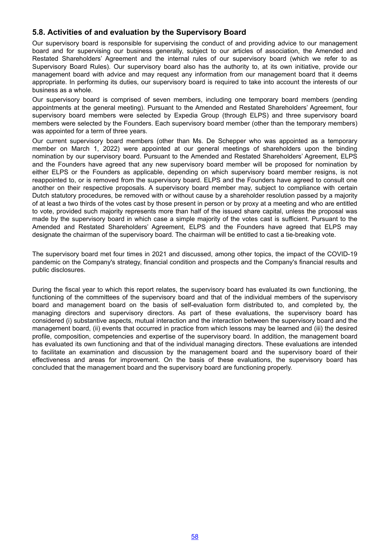# **5.8. Activities of and evaluation by the Supervisory Board**

Our supervisory board is responsible for supervising the conduct of and providing advice to our management board and for supervising our business generally, subject to our articles of association, the Amended and Restated Shareholders' Agreement and the internal rules of our supervisory board (which we refer to as Supervisory Board Rules). Our supervisory board also has the authority to, at its own initiative, provide our management board with advice and may request any information from our management board that it deems appropriate. In performing its duties, our supervisory board is required to take into account the interests of our business as a whole.

Our supervisory board is comprised of seven members, including one temporary board members (pending appointments at the general meeting). Pursuant to the Amended and Restated Shareholders' Agreement, four supervisory board members were selected by Expedia Group (through ELPS) and three supervisory board members were selected by the Founders. Each supervisory board member (other than the temporary members) was appointed for a term of three years.

Our current supervisory board members (other than Ms. De Schepper who was appointed as a temporary member on March 1, 2022) were appointed at our general meetings of shareholders upon the binding nomination by our supervisory board. Pursuant to the Amended and Restated Shareholders' Agreement, ELPS and the Founders have agreed that any new supervisory board member will be proposed for nomination by either ELPS or the Founders as applicable, depending on which supervisory board member resigns, is not reappointed to, or is removed from the supervisory board. ELPS and the Founders have agreed to consult one another on their respective proposals. A supervisory board member may, subject to compliance with certain Dutch statutory procedures, be removed with or without cause by a shareholder resolution passed by a majority of at least a two thirds of the votes cast by those present in person or by proxy at a meeting and who are entitled to vote, provided such majority represents more than half of the issued share capital, unless the proposal was made by the supervisory board in which case a simple majority of the votes cast is sufficient. Pursuant to the Amended and Restated Shareholders' Agreement, ELPS and the Founders have agreed that ELPS may designate the chairman of the supervisory board. The chairman will be entitled to cast a tie-breaking vote.

The supervisory board met four times in 2021 and discussed, among other topics, the impact of the COVID-19 pandemic on the Company's strategy, financial condition and prospects and the Company's financial results and public disclosures.

During the fiscal year to which this report relates, the supervisory board has evaluated its own functioning, the functioning of the committees of the supervisory board and that of the individual members of the supervisory board and management board on the basis of self-evaluation form distributed to, and completed by, the managing directors and supervisory directors. As part of these evaluations, the supervisory board has considered (i) substantive aspects, mutual interaction and the interaction between the supervisory board and the management board, (ii) events that occurred in practice from which lessons may be learned and (iii) the desired profile, composition, competencies and expertise of the supervisory board. In addition, the management board has evaluated its own functioning and that of the individual managing directors. These evaluations are intended to facilitate an examination and discussion by the management board and the supervisory board of their effectiveness and areas for improvement. On the basis of these evaluations, the supervisory board has concluded that the management board and the supervisory board are functioning properly.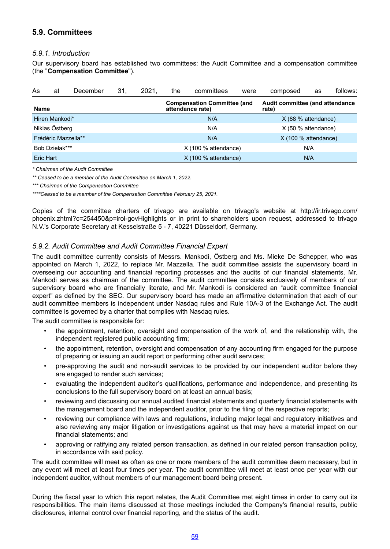# **5.9. Committees**

# *5.9.1. Introduction*

Our supervisory board has established two committees: the Audit Committee and a compensation committee (the "**Compensation Committee**").

| As             | at | December            | 31 | 2021 | the                          | committees                                             | were | composed                                 | as  | follows: |
|----------------|----|---------------------|----|------|------------------------------|--------------------------------------------------------|------|------------------------------------------|-----|----------|
| <b>Name</b>    |    |                     |    |      |                              | <b>Compensation Committee (and</b><br>attendance rate) |      | Audit committee (and attendance<br>rate) |     |          |
| Hiren Mankodi* |    |                     |    |      |                              | N/A                                                    |      | $X$ (88 % attendance)                    |     |          |
| Niklas Östberg |    |                     |    |      | N/A<br>$X$ (50 % attendance) |                                                        |      |                                          |     |          |
|                |    | Frédéric Mazzella** |    |      | N/A<br>$X(100 %$ attendance) |                                                        |      |                                          |     |          |
| Bob Dzielak*** |    |                     |    |      | $X(100 %$ attendance)<br>N/A |                                                        |      |                                          |     |          |
| Eric Hart      |    |                     |    |      |                              | $X(100 %$ attendance)                                  |      |                                          | N/A |          |

*\* Chairman of the Audit Committee*

*\*\* Ceased to be a member of the Audit Committee on March 1, 2022.*

*\*\*\* Chairman of the Compensation Committee*

*\*\*\*\*Ceased to be a member of the Compensation Committee February 25, 2021.*

Copies of the committee charters of trivago are available on trivago's website at http://ir.trivago.com/ phoenix.zhtml?c=254450&p=irol-govHighlights or in print to shareholders upon request, addressed to trivago N.V.'s Corporate Secretary at Kesselstraße 5 - 7, 40221 Düsseldorf, Germany.

# *5.9.2. Audit Committee and Audit Committee Financial Expert*

The audit committee currently consists of Messrs. Mankodi, Östberg and Ms. Mieke De Schepper, who was appointed on March 1, 2022, to replace Mr. Mazzella. The audit committee assists the supervisory board in overseeing our accounting and financial reporting processes and the audits of our financial statements. Mr. Mankodi serves as chairman of the committee. The audit committee consists exclusively of members of our supervisory board who are financially literate, and Mr. Mankodi is considered an "audit committee financial expert" as defined by the SEC. Our supervisory board has made an affirmative determination that each of our audit committee members is independent under Nasdaq rules and Rule 10A-3 of the Exchange Act. The audit committee is governed by a charter that complies with Nasdaq rules.

The audit committee is responsible for:

- the appointment, retention, oversight and compensation of the work of, and the relationship with, the independent registered public accounting firm;
- the appointment, retention, oversight and compensation of any accounting firm engaged for the purpose of preparing or issuing an audit report or performing other audit services;
- pre-approving the audit and non-audit services to be provided by our independent auditor before they are engaged to render such services;
- evaluating the independent auditor's qualifications, performance and independence, and presenting its conclusions to the full supervisory board on at least an annual basis;
- reviewing and discussing our annual audited financial statements and quarterly financial statements with the management board and the independent auditor, prior to the filing of the respective reports;
- reviewing our compliance with laws and regulations, including major legal and regulatory initiatives and also reviewing any major litigation or investigations against us that may have a material impact on our financial statements; and
- approving or ratifying any related person transaction, as defined in our related person transaction policy, in accordance with said policy.

The audit committee will meet as often as one or more members of the audit committee deem necessary, but in any event will meet at least four times per year. The audit committee will meet at least once per year with our independent auditor, without members of our management board being present.

During the fiscal year to which this report relates, the Audit Committee met eight times in order to carry out its responsibilities. The main items discussed at those meetings included the Company's financial results, public disclosures, internal control over financial reporting, and the status of the audit.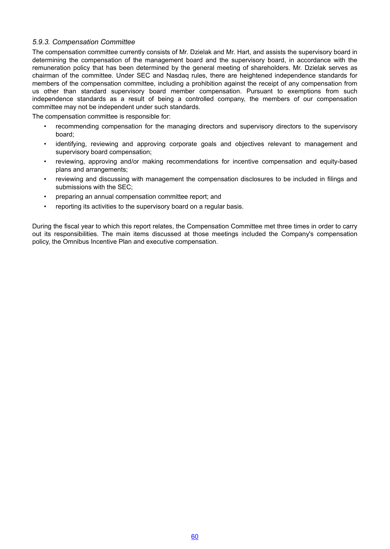## *5.9.3. Compensation Committee*

The compensation committee currently consists of Mr. Dzielak and Mr. Hart, and assists the supervisory board in determining the compensation of the management board and the supervisory board, in accordance with the remuneration policy that has been determined by the general meeting of shareholders. Mr. Dzielak serves as chairman of the committee. Under SEC and Nasdaq rules, there are heightened independence standards for members of the compensation committee, including a prohibition against the receipt of any compensation from us other than standard supervisory board member compensation. Pursuant to exemptions from such independence standards as a result of being a controlled company, the members of our compensation committee may not be independent under such standards.

The compensation committee is responsible for:

- recommending compensation for the managing directors and supervisory directors to the supervisory board;
- identifying, reviewing and approving corporate goals and objectives relevant to management and supervisory board compensation;
- reviewing, approving and/or making recommendations for incentive compensation and equity-based plans and arrangements;
- reviewing and discussing with management the compensation disclosures to be included in filings and submissions with the SEC;
- preparing an annual compensation committee report; and
- reporting its activities to the supervisory board on a regular basis.

During the fiscal year to which this report relates, the Compensation Committee met three times in order to carry out its responsibilities. The main items discussed at those meetings included the Company's compensation policy, the Omnibus Incentive Plan and executive compensation.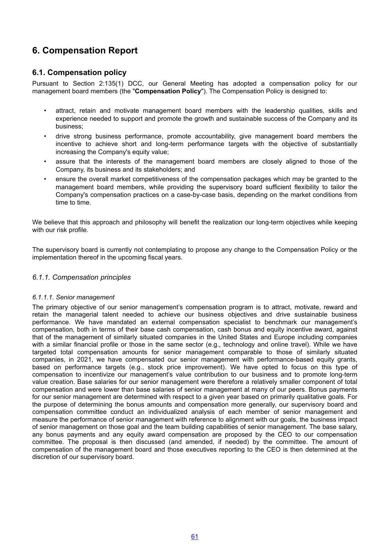# **6. Compensation Report**

# **6.1. Compensation policy**

Pursuant to Section 2:135(1) DCC, our General Meeting has adopted a compensation policy for our management board members (the "**Compensation Policy**"). The Compensation Policy is designed to:

- attract, retain and motivate management board members with the leadership qualities, skills and experience needed to support and promote the growth and sustainable success of the Company and its business;
- drive strong business performance, promote accountability, give management board members the incentive to achieve short and long-term performance targets with the objective of substantially increasing the Company's equity value;
- assure that the interests of the management board members are closely aligned to those of the Company, its business and its stakeholders; and
- ensure the overall market competitiveness of the compensation packages which may be granted to the management board members, while providing the supervisory board sufficient flexibility to tailor the Company's compensation practices on a case-by-case basis, depending on the market conditions from time to time.

We believe that this approach and philosophy will benefit the realization our long-term objectives while keeping with our risk profile.

The supervisory board is currently not contemplating to propose any change to the Compensation Policy or the implementation thereof in the upcoming fiscal years.

## *6.1.1. Compensation principles*

## *6.1.1.1. Senior management*

The primary objective of our senior management's compensation program is to attract, motivate, reward and retain the managerial talent needed to achieve our business objectives and drive sustainable business performance. We have mandated an external compensation specialist to benchmark our management's compensation, both in terms of their base cash compensation, cash bonus and equity incentive award, against that of the management of similarly situated companies in the United States and Europe including companies with a similar financial profile or those in the same sector (e.g., technology and online travel). While we have targeted total compensation amounts for senior management comparable to those of similarly situated companies, in 2021, we have compensated our senior management with performance-based equity grants, based on performance targets (e.g., stock price improvement). We have opted to focus on this type of compensation to incentivize our management's value contribution to our business and to promote long-term value creation. Base salaries for our senior management were therefore a relatively smaller component of total compensation and were lower than base salaries of senior management at many of our peers. Bonus payments for our senior management are determined with respect to a given year based on primarily qualitative goals. For the purpose of determining the bonus amounts and compensation more generally, our supervisory board and compensation committee conduct an individualized analysis of each member of senior management and measure the performance of senior management with reference to alignment with our goals, the business impact of senior management on those goal and the team building capabilities of senior management. The base salary, any bonus payments and any equity award compensation are proposed by the CEO to our compensation committee. The proposal is then discussed (and amended, if needed) by the committee. The amount of compensation of the management board and those executives reporting to the CEO is then determined at the discretion of our supervisory board.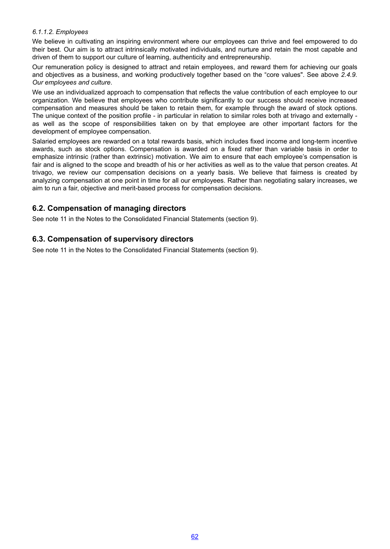## *6.1.1.2. Employees*

We believe in cultivating an inspiring environment where our employees can thrive and feel empowered to do their best. Our aim is to attract intrinsically motivated individuals, and nurture and retain the most capable and driven of them to support our culture of learning, authenticity and entrepreneurship.

Our remuneration policy is designed to attract and retain employees, and reward them for achieving our goals and objectives as a business, and working productively together based on the "core values". See above *2.4.9. Our employees and culture*.

We use an individualized approach to compensation that reflects the value contribution of each employee to our organization. We believe that employees who contribute significantly to our success should receive increased compensation and measures should be taken to retain them, for example through the award of stock options. The unique context of the position profile - in particular in relation to similar roles both at trivago and externally as well as the scope of responsibilities taken on by that employee are other important factors for the development of employee compensation.

Salaried employees are rewarded on a total rewards basis, which includes fixed income and long-term incentive awards, such as stock options. Compensation is awarded on a fixed rather than variable basis in order to emphasize intrinsic (rather than extrinsic) motivation. We aim to ensure that each employee's compensation is fair and is aligned to the scope and breadth of his or her activities as well as to the value that person creates. At trivago, we review our compensation decisions on a yearly basis. We believe that fairness is created by analyzing compensation at one point in time for all our employees. Rather than negotiating salary increases, we aim to run a fair, objective and merit-based process for compensation decisions.

# **6.2. Compensation of managing directors**

See note 11 in the Notes to the Consolidated Financial Statements (section 9).

# **6.3. Compensation of supervisory directors**

See note 11 in the Notes to the Consolidated Financial Statements (section 9).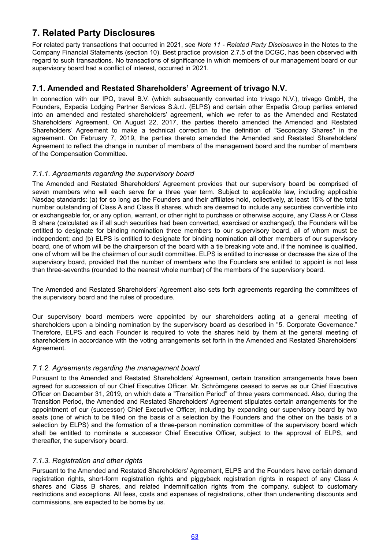# **7. Related Party Disclosures**

For related party transactions that occurred in 2021, see *Note 11 - Related Party Disclosures* in the Notes to the Company Financial Statements (section 10). Best practice provision 2.7.5 of the DCGC, has been observed with regard to such transactions. No transactions of significance in which members of our management board or our supervisory board had a conflict of interest, occurred in 2021.

# **7.1. Amended and Restated Shareholders' Agreement of trivago N.V.**

In connection with our IPO, travel B.V. (which subsequently converted into trivago N.V.), trivago GmbH, the Founders, Expedia Lodging Partner Services S.à.r.l. (ELPS) and certain other Expedia Group parties entered into an amended and restated shareholders' agreement, which we refer to as the Amended and Restated Shareholders' Agreement. On August 22, 2017, the parties thereto amended the Amended and Restated Shareholders' Agreement to make a technical correction to the definition of "Secondary Shares" in the agreement. On February 7, 2019, the parties thereto amended the Amended and Restated Shareholders' Agreement to reflect the change in number of members of the management board and the number of members of the Compensation Committee.

# *7.1.1. Agreements regarding the supervisory board*

The Amended and Restated Shareholders' Agreement provides that our supervisory board be comprised of seven members who will each serve for a three year term. Subject to applicable law, including applicable Nasdaq standards: (a) for so long as the Founders and their affiliates hold, collectively, at least 15% of the total number outstanding of Class A and Class B shares, which are deemed to include any securities convertible into or exchangeable for, or any option, warrant, or other right to purchase or otherwise acquire, any Class A or Class B share (calculated as if all such securities had been converted, exercised or exchanged), the Founders will be entitled to designate for binding nomination three members to our supervisory board, all of whom must be independent; and (b) ELPS is entitled to designate for binding nomination all other members of our supervisory board, one of whom will be the chairperson of the board with a tie breaking vote and, if the nominee is qualified, one of whom will be the chairman of our audit committee. ELPS is entitled to increase or decrease the size of the supervisory board, provided that the number of members who the Founders are entitled to appoint is not less than three-sevenths (rounded to the nearest whole number) of the members of the supervisory board.

The Amended and Restated Shareholders' Agreement also sets forth agreements regarding the committees of the supervisory board and the rules of procedure.

Our supervisory board members were appointed by our shareholders acting at a general meeting of shareholders upon a binding nomination by the supervisory board as described in "5. Corporate Governance." Therefore, ELPS and each Founder is required to vote the shares held by them at the general meeting of shareholders in accordance with the voting arrangements set forth in the Amended and Restated Shareholders' Agreement.

# *7.1.2. Agreements regarding the management board*

Pursuant to the Amended and Restated Shareholders' Agreement, certain transition arrangements have been agreed for succession of our Chief Executive Officer. Mr. Schrömgens ceased to serve as our Chief Executive Officer on December 31, 2019, on which date a "Transition Period" of three years commenced. Also, during the Transition Period, the Amended and Restated Shareholders' Agreement stipulates certain arrangements for the appointment of our (successor) Chief Executive Officer, including by expanding our supervisory board by two seats (one of which to be filled on the basis of a selection by the Founders and the other on the basis of a selection by ELPS) and the formation of a three-person nomination committee of the supervisory board which shall be entitled to nominate a successor Chief Executive Officer, subject to the approval of ELPS, and thereafter, the supervisory board.

# *7.1.3. Registration and other rights*

Pursuant to the Amended and Restated Shareholders' Agreement, ELPS and the Founders have certain demand registration rights, short-form registration rights and piggyback registration rights in respect of any Class A shares and Class B shares, and related indemnification rights from the company, subject to customary restrictions and exceptions. All fees, costs and expenses of registrations, other than underwriting discounts and commissions, are expected to be borne by us.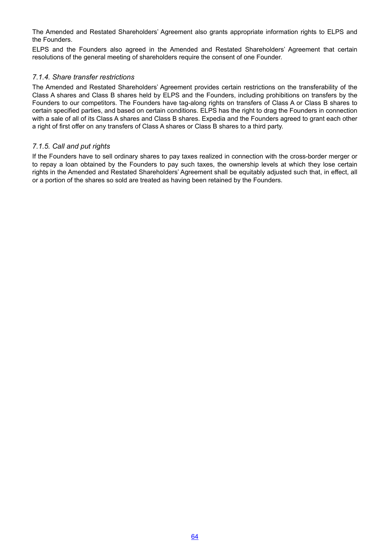The Amended and Restated Shareholders' Agreement also grants appropriate information rights to ELPS and the Founders.

ELPS and the Founders also agreed in the Amended and Restated Shareholders' Agreement that certain resolutions of the general meeting of shareholders require the consent of one Founder.

## *7.1.4. Share transfer restrictions*

The Amended and Restated Shareholders' Agreement provides certain restrictions on the transferability of the Class A shares and Class B shares held by ELPS and the Founders, including prohibitions on transfers by the Founders to our competitors. The Founders have tag-along rights on transfers of Class A or Class B shares to certain specified parties, and based on certain conditions. ELPS has the right to drag the Founders in connection with a sale of all of its Class A shares and Class B shares. Expedia and the Founders agreed to grant each other a right of first offer on any transfers of Class A shares or Class B shares to a third party.

# *7.1.5. Call and put rights*

If the Founders have to sell ordinary shares to pay taxes realized in connection with the cross-border merger or to repay a loan obtained by the Founders to pay such taxes, the ownership levels at which they lose certain rights in the Amended and Restated Shareholders' Agreement shall be equitably adjusted such that, in effect, all or a portion of the shares so sold are treated as having been retained by the Founders.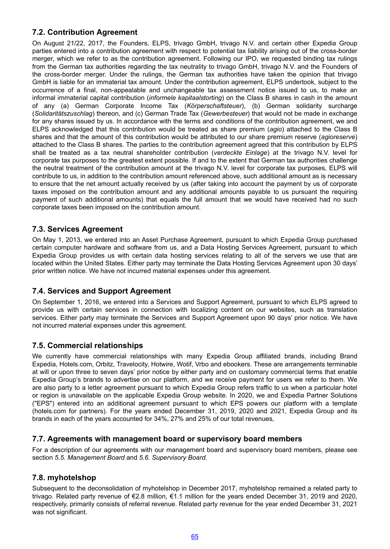# **7.2. Contribution Agreement**

On August 21/22, 2017, the Founders, ELPS, trivago GmbH, trivago N.V. and certain other Expedia Group parties entered into a contribution agreement with respect to potential tax liability arising out of the cross-border merger, which we refer to as the contribution agreement. Following our IPO, we requested binding tax rulings from the German tax authorities regarding the tax neutrality to trivago GmbH, trivago N.V. and the Founders of the cross-border merger. Under the rulings, the German tax authorities have taken the opinion that trivago GmbH is liable for an immaterial tax amount. Under the contribution agreement, ELPS undertook, subject to the occurrence of a final, non-appealable and unchangeable tax assessment notice issued to us, to make an informal immaterial capital contribution (*informele kapitaalstorting*) on the Class B shares in cash in the amount of any (a) German Corporate Income Tax (*Körperschaftsteuer*), (b) German solidarity surcharge (*Solidaritätszuschlag*) thereon, and (c) German Trade Tax (*Gewerbesteuer*) that would not be made in exchange for any shares issued by us. In accordance with the terms and conditions of the contribution agreement, we and ELPS acknowledged that this contribution would be treated as share premium (*agio*) attached to the Class B shares and that the amount of this contribution would be attributed to our share premium reserve (*agioreserve*) attached to the Class B shares. The parties to the contribution agreement agreed that this contribution by ELPS shall be treated as a tax neutral shareholder contribution (*verdeckte Einlage*) at the trivago N.V. level for corporate tax purposes to the greatest extent possible. If and to the extent that German tax authorities challenge the neutral treatment of the contribution amount at the trivago N.V. level for corporate tax purposes, ELPS will contribute to us, in addition to the contribution amount referenced above, such additional amount as is necessary to ensure that the net amount actually received by us (after taking into account the payment by us of corporate taxes imposed on the contribution amount and any additional amounts payable to us pursuant the requiring payment of such additional amounts) that equals the full amount that we would have received had no such corporate taxes been imposed on the contribution amount.

# **7.3. Services Agreement**

On May 1, 2013, we entered into an Asset Purchase Agreement, pursuant to which Expedia Group purchased certain computer hardware and software from us, and a Data Hosting Services Agreement, pursuant to which Expedia Group provides us with certain data hosting services relating to all of the servers we use that are located within the United States. Either party may terminate the Data Hosting Services Agreement upon 30 days' prior written notice. We have not incurred material expenses under this agreement.

# **7.4. Services and Support Agreement**

On September 1, 2016, we entered into a Services and Support Agreement, pursuant to which ELPS agreed to provide us with certain services in connection with localizing content on our websites, such as translation services. Either party may terminate the Services and Support Agreement upon 90 days' prior notice. We have not incurred material expenses under this agreement.

# **7.5. Commercial relationships**

We currently have commercial relationships with many Expedia Group affiliated brands, including Brand Expedia, Hotels.com, Orbitz, Travelocity, Hotwire, Wotif, Vrbo and ebookers. These are arrangements terminable at will or upon three to seven days' prior notice by either party and on customary commercial terms that enable Expedia Group's brands to advertise on our platform, and we receive payment for users we refer to them. We are also party to a letter agreement pursuant to which Expedia Group refers traffic to us when a particular hotel or region is unavailable on the applicable Expedia Group website. In 2020, we and Expedia Partner Solutions ("EPS") entered into an additional agreement pursuant to which EPS powers our platform with a template (hotels.com for partners). For the years ended December 31, 2019, 2020 and 2021, Expedia Group and its brands in each of the years accounted for 34%, 27% and 25% of our total revenues,

# **7.7. Agreements with management board or supervisory board members**

For a description of our agreements with our management board and supervisory board members, please see section *5.5. Management Board* and *5.6. Supervisory Board*.

# **7.8. myhotelshop**

Subsequent to the deconsolidation of myhotelshop in December 2017, myhotelshop remained a related party to trivago. Related party revenue of €2.8 million, €1.1 million for the years ended December 31, 2019 and 2020, respectively, primarily consists of referral revenue. Related party revenue for the year ended December 31, 2021 was not significant.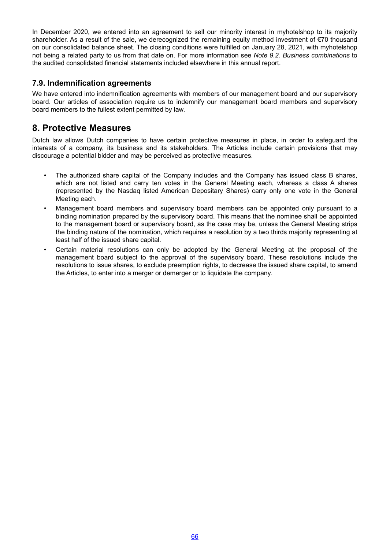In December 2020, we entered into an agreement to sell our minority interest in myhotelshop to its majority shareholder. As a result of the sale, we derecognized the remaining equity method investment of €70 thousand on our consolidated balance sheet. The closing conditions were fulfilled on January 28, 2021, with myhotelshop not being a related party to us from that date on. For more information see *Note 9.2. Business combinations* to the audited consolidated financial statements included elsewhere in this annual report.

# **7.9. Indemnification agreements**

We have entered into indemnification agreements with members of our management board and our supervisory board. Our articles of association require us to indemnify our management board members and supervisory board members to the fullest extent permitted by law.

# **8. Protective Measures**

Dutch law allows Dutch companies to have certain protective measures in place, in order to safeguard the interests of a company, its business and its stakeholders. The Articles include certain provisions that may discourage a potential bidder and may be perceived as protective measures.

- The authorized share capital of the Company includes and the Company has issued class B shares, which are not listed and carry ten votes in the General Meeting each, whereas a class A shares (represented by the Nasdaq listed American Depositary Shares) carry only one vote in the General Meeting each.
- Management board members and supervisory board members can be appointed only pursuant to a binding nomination prepared by the supervisory board. This means that the nominee shall be appointed to the management board or supervisory board, as the case may be, unless the General Meeting strips the binding nature of the nomination, which requires a resolution by a two thirds majority representing at least half of the issued share capital.
- Certain material resolutions can only be adopted by the General Meeting at the proposal of the management board subject to the approval of the supervisory board. These resolutions include the resolutions to issue shares, to exclude preemption rights, to decrease the issued share capital, to amend the Articles, to enter into a merger or demerger or to liquidate the company.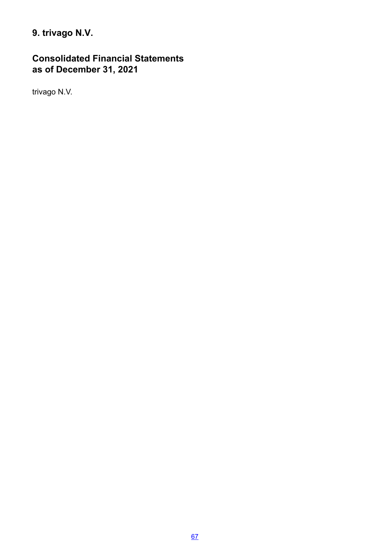**9. trivago N.V.**

# **Consolidated Financial Statements as of December 31, 2021**

trivago N.V.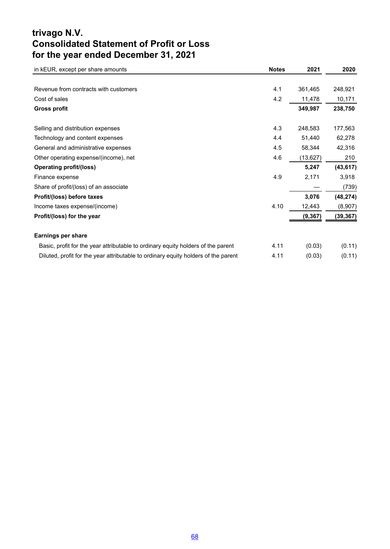# **trivago N.V. Consolidated Statement of Profit or Loss for the year ended December 31, 2021**

| in kEUR, except per share amounts                                                  | <b>Notes</b> | 2021      | 2020            |
|------------------------------------------------------------------------------------|--------------|-----------|-----------------|
|                                                                                    |              |           |                 |
| Revenue from contracts with customers                                              | 4.1          | 361,465   | 248,921         |
| Cost of sales                                                                      | 4.2          | 11,478    | 10,171          |
| <b>Gross profit</b>                                                                |              | 349,987   | 238,750         |
| Selling and distribution expenses                                                  | 4.3          | 248,583   | 177,563         |
| Technology and content expenses                                                    | 4.4          | 51,440    | 62,278          |
| General and administrative expenses                                                | 4.5          | 58,344    | 42,316          |
| Other operating expense/(income), net                                              | 4.6          | (13, 627) | 210             |
| <b>Operating profit/(loss)</b>                                                     |              | 5,247     | (43, 617)       |
| Finance expense                                                                    | 4.9          | 2,171     | 3,918           |
| Share of profit/(loss) of an associate                                             |              |           | (739)           |
| Profit/(loss) before taxes                                                         |              | 3,076     | (48, 274)       |
| Income taxes expense/(income)                                                      | 4.10         | 12,443    | (8,907)         |
| Profit/(loss) for the year                                                         |              | (9, 367)  | <u>(39,367)</u> |
| <b>Earnings per share</b>                                                          |              |           |                 |
| Basic, profit for the year attributable to ordinary equity holders of the parent   | 4.11         | (0.03)    | (0.11)          |
| Diluted, profit for the year attributable to ordinary equity holders of the parent | 4.11         | (0.03)    | (0.11)          |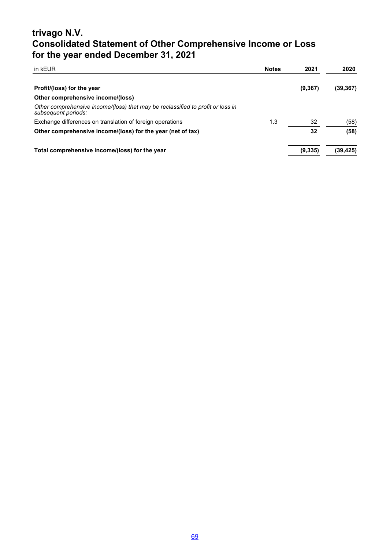# **trivago N.V. Consolidated Statement of Other Comprehensive Income or Loss for the year ended December 31, 2021**

| in kEUR                                                                                                | <b>Notes</b> | 2021     | 2020      |
|--------------------------------------------------------------------------------------------------------|--------------|----------|-----------|
| Profit/(loss) for the year                                                                             |              | (9, 367) | (39, 367) |
| Other comprehensive income/(loss)                                                                      |              |          |           |
| Other comprehensive income/(loss) that may be reclassified to profit or loss in<br>subsequent periods: |              |          |           |
| Exchange differences on translation of foreign operations                                              | 1.3          | 32       | (58)      |
| Other comprehensive income/(loss) for the year (net of tax)                                            |              | 32       | (58)      |
| Total comprehensive income/(loss) for the year                                                         |              | (9, 335) | (39,425)  |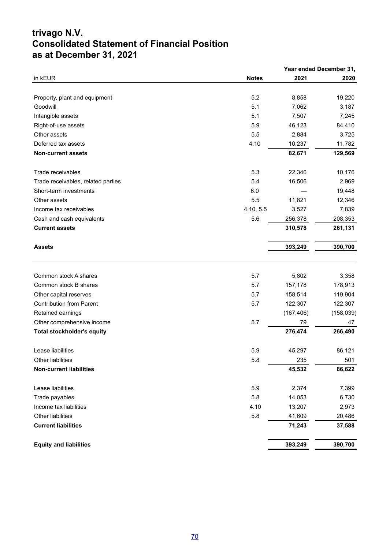# **trivago N.V. Consolidated Statement of Financial Position as at December 31, 2021**

|                                    | Year ended December 31, |            |            |  |  |  |
|------------------------------------|-------------------------|------------|------------|--|--|--|
| in kEUR                            | <b>Notes</b>            | 2021       | 2020       |  |  |  |
|                                    |                         |            |            |  |  |  |
| Property, plant and equipment      | 5.2                     | 8,858      | 19,220     |  |  |  |
| Goodwill                           | 5.1                     | 7,062      | 3,187      |  |  |  |
| Intangible assets                  | 5.1                     | 7,507      | 7,245      |  |  |  |
| Right-of-use assets                | 5.9                     | 46,123     | 84,410     |  |  |  |
| Other assets                       | 5.5                     | 2,884      | 3,725      |  |  |  |
| Deferred tax assets                | 4.10                    | 10,237     | 11,782     |  |  |  |
| <b>Non-current assets</b>          |                         | 82,671     | 129,569    |  |  |  |
| Trade receivables                  | 5.3                     | 22,346     | 10,176     |  |  |  |
| Trade receivables, related parties | 5.4                     | 16,506     | 2,969      |  |  |  |
| Short-term investments             | 6.0                     |            | 19,448     |  |  |  |
| Other assets                       | 5.5                     | 11,821     | 12,346     |  |  |  |
| Income tax receivables             | 4.10, 5.5               | 3,527      | 7,839      |  |  |  |
| Cash and cash equivalents          | 5.6                     | 256,378    | 208,353    |  |  |  |
| <b>Current assets</b>              |                         | 310,578    | 261,131    |  |  |  |
| <b>Assets</b>                      |                         | 393,249    | 390,700    |  |  |  |
|                                    |                         |            |            |  |  |  |
| Common stock A shares              | 5.7                     | 5,802      | 3,358      |  |  |  |
| Common stock B shares              | 5.7                     | 157,178    | 178,913    |  |  |  |
| Other capital reserves             | 5.7                     | 158,514    | 119,904    |  |  |  |
| <b>Contribution from Parent</b>    | 5.7                     | 122,307    | 122,307    |  |  |  |
| Retained earnings                  |                         | (167, 406) | (158, 039) |  |  |  |
| Other comprehensive income         | 5.7                     | 79         | 47         |  |  |  |
| <b>Total stockholder's equity</b>  |                         | 276,474    | 266,490    |  |  |  |
| Lease liabilities                  | 5.9                     | 45,297     | 86,121     |  |  |  |
| Other liabilities                  | 5.8                     | 235        | 501        |  |  |  |
| <b>Non-current liabilities</b>     |                         | 45,532     | 86,622     |  |  |  |
| Lease liabilities                  | 5.9                     | 2,374      | 7,399      |  |  |  |
| Trade payables                     | 5.8                     | 14,053     | 6,730      |  |  |  |
| Income tax liabilities             | 4.10                    | 13,207     | 2,973      |  |  |  |
| <b>Other liabilities</b>           | 5.8                     | 41,609     | 20,486     |  |  |  |
| <b>Current liabilities</b>         |                         | 71,243     | 37,588     |  |  |  |
| <b>Equity and liabilities</b>      |                         | 393,249    | 390,700    |  |  |  |
|                                    |                         |            |            |  |  |  |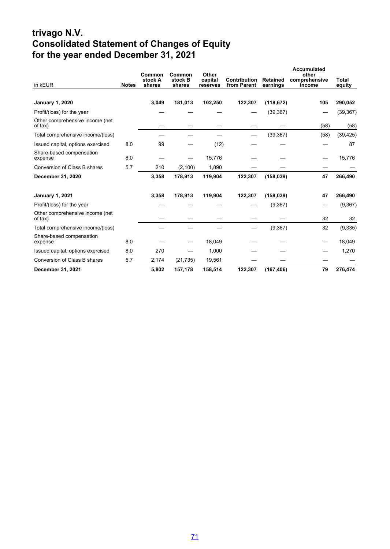# **trivago N.V. Consolidated Statement of Changes of Equity for the year ended December 31, 2021**

|                                            |              | Common            | Common            | Other               |                                    |                             | <b>Accumulated</b><br>other |                        |
|--------------------------------------------|--------------|-------------------|-------------------|---------------------|------------------------------------|-----------------------------|-----------------------------|------------------------|
| in kEUR                                    | <b>Notes</b> | stock A<br>shares | stock B<br>shares | capital<br>reserves | <b>Contribution</b><br>from Parent | <b>Retained</b><br>earnings | comprehensive<br>income     | <b>Total</b><br>equity |
|                                            |              |                   |                   |                     |                                    |                             |                             |                        |
| <b>January 1, 2020</b>                     |              | 3,049             | 181,013           | 102,250             | 122,307                            | (118, 672)                  | 105                         | 290,052                |
| Profit/(loss) for the year                 |              |                   |                   |                     |                                    | (39, 367)                   |                             | (39, 367)              |
| Other comprehensive income (net<br>of tax) |              |                   |                   |                     |                                    |                             | (58)                        | (58)                   |
| Total comprehensive income/(loss)          |              |                   |                   |                     |                                    | (39, 367)                   | (58)                        | (39, 425)              |
| Issued capital, options exercised          | 8.0          | 99                |                   | (12)                |                                    |                             |                             | 87                     |
| Share-based compensation<br>expense        | 8.0          |                   |                   | 15,776              |                                    |                             |                             | 15,776                 |
| Conversion of Class B shares               | 5.7          | 210               | (2, 100)          | 1,890               |                                    |                             |                             |                        |
| December 31, 2020                          |              | 3,358             | 178,913           | 119,904             | 122,307                            | (158, 039)                  | 47                          | 266,490                |
| <b>January 1, 2021</b>                     |              | 3,358             | 178,913           | 119,904             | 122,307                            | (158, 039)                  | 47                          | 266,490                |
| Profit/(loss) for the year                 |              |                   |                   |                     |                                    | (9,367)                     |                             | (9, 367)               |
| Other comprehensive income (net<br>of tax) |              |                   |                   |                     |                                    |                             | 32                          | 32                     |
| Total comprehensive income/(loss)          |              |                   |                   |                     |                                    | (9,367)                     | 32                          | (9, 335)               |
| Share-based compensation<br>expense        | 8.0          |                   |                   | 18,049              |                                    |                             |                             | 18,049                 |
| Issued capital, options exercised          | 8.0          | 270               |                   | 1,000               |                                    |                             |                             | 1,270                  |
| Conversion of Class B shares               | 5.7          | 2,174             | (21, 735)         | 19,561              |                                    |                             |                             |                        |
| December 31, 2021                          |              | 5,802             | 157,178           | 158,514             | 122,307                            | (167, 406)                  | 79                          | 276,474                |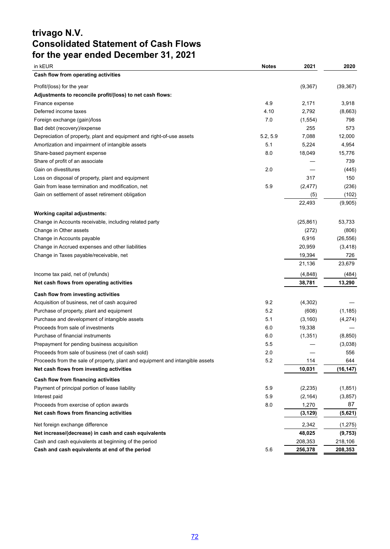# **trivago N.V. Consolidated Statement of Cash Flows for the year ended December 31, 2021**

| in kEUR                                                                       | <b>Notes</b> | 2021      | 2020      |
|-------------------------------------------------------------------------------|--------------|-----------|-----------|
| Cash flow from operating activities                                           |              |           |           |
| Profit/(loss) for the year                                                    |              | (9,367)   | (39, 367) |
| Adjustments to reconcile profit/(loss) to net cash flows:                     |              |           |           |
| Finance expense                                                               | 4.9          | 2,171     | 3,918     |
| Deferred income taxes                                                         | 4.10         | 2,792     | (8,663)   |
| Foreign exchange (gain)/loss                                                  | 7.0          | (1, 554)  | 798       |
| Bad debt (recovery)/expense                                                   |              | 255       | 573       |
| Depreciation of property, plant and equipment and right-of-use assets         | 5.2, 5.9     | 7,088     | 12,000    |
| Amortization and impairment of intangible assets                              | 5.1          | 5,224     | 4,954     |
| Share-based payment expense                                                   | 8.0          | 18,049    | 15,776    |
| Share of profit of an associate                                               |              |           | 739       |
| Gain on divestitures                                                          | 2.0          |           | (445)     |
| Loss on disposal of property, plant and equipment                             |              | 317       | 150       |
| Gain from lease termination and modification, net                             | 5.9          | (2, 477)  | (236)     |
| Gain on settlement of asset retirement obligation                             |              | (5)       | (102)     |
|                                                                               |              | 22,493    | (9,905)   |
| <b>Working capital adjustments:</b>                                           |              |           |           |
| Change in Accounts receivable, including related party                        |              | (25, 861) | 53,733    |
| Change in Other assets                                                        |              | (272)     | (806)     |
| Change in Accounts payable                                                    |              | 6,916     | (26, 556) |
| Change in Accrued expenses and other liabilities                              |              | 20,959    | (3, 418)  |
| Change in Taxes payable/receivable, net                                       |              | 19,394    | 726       |
|                                                                               |              | 21,136    | 23,679    |
| Income tax paid, net of (refunds)                                             |              | (4,848)   | (484)     |
| Net cash flows from operating activities                                      |              | 38,781    | 13,290    |
| Cash flow from investing activities                                           |              |           |           |
| Acquisition of business, net of cash acquired                                 | 9.2          | (4, 302)  |           |
| Purchase of property, plant and equipment                                     | 5.2          | (608)     | (1, 185)  |
| Purchase and development of intangible assets                                 | 5.1          | (3, 160)  | (4,274)   |
| Proceeds from sale of investments                                             | 6.0          | 19,338    |           |
| Purchase of financial instruments                                             | 6.0          | (1, 351)  | (8, 850)  |
| Prepayment for pending business acquisition                                   | 5.5          |           | (3,038)   |
| Proceeds from sale of business (net of cash sold)                             | 2.0          |           | 556       |
| Proceeds from the sale of property, plant and equipment and intangible assets | 5.2          | 114       | 644       |
| Net cash flows from investing activities                                      |              | 10,031    | (16, 147) |
| Cash flow from financing activities                                           |              |           |           |
| Payment of principal portion of lease liability                               | 5.9          | (2, 235)  | (1, 851)  |
| Interest paid                                                                 | 5.9          | (2, 164)  | (3, 857)  |
| Proceeds from exercise of option awards                                       | 8.0          | 1,270     | 87        |
| Net cash flows from financing activities                                      |              | (3, 129)  | (5,621)   |
| Net foreign exchange difference                                               |              | 2,342     | (1, 275)  |
| Net increase/(decrease) in cash and cash equivalents                          |              | 48,025    | (9, 753)  |
| Cash and cash equivalents at beginning of the period                          |              | 208,353   | 218,106   |
| Cash and cash equivalents at end of the period                                | 5.6          | 256,378   | 208,353   |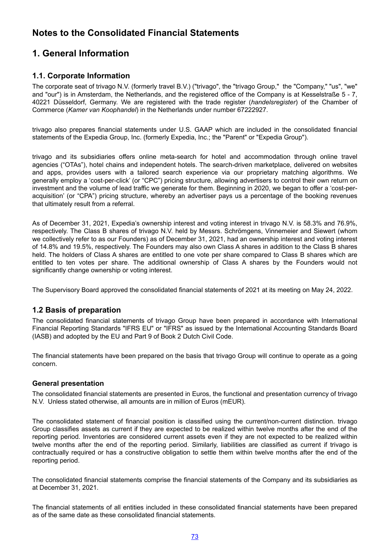# **Notes to the Consolidated Financial Statements**

# **1. General Information**

### **1.1. Corporate Information**

The corporate seat of trivago N.V. (formerly travel B.V.) ("trivago", the "trivago Group," the "Company," "us", "we" and "our") is in Amsterdam, the Netherlands, and the registered office of the Company is at Kesselstraße 5 - 7, 40221 Düsseldorf, Germany. We are registered with the trade register (*handelsregister*) of the Chamber of Commerce (*Kamer van Koophandel*) in the Netherlands under number 67222927.

trivago also prepares financial statements under U.S. GAAP which are included in the consolidated financial statements of the Expedia Group, Inc. (formerly Expedia, Inc.; the "Parent" or "Expedia Group").

trivago and its subsidiaries offers online meta-search for hotel and accommodation through online travel agencies ("OTAs"), hotel chains and independent hotels. The search-driven marketplace, delivered on websites and apps, provides users with a tailored search experience via our proprietary matching algorithms. We generally employ a 'cost-per-click' (or "CPC") pricing structure, allowing advertisers to control their own return on investment and the volume of lead traffic we generate for them. Beginning in 2020, we began to offer a 'cost-peracquisition' (or "CPA") pricing structure, whereby an advertiser pays us a percentage of the booking revenues that ultimately result from a referral.

As of December 31, 2021, Expedia's ownership interest and voting interest in trivago N.V. is 58.3% and 76.9%, respectively. The Class B shares of trivago N.V. held by Messrs. Schrömgens, Vinnemeier and Siewert (whom we collectively refer to as our Founders) as of December 31, 2021, had an ownership interest and voting interest of 14.8% and 19.5%, respectively. The Founders may also own Class A shares in addition to the Class B shares held. The holders of Class A shares are entitled to one vote per share compared to Class B shares which are entitled to ten votes per share. The additional ownership of Class A shares by the Founders would not significantly change ownership or voting interest.

The Supervisory Board approved the consolidated financial statements of 2021 at its meeting on May 24, 2022.

### **1.2 Basis of preparation**

The consolidated financial statements of trivago Group have been prepared in accordance with International Financial Reporting Standards "IFRS EU" or "IFRS" as issued by the International Accounting Standards Board (IASB) and adopted by the EU and Part 9 of Book 2 Dutch Civil Code.

The financial statements have been prepared on the basis that trivago Group will continue to operate as a going concern.

### **General presentation**

The consolidated financial statements are presented in Euros, the functional and presentation currency of trivago N.V. Unless stated otherwise, all amounts are in million of Euros (mEUR).

The consolidated statement of financial position is classified using the current/non-current distinction. trivago Group classifies assets as current if they are expected to be realized within twelve months after the end of the reporting period. Inventories are considered current assets even if they are not expected to be realized within twelve months after the end of the reporting period. Similarly, liabilities are classified as current if trivago is contractually required or has a constructive obligation to settle them within twelve months after the end of the reporting period.

The consolidated financial statements comprise the financial statements of the Company and its subsidiaries as at December 31, 2021.

The financial statements of all entities included in these consolidated financial statements have been prepared as of the same date as these consolidated financial statements.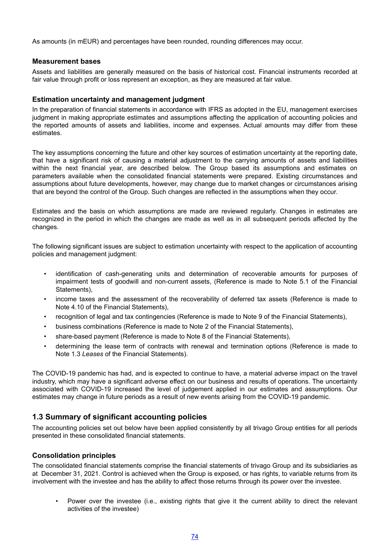As amounts (in mEUR) and percentages have been rounded, rounding differences may occur.

### **Measurement bases**

Assets and liabilities are generally measured on the basis of historical cost. Financial instruments recorded at fair value through profit or loss represent an exception, as they are measured at fair value.

### **Estimation uncertainty and management judgment**

In the preparation of financial statements in accordance with IFRS as adopted in the EU, management exercises judgment in making appropriate estimates and assumptions affecting the application of accounting policies and the reported amounts of assets and liabilities, income and expenses. Actual amounts may differ from these estimates.

The key assumptions concerning the future and other key sources of estimation uncertainty at the reporting date, that have a significant risk of causing a material adjustment to the carrying amounts of assets and liabilities within the next financial year, are described below. The Group based its assumptions and estimates on parameters available when the consolidated financial statements were prepared. Existing circumstances and assumptions about future developments, however, may change due to market changes or circumstances arising that are beyond the control of the Group. Such changes are reflected in the assumptions when they occur.

Estimates and the basis on which assumptions are made are reviewed regularly. Changes in estimates are recognized in the period in which the changes are made as well as in all subsequent periods affected by the changes.

The following significant issues are subject to estimation uncertainty with respect to the application of accounting policies and management judgment:

- identification of cash-generating units and determination of recoverable amounts for purposes of impairment tests of goodwill and non-current assets, (Reference is made to Note 5.1 of the Financial Statements).
- income taxes and the assessment of the recoverability of deferred tax assets (Reference is made to Note 4.10 of the Financial Statements),
- recognition of legal and tax contingencies (Reference is made to Note 9 of the Financial Statements),
- business combinations (Reference is made to Note 2 of the Financial Statements),
- share-based payment (Reference is made to Note 8 of the Financial Statements),
- determining the lease term of contracts with renewal and termination options (Reference is made to Note 1.3 *Leases* of the Financial Statements).

The COVID-19 pandemic has had, and is expected to continue to have, a material adverse impact on the travel industry, which may have a significant adverse effect on our business and results of operations. The uncertainty associated with COVID-19 increased the level of judgement applied in our estimates and assumptions. Our estimates may change in future periods as a result of new events arising from the COVID-19 pandemic.

### **1.3 Summary of significant accounting policies**

The accounting policies set out below have been applied consistently by all trivago Group entities for all periods presented in these consolidated financial statements.

### **Consolidation principles**

The consolidated financial statements comprise the financial statements of trivago Group and its subsidiaries as at December 31, 2021. Control is achieved when the Group is exposed, or has rights, to variable returns from its involvement with the investee and has the ability to affect those returns through its power over the investee.

• Power over the investee (i.e., existing rights that give it the current ability to direct the relevant activities of the investee)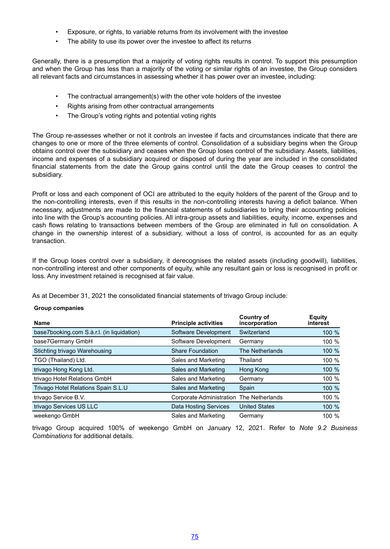- Exposure, or rights, to variable returns from its involvement with the investee
- The ability to use its power over the investee to affect its returns

Generally, there is a presumption that a majority of voting rights results in control. To support this presumption and when the Group has less than a majority of the voting or similar rights of an investee, the Group considers all relevant facts and circumstances in assessing whether it has power over an investee, including:

- The contractual arrangement(s) with the other vote holders of the investee
- Rights arising from other contractual arrangements
- The Group's voting rights and potential voting rights

The Group re-assesses whether or not it controls an investee if facts and circumstances indicate that there are changes to one or more of the three elements of control. Consolidation of a subsidiary begins when the Group obtains control over the subsidiary and ceases when the Group loses control of the subsidiary. Assets, liabilities, income and expenses of a subsidiary acquired or disposed of during the year are included in the consolidated financial statements from the date the Group gains control until the date the Group ceases to control the subsidiary.

Profit or loss and each component of OCI are attributed to the equity holders of the parent of the Group and to the non-controlling interests, even if this results in the non-controlling interests having a deficit balance. When necessary, adjustments are made to the financial statements of subsidiaries to bring their accounting policies into line with the Group's accounting policies. All intra-group assets and liabilities, equity, income, expenses and cash flows relating to transactions between members of the Group are eliminated in full on consolidation. A change in the ownership interest of a subsidiary, without a loss of control, is accounted for as an equity transaction.

If the Group loses control over a subsidiary, it derecognises the related assets (including goodwill), liabilities, non-controlling interest and other components of equity, while any resultant gain or loss is recognised in profit or loss. Any investment retained is recognised at fair value.

As at December 31, 2021 the consolidated financial statements of trivago Group include:

#### **Group companies**

| <b>Name</b>                                | <b>Principle activities</b>              | <b>Country of</b><br>incorporation | Equity<br>interest |
|--------------------------------------------|------------------------------------------|------------------------------------|--------------------|
| base7booking.com S.à.r.l. (in liquidation) | Software Development                     | Switzerland                        | 100 %              |
| base7Germany GmbH                          | Software Development                     | Germany                            | 100 %              |
| Stichting trivago Warehousing              | <b>Share Foundation</b>                  | The Netherlands                    | 100 %              |
| TGO (Thailand) Ltd.                        | Sales and Marketing                      | Thailand                           | 100 %              |
| trivago Hong Kong Ltd.                     | Sales and Marketing                      | Hong Kong                          | 100 %              |
| trivago Hotel Relations GmbH               | Sales and Marketing                      | Germany                            | 100 %              |
| Trivago Hotel Relations Spain S.L.U        | Sales and Marketing                      | Spain                              | 100 %              |
| trivago Service B.V.                       | Corporate Administration The Netherlands |                                    | 100 %              |
| trivago Services US LLC                    | <b>Data Hosting Services</b>             | <b>United States</b>               | 100 %              |
| weekengo GmbH                              | Sales and Marketing                      | Germany                            | 100 %              |

trivago Group acquired 100% of weekengo GmbH on January 12, 2021. Refer to *Note 9.2 Business Combinations* for additional details.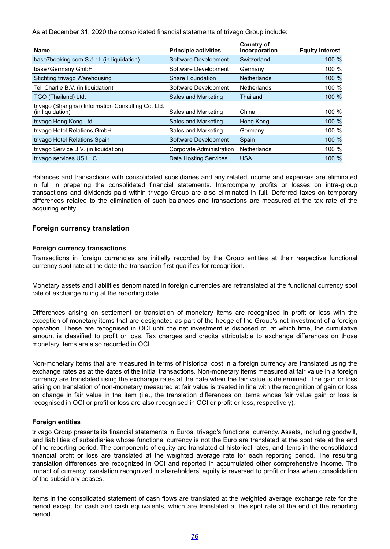As at December 31, 2020 the consolidated financial statements of trivago Group include:

| <b>Name</b>                                                            | <b>Principle activities</b>  | <b>Country of</b><br>incorporation | <b>Equity interest</b> |
|------------------------------------------------------------------------|------------------------------|------------------------------------|------------------------|
| base7booking.com S.á.r.l. (in liquidation)                             | Software Development         | Switzerland                        | 100 %                  |
| base7Germany GmbH                                                      | Software Development         | Germany                            | 100 %                  |
| Stichting trivago Warehousing                                          | <b>Share Foundation</b>      | <b>Netherlands</b>                 | 100 %                  |
| Tell Charlie B.V. (in liquidation)                                     | Software Development         | <b>Netherlands</b>                 | 100 %                  |
| TGO (Thailand) Ltd.                                                    | Sales and Marketing          | Thailand                           | 100 %                  |
| trivago (Shanghai) Information Consulting Co. Ltd.<br>(in liquidation) | Sales and Marketing          | China                              | 100 %                  |
| trivago Hong Kong Ltd.                                                 | Sales and Marketing          | Hong Kong                          | 100 %                  |
| trivago Hotel Relations GmbH                                           | Sales and Marketing          | Germany                            | 100 %                  |
| trivago Hotel Relations Spain                                          | Software Development         | Spain                              | 100 %                  |
| trivago Service B.V. (in liquidation)                                  | Corporate Administration     | <b>Netherlands</b>                 | 100 %                  |
| trivago services US LLC                                                | <b>Data Hosting Services</b> | <b>USA</b>                         | 100 %                  |

Balances and transactions with consolidated subsidiaries and any related income and expenses are eliminated in full in preparing the consolidated financial statements. Intercompany profits or losses on intra-group transactions and dividends paid within trivago Group are also eliminated in full. Deferred taxes on temporary differences related to the elimination of such balances and transactions are measured at the tax rate of the acquiring entity.

### **Foreign currency translation**

#### **Foreign currency transactions**

Transactions in foreign currencies are initially recorded by the Group entities at their respective functional currency spot rate at the date the transaction first qualifies for recognition.

Monetary assets and liabilities denominated in foreign currencies are retranslated at the functional currency spot rate of exchange ruling at the reporting date.

Differences arising on settlement or translation of monetary items are recognised in profit or loss with the exception of monetary items that are designated as part of the hedge of the Group's net investment of a foreign operation. These are recognised in OCI until the net investment is disposed of, at which time, the cumulative amount is classified to profit or loss. Tax charges and credits attributable to exchange differences on those monetary items are also recorded in OCI.

Non-monetary items that are measured in terms of historical cost in a foreign currency are translated using the exchange rates as at the dates of the initial transactions. Non-monetary items measured at fair value in a foreign currency are translated using the exchange rates at the date when the fair value is determined. The gain or loss arising on translation of non-monetary measured at fair value is treated in line with the recognition of gain or loss on change in fair value in the item (i.e., the translation differences on items whose fair value gain or loss is recognised in OCI or profit or loss are also recognised in OCI or profit or loss, respectively).

### **Foreign entities**

trivago Group presents its financial statements in Euros, trivago's functional currency. Assets, including goodwill, and liabilities of subsidiaries whose functional currency is not the Euro are translated at the spot rate at the end of the reporting period. The components of equity are translated at historical rates, and items in the consolidated financial profit or loss are translated at the weighted average rate for each reporting period. The resulting translation differences are recognized in OCI and reported in accumulated other comprehensive income. The impact of currency translation recognized in shareholders' equity is reversed to profit or loss when consolidation of the subsidiary ceases.

Items in the consolidated statement of cash flows are translated at the weighted average exchange rate for the period except for cash and cash equivalents, which are translated at the spot rate at the end of the reporting period.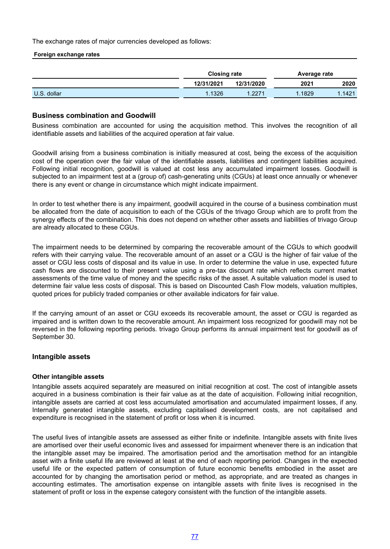The exchange rates of major currencies developed as follows:

#### **Foreign exchange rates**

|             | <b>Closing rate</b> |            | Average rate |        |
|-------------|---------------------|------------|--------------|--------|
|             | 12/31/2021          | 12/31/2020 | 2021         | 2020   |
| U.S. dollar | 1.1326              | 1.2271     | 1.1829       | 1.1421 |

### **Business combination and Goodwill**

Business combination are accounted for using the acquisition method. This involves the recognition of all identifiable assets and liabilities of the acquired operation at fair value.

Goodwill arising from a business combination is initially measured at cost, being the excess of the acquisition cost of the operation over the fair value of the identifiable assets, liabilities and contingent liabilities acquired. Following initial recognition, goodwill is valued at cost less any accumulated impairment losses. Goodwill is subjected to an impairment test at a (group of) cash-generating units (CGUs) at least once annually or whenever there is any event or change in circumstance which might indicate impairment.

In order to test whether there is any impairment, goodwill acquired in the course of a business combination must be allocated from the date of acquisition to each of the CGUs of the trivago Group which are to profit from the synergy effects of the combination. This does not depend on whether other assets and liabilities of trivago Group are already allocated to these CGUs.

The impairment needs to be determined by comparing the recoverable amount of the CGUs to which goodwill refers with their carrying value. The recoverable amount of an asset or a CGU is the higher of fair value of the asset or CGU less costs of disposal and its value in use. In order to determine the value in use, expected future cash flows are discounted to their present value using a pre-tax discount rate which reflects current market assessments of the time value of money and the specific risks of the asset. A suitable valuation model is used to determine fair value less costs of disposal. This is based on Discounted Cash Flow models, valuation multiples, quoted prices for publicly traded companies or other available indicators for fair value.

If the carrying amount of an asset or CGU exceeds its recoverable amount, the asset or CGU is regarded as impaired and is written down to the recoverable amount. An impairment loss recognized for goodwill may not be reversed in the following reporting periods. trivago Group performs its annual impairment test for goodwill as of September 30.

### **Intangible assets**

### **Other intangible assets**

Intangible assets acquired separately are measured on initial recognition at cost. The cost of intangible assets acquired in a business combination is their fair value as at the date of acquisition. Following initial recognition, intangible assets are carried at cost less accumulated amortisation and accumulated impairment losses, if any. Internally generated intangible assets, excluding capitalised development costs, are not capitalised and expenditure is recognised in the statement of profit or loss when it is incurred.

The useful lives of intangible assets are assessed as either finite or indefinite. Intangible assets with finite lives are amortised over their useful economic lives and assessed for impairment whenever there is an indication that the intangible asset may be impaired. The amortisation period and the amortisation method for an intangible asset with a finite useful life are reviewed at least at the end of each reporting period. Changes in the expected useful life or the expected pattern of consumption of future economic benefits embodied in the asset are accounted for by changing the amortisation period or method, as appropriate, and are treated as changes in accounting estimates. The amortisation expense on intangible assets with finite lives is recognised in the statement of profit or loss in the expense category consistent with the function of the intangible assets.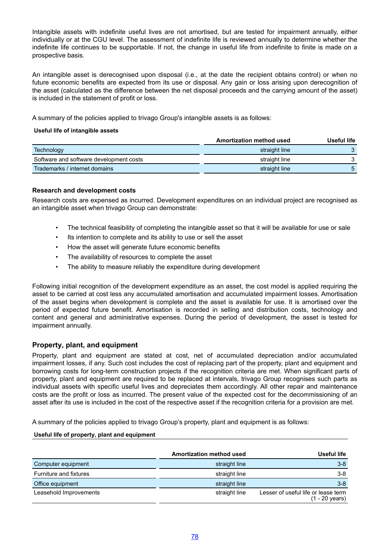Intangible assets with indefinite useful lives are not amortised, but are tested for impairment annually, either individually or at the CGU level. The assessment of indefinite life is reviewed annually to determine whether the indefinite life continues to be supportable. If not, the change in useful life from indefinite to finite is made on a prospective basis.

An intangible asset is derecognised upon disposal (i.e., at the date the recipient obtains control) or when no future economic benefits are expected from its use or disposal. Any gain or loss arising upon derecognition of the asset (calculated as the difference between the net disposal proceeds and the carrying amount of the asset) is included in the statement of profit or loss.

A summary of the policies applied to trivago Group's intangible assets is as follows:

### **Useful life of intangible assets**

|                                         | Amortization method used | Useful life |
|-----------------------------------------|--------------------------|-------------|
| Technology                              | straight line            |             |
| Software and software development costs | straight line            |             |
| Trademarks / internet domains           | straight line            |             |

### **Research and development costs**

Research costs are expensed as incurred. Development expenditures on an individual project are recognised as an intangible asset when trivago Group can demonstrate:

- The technical feasibility of completing the intangible asset so that it will be available for use or sale
- Its intention to complete and its ability to use or sell the asset
- How the asset will generate future economic benefits
- The availability of resources to complete the asset
- The ability to measure reliably the expenditure during development

Following initial recognition of the development expenditure as an asset, the cost model is applied requiring the asset to be carried at cost less any accumulated amortisation and accumulated impairment losses. Amortisation of the asset begins when development is complete and the asset is available for use. It is amortised over the period of expected future benefit. Amortisation is recorded in selling and distribution costs, technology and content and general and administrative expenses. During the period of development, the asset is tested for impairment annually.

### **Property, plant, and equipment**

Property, plant and equipment are stated at cost, net of accumulated depreciation and/or accumulated impairment losses, if any. Such cost includes the cost of replacing part of the property, plant and equipment and borrowing costs for long-term construction projects if the recognition criteria are met. When significant parts of property, plant and equipment are required to be replaced at intervals, trivago Group recognises such parts as individual assets with specific useful lives and depreciates them accordingly. All other repair and maintenance costs are the profit or loss as incurred. The present value of the expected cost for the decommissioning of an asset after its use is included in the cost of the respective asset if the recognition criteria for a provision are met.

A summary of the policies applied to trivago Group's property, plant and equipment is as follows:

#### **Useful life of property, plant and equipment**

|                        | Amortization method used | <b>Useful life</b>                                      |
|------------------------|--------------------------|---------------------------------------------------------|
| Computer equipment     | straight line            | $3 - 8$                                                 |
| Furniture and fixtures | straight line            | $3 - 8$                                                 |
| Office equipment       | straight line            | $3 - 8$                                                 |
| Leasehold Improvements | straight line            | Lesser of useful life or lease term<br>$(1 - 20$ years) |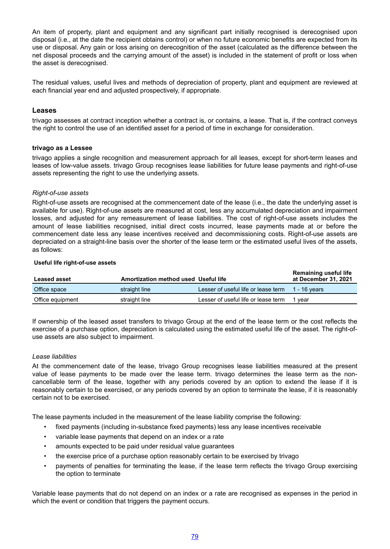An item of property, plant and equipment and any significant part initially recognised is derecognised upon disposal (i.e., at the date the recipient obtains control) or when no future economic benefits are expected from its use or disposal. Any gain or loss arising on derecognition of the asset (calculated as the difference between the net disposal proceeds and the carrying amount of the asset) is included in the statement of profit or loss when the asset is derecognised.

The residual values, useful lives and methods of depreciation of property, plant and equipment are reviewed at each financial year end and adjusted prospectively, if appropriate.

### **Leases**

trivago assesses at contract inception whether a contract is, or contains, a lease. That is, if the contract conveys the right to control the use of an identified asset for a period of time in exchange for consideration.

#### **trivago as a Lessee**

trivago applies a single recognition and measurement approach for all leases, except for short-term leases and leases of low-value assets. trivago Group recognises lease liabilities for future lease payments and right-of-use assets representing the right to use the underlying assets.

#### *Right-of-use assets*

Right-of-use assets are recognised at the commencement date of the lease (i.e., the date the underlying asset is available for use). Right-of-use assets are measured at cost, less any accumulated depreciation and impairment losses, and adjusted for any remeasurement of lease liabilities. The cost of right-of-use assets includes the amount of lease liabilities recognised, initial direct costs incurred, lease payments made at or before the commencement date less any lease incentives received and decommissioning costs. Right-of-use assets are depreciated on a straight-line basis over the shorter of the lease term or the estimated useful lives of the assets, as follows:

#### **Useful life right-of-use assets**

| <b>Leased asset</b> | Amortization method used Useful life |                                                    | <b>Remaining useful life</b><br>at December 31, 2021 |
|---------------------|--------------------------------------|----------------------------------------------------|------------------------------------------------------|
| Office space        | straight line                        | Lesser of useful life or lease term $1 - 16$ years |                                                      |
| Office equipment    | straight line                        | Lesser of useful life or lease term                | vear                                                 |

If ownership of the leased asset transfers to trivago Group at the end of the lease term or the cost reflects the exercise of a purchase option, depreciation is calculated using the estimated useful life of the asset. The right-ofuse assets are also subject to impairment.

### *Lease liabilities*

At the commencement date of the lease, trivago Group recognises lease liabilities measured at the present value of lease payments to be made over the lease term. trivago determines the lease term as the noncancellable term of the lease, together with any periods covered by an option to extend the lease if it is reasonably certain to be exercised, or any periods covered by an option to terminate the lease, if it is reasonably certain not to be exercised.

The lease payments included in the measurement of the lease liability comprise the following:

- fixed payments (including in-substance fixed payments) less any lease incentives receivable
- variable lease payments that depend on an index or a rate
- amounts expected to be paid under residual value guarantees
- the exercise price of a purchase option reasonably certain to be exercised by trivago
- payments of penalties for terminating the lease, if the lease term reflects the trivago Group exercising the option to terminate

Variable lease payments that do not depend on an index or a rate are recognised as expenses in the period in which the event or condition that triggers the payment occurs.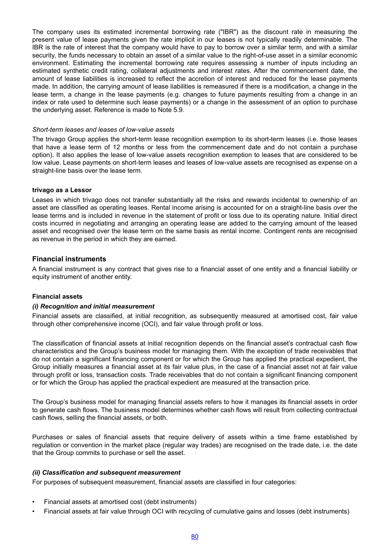The company uses its estimated incremental borrowing rate ("IBR") as the discount rate in measuring the present value of lease payments given the rate implicit in our leases is not typically readily determinable. The IBR is the rate of interest that the company would have to pay to borrow over a similar term, and with a similar security, the funds necessary to obtain an asset of a similar value to the right-of-use asset in a similar economic environment. Estimating the incremental borrowing rate requires assessing a number of inputs including an estimated synthetic credit rating, collateral adjustments and interest rates. After the commencement date, the amount of lease liabilities is increased to reflect the accretion of interest and reduced for the lease payments made. In addition, the carrying amount of lease liabilities is remeasured if there is a modification, a change in the lease term, a change in the lease payments (e.g. changes to future payments resulting from a change in an index or rate used to determine such lease payments) or a change in the assessment of an option to purchase the underlying asset. Reference is made to Note 5.9.

#### *Short-term leases and leases of low-value assets*

The trivago Group applies the short-term lease recognition exemption to its short-term leases (i.e. those leases that have a lease term of 12 months or less from the commencement date and do not contain a purchase option). It also applies the lease of low-value assets recognition exemption to leases that are considered to be low value. Lease payments on short-term leases and leases of low-value assets are recognised as expense on a straight-line basis over the lease term.

#### **trivago as a Lessor**

Leases in which trivago does not transfer substantially all the risks and rewards incidental to ownership of an asset are classified as operating leases. Rental income arising is accounted for on a straight-line basis over the lease terms and is included in revenue in the statement of profit or loss due to its operating nature. Initial direct costs incurred in negotiating and arranging an operating lease are added to the carrying amount of the leased asset and recognised over the lease term on the same basis as rental income. Contingent rents are recognised as revenue in the period in which they are earned.

### **Financial instruments**

A financial instrument is any contract that gives rise to a financial asset of one entity and a financial liability or equity instrument of another entity.

### **Financial assets**

#### *(i) Recognition and initial measurement*

Financial assets are classified, at initial recognition, as subsequently measured at amortised cost, fair value through other comprehensive income (OCI), and fair value through profit or loss.

The classification of financial assets at initial recognition depends on the financial asset's contractual cash flow characteristics and the Group's business model for managing them. With the exception of trade receivables that do not contain a significant financing component or for which the Group has applied the practical expedient, the Group initially measures a financial asset at its fair value plus, in the case of a financial asset not at fair value through profit or loss, transaction costs. Trade receivables that do not contain a significant financing component or for which the Group has applied the practical expedient are measured at the transaction price.

The Group's business model for managing financial assets refers to how it manages its financial assets in order to generate cash flows. The business model determines whether cash flows will result from collecting contractual cash flows, selling the financial assets, or both.

Purchases or sales of financial assets that require delivery of assets within a time frame established by regulation or convention in the market place (regular way trades) are recognised on the trade date, i.e. the date that the Group commits to purchase or sell the asset.

#### *(ii) Classification and subsequent measurement*

For purposes of subsequent measurement, financial assets are classified in four categories:

- Financial assets at amortised cost (debt instruments)
- Financial assets at fair value through OCI with recycling of cumulative gains and losses (debt instruments)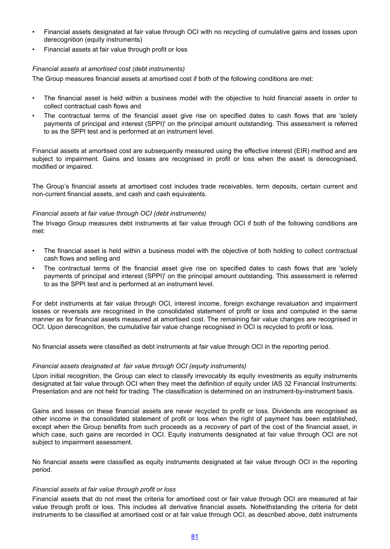- Financial assets designated at fair value through OCI with no recycling of cumulative gains and losses upon derecognition (equity instruments)
- Financial assets at fair value through profit or loss

#### *Financial assets at amortised cost (debt instruments)*

The Group measures financial assets at amortised cost if both of the following conditions are met:

- The financial asset is held within a business model with the objective to hold financial assets in order to collect contractual cash flows and
- The contractual terms of the financial asset give rise on specified dates to cash flows that are 'solely payments of principal and interest (SPPI)' on the principal amount outstanding. This assessment is referred to as the SPPI test and is performed at an instrument level.

Financial assets at amortised cost are subsequently measured using the effective interest (EIR) method and are subject to impairment. Gains and losses are recognised in profit or loss when the asset is derecognised, modified or impaired.

The Group's financial assets at amortised cost includes trade receivables, term deposits, certain current and non-current financial assets, and cash and cash equivalents.

#### *Financial assets at fair value through OCI (debt instruments)*

The trivago Group measures debt instruments at fair value through OCI if both of the following conditions are met:

- The financial asset is held within a business model with the objective of both holding to collect contractual cash flows and selling and
- The contractual terms of the financial asset give rise on specified dates to cash flows that are 'solely payments of principal and interest (SPPI)' on the principal amount outstanding. This assessment is referred to as the SPPI test and is performed at an instrument level.

For debt instruments at fair value through OCI, interest income, foreign exchange revaluation and impairment losses or reversals are recognised in the consolidated statement of profit or loss and computed in the same manner as for financial assets measured at amortised cost. The remaining fair value changes are recognised in OCI. Upon derecognition, the cumulative fair value change recognised in OCI is recycled to profit or loss.

No financial assets were classified as debt instruments at fair value through OCI in the reporting period.

#### *Financial assets designated at fair value through OCI (equity instruments)*

Upon initial recognition, the Group can elect to classify irrevocably its equity investments as equity instruments designated at fair value through OCI when they meet the definition of equity under IAS 32 Financial Instruments: Presentation and are not held for trading. The classification is determined on an instrument-by-instrument basis.

Gains and losses on these financial assets are never recycled to profit or loss. Dividends are recognised as other income in the consolidated statement of profit or loss when the right of payment has been established, except when the Group benefits from such proceeds as a recovery of part of the cost of the financial asset, in which case, such gains are recorded in OCI. Equity instruments designated at fair value through OCI are not subject to impairment assessment.

No financial assets were classified as equity instruments designated at fair value through OCI in the reporting period.

#### *Financial assets at fair value through profit or loss*

Financial assets that do not meet the criteria for amortised cost or fair value through OCI are measured at fair value through profit or loss. This includes all derivative financial assets. Notwithstanding the criteria for debt instruments to be classified at amortised cost or at fair value through OCI, as described above, debt instruments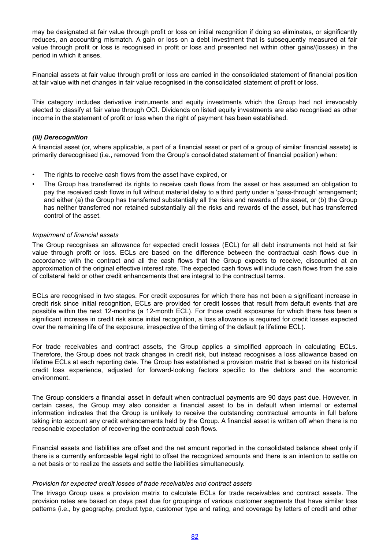may be designated at fair value through profit or loss on initial recognition if doing so eliminates, or significantly reduces, an accounting mismatch. A gain or loss on a debt investment that is subsequently measured at fair value through profit or loss is recognised in profit or loss and presented net within other gains/(losses) in the period in which it arises.

Financial assets at fair value through profit or loss are carried in the consolidated statement of financial position at fair value with net changes in fair value recognised in the consolidated statement of profit or loss.

This category includes derivative instruments and equity investments which the Group had not irrevocably elected to classify at fair value through OCI. Dividends on listed equity investments are also recognised as other income in the statement of profit or loss when the right of payment has been established.

#### *(iii) Derecognition*

A financial asset (or, where applicable, a part of a financial asset or part of a group of similar financial assets) is primarily derecognised (i.e., removed from the Group's consolidated statement of financial position) when:

- The rights to receive cash flows from the asset have expired, or
- The Group has transferred its rights to receive cash flows from the asset or has assumed an obligation to pay the received cash flows in full without material delay to a third party under a 'pass-through' arrangement; and either (a) the Group has transferred substantially all the risks and rewards of the asset, or (b) the Group has neither transferred nor retained substantially all the risks and rewards of the asset, but has transferred control of the asset.

#### *Impairment of financial assets*

The Group recognises an allowance for expected credit losses (ECL) for all debt instruments not held at fair value through profit or loss. ECLs are based on the difference between the contractual cash flows due in accordance with the contract and all the cash flows that the Group expects to receive, discounted at an approximation of the original effective interest rate. The expected cash flows will include cash flows from the sale of collateral held or other credit enhancements that are integral to the contractual terms.

ECLs are recognised in two stages. For credit exposures for which there has not been a significant increase in credit risk since initial recognition, ECLs are provided for credit losses that result from default events that are possible within the next 12-months (a 12-month ECL). For those credit exposures for which there has been a significant increase in credit risk since initial recognition, a loss allowance is required for credit losses expected over the remaining life of the exposure, irrespective of the timing of the default (a lifetime ECL).

For trade receivables and contract assets, the Group applies a simplified approach in calculating ECLs. Therefore, the Group does not track changes in credit risk, but instead recognises a loss allowance based on lifetime ECLs at each reporting date. The Group has established a provision matrix that is based on its historical credit loss experience, adjusted for forward-looking factors specific to the debtors and the economic environment.

The Group considers a financial asset in default when contractual payments are 90 days past due. However, in certain cases, the Group may also consider a financial asset to be in default when internal or external information indicates that the Group is unlikely to receive the outstanding contractual amounts in full before taking into account any credit enhancements held by the Group. A financial asset is written off when there is no reasonable expectation of recovering the contractual cash flows.

Financial assets and liabilities are offset and the net amount reported in the consolidated balance sheet only if there is a currently enforceable legal right to offset the recognized amounts and there is an intention to settle on a net basis or to realize the assets and settle the liabilities simultaneously.

#### *Provision for expected credit losses of trade receivables and contract assets*

The trivago Group uses a provision matrix to calculate ECLs for trade receivables and contract assets. The provision rates are based on days past due for groupings of various customer segments that have similar loss patterns (i.e., by geography, product type, customer type and rating, and coverage by letters of credit and other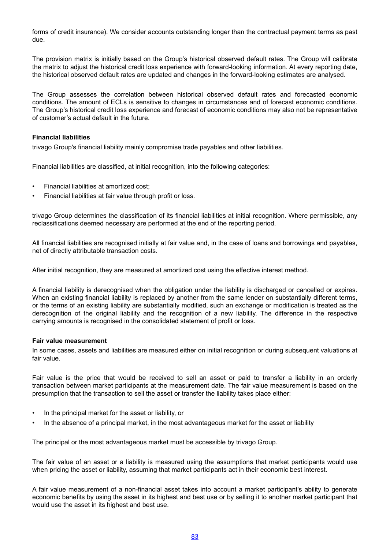forms of credit insurance). We consider accounts outstanding longer than the contractual payment terms as past due.

The provision matrix is initially based on the Group's historical observed default rates. The Group will calibrate the matrix to adjust the historical credit loss experience with forward-looking information. At every reporting date, the historical observed default rates are updated and changes in the forward-looking estimates are analysed.

The Group assesses the correlation between historical observed default rates and forecasted economic conditions. The amount of ECLs is sensitive to changes in circumstances and of forecast economic conditions. The Group's historical credit loss experience and forecast of economic conditions may also not be representative of customer's actual default in the future.

#### **Financial liabilities**

trivago Group's financial liability mainly compromise trade payables and other liabilities.

Financial liabilities are classified, at initial recognition, into the following categories:

- Financial liabilities at amortized cost;
- Financial liabilities at fair value through profit or loss.

trivago Group determines the classification of its financial liabilities at initial recognition. Where permissible, any reclassifications deemed necessary are performed at the end of the reporting period.

All financial liabilities are recognised initially at fair value and, in the case of loans and borrowings and payables, net of directly attributable transaction costs.

After initial recognition, they are measured at amortized cost using the effective interest method.

A financial liability is derecognised when the obligation under the liability is discharged or cancelled or expires. When an existing financial liability is replaced by another from the same lender on substantially different terms, or the terms of an existing liability are substantially modified, such an exchange or modification is treated as the derecognition of the original liability and the recognition of a new liability. The difference in the respective carrying amounts is recognised in the consolidated statement of profit or loss.

#### **Fair value measurement**

In some cases, assets and liabilities are measured either on initial recognition or during subsequent valuations at fair value.

Fair value is the price that would be received to sell an asset or paid to transfer a liability in an orderly transaction between market participants at the measurement date. The fair value measurement is based on the presumption that the transaction to sell the asset or transfer the liability takes place either:

- In the principal market for the asset or liability, or
- In the absence of a principal market, in the most advantageous market for the asset or liability

The principal or the most advantageous market must be accessible by trivago Group.

The fair value of an asset or a liability is measured using the assumptions that market participants would use when pricing the asset or liability, assuming that market participants act in their economic best interest.

A fair value measurement of a non-financial asset takes into account a market participant's ability to generate economic benefits by using the asset in its highest and best use or by selling it to another market participant that would use the asset in its highest and best use.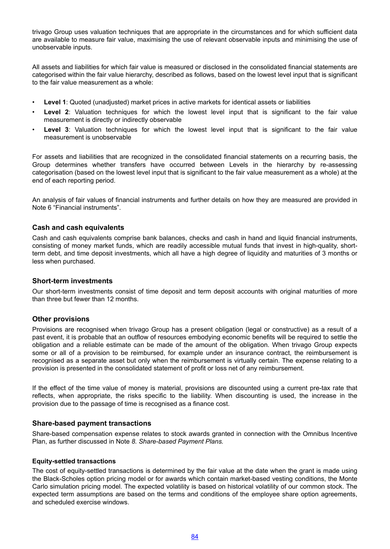trivago Group uses valuation techniques that are appropriate in the circumstances and for which sufficient data are available to measure fair value, maximising the use of relevant observable inputs and minimising the use of unobservable inputs.

All assets and liabilities for which fair value is measured or disclosed in the consolidated financial statements are categorised within the fair value hierarchy, described as follows, based on the lowest level input that is significant to the fair value measurement as a whole:

- **Level 1**: Quoted (unadjusted) market prices in active markets for identical assets or liabilities
- **Level 2:** Valuation techniques for which the lowest level input that is significant to the fair value measurement is directly or indirectly observable
- **Level 3:** Valuation techniques for which the lowest level input that is significant to the fair value measurement is unobservable

For assets and liabilities that are recognized in the consolidated financial statements on a recurring basis, the Group determines whether transfers have occurred between Levels in the hierarchy by re-assessing categorisation (based on the lowest level input that is significant to the fair value measurement as a whole) at the end of each reporting period.

An analysis of fair values of financial instruments and further details on how they are measured are provided in Note 6 "Financial instruments".

### **Cash and cash equivalents**

Cash and cash equivalents comprise bank balances, checks and cash in hand and liquid financial instruments, consisting of money market funds, which are readily accessible mutual funds that invest in high-quality, shortterm debt, and time deposit investments, which all have a high degree of liquidity and maturities of 3 months or less when purchased.

### **Short-term investments**

Our short-term investments consist of time deposit and term deposit accounts with original maturities of more than three but fewer than 12 months.

### **Other provisions**

Provisions are recognised when trivago Group has a present obligation (legal or constructive) as a result of a past event, it is probable that an outflow of resources embodying economic benefits will be required to settle the obligation and a reliable estimate can be made of the amount of the obligation. When trivago Group expects some or all of a provision to be reimbursed, for example under an insurance contract, the reimbursement is recognised as a separate asset but only when the reimbursement is virtually certain. The expense relating to a provision is presented in the consolidated statement of profit or loss net of any reimbursement.

If the effect of the time value of money is material, provisions are discounted using a current pre-tax rate that reflects, when appropriate, the risks specific to the liability. When discounting is used, the increase in the provision due to the passage of time is recognised as a finance cost.

### **Share-based payment transactions**

Share-based compensation expense relates to stock awards granted in connection with the Omnibus Incentive Plan, as further discussed in Note *8. Share-based Payment Plans.*

#### **Equity-settled transactions**

The cost of equity-settled transactions is determined by the fair value at the date when the grant is made using the Black-Scholes option pricing model or for awards which contain market-based vesting conditions, the Monte Carlo simulation pricing model. The expected volatility is based on historical volatility of our common stock. The expected term assumptions are based on the terms and conditions of the employee share option agreements, and scheduled exercise windows.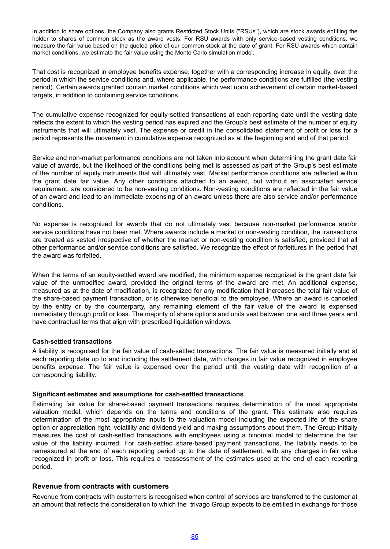In addition to share options, the Company also grants Restricted Stock Units ("RSUs"), which are stock awards entitling the holder to shares of common stock as the award vests. For RSU awards with only service-based vesting conditions, we measure the fair value based on the quoted price of our common stock at the date of grant. For RSU awards which contain market conditions, we estimate the fair value using the Monte Carlo simulation model.

That cost is recognized in employee benefits expense, together with a corresponding increase in equity, over the period in which the service conditions and, where applicable, the performance conditions are fulfilled (the vesting period). Certain awards granted contain market conditions which vest upon achievement of certain market-based targets, in addition to containing service conditions.

The cumulative expense recognized for equity-settled transactions at each reporting date until the vesting date reflects the extent to which the vesting period has expired and the Group's best estimate of the number of equity instruments that will ultimately vest. The expense or credit in the consolidated statement of profit or loss for a period represents the movement in cumulative expense recognized as at the beginning and end of that period.

Service and non-market performance conditions are not taken into account when determining the grant date fair value of awards, but the likelihood of the conditions being met is assessed as part of the Group's best estimate of the number of equity instruments that will ultimately vest. Market performance conditions are reflected within the grant date fair value. Any other conditions attached to an award, but without an associated service requirement, are considered to be non-vesting conditions. Non-vesting conditions are reflected in the fair value of an award and lead to an immediate expensing of an award unless there are also service and/or performance conditions.

No expense is recognized for awards that do not ultimately vest because non-market performance and/or service conditions have not been met. Where awards include a market or non-vesting condition, the transactions are treated as vested irrespective of whether the market or non-vesting condition is satisfied, provided that all other performance and/or service conditions are satisfied. We recognize the effect of forfeitures in the period that the award was forfeited.

When the terms of an equity-settled award are modified, the minimum expense recognized is the grant date fair value of the unmodified award, provided the original terms of the award are met. An additional expense, measured as at the date of modification, is recognized for any modification that increases the total fair value of the share-based payment transaction, or is otherwise beneficial to the employee. Where an award is canceled by the entity or by the counterparty, any remaining element of the fair value of the award is expensed immediately through profit or loss. The majority of share options and units vest between one and three years and have contractual terms that align with prescribed liquidation windows.

### **Cash-settled transactions**

A liability is recognised for the fair value of cash-settled transactions. The fair value is measured initially and at each reporting date up to and including the settlement date, with changes in fair value recognized in employee benefits expense. The fair value is expensed over the period until the vesting date with recognition of a corresponding liability.

#### **Significant estimates and assumptions for cash-settled transactions**

Estimating fair value for share-based payment transactions requires determination of the most appropriate valuation model, which depends on the terms and conditions of the grant. This estimate also requires determination of the most appropriate inputs to the valuation model including the expected life of the share option or appreciation right, volatility and dividend yield and making assumptions about them. The Group initially measures the cost of cash-settled transactions with employees using a binomial model to determine the fair value of the liability incurred. For cash-settled share-based payment transactions, the liability needs to be remeasured at the end of each reporting period up to the date of settlement, with any changes in fair value recognized in profit or loss. This requires a reassessment of the estimates used at the end of each reporting period.

### **Revenue from contracts with customers**

Revenue from contracts with customers is recognised when control of services are transferred to the customer at an amount that reflects the consideration to which the trivago Group expects to be entitled in exchange for those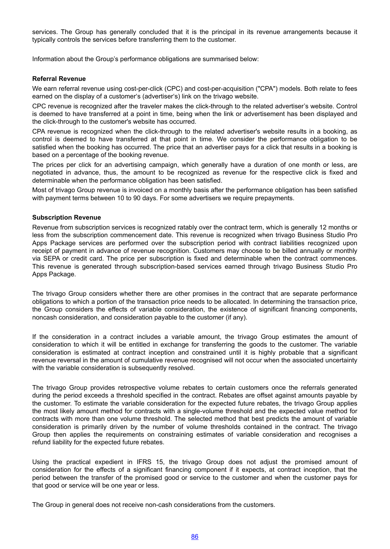services. The Group has generally concluded that it is the principal in its revenue arrangements because it typically controls the services before transferring them to the customer.

Information about the Group's performance obligations are summarised below:

#### **Referral Revenue**

We earn referral revenue using cost-per-click (CPC) and cost-per-acquisition ("CPA") models. Both relate to fees earned on the display of a customer's (advertiser's) link on the trivago website.

CPC revenue is recognized after the traveler makes the click-through to the related advertiser's website. Control is deemed to have transferred at a point in time, being when the link or advertisement has been displayed and the click-through to the customer's website has occurred.

CPA revenue is recognized when the click-through to the related advertiser's website results in a booking, as control is deemed to have transferred at that point in time. We consider the performance obligation to be satisfied when the booking has occurred. The price that an advertiser pays for a click that results in a booking is based on a percentage of the booking revenue.

The prices per click for an advertising campaign, which generally have a duration of one month or less, are negotiated in advance, thus, the amount to be recognized as revenue for the respective click is fixed and determinable when the performance obligation has been satisfied.

Most of trivago Group revenue is invoiced on a monthly basis after the performance obligation has been satisfied with payment terms between 10 to 90 days. For some advertisers we require prepayments.

#### **Subscription Revenue**

Revenue from subscription services is recognized ratably over the contract term, which is generally 12 months or less from the subscription commencement date. This revenue is recognized when trivago Business Studio Pro Apps Package services are performed over the subscription period with contract liabilities recognized upon receipt of payment in advance of revenue recognition. Customers may choose to be billed annually or monthly via SEPA or credit card. The price per subscription is fixed and determinable when the contract commences. This revenue is generated through subscription-based services earned through trivago Business Studio Pro Apps Package.

The trivago Group considers whether there are other promises in the contract that are separate performance obligations to which a portion of the transaction price needs to be allocated. In determining the transaction price, the Group considers the effects of variable consideration, the existence of significant financing components, noncash consideration, and consideration payable to the customer (if any).

If the consideration in a contract includes a variable amount, the trivago Group estimates the amount of consideration to which it will be entitled in exchange for transferring the goods to the customer. The variable consideration is estimated at contract inception and constrained until it is highly probable that a significant revenue reversal in the amount of cumulative revenue recognised will not occur when the associated uncertainty with the variable consideration is subsequently resolved.

The trivago Group provides retrospective volume rebates to certain customers once the referrals generated during the period exceeds a threshold specified in the contract. Rebates are offset against amounts payable by the customer. To estimate the variable consideration for the expected future rebates, the trivago Group applies the most likely amount method for contracts with a single-volume threshold and the expected value method for contracts with more than one volume threshold. The selected method that best predicts the amount of variable consideration is primarily driven by the number of volume thresholds contained in the contract. The trivago Group then applies the requirements on constraining estimates of variable consideration and recognises a refund liability for the expected future rebates.

Using the practical expedient in IFRS 15, the trivago Group does not adjust the promised amount of consideration for the effects of a significant financing component if it expects, at contract inception, that the period between the transfer of the promised good or service to the customer and when the customer pays for that good or service will be one year or less.

The Group in general does not receive non-cash considerations from the customers.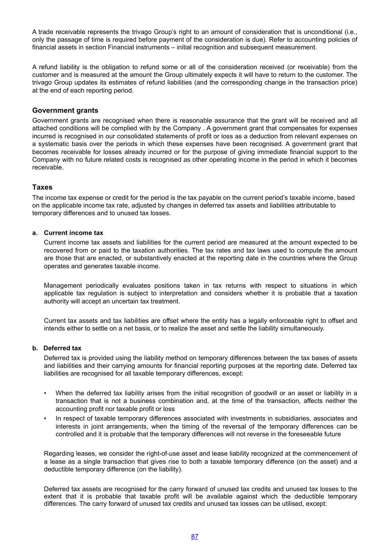A trade receivable represents the trivago Group's right to an amount of consideration that is unconditional (i.e., only the passage of time is required before payment of the consideration is due). Refer to accounting policies of financial assets in section Financial instruments – initial recognition and subsequent measurement.

A refund liability is the obligation to refund some or all of the consideration received (or receivable) from the customer and is measured at the amount the Group ultimately expects it will have to return to the customer. The trivago Group updates its estimates of refund liabilities (and the corresponding change in the transaction price) at the end of each reporting period.

### **Government grants**

Government grants are recognised when there is reasonable assurance that the grant will be received and all attached conditions will be complied with by the Company . A government grant that compensates for expenses incurred is recognised in our consolidated statements of profit or loss as a deduction from relevant expenses on a systematic basis over the periods in which these expenses have been recognised. A government grant that becomes receivable for losses already incurred or for the purpose of giving immediate financial support to the Company with no future related costs is recognised as other operating income in the period in which it becomes receivable.

### **Taxes**

The income tax expense or credit for the period is the tax payable on the current period's taxable income, based on the applicable income tax rate, adjusted by changes in deferred tax assets and liabilities attributable to temporary differences and to unused tax losses.

### **a. Current income tax**

Current income tax assets and liabilities for the current period are measured at the amount expected to be recovered from or paid to the taxation authorities. The tax rates and tax laws used to compute the amount are those that are enacted, or substantively enacted at the reporting date in the countries where the Group operates and generates taxable income.

Management periodically evaluates positions taken in tax returns with respect to situations in which applicable tax regulation is subject to interpretation and considers whether it is probable that a taxation authority will accept an uncertain tax treatment.

Current tax assets and tax liabilities are offset where the entity has a legally enforceable right to offset and intends either to settle on a net basis, or to realize the asset and settle the liability simultaneously.

### **b. Deferred tax**

Deferred tax is provided using the liability method on temporary differences between the tax bases of assets and liabilities and their carrying amounts for financial reporting purposes at the reporting date. Deferred tax liabilities are recognised for all taxable temporary differences, except:

- When the deferred tax liability arises from the initial recognition of goodwill or an asset or liability in a transaction that is not a business combination and, at the time of the transaction, affects neither the accounting profit nor taxable profit or loss
- In respect of taxable temporary differences associated with investments in subsidiaries, associates and interests in joint arrangements, when the timing of the reversal of the temporary differences can be controlled and it is probable that the temporary differences will not reverse in the foreseeable future

Regarding leases, we consider the right-of-use asset and lease liability recognized at the commencement of a lease as a single transaction that gives rise to both a taxable temporary difference (on the asset) and a deductible temporary difference (on the liability).

Deferred tax assets are recognised for the carry forward of unused tax credits and unused tax losses to the extent that it is probable that taxable profit will be available against which the deductible temporary differences. The carry forward of unused tax credits and unused tax losses can be utilised, except: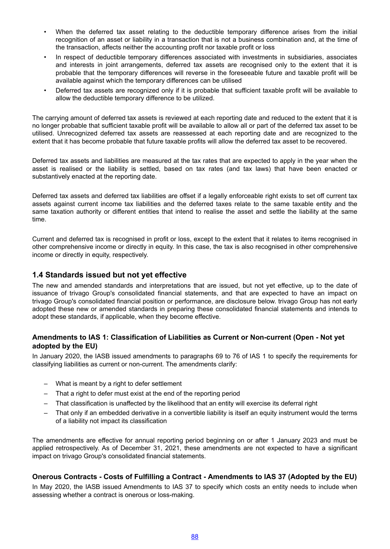- When the deferred tax asset relating to the deductible temporary difference arises from the initial recognition of an asset or liability in a transaction that is not a business combination and, at the time of the transaction, affects neither the accounting profit nor taxable profit or loss
- In respect of deductible temporary differences associated with investments in subsidiaries, associates and interests in joint arrangements, deferred tax assets are recognised only to the extent that it is probable that the temporary differences will reverse in the foreseeable future and taxable profit will be available against which the temporary differences can be utilised
- Deferred tax assets are recognized only if it is probable that sufficient taxable profit will be available to allow the deductible temporary difference to be utilized.

The carrying amount of deferred tax assets is reviewed at each reporting date and reduced to the extent that it is no longer probable that sufficient taxable profit will be available to allow all or part of the deferred tax asset to be utilised. Unrecognized deferred tax assets are reassessed at each reporting date and are recognized to the extent that it has become probable that future taxable profits will allow the deferred tax asset to be recovered.

Deferred tax assets and liabilities are measured at the tax rates that are expected to apply in the year when the asset is realised or the liability is settled, based on tax rates (and tax laws) that have been enacted or substantively enacted at the reporting date.

Deferred tax assets and deferred tax liabilities are offset if a legally enforceable right exists to set off current tax assets against current income tax liabilities and the deferred taxes relate to the same taxable entity and the same taxation authority or different entities that intend to realise the asset and settle the liability at the same time.

Current and deferred tax is recognised in profit or loss, except to the extent that it relates to items recognised in other comprehensive income or directly in equity. In this case, the tax is also recognised in other comprehensive income or directly in equity, respectively.

### **1.4 Standards issued but not yet effective**

The new and amended standards and interpretations that are issued, but not yet effective, up to the date of issuance of trivago Group's consolidated financial statements, and that are expected to have an impact on trivago Group's consolidated financial position or performance, are disclosure below. trivago Group has not early adopted these new or amended standards in preparing these consolidated financial statements and intends to adopt these standards, if applicable, when they become effective.

### **Amendments to IAS 1: Classification of Liabilities as Current or Non-current (Open - Not yet adopted by the EU)**

In January 2020, the IASB issued amendments to paragraphs 69 to 76 of IAS 1 to specify the requirements for classifying liabilities as current or non-current. The amendments clarify:

- What is meant by a right to defer settlement
- That a right to defer must exist at the end of the reporting period
- That classification is unaffected by the likelihood that an entity will exercise its deferral right
- That only if an embedded derivative in a convertible liability is itself an equity instrument would the terms of a liability not impact its classification

The amendments are effective for annual reporting period beginning on or after 1 January 2023 and must be applied retrospectively. As of December 31, 2021, these amendments are not expected to have a significant impact on trivago Group's consolidated financial statements.

### **Onerous Contracts - Costs of Fulfilling a Contract - Amendments to IAS 37 (Adopted by the EU)**

In May 2020, the IASB issued Amendments to IAS 37 to specify which costs an entity needs to include when assessing whether a contract is onerous or loss-making.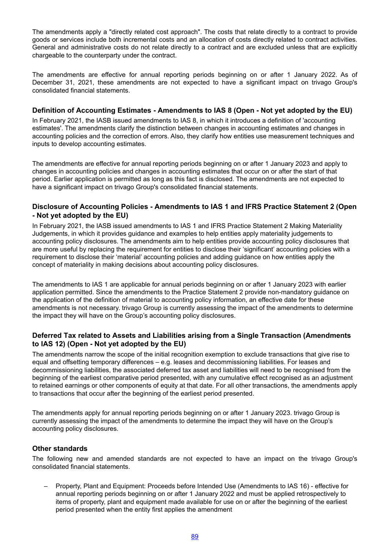The amendments apply a "directly related cost approach". The costs that relate directly to a contract to provide goods or services include both incremental costs and an allocation of costs directly related to contract activities. General and administrative costs do not relate directly to a contract and are excluded unless that are explicitly chargeable to the counterparty under the contract.

The amendments are effective for annual reporting periods beginning on or after 1 January 2022. As of December 31, 2021, these amendments are not expected to have a significant impact on trivago Group's consolidated financial statements.

### **Definition of Accounting Estimates - Amendments to IAS 8 (Open - Not yet adopted by the EU)**

In February 2021, the IASB issued amendments to IAS 8, in which it introduces a definition of 'accounting estimates'. The amendments clarify the distinction between changes in accounting estimates and changes in accounting policies and the correction of errors. Also, they clarify how entities use measurement techniques and inputs to develop accounting estimates.

The amendments are effective for annual reporting periods beginning on or after 1 January 2023 and apply to changes in accounting policies and changes in accounting estimates that occur on or after the start of that period. Earlier application is permitted as long as this fact is disclosed. The amendments are not expected to have a significant impact on trivago Group's consolidated financial statements.

### **Disclosure of Accounting Policies - Amendments to IAS 1 and IFRS Practice Statement 2 (Open - Not yet adopted by the EU)**

In February 2021, the IASB issued amendments to IAS 1 and IFRS Practice Statement 2 Making Materiality Judgements, in which it provides guidance and examples to help entities apply materiality judgements to accounting policy disclosures. The amendments aim to help entities provide accounting policy disclosures that are more useful by replacing the requirement for entities to disclose their 'significant' accounting policies with a requirement to disclose their 'material' accounting policies and adding guidance on how entities apply the concept of materiality in making decisions about accounting policy disclosures.

The amendments to IAS 1 are applicable for annual periods beginning on or after 1 January 2023 with earlier application permitted. Since the amendments to the Practice Statement 2 provide non-mandatory guidance on the application of the definition of material to accounting policy information, an effective date for these amendments is not necessary. trivago Group is currently assessing the impact of the amendments to determine the impact they will have on the Group's accounting policy disclosures.

### **Deferred Tax related to Assets and Liabilities arising from a Single Transaction (Amendments to IAS 12) (Open - Not yet adopted by the EU)**

The amendments narrow the scope of the initial recognition exemption to exclude transactions that give rise to equal and offsetting temporary differences – e.g. leases and decommissioning liabilities. For leases and decommissioning liabilities, the associated deferred tax asset and liabilities will need to be recognised from the beginning of the earliest comparative period presented, with any cumulative effect recognised as an adjustment to retained earnings or other components of equity at that date. For all other transactions, the amendments apply to transactions that occur after the beginning of the earliest period presented.

The amendments apply for annual reporting periods beginning on or after 1 January 2023. trivago Group is currently assessing the impact of the amendments to determine the impact they will have on the Group's accounting policy disclosures.

### **Other standards**

The following new and amended standards are not expected to have an impact on the trivago Group's consolidated financial statements.

– Property, Plant and Equipment: Proceeds before Intended Use (Amendments to IAS 16) - effective for annual reporting periods beginning on or after 1 January 2022 and must be applied retrospectively to items of property, plant and equipment made available for use on or after the beginning of the earliest period presented when the entity first applies the amendment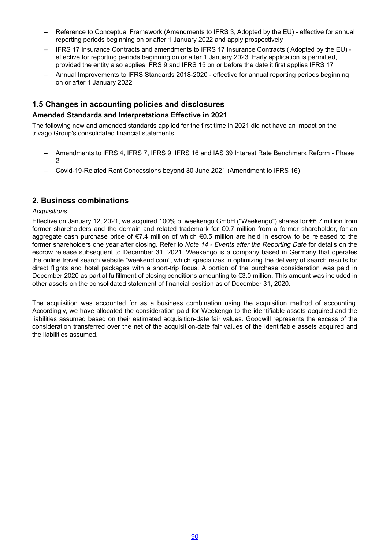- Reference to Conceptual Framework (Amendments to IFRS 3, Adopted by the EU) effective for annual reporting periods beginning on or after 1 January 2022 and apply prospectively
- IFRS 17 Insurance Contracts and amendments to IFRS 17 Insurance Contracts ( Adopted by the EU) effective for reporting periods beginning on or after 1 January 2023. Early application is permitted, provided the entity also applies IFRS 9 and IFRS 15 on or before the date it first applies IFRS 17
- Annual Improvements to IFRS Standards 2018-2020 effective for annual reporting periods beginning on or after 1 January 2022

# **1.5 Changes in accounting policies and disclosures**

### **Amended Standards and Interpretations Effective in 2021**

The following new and amended standards applied for the first time in 2021 did not have an impact on the trivago Group's consolidated financial statements.

- Amendments to IFRS 4, IFRS 7, IFRS 9, IFRS 16 and IAS 39 Interest Rate Benchmark Reform Phase 2
- Covid-19-Related Rent Concessions beyond 30 June 2021 (Amendment to IFRS 16)

### **2. Business combinations**

### *Acquisitions*

Effective on January 12, 2021, we acquired 100% of weekengo GmbH ("Weekengo") shares for €6.7 million from former shareholders and the domain and related trademark for €0.7 million from a former shareholder, for an aggregate cash purchase price of €7.4 million of which €0.5 million are held in escrow to be released to the former shareholders one year after closing. Refer to *Note 14 - Events after the Reporting Date* for details on the escrow release subsequent to December 31, 2021. Weekengo is a company based in Germany that operates the online travel search website "weekend.com", which specializes in optimizing the delivery of search results for direct flights and hotel packages with a short-trip focus. A portion of the purchase consideration was paid in December 2020 as partial fulfillment of closing conditions amounting to €3.0 million. This amount was included in other assets on the consolidated statement of financial position as of December 31, 2020.

The acquisition was accounted for as a business combination using the acquisition method of accounting. Accordingly, we have allocated the consideration paid for Weekengo to the identifiable assets acquired and the liabilities assumed based on their estimated acquisition-date fair values. Goodwill represents the excess of the consideration transferred over the net of the acquisition-date fair values of the identifiable assets acquired and the liabilities assumed.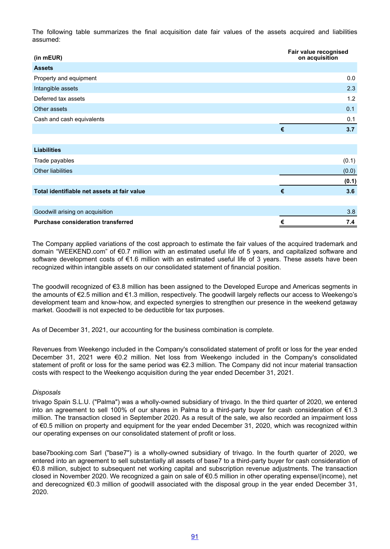The following table summarizes the final acquisition date fair values of the assets acquired and liabilities assumed:

| (in mEUR)                                   |   | Fair value recognised<br>on acquisition |
|---------------------------------------------|---|-----------------------------------------|
| <b>Assets</b>                               |   |                                         |
| Property and equipment                      |   | 0.0                                     |
| Intangible assets                           |   | 2.3                                     |
| Deferred tax assets                         |   | 1.2                                     |
| Other assets                                |   | 0.1                                     |
| Cash and cash equivalents                   |   | 0.1                                     |
|                                             | € | 3.7                                     |
|                                             |   |                                         |
| <b>Liabilities</b>                          |   |                                         |
| Trade payables                              |   | (0.1)                                   |
| <b>Other liabilities</b>                    |   | (0.0)                                   |
|                                             |   | (0.1)                                   |
| Total identifiable net assets at fair value | € | 3.6                                     |
|                                             |   |                                         |

The Company applied variations of the cost approach to estimate the fair values of the acquired trademark and domain "WEEKEND.com" of €0.7 million with an estimated useful life of 5 years, and capitalized software and software development costs of €1.6 million with an estimated useful life of 3 years. These assets have been recognized within intangible assets on our consolidated statement of financial position.

The goodwill recognized of €3.8 million has been assigned to the Developed Europe and Americas segments in the amounts of €2.5 million and €1.3 million, respectively. The goodwill largely reflects our access to Weekengo's development team and know-how, and expected synergies to strengthen our presence in the weekend getaway market. Goodwill is not expected to be deductible for tax purposes.

As of December 31, 2021, our accounting for the business combination is complete.

Revenues from Weekengo included in the Company's consolidated statement of profit or loss for the year ended December 31, 2021 were €0.2 million. Net loss from Weekengo included in the Company's consolidated statement of profit or loss for the same period was €2.3 million. The Company did not incur material transaction costs with respect to the Weekengo acquisition during the year ended December 31, 2021.

### *Disposals*

trivago Spain S.L.U. ("Palma") was a wholly-owned subsidiary of trivago. In the third quarter of 2020, we entered into an agreement to sell 100% of our shares in Palma to a third-party buyer for cash consideration of €1.3 million. The transaction closed in September 2020. As a result of the sale, we also recorded an impairment loss of €0.5 million on property and equipment for the year ended December 31, 2020, which was recognized within our operating expenses on our consolidated statement of profit or loss.

base7booking.com Sarl ("base7") is a wholly-owned subsidiary of trivago. In the fourth quarter of 2020, we entered into an agreement to sell substantially all assets of base7 to a third-party buyer for cash consideration of €0.8 million, subject to subsequent net working capital and subscription revenue adjustments. The transaction closed in November 2020. We recognized a gain on sale of €0.5 million in other operating expense/(income), net and derecognized €0.3 million of goodwill associated with the disposal group in the year ended December 31, 2020.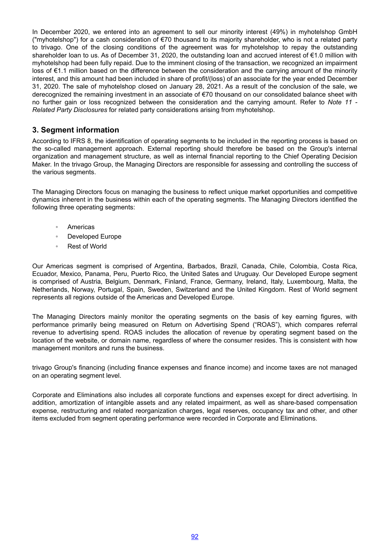In December 2020, we entered into an agreement to sell our minority interest (49%) in myhotelshop GmbH ("myhotelshop") for a cash consideration of €70 thousand to its majority shareholder, who is not a related party to trivago. One of the closing conditions of the agreement was for myhotelshop to repay the outstanding shareholder loan to us. As of December 31, 2020, the outstanding loan and accrued interest of €1.0 million with myhotelshop had been fully repaid. Due to the imminent closing of the transaction, we recognized an impairment loss of €1.1 million based on the difference between the consideration and the carrying amount of the minority interest, and this amount had been included in share of profit/(loss) of an associate for the year ended December 31, 2020. The sale of myhotelshop closed on January 28, 2021. As a result of the conclusion of the sale, we derecognized the remaining investment in an associate of €70 thousand on our consolidated balance sheet with no further gain or loss recognized between the consideration and the carrying amount. Refer to *Note 11 - Related Party Disclosures* for related party considerations arising from myhotelshop.

### **3. Segment information**

According to IFRS 8, the identification of operating segments to be included in the reporting process is based on the so-called management approach. External reporting should therefore be based on the Group's internal organization and management structure, as well as internal financial reporting to the Chief Operating Decision Maker. In the trivago Group, the Managing Directors are responsible for assessing and controlling the success of the various segments.

The Managing Directors focus on managing the business to reflect unique market opportunities and competitive dynamics inherent in the business within each of the operating segments. The Managing Directors identified the following three operating segments:

- **Americas**
- Developed Europe
- Rest of World

Our Americas segment is comprised of Argentina, Barbados, Brazil, Canada, Chile, Colombia, Costa Rica, Ecuador, Mexico, Panama, Peru, Puerto Rico, the United Sates and Uruguay. Our Developed Europe segment is comprised of Austria, Belgium, Denmark, Finland, France, Germany, Ireland, Italy, Luxembourg, Malta, the Netherlands, Norway, Portugal, Spain, Sweden, Switzerland and the United Kingdom. Rest of World segment represents all regions outside of the Americas and Developed Europe.

The Managing Directors mainly monitor the operating segments on the basis of key earning figures, with performance primarily being measured on Return on Advertising Spend ("ROAS"), which compares referral revenue to advertising spend. ROAS includes the allocation of revenue by operating segment based on the location of the website, or domain name, regardless of where the consumer resides. This is consistent with how management monitors and runs the business.

trivago Group's financing (including finance expenses and finance income) and income taxes are not managed on an operating segment level.

Corporate and Eliminations also includes all corporate functions and expenses except for direct advertising. In addition, amortization of intangible assets and any related impairment, as well as share-based compensation expense, restructuring and related reorganization charges, legal reserves, occupancy tax and other, and other items excluded from segment operating performance were recorded in Corporate and Eliminations.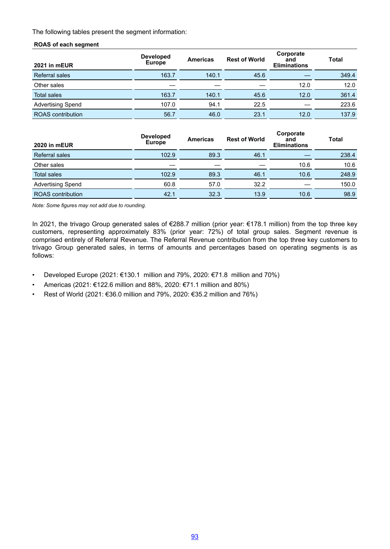The following tables present the segment information:

#### **ROAS of each segment**

| <b>2021 in mEUR</b>      | <b>Developed</b><br><b>Europe</b> | <b>Americas</b> | <b>Rest of World</b> | Corporate<br>and<br><b>Eliminations</b> | Total |
|--------------------------|-----------------------------------|-----------------|----------------------|-----------------------------------------|-------|
| <b>Referral sales</b>    | 163.7                             | 140.1           | 45.6                 |                                         | 349.4 |
| Other sales              |                                   |                 |                      | 12.0                                    | 12.0  |
| <b>Total sales</b>       | 163.7                             | 140.1           | 45.6                 | 12.0                                    | 361.4 |
| <b>Advertising Spend</b> | 107.0                             | 94.1            | 22.5                 |                                         | 223.6 |
| ROAS contribution        | 56.7                              | 46.0            | 23.1                 | 12.0                                    | 137.9 |

| <b>2020 in mEUR</b>      | <b>Developed</b><br><b>Europe</b> | <b>Americas</b> | <b>Rest of World</b> | Corporate<br>and<br><b>Eliminations</b> | <b>Total</b> |
|--------------------------|-----------------------------------|-----------------|----------------------|-----------------------------------------|--------------|
| <b>Referral sales</b>    | 102.9                             | 89.3            | 46.1                 |                                         | 238.4        |
| Other sales              |                                   |                 |                      | 10.6                                    | 10.6         |
| <b>Total sales</b>       | 102.9                             | 89.3            | 46.1                 | 10.6                                    | 248.9        |
| <b>Advertising Spend</b> | 60.8                              | 57.0            | 32.2                 |                                         | 150.0        |
| <b>ROAS</b> contribution | 42.1                              | 32.3            | 13.9                 | 10.6                                    | 98.9         |

*Note: Some figures may not add due to rounding.*

In 2021, the trivago Group generated sales of €288.7 million (prior year: €178.1 million) from the top three key customers, representing approximately 83% (prior year: 72%) of total group sales. Segment revenue is comprised entirely of Referral Revenue. The Referral Revenue contribution from the top three key customers to trivago Group generated sales, in terms of amounts and percentages based on operating segments is as follows:

- Developed Europe (2021:  $€130.1$  million and 79%, 2020:  $€71.8$  million and 70%)
- Americas (2021: €122.6 million and 88%, 2020: €71.1 million and 80%)
- Rest of World (2021: €36.0 million and 79%, 2020: €35.2 million and 76%)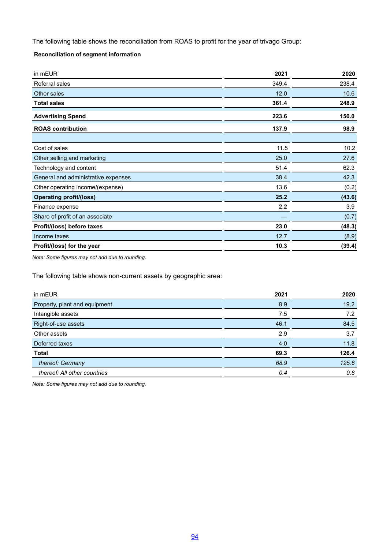The following table shows the reconciliation from ROAS to profit for the year of trivago Group:

### **Reconciliation of segment information**

| in mEUR                             | 2021  | 2020   |
|-------------------------------------|-------|--------|
| Referral sales                      | 349.4 | 238.4  |
| Other sales                         | 12.0  | 10.6   |
| <b>Total sales</b>                  | 361.4 | 248.9  |
| <b>Advertising Spend</b>            | 223.6 | 150.0  |
| <b>ROAS</b> contribution            | 137.9 | 98.9   |
|                                     |       |        |
| Cost of sales                       | 11.5  | 10.2   |
| Other selling and marketing         | 25.0  | 27.6   |
| Technology and content              | 51.4  | 62.3   |
| General and administrative expenses | 38.4  | 42.3   |
| Other operating income/(expense)    | 13.6  | (0.2)  |
| <b>Operating profit/(loss)</b>      | 25.2  | (43.6) |
| Finance expense                     | 2.2   | 3.9    |
| Share of profit of an associate     |       | (0.7)  |
| Profit/(loss) before taxes          | 23.0  | (48.3) |
| Income taxes                        | 12.7  | (8.9)  |
| Profit/(loss) for the year          | 10.3  | (39.4) |

*Note: Some figures may not add due to rounding.*

The following table shows non-current assets by geographic area:

| in mEUR                       | 2021 | 2020  |
|-------------------------------|------|-------|
| Property, plant and equipment | 8.9  | 19.2  |
| Intangible assets             | 7.5  | 7.2   |
| Right-of-use assets           | 46.1 | 84.5  |
| Other assets                  | 2.9  | 3.7   |
| Deferred taxes                | 4.0  | 11.8  |
| <b>Total</b>                  | 69.3 | 126.4 |
| thereof: Germany              | 68.9 | 125.6 |
| thereof: All other countries  | 0.4  | 0.8   |
|                               |      |       |

*Note: Some figures may not add due to rounding.*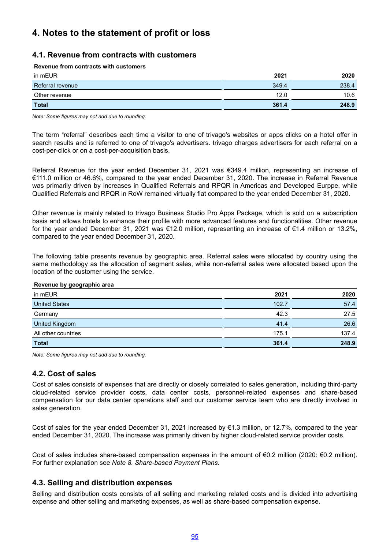# **4. Notes to the statement of profit or loss**

### **4.1. Revenue from contracts with customers**

**Revenue from contracts with customers**

| in mEUR          | 2021  | 2020  |
|------------------|-------|-------|
| Referral revenue | 349.4 | 238.4 |
| Other revenue    | 12.0  | 10.6  |
| <b>Total</b>     | 361.4 | 248.9 |

*Note: Some figures may not add due to rounding.*

The term "referral" describes each time a visitor to one of trivago's websites or apps clicks on a hotel offer in search results and is referred to one of trivago's advertisers. trivago charges advertisers for each referral on a cost-per-click or on a cost-per-acquisition basis.

Referral Revenue for the year ended December 31, 2021 was €349.4 million, representing an increase of €111.0 million or 46.6%, compared to the year ended December 31, 2020. The increase in Referral Revenue was primarily driven by increases in Qualified Referrals and RPQR in Americas and Developed Eurppe, while Qualified Referrals and RPQR in RoW remained virtually flat compared to the year ended December 31, 2020.

Other revenue is mainly related to trivago Business Studio Pro Apps Package, which is sold on a subscription basis and allows hotels to enhance their profile with more advanced features and functionalities. Other revenue for the year ended December 31, 2021 was €12.0 million, representing an increase of €1.4 million or 13.2%, compared to the year ended December 31, 2020.

The following table presents revenue by geographic area. Referral sales were allocated by country using the same methodology as the allocation of segment sales, while non-referral sales were allocated based upon the location of the customer using the service.

**Revenue by geographic area**

| in mEUR              | 2021  | 2020  |
|----------------------|-------|-------|
| <b>United States</b> | 102.7 | 57.4  |
| Germany              | 42.3  | 27.5  |
| United Kingdom       | 41.4  | 26.6  |
| All other countries  | 175.1 | 137.4 |
| <b>Total</b>         | 361.4 | 248.9 |

*Note: Some figures may not add due to rounding.*

### **4.2. Cost of sales**

Cost of sales consists of expenses that are directly or closely correlated to sales generation, including third-party cloud-related service provider costs, data center costs, personnel-related expenses and share-based compensation for our data center operations staff and our customer service team who are directly involved in sales generation.

Cost of sales for the year ended December 31, 2021 increased by €1.3 million, or 12.7%, compared to the year ended December 31, 2020. The increase was primarily driven by higher cloud-related service provider costs.

Cost of sales includes share-based compensation expenses in the amount of €0.2 million (2020: €0.2 million). For further explanation see *Note 8. Share-based Payment Plans.* 

### **4.3. Selling and distribution expenses**

Selling and distribution costs consists of all selling and marketing related costs and is divided into advertising expense and other selling and marketing expenses, as well as share-based compensation expense.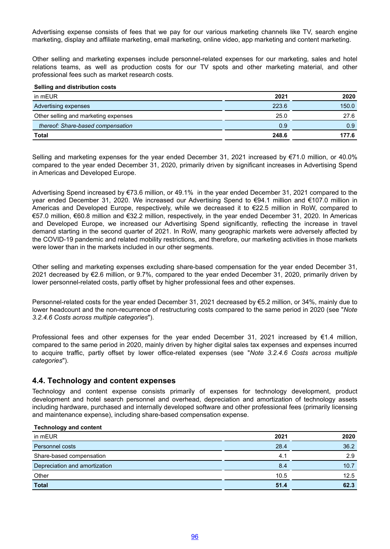Advertising expense consists of fees that we pay for our various marketing channels like TV, search engine marketing, display and affiliate marketing, email marketing, online video, app marketing and content marketing.

Other selling and marketing expenses include personnel-related expenses for our marketing, sales and hotel relations teams, as well as production costs for our TV spots and other marketing material, and other professional fees such as market research costs.

#### **Selling and distribution costs**

| in mEUR                              | 2021  | 2020  |
|--------------------------------------|-------|-------|
| Advertising expenses                 | 223.6 | 150.0 |
| Other selling and marketing expenses | 25.0  | 27.6  |
| thereof: Share-based compensation    | 0.9   | 0.9   |
| Total                                | 248.6 | 177.6 |

Selling and marketing expenses for the year ended December 31, 2021 increased by  $\epsilon$ 71.0 million, or 40.0% compared to the year ended December 31, 2020, primarily driven by significant increases in Advertising Spend in Americas and Developed Europe.

Advertising Spend increased by €73.6 million, or 49.1% in the year ended December 31, 2021 compared to the year ended December 31, 2020. We increased our Advertising Spend to €94.1 million and €107.0 million in Americas and Developed Europe, respectively, while we decreased it to €22.5 million in RoW, compared to €57.0 million, €60.8 million and €32.2 million, respectively, in the year ended December 31, 2020. In Americas and Developed Europe, we increased our Advertising Spend significantly, reflecting the increase in travel demand starting in the second quarter of 2021. In RoW, many geographic markets were adversely affected by the COVID-19 pandemic and related mobility restrictions, and therefore, our marketing activities in those markets were lower than in the markets included in our other segments.

Other selling and marketing expenses excluding share-based compensation for the year ended December 31, 2021 decreased by €2.6 million, or 9.7%, compared to the year ended December 31, 2020, primarily driven by lower personnel-related costs, partly offset by higher professional fees and other expenses.

Personnel-related costs for the year ended December 31, 2021 decreased by €5.2 million, or 34%, mainly due to lower headcount and the non-recurrence of restructuring costs compared to the same period in 2020 (see "*Note 3.2.4.6 Costs across multiple categories*").

Professional fees and other expenses for the year ended December 31, 2021 increased by €1.4 million, compared to the same period in 2020, mainly driven by higher digital sales tax expenses and expenses incurred to acquire traffic, partly offset by lower office-related expenses (see "*Note 3.2.4.6 Costs across multiple categories*").

### **4.4. Technology and content expenses**

Technology and content expense consists primarily of expenses for technology development, product development and hotel search personnel and overhead, depreciation and amortization of technology assets including hardware, purchased and internally developed software and other professional fees (primarily licensing and maintenance expense), including share-based compensation expense.

## **Technology and content** in mEUR **2021 2020** Personnel costs 28.4 36.2 Share-based compensation **2.9** 2.9 Depreciation and amortization 8.4 10.7 Other 10.5 12.5 **Total 51.4 62.3**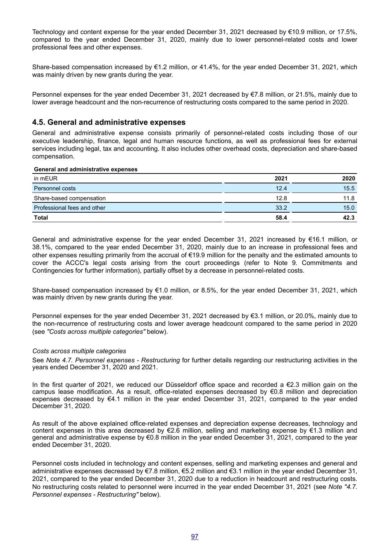Technology and content expense for the year ended December 31, 2021 decreased by €10.9 million, or 17.5%, compared to the year ended December 31, 2020, mainly due to lower personnel-related costs and lower professional fees and other expenses.

Share-based compensation increased by €1.2 million, or 41.4%, for the year ended December 31, 2021, which was mainly driven by new grants during the year.

Personnel expenses for the year ended December 31, 2021 decreased by €7.8 million, or 21.5%, mainly due to lower average headcount and the non-recurrence of restructuring costs compared to the same period in 2020.

### **4.5. General and administrative expenses**

General and administrative expense consists primarily of personnel-related costs including those of our executive leadership, finance, legal and human resource functions, as well as professional fees for external services including legal, tax and accounting. It also includes other overhead costs, depreciation and share-based compensation.

#### **General and administrative expenses**

| in mEUR                     | 2021 | 2020 |
|-----------------------------|------|------|
| Personnel costs             | 12.4 | 15.5 |
| Share-based compensation    | 12.8 | 11.8 |
| Professional fees and other | 33.2 | 15.0 |
| <b>Total</b>                | 58.4 | 42.3 |

General and administrative expense for the year ended December 31, 2021 increased by €16.1 million, or 38.1%, compared to the year ended December 31, 2020, mainly due to an increase in professional fees and other expenses resulting primarily from the accrual of €19.9 million for the penalty and the estimated amounts to cover the ACCC's legal costs arising from the court proceedings (refer to Note 9. Commitments and Contingencies for further information), partially offset by a decrease in personnel-related costs.

Share-based compensation increased by €1.0 million, or 8.5%, for the year ended December 31, 2021, which was mainly driven by new grants during the year.

Personnel expenses for the year ended December 31, 2021 decreased by €3.1 million, or 20.0%, mainly due to the non-recurrence of restructuring costs and lower average headcount compared to the same period in 2020 (see *"Costs across multiple categories"* below).

#### *Costs across multiple categories*

See *Note 4.7. Personnel expenses - Restructuring* for further details regarding our restructuring activities in the years ended December 31, 2020 and 2021.

In the first quarter of 2021, we reduced our Düsseldorf office space and recorded a €2.3 million gain on the campus lease modification. As a result, office-related expenses decreased by €0.8 million and depreciation expenses decreased by €4.1 million in the year ended December 31, 2021, compared to the year ended December 31, 2020.

As result of the above explained office-related expenses and depreciation expense decreases, technology and content expenses in this area decreased by €2.6 million, selling and marketing expense by €1.3 million and general and administrative expense by €0.8 million in the year ended December 31, 2021, compared to the year ended December 31, 2020.

Personnel costs included in technology and content expenses, selling and marketing expenses and general and administrative expenses decreased by €7.8 million, €5.2 million and €3.1 million in the year ended December 31, 2021, compared to the year ended December 31, 2020 due to a reduction in headcount and restructuring costs. No restructuring costs related to personnel were incurred in the year ended December 31, 2021 (see *Note "4.7. Personnel expenses - Restructuring"* below).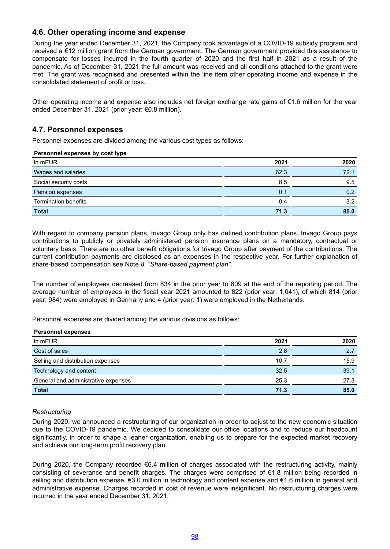### **4.6. Other operating income and expense**

During the year ended December 31, 2021, the Company took advantage of a COVID-19 subsidy program and received a €12 million grant from the German government. The German government provided this assistance to compensate for losses incurred in the fourth quarter of 2020 and the first half in 2021 as a result of the pandemic. As of December 31, 2021 the full amount was received and all conditions attached to the grant were met. The grant was recognised and presented within the line item other operating income and expense in the consolidated statement of profit or loss.

Other operating income and expense also includes net foreign exchange rate gains of €1.6 million for the year ended December 31, 2021 (prior year: €0.8 million).

### **4.7. Personnel expenses**

Personnel expenses are divided among the various cost types as follows:

| Personnel expenses by cost type |      |      |
|---------------------------------|------|------|
| in mEUR                         | 2021 | 2020 |
| Wages and salaries              | 62.3 | 72.1 |
| Social security costs           | 8.5  | 9.5  |
| Pension expenses                | 0.1  | 0.2  |
| Termination benefits            | 0.4  | 3.2  |
| <b>Total</b>                    | 71.3 | 85.0 |

With regard to company pension plans, trivago Group only has defined contribution plans. trivago Group pays contributions to publicly or privately administered pension insurance plans on a mandatory, contractual or voluntary basis. There are no other benefit obligations for trivago Group after payment of the contributions. The current contribution payments are disclosed as an expenses in the respective year. For further explanation of share-based compensation see Note *8. "Share-based payment plan"*.

The number of employees decreased from 834 in the prior year to 809 at the end of the reporting period. The average number of employees in the fiscal year 2021 amounted to 822 (prior year: 1,041), of which 814 (prior year: 984) were employed in Germany and 4 (prior year: 1) were employed in the Netherlands.

Personnel expenses are divided among the various divisions as follows:

| <b>Personnel expenses</b>           |      |      |
|-------------------------------------|------|------|
| in mEUR                             | 2021 | 2020 |
| Cost of sales                       | 2.8  | 2.7  |
| Selling and distribution expenses   | 10.7 | 15.9 |
| Technology and content              | 32.5 | 39.1 |
| General and administrative expenses | 25.3 | 27.3 |
| <b>Total</b>                        | 71.3 | 85.0 |

#### *Restructuring*

During 2020, we announced a restructuring of our organization in order to adjust to the new economic situation due to the COVID-19 pandemic. We decided to consolidate our office locations and to reduce our headcount significantly, in order to shape a leaner organization, enabling us to prepare for the expected market recovery and achieve our long-term profit recovery plan.

During 2020, the Company recorded €6.4 million of charges associated with the restructuring activity, mainly consisting of severance and benefit charges. The charges were comprised of €1.8 million being recorded in selling and distribution expense, €3.0 million in technology and content expense and €1.6 million in general and administrative expense. Charges recorded in cost of revenue were insignificant. No restructuring charges were incurred in the year ended December 31, 2021.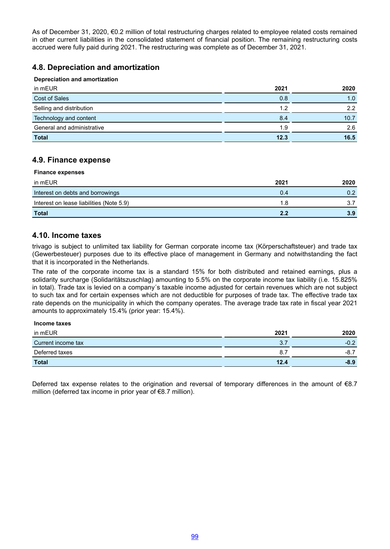As of December 31, 2020, €0.2 million of total restructuring charges related to employee related costs remained in other current liabilities in the consolidated statement of financial position. The remaining restructuring costs accrued were fully paid during 2021. The restructuring was complete as of December 31, 2021.

### **4.8. Depreciation and amortization**

| 2021 | 2020          |
|------|---------------|
| 0.8  | 1.0           |
| 1.2  | $2.2^{\circ}$ |
| 8.4  | 10.7          |
| 1.9  | 2.6           |
| 12.3 | 16.5          |
|      |               |

### **4.9. Finance expense**

| <b>Finance expenses</b>                  |      |         |
|------------------------------------------|------|---------|
| in mEUR                                  | 2021 | 2020    |
| Interest on debts and borrowings         | 0.4  | $0.2\,$ |
| Interest on lease liabilities (Note 5.9) | 1.8  | 3.7     |
| <b>Total</b>                             | 2.2  | 3.9     |

### **4.10. Income taxes**

trivago is subject to unlimited tax liability for German corporate income tax (Körperschaftsteuer) and trade tax (Gewerbesteuer) purposes due to its effective place of management in Germany and notwithstanding the fact that it is incorporated in the Netherlands.

The rate of the corporate income tax is a standard 15% for both distributed and retained earnings, plus a solidarity surcharge (Solidaritätszuschlag) amounting to 5.5% on the corporate income tax liability (i.e. 15.825% in total). Trade tax is levied on a company´s taxable income adjusted for certain revenues which are not subject to such tax and for certain expenses which are not deductible for purposes of trade tax. The effective trade tax rate depends on the municipality in which the company operates. The average trade tax rate in fiscal year 2021 amounts to approximately 15.4% (prior year: 15.4%).

**Income taxes**

| in mEUR            | 2021 | 2020   |
|--------------------|------|--------|
| Current income tax | 3.7  | $-0.2$ |
| Deferred taxes     |      | -8.,   |
| <b>Total</b>       | 12.4 | $-8.9$ |

Deferred tax expense relates to the origination and reversal of temporary differences in the amount of €8.7 million (deferred tax income in prior year of €8.7 million).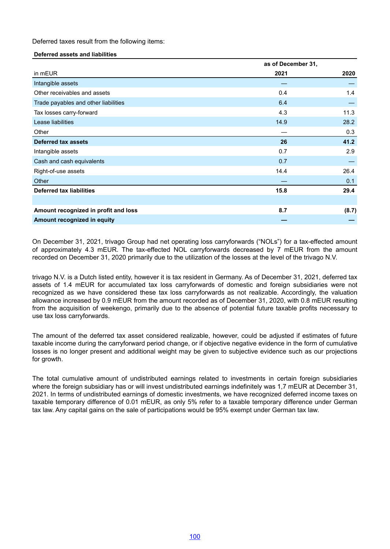#### Deferred taxes result from the following items:

#### **Deferred assets and liabilities**

|                                      |      | as of December 31, |
|--------------------------------------|------|--------------------|
| in mEUR                              | 2021 | 2020               |
| Intangible assets                    |      |                    |
| Other receivables and assets         | 0.4  | 1.4                |
| Trade payables and other liabilities | 6.4  |                    |
| Tax losses carry-forward             | 4.3  | 11.3               |
| Lease liabilities                    | 14.9 | 28.2               |
| Other                                |      | 0.3                |
| <b>Deferred tax assets</b>           | 26   | 41.2               |
| Intangible assets                    | 0.7  | 2.9                |
| Cash and cash equivalents            | 0.7  |                    |
| Right-of-use assets                  | 14.4 | 26.4               |
| Other                                |      | 0.1                |
| <b>Deferred tax liabilities</b>      | 15.8 | 29.4               |
|                                      |      |                    |
| Amount recognized in profit and loss | 8.7  | (8.7)              |
| Amount recognized in equity          |      |                    |

On December 31, 2021, trivago Group had net operating loss carryforwards ("NOLs") for a tax-effected amount of approximately 4.3 mEUR. The tax-effected NOL carryforwards decreased by 7 mEUR from the amount recorded on December 31, 2020 primarily due to the utilization of the losses at the level of the trivago N.V.

trivago N.V. is a Dutch listed entity, however it is tax resident in Germany. As of December 31, 2021, deferred tax assets of 1.4 mEUR for accumulated tax loss carryforwards of domestic and foreign subsidiaries were not recognized as we have considered these tax loss carryforwards as not realizable. Accordingly, the valuation allowance increased by 0.9 mEUR from the amount recorded as of December 31, 2020, with 0.8 mEUR resulting from the acquisition of weekengo, primarily due to the absence of potential future taxable profits necessary to use tax loss carryforwards.

The amount of the deferred tax asset considered realizable, however, could be adjusted if estimates of future taxable income during the carryforward period change, or if objective negative evidence in the form of cumulative losses is no longer present and additional weight may be given to subjective evidence such as our projections for growth.

The total cumulative amount of undistributed earnings related to investments in certain foreign subsidiaries where the foreign subsidiary has or will invest undistributed earnings indefinitely was 1,7 mEUR at December 31, 2021. In terms of undistributed earnings of domestic investments, we have recognized deferred income taxes on taxable temporary difference of 0.01 mEUR, as only 5% refer to a taxable temporary difference under German tax law. Any capital gains on the sale of participations would be 95% exempt under German tax law.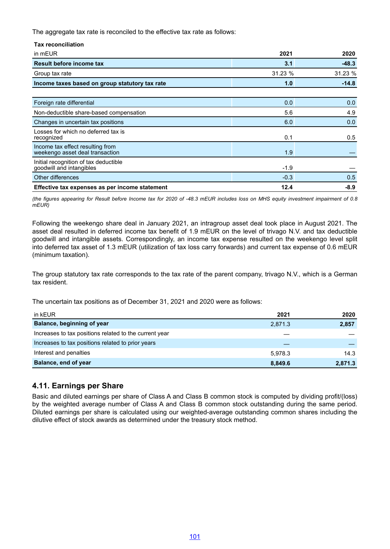The aggregate tax rate is reconciled to the effective tax rate as follows:

| <b>Tax reconciliation</b>                                           |         |         |
|---------------------------------------------------------------------|---------|---------|
| in mEUR                                                             | 2021    | 2020    |
| <b>Result before income tax</b>                                     | 3.1     | $-48.3$ |
| Group tax rate                                                      | 31.23 % | 31.23 % |
| Income taxes based on group statutory tax rate                      | 1.0     | $-14.8$ |
|                                                                     |         |         |
| Foreign rate differential                                           | 0.0     | 0.0     |
| Non-deductible share-based compensation                             | 5.6     | 4.9     |
| Changes in uncertain tax positions                                  | 6.0     | 0.0     |
| Losses for which no deferred tax is<br>recognized                   | 0.1     | 0.5     |
| Income tax effect resulting from<br>weekengo asset deal transaction | 1.9     |         |
| Initial recognition of tax deductible<br>goodwill and intangibles   | $-1.9$  |         |
| Other differences                                                   | $-0.3$  | 0.5     |
| Effective tax expenses as per income statement                      | 12.4    | $-8.9$  |

*(the figures appearing for Result before Income tax for 2020 of -48.3 mEUR includes loss on MHS equity investment impairment of 0.8 mEUR)*

Following the weekengo share deal in January 2021, an intragroup asset deal took place in August 2021. The asset deal resulted in deferred income tax benefit of 1.9 mEUR on the level of trivago N.V. and tax deductible goodwill and intangible assets. Correspondingly, an income tax expense resulted on the weekengo level split into deferred tax asset of 1.3 mEUR (utilization of tax loss carry forwards) and current tax expense of 0.6 mEUR (minimum taxation).

The group statutory tax rate corresponds to the tax rate of the parent company, trivago N.V., which is a German tax resident.

The uncertain tax positions as of December 31, 2021 and 2020 were as follows:

| in kEUR                                                | 2021    | 2020    |
|--------------------------------------------------------|---------|---------|
| Balance, beginning of year                             | 2,871.3 | 2,857   |
| Increases to tax positions related to the current year |         |         |
| Increases to tax positions related to prior years      |         |         |
| Interest and penalties                                 | 5.978.3 | 14.3    |
| Balance, end of year                                   | 8.849.6 | 2,871.3 |

### **4.11. Earnings per Share**

Basic and diluted earnings per share of Class A and Class B common stock is computed by dividing profit/(loss) by the weighted average number of Class A and Class B common stock outstanding during the same period. Diluted earnings per share is calculated using our weighted-average outstanding common shares including the dilutive effect of stock awards as determined under the treasury stock method.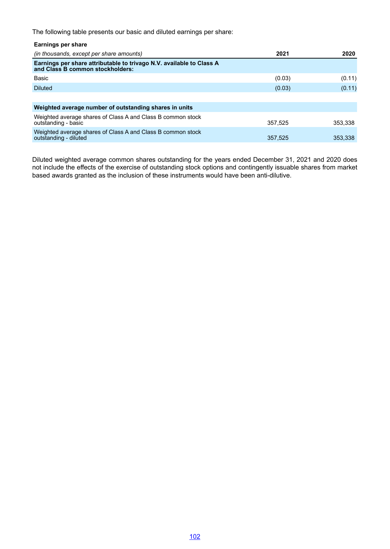The following table presents our basic and diluted earnings per share:

| <b>Earnings per share</b>                                                                                |         |         |
|----------------------------------------------------------------------------------------------------------|---------|---------|
| (in thousands, except per share amounts)                                                                 | 2021    | 2020    |
| Earnings per share attributable to trivago N.V. available to Class A<br>and Class B common stockholders: |         |         |
| Basic                                                                                                    | (0.03)  | (0.11)  |
| <b>Diluted</b>                                                                                           | (0.03)  | (0.11)  |
|                                                                                                          |         |         |
| Weighted average number of outstanding shares in units                                                   |         |         |
| Weighted average shares of Class A and Class B common stock<br>outstanding - basic                       | 357.525 | 353.338 |
| Weighted average shares of Class A and Class B common stock<br>outstanding - diluted                     | 357,525 | 353,338 |

Diluted weighted average common shares outstanding for the years ended December 31, 2021 and 2020 does not include the effects of the exercise of outstanding stock options and contingently issuable shares from market based awards granted as the inclusion of these instruments would have been anti-dilutive.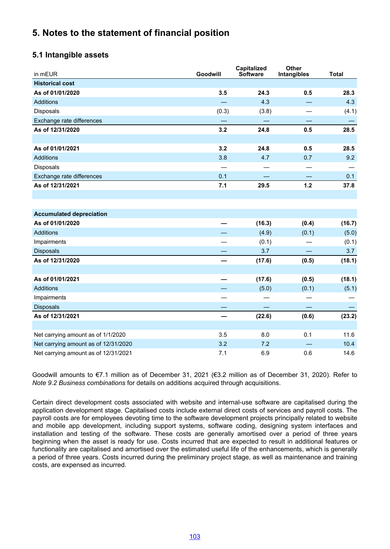# **5. Notes to the statement of financial position**

### **5.1 Intangible assets**

| in mEUR                              | Goodwill | <b>Capitalized</b><br><b>Software</b> | Other<br><b>Intangibles</b> | <b>Total</b> |
|--------------------------------------|----------|---------------------------------------|-----------------------------|--------------|
| <b>Historical cost</b>               |          |                                       |                             |              |
| As of 01/01/2020                     | 3.5      | 24.3                                  | 0.5                         | 28.3         |
| <b>Additions</b>                     |          | 4.3                                   |                             | 4.3          |
| Disposals                            | (0.3)    | (3.8)                                 |                             | (4.1)        |
| Exchange rate differences            |          |                                       |                             |              |
| As of 12/31/2020                     | 3.2      | 24.8                                  | 0.5                         | 28.5         |
|                                      |          |                                       |                             |              |
| As of 01/01/2021                     | 3.2      | 24.8                                  | 0.5                         | 28.5         |
| <b>Additions</b>                     | 3.8      | 4.7                                   | 0.7                         | 9.2          |
| Disposals                            |          |                                       |                             |              |
| Exchange rate differences            | 0.1      |                                       |                             | 0.1          |
| As of 12/31/2021                     | 7.1      | 29.5                                  | $1.2$                       | 37.8         |
|                                      |          |                                       |                             |              |
|                                      |          |                                       |                             |              |
| <b>Accumulated depreciation</b>      |          |                                       |                             |              |
| As of 01/01/2020                     |          | (16.3)                                | (0.4)                       | (16.7)       |
| <b>Additions</b>                     |          | (4.9)                                 | (0.1)                       | (5.0)        |
| Impairments                          |          | (0.1)                                 |                             | (0.1)        |
| <b>Disposals</b>                     |          | 3.7                                   |                             | 3.7          |
| As of 12/31/2020                     |          | (17.6)                                | (0.5)                       | (18.1)       |
|                                      |          |                                       |                             |              |
| As of 01/01/2021                     |          | (17.6)                                | (0.5)                       | (18.1)       |
| Additions                            |          | (5.0)                                 | (0.1)                       | (5.1)        |
| Impairments                          |          |                                       |                             |              |
| <b>Disposals</b>                     |          |                                       |                             |              |
| As of 12/31/2021                     |          | (22.6)                                | (0.6)                       | (23.2)       |
|                                      |          |                                       |                             |              |
| Net carrying amount as of 1/1/2020   | 3.5      | 8.0                                   | 0.1                         | 11.6         |
| Net carrying amount as of 12/31/2020 | 3.2      | 7.2                                   |                             | 10.4         |
| Net carrying amount as of 12/31/2021 | 7.1      | 6.9                                   | 0.6                         | 14.6         |

Goodwill amounts to €7.1 million as of December 31, 2021 (€3.2 million as of December 31, 2020). Refer to *Note 9.2 Business combinations* for details on additions acquired through acquisitions.

Certain direct development costs associated with website and internal-use software are capitalised during the application development stage. Capitalised costs include external direct costs of services and payroll costs. The payroll costs are for employees devoting time to the software development projects principally related to website and mobile app development, including support systems, software coding, designing system interfaces and installation and testing of the software. These costs are generally amortised over a period of three years beginning when the asset is ready for use. Costs incurred that are expected to result in additional features or functionality are capitalised and amortised over the estimated useful life of the enhancements, which is generally a period of three years. Costs incurred during the preliminary project stage, as well as maintenance and training costs, are expensed as incurred.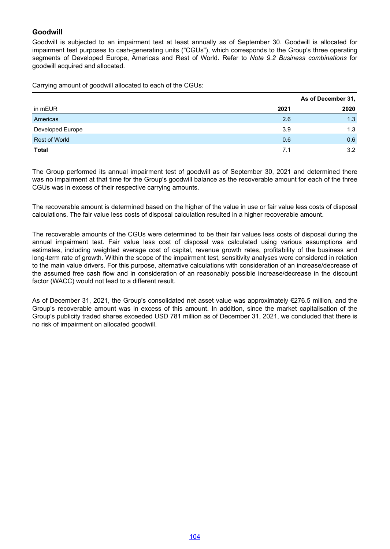### **Goodwill**

Goodwill is subjected to an impairment test at least annually as of September 30. Goodwill is allocated for impairment test purposes to cash-generating units ("CGUs"), which corresponds to the Group's three operating segments of Developed Europe, Americas and Rest of World. Refer to *Note 9.2 Business combinations* for goodwill acquired and allocated.

Carrying amount of goodwill allocated to each of the CGUs:

|                      |      | As of December 31, |
|----------------------|------|--------------------|
| in mEUR              | 2021 | 2020               |
| Americas             | 2.6  | 1.3                |
| Developed Europe     | 3.9  | 1.3                |
| <b>Rest of World</b> | 0.6  | 0.6                |
| <b>Total</b>         | 7.1  | 3.2                |

The Group performed its annual impairment test of goodwill as of September 30, 2021 and determined there was no impairment at that time for the Group's goodwill balance as the recoverable amount for each of the three CGUs was in excess of their respective carrying amounts.

The recoverable amount is determined based on the higher of the value in use or fair value less costs of disposal calculations. The fair value less costs of disposal calculation resulted in a higher recoverable amount.

The recoverable amounts of the CGUs were determined to be their fair values less costs of disposal during the annual impairment test. Fair value less cost of disposal was calculated using various assumptions and estimates, including weighted average cost of capital, revenue growth rates, profitability of the business and long-term rate of growth. Within the scope of the impairment test, sensitivity analyses were considered in relation to the main value drivers. For this purpose, alternative calculations with consideration of an increase/decrease of the assumed free cash flow and in consideration of an reasonably possible increase/decrease in the discount factor (WACC) would not lead to a different result.

As of December 31, 2021, the Group's consolidated net asset value was approximately €276.5 million, and the Group's recoverable amount was in excess of this amount. In addition, since the market capitalisation of the Group's publicity traded shares exceeded USD 781 million as of December 31, 2021, we concluded that there is no risk of impairment on allocated goodwill.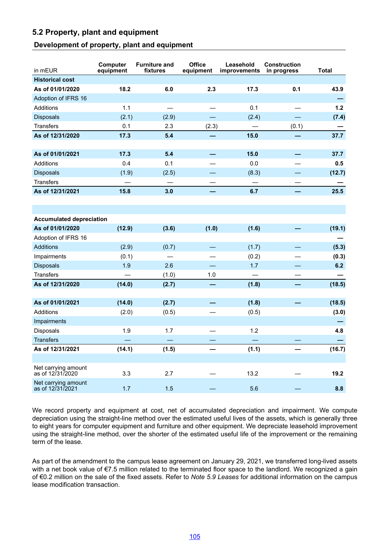### **5.2 Property, plant and equipment**

| in mEUR                                 | <b>Computer</b><br>equipment | <b>Furniture and</b><br>fixtures | <b>Office</b><br>equipment | Leasehold<br><b>improvements</b> | <b>Construction</b><br>in progress | <b>Total</b> |
|-----------------------------------------|------------------------------|----------------------------------|----------------------------|----------------------------------|------------------------------------|--------------|
| <b>Historical cost</b>                  |                              |                                  |                            |                                  |                                    |              |
| As of 01/01/2020                        | 18.2                         | 6.0                              | 2.3                        | 17.3                             | 0.1                                | 43.9         |
| Adoption of IFRS 16                     |                              |                                  |                            |                                  |                                    |              |
| <b>Additions</b>                        | 1.1                          |                                  |                            | 0.1                              |                                    | 1.2          |
| <b>Disposals</b>                        | (2.1)                        | (2.9)                            |                            | (2.4)                            |                                    | (7.4)        |
| <b>Transfers</b>                        | 0.1                          | 2.3                              | (2.3)                      |                                  | (0.1)                              |              |
| As of 12/31/2020                        | 17.3                         | 5.4                              |                            | 15.0                             |                                    | 37.7         |
| As of 01/01/2021                        | 17.3                         | 5.4                              |                            | 15.0                             |                                    | 37.7         |
| Additions                               | 0.4                          | 0.1                              |                            | 0.0                              |                                    | 0.5          |
| <b>Disposals</b>                        | (1.9)                        | (2.5)                            |                            | (8.3)                            |                                    | (12.7)       |
| <b>Transfers</b>                        |                              |                                  |                            |                                  |                                    |              |
| As of 12/31/2021                        | 15.8                         | 3.0                              |                            | 6.7                              |                                    | 25.5         |
|                                         |                              |                                  |                            |                                  |                                    |              |
|                                         |                              |                                  |                            |                                  |                                    |              |
| <b>Accumulated depreciation</b>         |                              |                                  |                            |                                  |                                    |              |
| As of 01/01/2020                        | (12.9)                       | (3.6)                            | (1.0)                      | (1.6)                            |                                    | (19.1)       |
| Adoption of IFRS 16                     |                              |                                  |                            |                                  |                                    |              |
| Additions                               | (2.9)                        | (0.7)                            |                            | (1.7)                            |                                    | (5.3)        |
| Impairments                             | (0.1)                        |                                  |                            | (0.2)                            |                                    | (0.3)        |
| <b>Disposals</b>                        | 1.9                          | 2.6                              |                            | 1.7                              |                                    | 6.2          |
| <b>Transfers</b>                        |                              | (1.0)                            | 1.0                        |                                  |                                    |              |
| As of 12/31/2020                        | (14.0)                       | (2.7)                            | -                          | (1.8)                            |                                    | (18.5)       |
|                                         |                              |                                  |                            |                                  |                                    |              |
| As of 01/01/2021                        | (14.0)                       | (2.7)                            |                            | (1.8)                            |                                    | (18.5)       |
| Additions                               | (2.0)                        | (0.5)                            |                            | (0.5)                            |                                    | (3.0)        |
| Impairments                             |                              |                                  |                            |                                  |                                    |              |
| <b>Disposals</b>                        | 1.9                          | 1.7                              |                            | 1.2                              |                                    | 4.8          |
| <b>Transfers</b>                        |                              |                                  |                            |                                  |                                    |              |
| As of 12/31/2021                        | (14.1)                       | (1.5)                            |                            | (1.1)                            |                                    | (16.7)       |
|                                         |                              |                                  |                            |                                  |                                    |              |
| Net carrying amount<br>as of 12/31/2020 | 3.3                          | 2.7                              |                            | 13.2                             |                                    | 19.2         |
| Net carrying amount<br>as of 12/31/2021 | 1.7                          | 1.5                              |                            | 5.6                              |                                    | 8.8          |
|                                         |                              |                                  |                            |                                  |                                    |              |

### **Development of property, plant and equipment**

We record property and equipment at cost, net of accumulated depreciation and impairment. We compute depreciation using the straight-line method over the estimated useful lives of the assets, which is generally three to eight years for computer equipment and furniture and other equipment. We depreciate leasehold improvement using the straight-line method, over the shorter of the estimated useful life of the improvement or the remaining term of the lease.

As part of the amendment to the campus lease agreement on January 29, 2021, we transferred long-lived assets with a net book value of €7.5 million related to the terminated floor space to the landlord. We recognized a gain of €0.2 million on the sale of the fixed assets. Refer to *Note 5.9 Leases* for additional information on the campus lease modification transaction.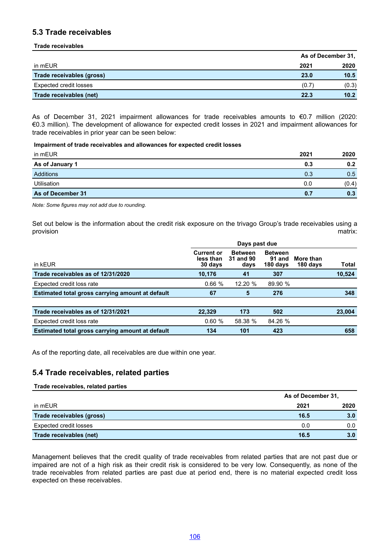### **5.3 Trade receivables**

| Trade receivables         |       |                    |
|---------------------------|-------|--------------------|
|                           |       | As of December 31, |
| in mEUR                   | 2021  | 2020               |
| Trade receivables (gross) | 23.0  | 10.5               |
| Expected credit losses    | (0.7) | (0.3)              |
| Trade receivables (net)   | 22.3  | 10.2               |

As of December 31, 2021 impairment allowances for trade receivables amounts to €0.7 million (2020: €0.3 million). The development of allowance for expected credit losses in 2021 and impairment allowances for trade receivables in prior year can be seen below:

#### **Impairment of trade receivables and allowances for expected credit losses**

| in mEUR                  | 2021 | 2020  |
|--------------------------|------|-------|
| As of January 1          | 0.3  | 0.2   |
| <b>Additions</b>         | 0.3  | 0.5   |
| <b>Utilisation</b>       | 0.0  | (0.4) |
| <b>As of December 31</b> | 0.7  | 0.3   |

*Note: Some figures may not add due to rounding.*

Set out below is the information about the credit risk exposure on the trivago Group's trade receivables using a provision matrix:

|                                                  | Days past due                             |                                     |                                      |                       |        |  |
|--------------------------------------------------|-------------------------------------------|-------------------------------------|--------------------------------------|-----------------------|--------|--|
| in kEUR                                          | <b>Current or</b><br>less than<br>30 days | <b>Between</b><br>31 and 90<br>days | <b>Between</b><br>91 and<br>180 days | More than<br>180 days | Total  |  |
| Trade receivables as of 12/31/2020               | 10,176                                    | 41                                  | 307                                  |                       | 10,524 |  |
| Expected credit loss rate                        | 0.66%                                     | 12.20%                              | 89.90 %                              |                       |        |  |
| Estimated total gross carrying amount at default | 67                                        | 5                                   | 276                                  |                       | 348    |  |
|                                                  |                                           |                                     |                                      |                       |        |  |
| Trade receivables as of 12/31/2021               | 22,329                                    | 173                                 | 502                                  |                       | 23,004 |  |
| Expected credit loss rate                        | 0.60%                                     | 58.38 %                             | 84.26 %                              |                       |        |  |
| Estimated total gross carrying amount at default | 134                                       | 101                                 | 423                                  |                       | 658    |  |

As of the reporting date, all receivables are due within one year.

### **5.4 Trade receivables, related parties**

#### **Trade receivables, related parties**

|                               | As of December 31, |      |  |  |
|-------------------------------|--------------------|------|--|--|
| in mEUR                       | 2021               | 2020 |  |  |
| Trade receivables (gross)     | 16.5               | 3.0  |  |  |
| <b>Expected credit losses</b> | 0.0                | 0.0  |  |  |
| Trade receivables (net)       | 16.5               | 3.0  |  |  |

Management believes that the credit quality of trade receivables from related parties that are not past due or impaired are not of a high risk as their credit risk is considered to be very low. Consequently, as none of the trade receivables from related parties are past due at period end, there is no material expected credit loss expected on these receivables.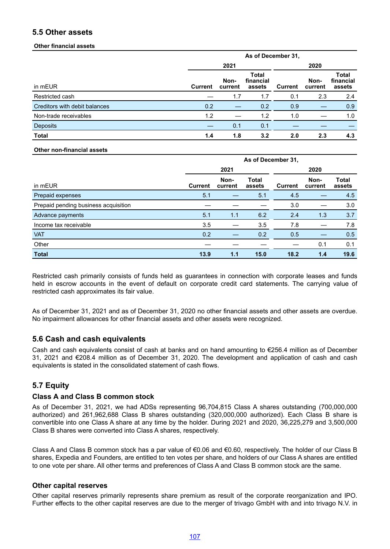### **5.5 Other assets**

#### **Other financial assets**

|                               | As of December 31, |                 |                                     |         |                 |                                     |
|-------------------------------|--------------------|-----------------|-------------------------------------|---------|-----------------|-------------------------------------|
|                               |                    | 2021            |                                     | 2020    |                 |                                     |
| in mEUR                       | Current            | Non-<br>current | <b>Total</b><br>financial<br>assets | Current | Non-<br>current | <b>Total</b><br>financial<br>assets |
| Restricted cash               |                    | 1.7             | 1.7                                 | 0.1     | 2.3             | 2.4                                 |
| Creditors with debit balances | 0.2                |                 | 0.2                                 | 0.9     |                 | 0.9                                 |
| Non-trade receivables         | 1.2                |                 | 1.2                                 | 1.0     |                 | 1.0                                 |
| Deposits                      |                    | 0.1             | 0.1                                 |         |                 |                                     |
| <b>Total</b>                  | 1.4                | 1.8             | 3.2                                 | 2.0     | 2.3             | 4.3                                 |

#### **Other non-financial assets**

|                                      | As of December 31, |                 |                        |                |                 |                        |
|--------------------------------------|--------------------|-----------------|------------------------|----------------|-----------------|------------------------|
|                                      |                    | 2021            |                        |                | 2020            |                        |
| in mEUR                              | <b>Current</b>     | Non-<br>current | <b>Total</b><br>assets | <b>Current</b> | Non-<br>current | <b>Total</b><br>assets |
| Prepaid expenses                     | 5.1                |                 | 5.1                    | 4.5            |                 | 4.5                    |
| Prepaid pending business acquisition |                    |                 |                        | 3.0            |                 | 3.0                    |
| Advance payments                     | 5.1                | 1.1             | 6.2                    | 2.4            | 1.3             | 3.7                    |
| Income tax receivable                | 3.5                |                 | 3.5                    | 7.8            |                 | 7.8                    |
| <b>VAT</b>                           | 0.2                |                 | 0.2                    | 0.5            |                 | 0.5                    |
| Other                                |                    |                 |                        |                | 0.1             | 0.1                    |
| <b>Total</b>                         | 13.9               | 1.1             | 15.0                   | 18.2           | 1.4             | 19.6                   |

Restricted cash primarily consists of funds held as guarantees in connection with corporate leases and funds held in escrow accounts in the event of default on corporate credit card statements. The carrying value of restricted cash approximates its fair value.

As of December 31, 2021 and as of December 31, 2020 no other financial assets and other assets are overdue. No impairment allowances for other financial assets and other assets were recognized.

### **5.6 Cash and cash equivalents**

Cash and cash equivalents consist of cash at banks and on hand amounting to €256.4 million as of December 31, 2021 and €208.4 million as of December 31, 2020. The development and application of cash and cash equivalents is stated in the consolidated statement of cash flows.

### **5.7 Equity**

### **Class A and Class B common stock**

As of December 31, 2021, we had ADSs representing 96,704,815 Class A shares outstanding (700,000,000 authorized) and 261,962,688 Class B shares outstanding (320,000,000 authorized). Each Class B share is convertible into one Class A share at any time by the holder. During 2021 and 2020, 36,225,279 and 3,500,000 Class B shares were converted into Class A shares, respectively.

Class A and Class B common stock has a par value of €0.06 and €0.60, respectively. The holder of our Class B shares, Expedia and Founders, are entitled to ten votes per share, and holders of our Class A shares are entitled to one vote per share. All other terms and preferences of Class A and Class B common stock are the same.

### **Other capital reserves**

Other capital reserves primarily represents share premium as result of the corporate reorganization and IPO. Further effects to the other capital reserves are due to the merger of trivago GmbH with and into trivago N.V. in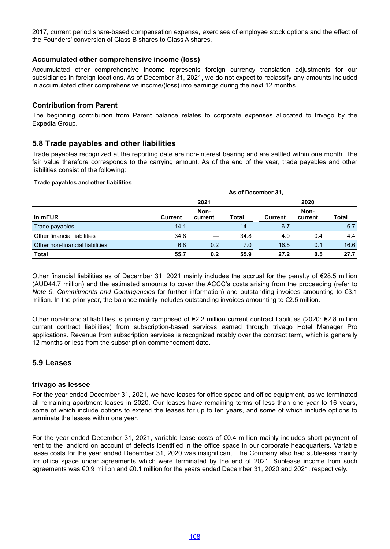2017, current period share-based compensation expense, exercises of employee stock options and the effect of the Founders' conversion of Class B shares to Class A shares.

### **Accumulated other comprehensive income (loss)**

Accumulated other comprehensive income represents foreign currency translation adjustments for our subsidiaries in foreign locations. As of December 31, 2021, we do not expect to reclassify any amounts included in accumulated other comprehensive income/(loss) into earnings during the next 12 months.

### **Contribution from Parent**

The beginning contribution from Parent balance relates to corporate expenses allocated to trivago by the Expedia Group.

### **5.8 Trade payables and other liabilities**

Trade payables recognized at the reporting date are non-interest bearing and are settled within one month. The fair value therefore corresponds to the carrying amount. As of the end of the year, trade payables and other liabilities consist of the following:

#### **Trade payables and other liabilities**

|                                 | As of December 31, |                 |       |                |                 |       |  |
|---------------------------------|--------------------|-----------------|-------|----------------|-----------------|-------|--|
|                                 |                    | 2021            |       | 2020           |                 |       |  |
| in mEUR                         | <b>Current</b>     | Non-<br>current | Total | <b>Current</b> | Non-<br>current | Total |  |
| Trade payables                  | 14.1               |                 | 14.1  | 6.7            |                 | 6.7   |  |
| Other financial liabilities     | 34.8               |                 | 34.8  | 4.0            | 0.4             | 4.4   |  |
| Other non-financial liabilities | 6.8                | 0.2             | 7.0   | 16.5           | 0.1             | 16.6  |  |
| Total                           | 55.7               | 0.2             | 55.9  | 27.2           | 0.5             | 27.7  |  |

Other financial liabilities as of December 31, 2021 mainly includes the accrual for the penalty of €28.5 million (AUD44.7 million) and the estimated amounts to cover the ACCC's costs arising from the proceeding (refer to *Note 9. Commitments and Contingencies* for further information) and outstanding invoices amounting to €3.1 million. In the prior year, the balance mainly includes outstanding invoices amounting to  $\epsilon$ 2.5 million.

Other non-financial liabilities is primarily comprised of €2.2 million current contract liabilities (2020: €2.8 million current contract liabilities) from subscription-based services earned through trivago Hotel Manager Pro applications. Revenue from subscription services is recognized ratably over the contract term, which is generally 12 months or less from the subscription commencement date.

### **5.9 Leases**

### **trivago as lessee**

For the year ended December 31, 2021, we have leases for office space and office equipment, as we terminated all remaining apartment leases in 2020. Our leases have remaining terms of less than one year to 16 years, some of which include options to extend the leases for up to ten years, and some of which include options to terminate the leases within one year.

For the year ended December 31, 2021, variable lease costs of €0.4 million mainly includes short payment of rent to the landlord on account of defects identified in the office space in our corporate headquarters. Variable lease costs for the year ended December 31, 2020 was insignificant. The Company also had subleases mainly for office space under agreements which were terminated by the end of 2021. Sublease income from such agreements was €0.9 million and €0.1 million for the years ended December 31, 2020 and 2021, respectively.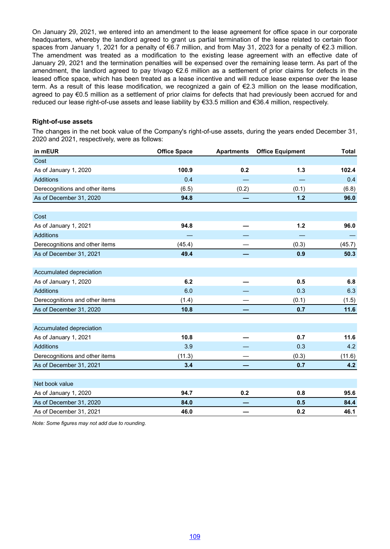On January 29, 2021, we entered into an amendment to the lease agreement for office space in our corporate headquarters, whereby the landlord agreed to grant us partial termination of the lease related to certain floor spaces from January 1, 2021 for a penalty of €6.7 million, and from May 31, 2023 for a penalty of €2.3 million. The amendment was treated as a modification to the existing lease agreement with an effective date of January 29, 2021 and the termination penalties will be expensed over the remaining lease term. As part of the amendment, the landlord agreed to pay trivago €2.6 million as a settlement of prior claims for defects in the leased office space, which has been treated as a lease incentive and will reduce lease expense over the lease term. As a result of this lease modification, we recognized a gain of €2.3 million on the lease modification, agreed to pay €0.5 million as a settlement of prior claims for defects that had previously been accrued for and reduced our lease right-of-use assets and lease liability by €33.5 million and €36.4 million, respectively.

#### **Right-of-use assets**

The changes in the net book value of the Company's right-of-use assets, during the years ended December 31, 2020 and 2021, respectively, were as follows:

| in mEUR                        | <b>Office Space</b> | <b>Apartments</b> | <b>Office Equipment</b> | <b>Total</b> |
|--------------------------------|---------------------|-------------------|-------------------------|--------------|
| Cost                           |                     |                   |                         |              |
| As of January 1, 2020          | 100.9               | 0.2               | 1.3                     | 102.4        |
| <b>Additions</b>               | 0.4                 |                   |                         | 0.4          |
| Derecognitions and other items | (6.5)               | (0.2)             | (0.1)                   | (6.8)        |
| As of December 31, 2020        | 94.8                |                   | $1.2$                   | 96.0         |
|                                |                     |                   |                         |              |
| Cost                           |                     |                   |                         |              |
| As of January 1, 2021          | 94.8                |                   | $1.2$                   | 96.0         |
| <b>Additions</b>               |                     |                   |                         |              |
| Derecognitions and other items | (45.4)              |                   | (0.3)                   | (45.7)       |
| As of December 31, 2021        | 49.4                |                   | 0.9                     | 50.3         |
|                                |                     |                   |                         |              |
| Accumulated depreciation       |                     |                   |                         |              |
| As of January 1, 2020          | 6.2                 |                   | 0.5                     | 6.8          |
| <b>Additions</b>               | 6.0                 |                   | 0.3                     | 6.3          |
| Derecognitions and other items | (1.4)               |                   | (0.1)                   | (1.5)        |
| As of December 31, 2020        | 10.8                |                   | 0.7                     | 11.6         |
|                                |                     |                   |                         |              |
| Accumulated depreciation       |                     |                   |                         |              |
| As of January 1, 2021          | 10.8                |                   | 0.7                     | 11.6         |
| <b>Additions</b>               | 3.9                 |                   | 0.3                     | 4.2          |
| Derecognitions and other items | (11.3)              |                   | (0.3)                   | (11.6)       |
| As of December 31, 2021        | 3.4                 |                   | 0.7                     | 4.2          |
|                                |                     |                   |                         |              |
| Net book value                 |                     |                   |                         |              |
| As of January 1, 2020          | 94.7                | 0.2               | 0.8                     | 95.6         |
| As of December 31, 2020        | 84.0                |                   | 0.5                     | 84.4         |
| As of December 31, 2021        | 46.0                |                   | 0.2                     | 46.1         |

*Note: Some figures may not add due to rounding.*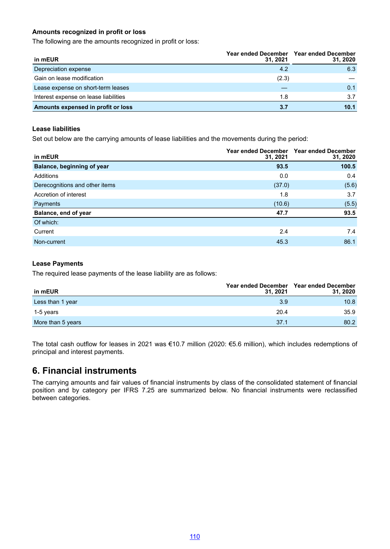## **Amounts recognized in profit or loss**

The following are the amounts recognized in profit or loss:

| in mEUR                               | 31.2021 | Year ended December Year ended December<br>31, 2020 |
|---------------------------------------|---------|-----------------------------------------------------|
| Depreciation expense                  | 4.2     | 6.3                                                 |
| Gain on lease modification            | (2.3)   |                                                     |
| Lease expense on short-term leases    |         | 0.1                                                 |
| Interest expense on lease liabilities | 1.8     | 3.7                                                 |
| Amounts expensed in profit or loss    | 3.7     | 10.1                                                |

### **Lease liabilities**

Set out below are the carrying amounts of lease liabilities and the movements during the period:

| in mEUR                        | <b>Year ended December</b><br>31, 2021 | <b>Year ended December</b><br>31, 2020 |
|--------------------------------|----------------------------------------|----------------------------------------|
| Balance, beginning of year     | 93.5                                   | 100.5                                  |
| Additions                      | 0.0                                    | 0.4                                    |
| Derecognitions and other items | (37.0)                                 | (5.6)                                  |
| Accretion of interest          | 1.8                                    | 3.7                                    |
| Payments                       | (10.6)                                 | (5.5)                                  |
| Balance, end of year           | 47.7                                   | 93.5                                   |
| Of which:                      |                                        |                                        |
| Current                        | 2.4                                    | 7.4                                    |
| Non-current                    | 45.3                                   | 86.1                                   |

## **Lease Payments**

The required lease payments of the lease liability are as follows:

| in mEUR           | 31.2021 | Year ended December Year ended December<br>31, 2020 |
|-------------------|---------|-----------------------------------------------------|
| Less than 1 year  | 3.9     | 10.8                                                |
| 1-5 years         | 20.4    | 35.9                                                |
| More than 5 years | 37.1    | 80.2                                                |

The total cash outflow for leases in 2021 was €10.7 million (2020: €5.6 million), which includes redemptions of principal and interest payments.

# **6. Financial instruments**

The carrying amounts and fair values of financial instruments by class of the consolidated statement of financial position and by category per IFRS 7.25 are summarized below. No financial instruments were reclassified between categories.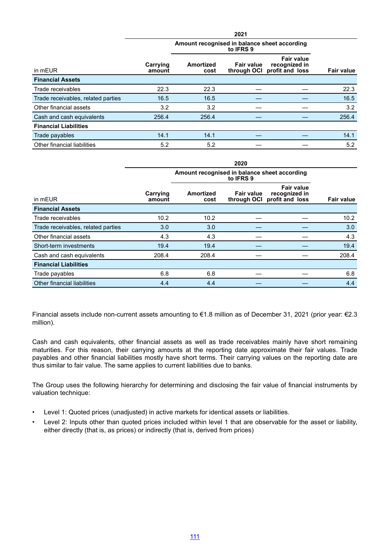| in mEUR                            | Carrying<br>amount | <b>Amortized</b><br>cost | <b>Fair value</b><br>through OCI | <b>Fair value</b><br>recognized in<br>profit and loss | <b>Fair value</b> |
|------------------------------------|--------------------|--------------------------|----------------------------------|-------------------------------------------------------|-------------------|
| <b>Financial Assets</b>            |                    |                          |                                  |                                                       |                   |
| Trade receivables                  | 22.3               | 22.3                     |                                  |                                                       | 22.3              |
| Trade receivables, related parties | 16.5               | 16.5                     |                                  |                                                       | 16.5              |
| Other financial assets             | 3.2                | 3.2                      |                                  |                                                       | 3.2               |
| Cash and cash equivalents          | 256.4              | 256.4                    |                                  |                                                       | 256.4             |
| <b>Financial Liabilities</b>       |                    |                          |                                  |                                                       |                   |
| Trade payables                     | 14.1               | 14.1                     |                                  |                                                       | 14.1              |
| Other financial liabilities        | 5.2                | 5.2                      |                                  |                                                       | 5.2               |

|                                    |                    |                   | 2020                             |                                                       |                   |
|------------------------------------|--------------------|-------------------|----------------------------------|-------------------------------------------------------|-------------------|
|                                    |                    |                   |                                  |                                                       |                   |
| in mEUR                            | Carrying<br>amount | Amortized<br>cost | <b>Fair value</b><br>through OCI | <b>Fair value</b><br>recognized in<br>profit and loss | <b>Fair value</b> |
| <b>Financial Assets</b>            |                    |                   |                                  |                                                       |                   |
| Trade receivables                  | 10.2               | 10.2              |                                  |                                                       | 10.2              |
| Trade receivables, related parties | 3.0                | 3.0               |                                  |                                                       | 3.0               |
| Other financial assets             | 4.3                | 4.3               |                                  |                                                       | 4.3               |
| Short-term investments             | 19.4               | 19.4              |                                  |                                                       | 19.4              |
| Cash and cash equivalents          | 208.4              | 208.4             |                                  |                                                       | 208.4             |
| <b>Financial Liabilities</b>       |                    |                   |                                  |                                                       |                   |
| Trade payables                     | 6.8                | 6.8               |                                  |                                                       | 6.8               |
| Other financial liabilities        | 4.4                | 4.4               |                                  |                                                       | 4.4               |

Financial assets include non-current assets amounting to €1.8 million as of December 31, 2021 (prior year: €2.3 million).

Cash and cash equivalents, other financial assets as well as trade receivables mainly have short remaining maturities. For this reason, their carrying amounts at the reporting date approximate their fair values. Trade payables and other financial liabilities mostly have short terms. Their carrying values on the reporting date are thus similar to fair value. The same applies to current liabilities due to banks.

The Group uses the following hierarchy for determining and disclosing the fair value of financial instruments by valuation technique:

- Level 1: Quoted prices (unadjusted) in active markets for identical assets or liabilities.
- Level 2: Inputs other than quoted prices included within level 1 that are observable for the asset or liability, either directly (that is, as prices) or indirectly (that is, derived from prices)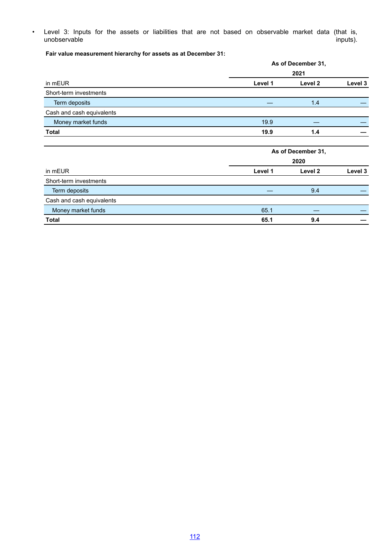• Level 3: Inputs for the assets or liabilities that are not based on observable market data (that is, unobservable

### **Fair value measurement hierarchy for assets as at December 31:**

|                           |         | As of December 31, |         |  |  |
|---------------------------|---------|--------------------|---------|--|--|
|                           |         | 2021               |         |  |  |
| in mEUR                   | Level 1 | Level <sub>2</sub> | Level 3 |  |  |
| Short-term investments    |         |                    |         |  |  |
| Term deposits             |         | 1.4                |         |  |  |
| Cash and cash equivalents |         |                    |         |  |  |
| Money market funds        | 19.9    |                    |         |  |  |
| Total                     | 19.9    | 1.4                |         |  |  |
|                           |         | As of December 31, |         |  |  |
|                           |         | 2020               |         |  |  |
| in mEUR                   | Level 1 | Level 2            | Level 3 |  |  |
| Short-term investments    |         |                    |         |  |  |
| Term deposits             |         | 9.4                |         |  |  |
| Cash and cash equivalents |         |                    |         |  |  |
| Money market funds        | 65.1    |                    |         |  |  |
| <b>Total</b>              | 65.1    | 9.4                |         |  |  |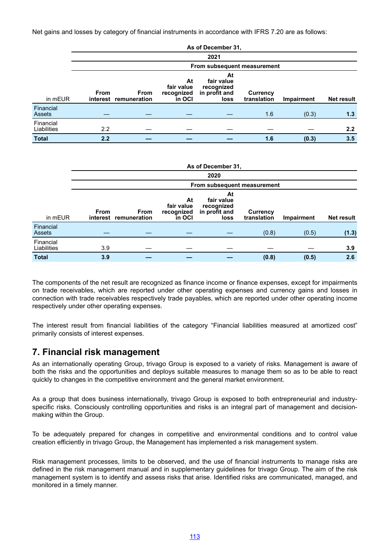Net gains and losses by category of financial instruments in accordance with IFRS 7.20 are as follows:

|                          | As of December 31, |                                      |                                          |                                                         |                         |            |               |
|--------------------------|--------------------|--------------------------------------|------------------------------------------|---------------------------------------------------------|-------------------------|------------|---------------|
|                          |                    | 2021                                 |                                          |                                                         |                         |            |               |
|                          |                    |                                      |                                          | From subsequent measurement                             |                         |            |               |
| in mEUR                  | <b>From</b>        | <b>From</b><br>interest remuneration | At<br>fair value<br>recognized<br>in OCI | At<br>fair value<br>recognized<br>in profit and<br>loss | Currency<br>translation | Impairment | Net result    |
| Financial<br>Assets      |                    |                                      |                                          |                                                         | 1.6                     | (0.3)      | 1.3           |
| Financial<br>Liabilities | 2.2                |                                      |                                          |                                                         |                         |            | $2.2^{\circ}$ |
| <b>Total</b>             | 2.2                |                                      |                                          |                                                         | 1.6                     | (0.3)      | 3.5           |

|                            |             |                                      |                                          | As of December 31,                                      |                         |                   |                   |
|----------------------------|-------------|--------------------------------------|------------------------------------------|---------------------------------------------------------|-------------------------|-------------------|-------------------|
|                            |             |                                      |                                          | 2020                                                    |                         |                   |                   |
|                            |             |                                      |                                          | From subsequent measurement                             |                         |                   |                   |
| in mEUR                    | <b>From</b> | <b>From</b><br>interest remuneration | At<br>fair value<br>recognized<br>in OCI | At<br>fair value<br>recognized<br>in profit and<br>loss | Currency<br>translation | <b>Impairment</b> | <b>Net result</b> |
| Financial<br><b>Assets</b> |             |                                      |                                          |                                                         | (0.8)                   | (0.5)             | (1.3)             |
| Financial<br>Liabilities   | 3.9         |                                      |                                          |                                                         |                         |                   | 3.9               |
| <b>Total</b>               | 3.9         |                                      |                                          |                                                         | (0.8)                   | (0.5)             | 2.6               |

The components of the net result are recognized as finance income or finance expenses, except for impairments on trade receivables, which are reported under other operating expenses and currency gains and losses in connection with trade receivables respectively trade payables, which are reported under other operating income respectively under other operating expenses.

The interest result from financial liabilities of the category "Financial liabilities measured at amortized cost" primarily consists of interest expenses.

# **7. Financial risk management**

As an internationally operating Group, trivago Group is exposed to a variety of risks. Management is aware of both the risks and the opportunities and deploys suitable measures to manage them so as to be able to react quickly to changes in the competitive environment and the general market environment.

As a group that does business internationally, trivago Group is exposed to both entrepreneurial and industryspecific risks. Consciously controlling opportunities and risks is an integral part of management and decisionmaking within the Group.

To be adequately prepared for changes in competitive and environmental conditions and to control value creation efficiently in trivago Group, the Management has implemented a risk management system.

Risk management processes, limits to be observed, and the use of financial instruments to manage risks are defined in the risk management manual and in supplementary guidelines for trivago Group. The aim of the risk management system is to identify and assess risks that arise. Identified risks are communicated, managed, and monitored in a timely manner.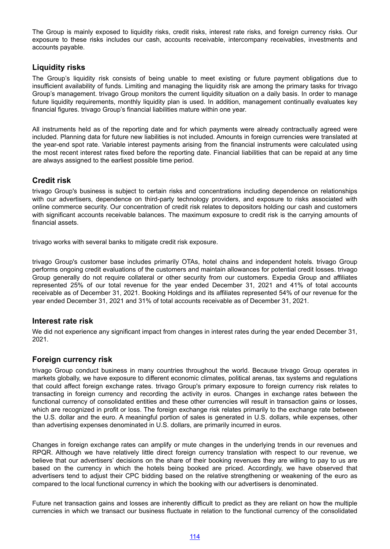The Group is mainly exposed to liquidity risks, credit risks, interest rate risks, and foreign currency risks. Our exposure to these risks includes our cash, accounts receivable, intercompany receivables, investments and accounts payable.

## **Liquidity risks**

The Group's liquidity risk consists of being unable to meet existing or future payment obligations due to insufficient availability of funds. Limiting and managing the liquidity risk are among the primary tasks for trivago Group's management. trivago Group monitors the current liquidity situation on a daily basis. In order to manage future liquidity requirements, monthly liquidity plan is used. In addition, management continually evaluates key financial figures. trivago Group's financial liabilities mature within one year.

All instruments held as of the reporting date and for which payments were already contractually agreed were included. Planning data for future new liabilities is not included. Amounts in foreign currencies were translated at the year-end spot rate. Variable interest payments arising from the financial instruments were calculated using the most recent interest rates fixed before the reporting date. Financial liabilities that can be repaid at any time are always assigned to the earliest possible time period.

## **Credit risk**

trivago Group's business is subject to certain risks and concentrations including dependence on relationships with our advertisers, dependence on third-party technology providers, and exposure to risks associated with online commerce security. Our concentration of credit risk relates to depositors holding our cash and customers with significant accounts receivable balances. The maximum exposure to credit risk is the carrying amounts of financial assets.

trivago works with several banks to mitigate credit risk exposure.

trivago Group's customer base includes primarily OTAs, hotel chains and independent hotels. trivago Group performs ongoing credit evaluations of the customers and maintain allowances for potential credit losses. trivago Group generally do not require collateral or other security from our customers. Expedia Group and affiliates represented 25% of our total revenue for the year ended December 31, 2021 and 41% of total accounts receivable as of December 31, 2021. Booking Holdings and its affiliates represented 54% of our revenue for the year ended December 31, 2021 and 31% of total accounts receivable as of December 31, 2021.

## **Interest rate risk**

We did not experience any significant impact from changes in interest rates during the year ended December 31, 2021.

## **Foreign currency risk**

trivago Group conduct business in many countries throughout the world. Because trivago Group operates in markets globally, we have exposure to different economic climates, political arenas, tax systems and regulations that could affect foreign exchange rates. trivago Group's primary exposure to foreign currency risk relates to transacting in foreign currency and recording the activity in euros. Changes in exchange rates between the functional currency of consolidated entities and these other currencies will result in transaction gains or losses, which are recognized in profit or loss. The foreign exchange risk relates primarily to the exchange rate between the U.S. dollar and the euro. A meaningful portion of sales is generated in U.S. dollars, while expenses, other than advertising expenses denominated in U.S. dollars, are primarily incurred in euros.

Changes in foreign exchange rates can amplify or mute changes in the underlying trends in our revenues and RPQR. Although we have relatively little direct foreign currency translation with respect to our revenue, we believe that our advertisers' decisions on the share of their booking revenues they are willing to pay to us are based on the currency in which the hotels being booked are priced. Accordingly, we have observed that advertisers tend to adjust their CPC bidding based on the relative strengthening or weakening of the euro as compared to the local functional currency in which the booking with our advertisers is denominated.

Future net transaction gains and losses are inherently difficult to predict as they are reliant on how the multiple currencies in which we transact our business fluctuate in relation to the functional currency of the consolidated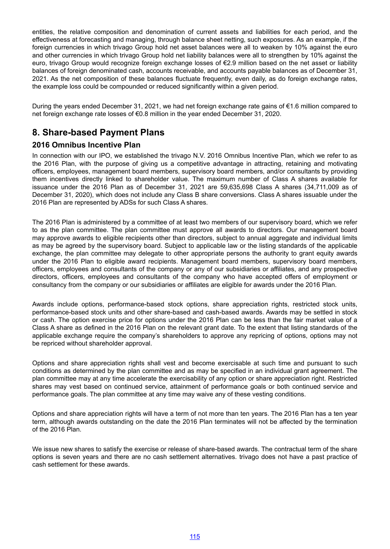entities, the relative composition and denomination of current assets and liabilities for each period, and the effectiveness at forecasting and managing, through balance sheet netting, such exposures. As an example, if the foreign currencies in which trivago Group hold net asset balances were all to weaken by 10% against the euro and other currencies in which trivago Group hold net liability balances were all to strengthen by 10% against the euro, trivago Group would recognize foreign exchange losses of €2.9 million based on the net asset or liability balances of foreign denominated cash, accounts receivable, and accounts payable balances as of December 31, 2021. As the net composition of these balances fluctuate frequently, even daily, as do foreign exchange rates, the example loss could be compounded or reduced significantly within a given period.

During the years ended December 31, 2021, we had net foreign exchange rate gains of €1.6 million compared to net foreign exchange rate losses of €0.8 million in the year ended December 31, 2020.

# **8. Share-based Payment Plans**

# **2016 Omnibus Incentive Plan**

In connection with our IPO, we established the trivago N.V. 2016 Omnibus Incentive Plan, which we refer to as the 2016 Plan, with the purpose of giving us a competitive advantage in attracting, retaining and motivating officers, employees, management board members, supervisory board members, and/or consultants by providing them incentives directly linked to shareholder value. The maximum number of Class A shares available for issuance under the 2016 Plan as of December 31, 2021 are 59,635,698 Class A shares (34,711,009 as of December 31, 2020), which does not include any Class B share conversions. Class A shares issuable under the 2016 Plan are represented by ADSs for such Class A shares.

The 2016 Plan is administered by a committee of at least two members of our supervisory board, which we refer to as the plan committee. The plan committee must approve all awards to directors. Our management board may approve awards to eligible recipients other than directors, subject to annual aggregate and individual limits as may be agreed by the supervisory board. Subject to applicable law or the listing standards of the applicable exchange, the plan committee may delegate to other appropriate persons the authority to grant equity awards under the 2016 Plan to eligible award recipients. Management board members, supervisory board members, officers, employees and consultants of the company or any of our subsidiaries or affiliates, and any prospective directors, officers, employees and consultants of the company who have accepted offers of employment or consultancy from the company or our subsidiaries or affiliates are eligible for awards under the 2016 Plan.

Awards include options, performance-based stock options, share appreciation rights, restricted stock units, performance-based stock units and other share-based and cash-based awards. Awards may be settled in stock or cash. The option exercise price for options under the 2016 Plan can be less than the fair market value of a Class A share as defined in the 2016 Plan on the relevant grant date. To the extent that listing standards of the applicable exchange require the company's shareholders to approve any repricing of options, options may not be repriced without shareholder approval.

Options and share appreciation rights shall vest and become exercisable at such time and pursuant to such conditions as determined by the plan committee and as may be specified in an individual grant agreement. The plan committee may at any time accelerate the exercisability of any option or share appreciation right. Restricted shares may vest based on continued service, attainment of performance goals or both continued service and performance goals. The plan committee at any time may waive any of these vesting conditions.

Options and share appreciation rights will have a term of not more than ten years. The 2016 Plan has a ten year term, although awards outstanding on the date the 2016 Plan terminates will not be affected by the termination of the 2016 Plan.

We issue new shares to satisfy the exercise or release of share-based awards. The contractual term of the share options is seven years and there are no cash settlement alternatives. trivago does not have a past practice of cash settlement for these awards.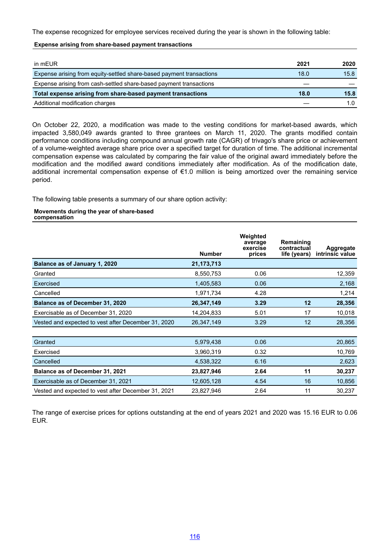The expense recognized for employee services received during the year is shown in the following table:

#### **Expense arising from share-based payment transactions**

| in mEUR                                                              | 2021 | 2020 |
|----------------------------------------------------------------------|------|------|
| Expense arising from equity-settled share-based payment transactions | 18.0 | 15.8 |
| Expense arising from cash-settled share-based payment transactions   |      |      |
| Total expense arising from share-based payment transactions          | 18.0 | 15.8 |
| Additional modification charges                                      |      | 1.0  |

On October 22, 2020, a modification was made to the vesting conditions for market-based awards, which impacted 3,580,049 awards granted to three grantees on March 11, 2020. The grants modified contain performance conditions including compound annual growth rate (CAGR) of trivago's share price or achievement of a volume-weighted average share price over a specified target for duration of time. The additional incremental compensation expense was calculated by comparing the fair value of the original award immediately before the modification and the modified award conditions immediately after modification. As of the modification date, additional incremental compensation expense of €1.0 million is being amortized over the remaining service period.

The following table presents a summary of our share option activity:

#### **Movements during the year of share-based compensation**

|                                                     | <b>Number</b> | Weighted<br>average<br>exercise<br>prices | Remaining<br>contractual<br>life (years) | Aggregate<br>intrinsic value |
|-----------------------------------------------------|---------------|-------------------------------------------|------------------------------------------|------------------------------|
| Balance as of January 1, 2020                       | 21, 173, 713  |                                           |                                          |                              |
| Granted                                             | 8,550,753     | 0.06                                      |                                          | 12,359                       |
| Exercised                                           | 1,405,583     | 0.06                                      |                                          | 2,168                        |
| Cancelled                                           | 1,971,734     | 4.28                                      |                                          | 1,214                        |
| Balance as of December 31, 2020                     | 26,347,149    | 3.29                                      | 12                                       | 28,356                       |
| Exercisable as of December 31, 2020                 | 14,204,833    | 5.01                                      | 17                                       | 10,018                       |
| Vested and expected to vest after December 31, 2020 | 26,347,149    | 3.29                                      | 12                                       | 28,356                       |
|                                                     |               |                                           |                                          |                              |
| Granted                                             | 5,979,438     | 0.06                                      |                                          | 20,865                       |
| Exercised                                           | 3,960,319     | 0.32                                      |                                          | 10,769                       |
| Cancelled                                           | 4,538,322     | 6.16                                      |                                          | 2,623                        |
| <b>Balance as of December 31, 2021</b>              | 23,827,946    | 2.64                                      | 11                                       | 30,237                       |
| Exercisable as of December 31, 2021                 | 12,605,128    | 4.54                                      | 16                                       | 10,856                       |
| Vested and expected to vest after December 31, 2021 | 23,827,946    | 2.64                                      | 11                                       | 30,237                       |

The range of exercise prices for options outstanding at the end of years 2021 and 2020 was 15.16 EUR to 0.06 EUR.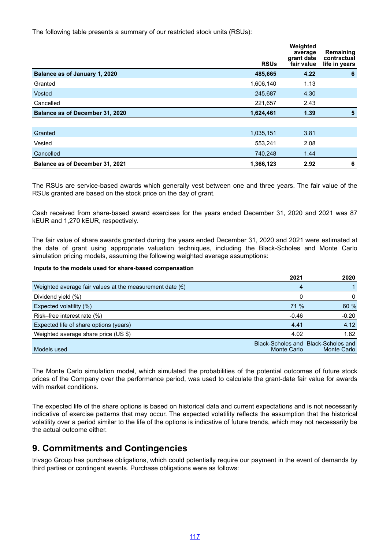The following table presents a summary of our restricted stock units (RSUs):

|                                        | <b>RSUs</b> | Weighted<br>average<br>grant date<br>fair value | Remaining<br>contractual<br>life in years |
|----------------------------------------|-------------|-------------------------------------------------|-------------------------------------------|
| Balance as of January 1, 2020          | 485,665     | 4.22                                            | 6                                         |
| Granted                                | 1,606,140   | 1.13                                            |                                           |
| Vested                                 | 245,687     | 4.30                                            |                                           |
| Cancelled                              | 221,657     | 2.43                                            |                                           |
| <b>Balance as of December 31, 2020</b> | 1,624,461   | 1.39                                            | 5                                         |
|                                        |             |                                                 |                                           |
| Granted                                | 1,035,151   | 3.81                                            |                                           |
| Vested                                 | 553,241     | 2.08                                            |                                           |
| Cancelled                              | 740,248     | 1.44                                            |                                           |
| <b>Balance as of December 31, 2021</b> | 1,366,123   | 2.92                                            | 6                                         |

The RSUs are service-based awards which generally vest between one and three years. The fair value of the RSUs granted are based on the stock price on the day of grant.

Cash received from share-based award exercises for the years ended December 31, 2020 and 2021 was 87 kEUR and 1,270 kEUR, respectively.

The fair value of share awards granted during the years ended December 31, 2020 and 2021 were estimated at the date of grant using appropriate valuation techniques, including the Black-Scholes and Monte Carlo simulation pricing models, assuming the following weighted average assumptions:

#### **Inputs to the models used for share-based compensation**

|                                                                   | 2021        | 2020                                               |
|-------------------------------------------------------------------|-------------|----------------------------------------------------|
| Weighted average fair values at the measurement date $(\epsilon)$ |             |                                                    |
| Dividend yield (%)                                                |             |                                                    |
| Expected volatility (%)                                           | 71 %        | 60 %                                               |
| Risk–free interest rate (%)                                       | $-0.46$     | $-0.20$                                            |
| Expected life of share options (years)                            | 4.41        | 4.12                                               |
| Weighted average share price (US \$)                              | 4.02        | 1.82                                               |
| Models used                                                       | Monte Carlo | Black-Scholes and Black-Scholes and<br>Monte Carlo |

The Monte Carlo simulation model, which simulated the probabilities of the potential outcomes of future stock prices of the Company over the performance period, was used to calculate the grant-date fair value for awards with market conditions.

The expected life of the share options is based on historical data and current expectations and is not necessarily indicative of exercise patterns that may occur. The expected volatility reflects the assumption that the historical volatility over a period similar to the life of the options is indicative of future trends, which may not necessarily be the actual outcome either.

# **9. Commitments and Contingencies**

trivago Group has purchase obligations, which could potentially require our payment in the event of demands by third parties or contingent events. Purchase obligations were as follows: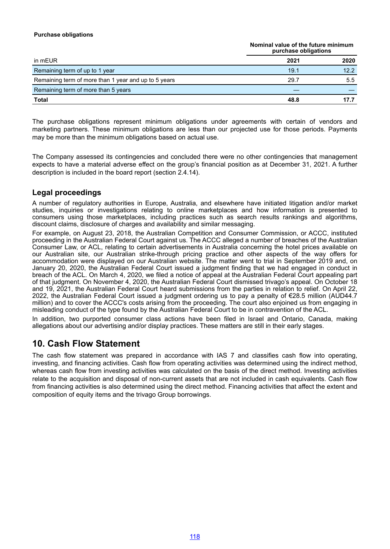#### **Purchase obligations**

| Nominal value of the future minimum<br>purchase obligations |               |  |
|-------------------------------------------------------------|---------------|--|
| 2021                                                        | 2020          |  |
| 19.1                                                        | 12.2          |  |
| 29.7                                                        | $5.5^{\circ}$ |  |
|                                                             |               |  |
| 48.8                                                        | 17.7          |  |
|                                                             |               |  |

The purchase obligations represent minimum obligations under agreements with certain of vendors and marketing partners. These minimum obligations are less than our projected use for those periods. Payments may be more than the minimum obligations based on actual use.

The Company assessed its contingencies and concluded there were no other contingencies that management expects to have a material adverse effect on the group's financial position as at December 31, 2021. A further description is included in the board report (section 2.4.14).

## **Legal proceedings**

A number of regulatory authorities in Europe, Australia, and elsewhere have initiated litigation and/or market studies, inquiries or investigations relating to online marketplaces and how information is presented to consumers using those marketplaces, including practices such as search results rankings and algorithms, discount claims, disclosure of charges and availability and similar messaging.

For example, on August 23, 2018, the Australian Competition and Consumer Commission, or ACCC, instituted proceeding in the Australian Federal Court against us. The ACCC alleged a number of breaches of the Australian Consumer Law, or ACL, relating to certain advertisements in Australia concerning the hotel prices available on our Australian site, our Australian strike-through pricing practice and other aspects of the way offers for accommodation were displayed on our Australian website. The matter went to trial in September 2019 and, on January 20, 2020, the Australian Federal Court issued a judgment finding that we had engaged in conduct in breach of the ACL. On March 4, 2020, we filed a notice of appeal at the Australian Federal Court appealing part of that judgment. On November 4, 2020, the Australian Federal Court dismissed trivago's appeal. On October 18 and 19, 2021, the Australian Federal Court heard submissions from the parties in relation to relief. On April 22, 2022, the Australian Federal Court issued a judgment ordering us to pay a penalty of €28.5 million (AUD44.7 million) and to cover the ACCC's costs arising from the proceeding. The court also enjoined us from engaging in misleading conduct of the type found by the Australian Federal Court to be in contravention of the ACL.

In addition, two purported consumer class actions have been filed in Israel and Ontario, Canada, making allegations about our advertising and/or display practices. These matters are still in their early stages.

# **10. Cash Flow Statement**

The cash flow statement was prepared in accordance with IAS 7 and classifies cash flow into operating, investing, and financing activities. Cash flow from operating activities was determined using the indirect method, whereas cash flow from investing activities was calculated on the basis of the direct method. Investing activities relate to the acquisition and disposal of non-current assets that are not included in cash equivalents. Cash flow from financing activities is also determined using the direct method. Financing activities that affect the extent and composition of equity items and the trivago Group borrowings.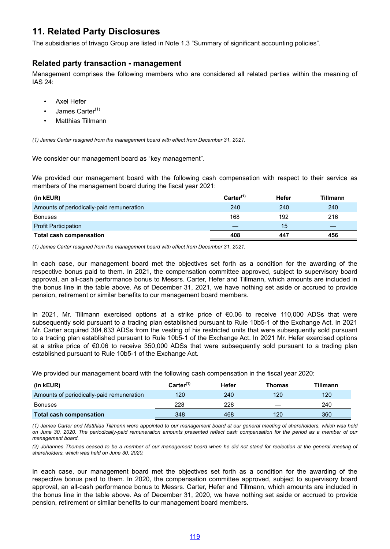# **11. Related Party Disclosures**

The subsidiaries of trivago Group are listed in Note 1.3 "Summary of significant accounting policies".

## **Related party transaction - management**

Management comprises the following members who are considered all related parties within the meaning of IAS 24:

- Axel Hefer
- James Carter<sup>(1)</sup>
- Matthias Tillmann

*(1) James Carter resigned from the management board with effect from December 31, 2021.*

We consider our management board as "key management".

We provided our management board with the following cash compensation with respect to their service as members of the management board during the fiscal year 2021:

| (in kEUR)                                 | Carter <sup>(1)</sup> | Hefer           | <b>Tillmann</b> |
|-------------------------------------------|-----------------------|-----------------|-----------------|
| Amounts of periodically-paid remuneration | 240                   | 240             | 240             |
| Bonuses                                   | 168                   | 192             | 216             |
| <b>Profit Participation</b>               |                       | 15 <sub>1</sub> |                 |
| <b>Total cash compensation</b>            | 408                   | 447             | 456             |

*(1) James Carter resigned from the management board with effect from December 31, 2021.*

In each case, our management board met the objectives set forth as a condition for the awarding of the respective bonus paid to them. In 2021, the compensation committee approved, subject to supervisory board approval, an all-cash performance bonus to Messrs. Carter, Hefer and Tillmann, which amounts are included in the bonus line in the table above. As of December 31, 2021, we have nothing set aside or accrued to provide pension, retirement or similar benefits to our management board members.

In 2021, Mr. Tillmann exercised options at a strike price of €0.06 to receive 110,000 ADSs that were subsequently sold pursuant to a trading plan established pursuant to Rule 10b5-1 of the Exchange Act. In 2021 Mr. Carter acquired 304,633 ADSs from the vesting of his restricted units that were subsequently sold pursuant to a trading plan established pursuant to Rule 10b5-1 of the Exchange Act. In 2021 Mr. Hefer exercised options at a strike price of €0.06 to receive 350,000 ADSs that were subsequently sold pursuant to a trading plan established pursuant to Rule 10b5-1 of the Exchange Act.

We provided our management board with the following cash compensation in the fiscal year 2020:

| (in kEUR)                                 | Carter <sup>(1)</sup> | Hefer | Thomas | Tillmann |
|-------------------------------------------|-----------------------|-------|--------|----------|
| Amounts of periodically-paid remuneration | 120                   | 240   | 120    | 120      |
| <b>Bonuses</b>                            | 228                   | 228   |        | 240      |
| <b>Total cash compensation</b>            | 348                   | 468   | 120    | 360      |

*(1) James Carter and Matthias Tillmann were appointed to our management board at our general meeting of shareholders, which was held on June 30, 2020. The periodically-paid remuneration amounts presented reflect cash compensation for the period as a member of our management board.*

*(2) Johannes Thomas ceased to be a member of our management board when he did not stand for reelection at the general meeting of shareholders, which was held on June 30, 2020.*

In each case, our management board met the objectives set forth as a condition for the awarding of the respective bonus paid to them. In 2020, the compensation committee approved, subject to supervisory board approval, an all-cash performance bonus to Messrs. Carter, Hefer and Tillmann, which amounts are included in the bonus line in the table above. As of December 31, 2020, we have nothing set aside or accrued to provide pension, retirement or similar benefits to our management board members.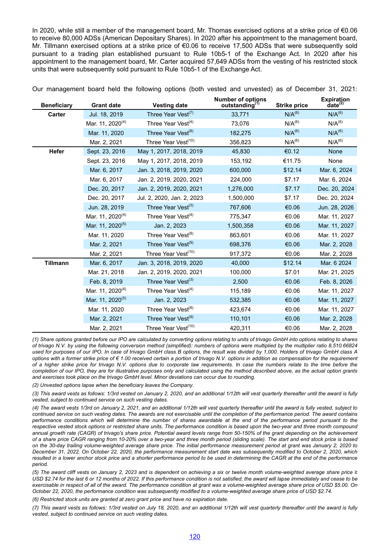In 2020, while still a member of the management board, Mr. Thomas exercised options at a strike price of €0.06 to receive 80,000 ADSs (American Depositary Shares). In 2020 after his appointment to the management board, Mr. Tillmann exercised options at a strike price of €0.06 to receive 17,500 ADSs that were subsequently sold pursuant to a trading plan established pursuant to Rule 10b5-1 of the Exchange Act. In 2020 after his appointment to the management board, Mr. Carter acquired 57,649 ADSs from the vesting of his restricted stock units that were subsequently sold pursuant to Rule 10b5-1 of the Exchange Act.

| <b>Beneficiary</b> | <b>Grant date</b>            | <b>Vesting date</b>             | <b>Number of options</b><br>outstanding <sup>(1)</sup> | <b>Strike price</b> | Expiration<br>date <sup>(2)</sup> |
|--------------------|------------------------------|---------------------------------|--------------------------------------------------------|---------------------|-----------------------------------|
| <b>Carter</b>      | Jul. 18, 2019                | Three Year Vest <sup>(7)</sup>  | 33,771                                                 | N/A <sup>(6)</sup>  | N/A <sup>(6)</sup>                |
|                    | Mar. 11, 2020 <sup>(4)</sup> | Three Year Vest <sup>(4)</sup>  | 73,076                                                 | N/A <sup>(6)</sup>  | N/A <sup>(6)</sup>                |
|                    | Mar. 11, 2020                | Three Year Vest <sup>(8)</sup>  | 182,275                                                | $N/A^{(6)}$         | N/A <sup>(6)</sup>                |
|                    | Mar. 2, 2021                 | Three Year Vest <sup>(10)</sup> | 356,823                                                | N/A <sup>(6)</sup>  | N/A <sup>(6)</sup>                |
| Hefer              | Sept. 23, 2016               | May 1, 2017, 2018, 2019         | 45,830                                                 | €0.12               | None                              |
|                    | Sept. 23, 2016               | May 1, 2017, 2018, 2019         | 153,192                                                | €11.75              | None                              |
|                    | Mar. 6, 2017                 | Jan. 3, 2018, 2019, 2020        | 600,000                                                | \$12.14             | Mar. 6, 2024                      |
|                    | Mar. 6, 2017                 | Jan. 2, 2019, 2020, 2021        | 224,000                                                | \$7.17              | Mar. 6, 2024                      |
|                    | Dec. 20, 2017                | Jan. 2, 2019, 2020, 2021        | 1,276,000                                              | \$7.17              | Dec. 20, 2024                     |
|                    | Dec. 20, 2017                | Jul. 2, 2020, Jan. 2, 2023      | 1,500,000                                              | \$7.17              | Dec. 20, 2024                     |
|                    | Jun. 28, 2019                | Three Year Vest <sup>(3)</sup>  | 767,606                                                | €0.06               | Jun. 28, 2026                     |
|                    | Mar. 11, 2020 <sup>(4)</sup> | Three Year Vest <sup>(4)</sup>  | 775,347                                                | €0.06               | Mar. 11, 2027                     |
|                    | Mar. 11, 2020 <sup>(5)</sup> | Jan. 2, 2023                    | 1,500,358                                              | €0.06               | Mar. 11, 2027                     |
|                    | Mar. 11, 2020                | Three Year Vest <sup>(8)</sup>  | 863,601                                                | €0.06               | Mar. 11, 2027                     |
|                    | Mar. 2, 2021                 | Three Year Vest <sup>(9)</sup>  | 698,376                                                | €0.06               | Mar. 2, 2028                      |
|                    | Mar. 2, 2021                 | Three Year Vest <sup>(10)</sup> | 917,372                                                | €0.06               | Mar. 2, 2028                      |
| <b>Tillmann</b>    | Mar. 6, 2017                 | Jan. 3, 2018, 2019, 2020        | 40,000                                                 | \$12.14             | Mar. 6 2024                       |
|                    | Mar. 21, 2018                | Jan. 2, 2019, 2020, 2021        | 100,000                                                | \$7.01              | Mar. 21, 2025                     |
|                    | Feb. 8, 2019                 | Three Year Vest <sup>(3)</sup>  | 2,500                                                  | €0.06               | Feb. 8, 2026                      |
|                    | Mar. 11, 2020 <sup>(4)</sup> | Three Year Vest <sup>(4)</sup>  | 115,189                                                | €0.06               | Mar. 11, 2027                     |
|                    | Mar. 11, 2020 <sup>(5)</sup> | Jan. 2, 2023                    | 532,385                                                | €0.06               | Mar. 11, 2027                     |
|                    | Mar. 11, 2020                | Three Year Vest <sup>(8)</sup>  | 423,674                                                | €0.06               | Mar. 11, 2027                     |
|                    | Mar. 2, 2021                 | Three Year Vest <sup>(9)</sup>  | 110,101                                                | €0.06               | Mar. 2, 2028                      |
|                    | Mar. 2, 2021                 | Three Year Vest <sup>(10)</sup> | 420,311                                                | €0.06               | Mar. 2, 2028                      |

Our management board held the following options (both vested and unvested) as of December 31, 2021:

*(1) Share options granted before our IPO are calculated by converting options relating to units of trivago GmbH into options relating to shares of trivago N.V. by using the following conversion method (simplified): numbers of options were multiplied by the multiplier ratio 8,510.66824 used for purposes of our IPO. In case of trivago GmbH class B options, the result was divided by 1,000. Holders of trivago GmbH class A options with a former strike price of € 1.00 received certain a portion of trivago N.V. options in addition as compensation for the requirement of a higher strike price for trivago N.V. options due to corporate law requirements. In case the numbers relate to the time before the completion of our IPO, they are for illustrative purposes only and calculated using the method described above, as the actual option grants and exercises took place on the trivago GmbH level. Minor deviations can occur due to rounding.*

*(2) Unvested options lapse when the beneficiary leaves the Company.*

*(3) This award vests as follows: 1/3rd vested on January 2, 2020, and an additional 1/12th will vest quarterly thereafter until the award is fully vested, subject to continued service on such vesting dates.*

*(4) The award vests 1/3rd on January 2, 2021, and an additional 1/12th will vest quarterly thereafter until the award is fully vested, subject to continued service on such vesting dates. The awards are not exercisable until the completion of the performance period. The award contains*  performance conditions which will determine the number of shares awardable at the end of the performance period pursuant to the respective vested stock options or restricted share units. The performance condition is based upon the two-year and three month compound annual growth rate (CAGR) of trivago's share price. Potential award levels range from 50-150% of the grant depending on the achievement *of a share price CAGR ranging from 10-20% over a two-year and three month period (sliding scale). The start and end stock price is based on the 30-day trailing volume-weighted average share price. The initial performance measurement period at grant was January 2, 2020 to December 31, 2022. On October 22, 2020, the performance measurement start date was subsequently modified to October 2, 2020, which*  resulted in a lower anchor stock price and a shorter performance period to be used in determining the CAGR at the end of the performance *period.* 

*(5) The award cliff vests on January 2, 2023 and is dependent on achieving a six or twelve month volume-weighted average share price ≥ USD \$2.74 for the last 6 or 12 months of 2022. If this performance condition is not satisfied, the award will lapse immediately and cease to be exercisable in respect of all of the award. The performance condition at grant was a volume-weighted average share price of USD \$5.00. On October 22, 2020, the performance condition was subsequently modified to a volume-weighted average share price of USD \$2.74.*

*(6) Restricted stock units are granted at zero grant price and have no expiration date.*

*(7) This award vests as follows: 1/3rd vested on July 18, 2020, and an additional 1/12th will vest quarterly thereafter until the award is fully vested, subject to continued service on such vesting dates.*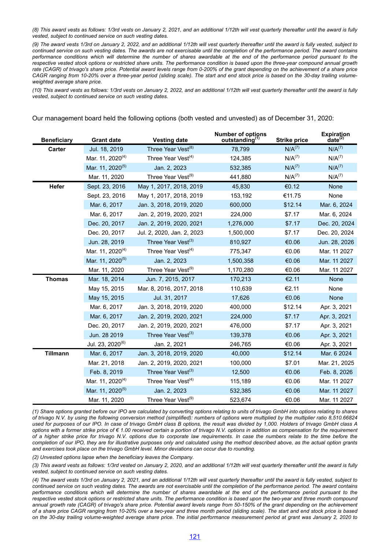*(8) This award vests as follows: 1/3rd vests on January 2, 2021, and an additional 1/12th will vest quarterly thereafter until the award is fully vested, subject to continued service on such vesting dates.*

*(9) The award vests 1/3rd on January 2, 2022, and an additional 1/12th will vest quarterly thereafter until the award is fully vested, subject to continued service on such vesting dates. The awards are not exercisable until the completion of the performance period. The award contains*  performance conditions which will determine the number of shares awardable at the end of the performance period pursuant to the respective vested stock options or restricted share units. The performance condition is based upon the three-year compound annual growth rate (CAGR) of trivago's share price. Potential award levels range from 0-200% of the grant depending on the achievement of a share price *CAGR ranging from 10-20% over a three-year period (sliding scale). The start and end stock price is based on the 30-day trailing volumeweighted average share price.* 

*(10) This award vests as follows: 1/3rd vests on January 2, 2022, and an additional 1/12th will vest quarterly thereafter until the award is fully vested, subject to continued service on such vesting dates.*

Our management board held the following options (both vested and unvested) as of December 31, 2020:

| <b>Beneficiary</b> | <b>Grant date</b>            | <b>Vesting date</b>            | <b>Number of options</b><br>outstanding <sup>(1)</sup> | <b>Strike price</b> | Expiration<br>date <sup>(2)</sup> |
|--------------------|------------------------------|--------------------------------|--------------------------------------------------------|---------------------|-----------------------------------|
| <b>Carter</b>      | Jul. 18, 2019                | Three Year Vest <sup>(8)</sup> | 78,799                                                 | N/A <sup>(7)</sup>  | N/A <sup>(7)</sup>                |
|                    | Mar. 11, 2020 <sup>(4)</sup> | Three Year Vest <sup>(4)</sup> | 124,385                                                | N/A <sup>(7)</sup>  | $N/A^{(7)}$                       |
|                    | Mar. 11, 2020 <sup>(5)</sup> | Jan. 2, 2023                   | 532,385                                                | N/A <sup>(7)</sup>  | N/A <sup>(7)</sup>                |
|                    | Mar. 11, 2020                | Three Year Vest <sup>(9)</sup> | 441,880                                                | $N/A^{(7)}$         | N/A <sup>(7)</sup>                |
| Hefer              | Sept. 23, 2016               | May 1, 2017, 2018, 2019        | 45,830                                                 | €0.12               | <b>None</b>                       |
|                    | Sept. 23, 2016               | May 1, 2017, 2018, 2019        | 153,192                                                | €11.75              | None                              |
|                    | Mar. 6, 2017                 | Jan. 3, 2018, 2019, 2020       | 600,000                                                | \$12.14             | Mar. 6, 2024                      |
|                    | Mar. 6, 2017                 | Jan. 2, 2019, 2020, 2021       | 224,000                                                | \$7.17              | Mar. 6, 2024                      |
|                    | Dec. 20, 2017                | Jan. 2, 2019, 2020, 2021       | 1,276,000                                              | \$7.17              | Dec. 20, 2024                     |
|                    | Dec. 20, 2017                | Jul. 2, 2020, Jan. 2, 2023     | 1,500,000                                              | \$7.17              | Dec. 20, 2024                     |
|                    | Jun. 28, 2019                | Three Year Vest <sup>(3)</sup> | 810,927                                                | €0.06               | Jun. 28, 2026                     |
|                    | Mar. 11, 2020 <sup>(4)</sup> | Three Year Vest <sup>(4)</sup> | 775,347                                                | €0.06               | Mar. 11 2027                      |
|                    | Mar. 11, 2020 <sup>(5)</sup> | Jan. 2, 2023                   | 1,500,358                                              | €0.06               | Mar. 11 2027                      |
|                    | Mar. 11, 2020                | Three Year Vest <sup>(9)</sup> | 1,170,280                                              | €0.06               | Mar. 11 2027                      |
| <b>Thomas</b>      | Mar. 18, 2014                | Jun. 7, 2015, 2017             | 170,213                                                | €2.11               | <b>None</b>                       |
|                    | May 15, 2015                 | Mar. 8, 2016, 2017, 2018       | 110,639                                                | €2.11               | None                              |
|                    | May 15, 2015                 | Jul. 31, 2017                  | 17,626                                                 | €0.06               | None                              |
|                    | Mar. 6, 2017                 | Jan. 3, 2018, 2019, 2020       | 400,000                                                | \$12.14             | Apr. 3, 2021                      |
|                    | Mar. 6, 2017                 | Jan. 2, 2019, 2020, 2021       | 224,000                                                | \$7.17              | Apr. 3, 2021                      |
|                    | Dec. 20, 2017                | Jan. 2, 2019, 2020, 2021       | 476,000                                                | \$7.17              | Apr. 3, 2021                      |
|                    | Jun. 28 2019                 | Three Year Vest <sup>(3)</sup> | 139,378                                                | €0.06               | Apr. 3, 2021                      |
|                    | Jul. 23, 2020 <sup>(6)</sup> | Jan. 2, 2021                   | 246,765                                                | €0.06               | Apr. 3, 2021                      |
| <b>Tillmann</b>    | Mar. 6, 2017                 | Jan. 3, 2018, 2019, 2020       | 40.000                                                 | \$12.14             | Mar. 6 2024                       |
|                    | Mar. 21, 2018                | Jan. 2, 2019, 2020, 2021       | 100,000                                                | \$7.01              | Mar. 21, 2025                     |
|                    | Feb. 8, 2019                 | Three Year Vest <sup>(3)</sup> | 12,500                                                 | €0.06               | Feb. 8, 2026                      |
|                    | Mar. 11, 2020 <sup>(4)</sup> | Three Year Vest <sup>(4)</sup> | 115,189                                                | €0.06               | Mar. 11 2027                      |
|                    | Mar. 11, 2020 <sup>(5)</sup> | Jan. 2, 2023                   | 532,385                                                | €0.06               | Mar. 11 2027                      |
|                    | Mar. 11, 2020                | Three Year Vest <sup>(9)</sup> | 523,674                                                | €0.06               | Mar. 11 2027                      |

*(1) Share options granted before our IPO are calculated by converting options relating to units of trivago GmbH into options relating to shares of trivago N.V. by using the following conversion method (simplified): numbers of options were multiplied by the multiplier ratio 8,510.66824 used for purposes of our IPO. In case of trivago GmbH class B options, the result was divided by 1,000. Holders of trivago GmbH class A options with a former strike price of € 1.00 received certain a portion of trivago N.V. options in addition as compensation for the requirement of a higher strike price for trivago N.V. options due to corporate law requirements. In case the numbers relate to the time before the completion of our IPO, they are for illustrative purposes only and calculated using the method described above, as the actual option grants and exercises took place on the trivago GmbH level. Minor deviations can occur due to rounding.*

*(2) Unvested options lapse when the beneficiary leaves the Company.*

*(3) This award vests as follows: 1/3rd vested on January 2, 2020, and an additional 1/12th will vest quarterly thereafter until the award is fully vested, subject to continued service on such vesting dates.*

*(4) The award vests 1/3rd on January 2, 2021, and an additional 1/12th will vest quarterly thereafter until the award is fully vested, subject to continued service on such vesting dates. The awards are not exercisable until the completion of the performance period. The award contains performance conditions which will determine the number of shares awardable at the end of the performance period pursuant to the*  respective vested stock options or restricted share units. The performance condition is based upon the two-year and three month compound *annual growth rate (CAGR) of trivago's share price. Potential award levels range from 50-150% of the grant depending on the achievement of a share price CAGR ranging from 10-20% over a two-year and three month period (sliding scale). The start and end stock price is based on the 30-day trailing volume-weighted average share price. The initial performance measurement period at grant was January 2, 2020 to*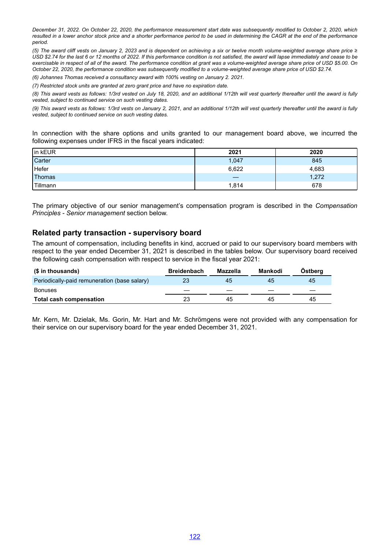*December 31, 2022. On October 22, 2020, the performance measurement start date was subsequently modified to October 2, 2020, which*  resulted in a lower anchor stock price and a shorter performance period to be used in determining the CAGR at the end of the performance *period.* 

*(5) The award cliff vests on January 2, 2023 and is dependent on achieving a six or twelve month volume-weighted average share price ≥ USD \$2.74 for the last 6 or 12 months of 2022. If this performance condition is not satisfied, the award will lapse immediately and cease to be exercisable in respect of all of the award. The performance condition at grant was a volume-weighted average share price of USD \$5.00. On October 22, 2020, the performance condition was subsequently modified to a volume-weighted average share price of USD \$2.74.*

*(6) Johannes Thomas received a consultancy award with 100% vesting on January 2. 2021.*

*(7) Restricted stock units are granted at zero grant price and have no expiration date.*

*(8) This award vests as follows: 1/3rd vested on July 18, 2020, and an additional 1/12th will vest quarterly thereafter until the award is fully vested, subject to continued service on such vesting dates.*

*(9) This award vests as follows: 1/3rd vests on January 2, 2021, and an additional 1/12th will vest quarterly thereafter until the award is fully vested, subject to continued service on such vesting dates.*

In connection with the share options and units granted to our management board above, we incurred the following expenses under IFRS in the fiscal years indicated:

| In kEUR  | 2021  | 2020  |
|----------|-------|-------|
| Carter   | 1,047 | 845   |
| Hefer    | 6,622 | 4,683 |
| Thomas   |       | 1,272 |
| Tillmann | 1.814 | 678   |

The primary objective of our senior management's compensation program is described in the *Compensation Principles - Senior management* section below.

## **Related party transaction - supervisory board**

The amount of compensation, including benefits in kind, accrued or paid to our supervisory board members with respect to the year ended December 31, 2021 is described in the tables below. Our supervisory board received the following cash compensation with respect to service in the fiscal year 2021:

| (\$ in thousands)                            | <b>Breidenbach</b> | Mazzella | Mankodi | Östbera |
|----------------------------------------------|--------------------|----------|---------|---------|
| Periodically-paid remuneration (base salary) | 23                 | 45       | 45      | 45      |
| <b>Bonuses</b>                               |                    |          |         |         |
| <b>Total cash compensation</b>               | 23                 | 45       | 45      | 45      |

Mr. Kern, Mr. Dzielak, Ms. Gorin, Mr. Hart and Mr. Schrömgens were not provided with any compensation for their service on our supervisory board for the year ended December 31, 2021.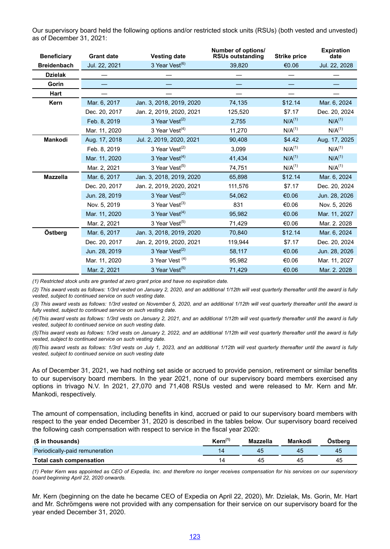Our supervisory board held the following options and/or restricted stock units (RSUs) (both vested and unvested) as of December 31, 2021:

| <b>Beneficiary</b> | <b>Grant date</b> | <b>Vesting date</b>        | Number of options/<br><b>RSUs outstanding</b> | <b>Strike price</b> | <b>Expiration</b><br>date |
|--------------------|-------------------|----------------------------|-----------------------------------------------|---------------------|---------------------------|
| <b>Breidenbach</b> | Jul. 22, 2021     | 3 Year Vest <sup>(6)</sup> | 39,820                                        | €0.06               | Jul. 22, 2028             |
| <b>Dzielak</b>     |                   |                            |                                               |                     |                           |
| Gorin              |                   |                            |                                               |                     |                           |
| Hart               |                   |                            |                                               |                     |                           |
| Kern               | Mar. 6, 2017      | Jan. 3, 2018, 2019, 2020   | 74,135                                        | \$12.14             | Mar. 6, 2024              |
|                    | Dec. 20, 2017     | Jan. 2, 2019, 2020, 2021   | 125,520                                       | \$7.17              | Dec. 20, 2024             |
|                    | Feb. 8, 2019      | 3 Year Vest <sup>(2)</sup> | 2,755                                         | N/A <sup>(1)</sup>  | N/A <sup>(1)</sup>        |
|                    | Mar. 11, 2020     | 3 Year Vest <sup>(4)</sup> | 11,270                                        | N/A <sup>(1)</sup>  | N/A <sup>(1)</sup>        |
| <b>Mankodi</b>     | Aug. 17, 2018     | Jul. 2, 2019, 2020, 2021   | 90,408                                        | \$4.42              | Aug. 17, 2025             |
|                    | Feb. 8, 2019      | 3 Year Vest <sup>(2)</sup> | 3,099                                         | $N/A^{(1)}$         | $N/A^{(1)}$               |
|                    | Mar. 11, 2020     | 3 Year Vest <sup>(4)</sup> | 41,434                                        | N/A <sup>(1)</sup>  | N/A <sup>(1)</sup>        |
|                    | Mar. 2, 2021      | 3 Year Vest <sup>(5)</sup> | 74,751                                        | $N/A^{(1)}$         | N/A <sup>(1)</sup>        |
| <b>Mazzella</b>    | Mar. 6, 2017      | Jan. 3, 2018, 2019, 2020   | 65,898                                        | \$12.14             | Mar. 6, 2024              |
|                    | Dec. 20, 2017     | Jan. 2, 2019, 2020, 2021   | 111,576                                       | \$7.17              | Dec. 20, 2024             |
|                    | Jun. 28, 2019     | 3 Year Vest <sup>(2)</sup> | 54,062                                        | €0.06               | Jun. 28, 2026             |
|                    | Nov. 5, 2019      | 3 Year Vest <sup>(3)</sup> | 831                                           | €0.06               | Nov. 5, 2026              |
|                    | Mar. 11, 2020     | 3 Year Vest <sup>(4)</sup> | 95,982                                        | €0.06               | Mar. 11, 2027             |
|                    | Mar. 2, 2021      | 3 Year Vest <sup>(5)</sup> | 71,429                                        | €0.06               | Mar. 2. 2028              |
| Östberg            | Mar. 6, 2017      | Jan. 3, 2018, 2019, 2020   | 70,840                                        | \$12.14             | Mar. 6, 2024              |
|                    | Dec. 20, 2017     | Jan. 2, 2019, 2020, 2021   | 119,944                                       | \$7.17              | Dec. 20, 2024             |
|                    | Jun. 28, 2019     | 3 Year Vest <sup>(2)</sup> | 58,117                                        | €0.06               | Jun. 28, 2026             |
|                    | Mar. 11, 2020     | 3 Year Vest <sup>(4)</sup> | 95,982                                        | €0.06               | Mar. 11, 2027             |
|                    | Mar. 2, 2021      | 3 Year Vest <sup>(5)</sup> | 71,429                                        | €0.06               | Mar. 2, 2028              |

*(1) Restricted stock units are granted at zero grant price and have no expiration date.*

*(2) This award vests as follows: 1/3rd vested on January 2, 2020, and an additional 1/12th will vest quarterly thereafter until the award is fully vested, subject to continued service on such vesting date.*

*(3) This award vests as follows: 1/3rd vested on November 5, 2020, and an additional 1/12th will vest quarterly thereafter until the award is fully vested, subject to continued service on such vesting date.*

*(4)This award vests as follows: 1/3rd vests on January 2, 2021, and an additional 1/12th will vest quarterly thereafter until the award is fully vested, subject to continued service on such vesting date.*

*(5)This award vests as follows: 1/3rd vests on January 2, 2022, and an additional 1/12th will vest quarterly thereafter until the award is fully vested, subject to continued service on such vesting date.*

*(6)This award vests as follows: 1/3rd vests on July 1, 2023, and an additional 1/12th will vest quarterly thereafter until the award is fully vested, subject to continued service on such vesting date*

As of December 31, 2021, we had nothing set aside or accrued to provide pension, retirement or similar benefits to our supervisory board members. In the year 2021, none of our supervisory board members exercised any options in trivago N.V. In 2021, 27,070 and 71,408 RSUs vested and were released to Mr. Kern and Mr. Mankodi, respectively.

The amount of compensation, including benefits in kind, accrued or paid to our supervisory board members with respect to the year ended December 31, 2020 is described in the tables below. Our supervisory board received the following cash compensation with respect to service in the fiscal year 2020:

| (\$ in thousands)              | $Kern^{(1)}$ | <b>Mazzella</b> | <b>Mankodi</b> | Ostbera |
|--------------------------------|--------------|-----------------|----------------|---------|
| Periodically-paid remuneration |              | 45              | ″″             | 45      |
| Total cash compensation        |              | 4⊦              | 45             | 45      |

*(1) Peter Kern was appointed as CEO of Expedia, Inc. and therefore no longer receives compensation for his services on our supervisory board beginning April 22, 2020 onwards.*

Mr. Kern (beginning on the date he became CEO of Expedia on April 22, 2020), Mr. Dzielak, Ms. Gorin, Mr. Hart and Mr. Schrömgens were not provided with any compensation for their service on our supervisory board for the year ended December 31, 2020.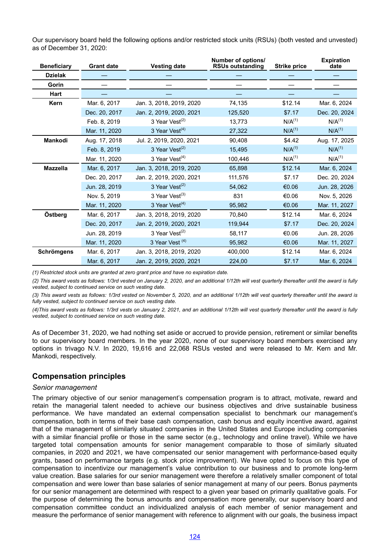Our supervisory board held the following options and/or restricted stock units (RSUs) (both vested and unvested) as of December 31, 2020:

| <b>Beneficiary</b> | <b>Grant date</b> | <b>Vesting date</b>        | Number of options/<br><b>RSUs outstanding</b> | <b>Strike price</b> | <b>Expiration</b><br>date |
|--------------------|-------------------|----------------------------|-----------------------------------------------|---------------------|---------------------------|
| <b>Dzielak</b>     |                   |                            |                                               |                     |                           |
| Gorin              |                   |                            |                                               |                     |                           |
| <b>Hart</b>        |                   |                            |                                               |                     |                           |
| Kern               | Mar. 6, 2017      | Jan. 3, 2018, 2019, 2020   | 74,135                                        | \$12.14             | Mar. 6, 2024              |
|                    | Dec. 20, 2017     | Jan. 2, 2019, 2020, 2021   | 125,520                                       | \$7.17              | Dec. 20, 2024             |
|                    | Feb. 8, 2019      | 3 Year Vest <sup>(2)</sup> | 13,773                                        | $N/A^{(1)}$         | N/A <sup>(1)</sup>        |
|                    | Mar. 11, 2020     | 3 Year Vest <sup>(4)</sup> | 27,322                                        | N/A <sup>(1)</sup>  | N/A <sup>(1)</sup>        |
| <b>Mankodi</b>     | Aug. 17, 2018     | Jul. 2, 2019, 2020, 2021   | 90,408                                        | \$4.42              | Aug. 17, 2025             |
|                    | Feb. 8, 2019      | 3 Year Vest $(2)$          | 15,495                                        | N/A <sup>(1)</sup>  | N/A <sup>(1)</sup>        |
|                    | Mar. 11, 2020     | 3 Year Vest <sup>(4)</sup> | 100.446                                       | $N/A^{(1)}$         | N/A <sup>(1)</sup>        |
| <b>Mazzella</b>    | Mar. 6, 2017      | Jan. 3, 2018, 2019, 2020   | 65,898                                        | \$12.14             | Mar. 6, 2024              |
|                    | Dec. 20, 2017     | Jan. 2, 2019, 2020, 2021   | 111,576                                       | \$7.17              | Dec. 20, 2024             |
|                    | Jun. 28, 2019     | 3 Year Vest <sup>(2)</sup> | 54,062                                        | €0.06               | Jun. 28, 2026             |
|                    | Nov. 5, 2019      | 3 Year Vest <sup>(3)</sup> | 831                                           | €0.06               | Nov. 5, 2026              |
|                    | Mar. 11, 2020     | 3 Year Vest <sup>(4)</sup> | 95,982                                        | €0.06               | Mar. 11, 2027             |
| Östberg            | Mar. 6, 2017      | Jan. 3, 2018, 2019, 2020   | 70,840                                        | \$12.14             | Mar. 6, 2024              |
|                    | Dec. 20, 2017     | Jan. 2, 2019, 2020, 2021   | 119,944                                       | \$7.17              | Dec. 20, 2024             |
|                    | Jun. 28, 2019     | 3 Year Vest <sup>(2)</sup> | 58,117                                        | €0.06               | Jun. 28, 2026             |
|                    | Mar. 11, 2020     | 3 Year Vest <sup>(4)</sup> | 95,982                                        | €0.06               | Mar. 11, 2027             |
| <b>Schrömgens</b>  | Mar. 6, 2017      | Jan. 3, 2018, 2019, 2020   | 400,000                                       | \$12.14             | Mar. 6, 2024              |
|                    | Mar. 6, 2017      | Jan. 2, 2019, 2020, 2021   | 224,00                                        | \$7.17              | Mar. 6, 2024              |

*(1) Restricted stock units are granted at zero grant price and have no expiration date.*

*(2) This award vests as follows: 1/3rd vested on January 2, 2020, and an additional 1/12th will vest quarterly thereafter until the award is fully vested, subject to continued service on such vesting date.*

*(3) This award vests as follows: 1/3rd vested on November 5, 2020, and an additional 1/12th will vest quarterly thereafter until the award is fully vested, subject to continued service on such vesting date.*

*(4)This award vests as follows: 1/3rd vests on January 2, 2021, and an additional 1/12th will vest quarterly thereafter until the award is fully vested, subject to continued service on such vesting date.*

As of December 31, 2020, we had nothing set aside or accrued to provide pension, retirement or similar benefits to our supervisory board members. In the year 2020, none of our supervisory board members exercised any options in trivago N.V. In 2020, 19,616 and 22,068 RSUs vested and were released to Mr. Kern and Mr. Mankodi, respectively.

## **Compensation principles**

#### *Senior management*

The primary objective of our senior management's compensation program is to attract, motivate, reward and retain the managerial talent needed to achieve our business objectives and drive sustainable business performance. We have mandated an external compensation specialist to benchmark our management's compensation, both in terms of their base cash compensation, cash bonus and equity incentive award, against that of the management of similarly situated companies in the United States and Europe including companies with a similar financial profile or those in the same sector (e.g., technology and online travel). While we have targeted total compensation amounts for senior management comparable to those of similarly situated companies, in 2020 and 2021, we have compensated our senior management with performance-based equity grants, based on performance targets (e.g. stock price improvement). We have opted to focus on this type of compensation to incentivize our management's value contribution to our business and to promote long-term value creation. Base salaries for our senior management were therefore a relatively smaller component of total compensation and were lower than base salaries of senior management at many of our peers. Bonus payments for our senior management are determined with respect to a given year based on primarily qualitative goals. For the purpose of determining the bonus amounts and compensation more generally, our supervisory board and compensation committee conduct an individualized analysis of each member of senior management and measure the performance of senior management with reference to alignment with our goals, the business impact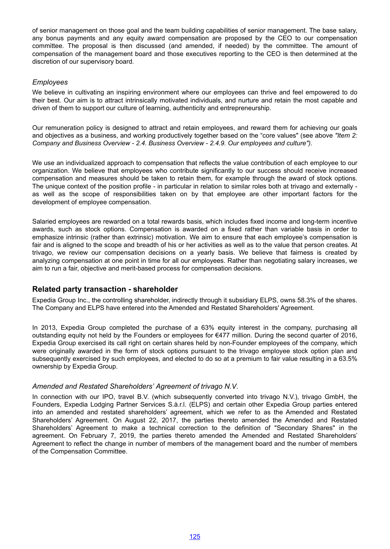of senior management on those goal and the team building capabilities of senior management. The base salary, any bonus payments and any equity award compensation are proposed by the CEO to our compensation committee. The proposal is then discussed (and amended, if needed) by the committee. The amount of compensation of the management board and those executives reporting to the CEO is then determined at the discretion of our supervisory board.

## *Employees*

We believe in cultivating an inspiring environment where our employees can thrive and feel empowered to do their best. Our aim is to attract intrinsically motivated individuals, and nurture and retain the most capable and driven of them to support our culture of learning, authenticity and entrepreneurship.

Our remuneration policy is designed to attract and retain employees, and reward them for achieving our goals and objectives as a business, and working productively together based on the "core values" (see above *"Item 2: Company and Business Overview - 2.4. Business Overview - 2.4.9. Our employees and culture").*

We use an individualized approach to compensation that reflects the value contribution of each employee to our organization. We believe that employees who contribute significantly to our success should receive increased compensation and measures should be taken to retain them, for example through the award of stock options. The unique context of the position profile - in particular in relation to similar roles both at trivago and externally as well as the scope of responsibilities taken on by that employee are other important factors for the development of employee compensation.

Salaried employees are rewarded on a total rewards basis, which includes fixed income and long-term incentive awards, such as stock options. Compensation is awarded on a fixed rather than variable basis in order to emphasize intrinsic (rather than extrinsic) motivation. We aim to ensure that each employee's compensation is fair and is aligned to the scope and breadth of his or her activities as well as to the value that person creates. At trivago, we review our compensation decisions on a yearly basis. We believe that fairness is created by analyzing compensation at one point in time for all our employees. Rather than negotiating salary increases, we aim to run a fair, objective and merit-based process for compensation decisions.

## **Related party transaction - shareholder**

Expedia Group Inc., the controlling shareholder, indirectly through it subsidiary ELPS, owns 58.3% of the shares. The Company and ELPS have entered into the Amended and Restated Shareholders' Agreement.

In 2013, Expedia Group completed the purchase of a 63% equity interest in the company, purchasing all outstanding equity not held by the Founders or employees for €477 million. During the second quarter of 2016, Expedia Group exercised its call right on certain shares held by non-Founder employees of the company, which were originally awarded in the form of stock options pursuant to the trivago employee stock option plan and subsequently exercised by such employees, and elected to do so at a premium to fair value resulting in a 63.5% ownership by Expedia Group.

## *Amended and Restated Shareholders' Agreement of trivago N.V.*

In connection with our IPO, travel B.V. (which subsequently converted into trivago N.V.), trivago GmbH, the Founders, Expedia Lodging Partner Services S.à.r.l. (ELPS) and certain other Expedia Group parties entered into an amended and restated shareholders' agreement, which we refer to as the Amended and Restated Shareholders' Agreement. On August 22, 2017, the parties thereto amended the Amended and Restated Shareholders' Agreement to make a technical correction to the definition of "Secondary Shares" in the agreement. On February 7, 2019, the parties thereto amended the Amended and Restated Shareholders' Agreement to reflect the change in number of members of the management board and the number of members of the Compensation Committee.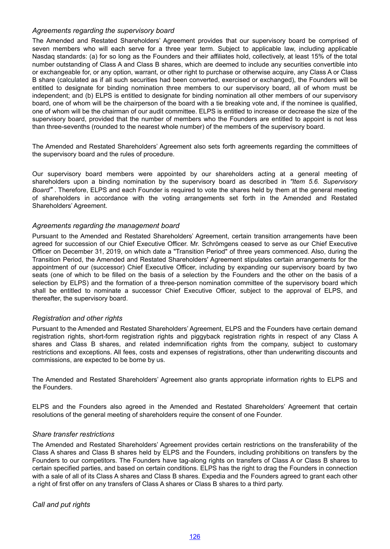## *Agreements regarding the supervisory board*

The Amended and Restated Shareholders' Agreement provides that our supervisory board be comprised of seven members who will each serve for a three year term. Subject to applicable law, including applicable Nasdaq standards: (a) for so long as the Founders and their affiliates hold, collectively, at least 15% of the total number outstanding of Class A and Class B shares, which are deemed to include any securities convertible into or exchangeable for, or any option, warrant, or other right to purchase or otherwise acquire, any Class A or Class B share (calculated as if all such securities had been converted, exercised or exchanged), the Founders will be entitled to designate for binding nomination three members to our supervisory board, all of whom must be independent; and (b) ELPS is entitled to designate for binding nomination all other members of our supervisory board, one of whom will be the chairperson of the board with a tie breaking vote and, if the nominee is qualified, one of whom will be the chairman of our audit committee. ELPS is entitled to increase or decrease the size of the supervisory board, provided that the number of members who the Founders are entitled to appoint is not less than three-sevenths (rounded to the nearest whole number) of the members of the supervisory board.

The Amended and Restated Shareholders' Agreement also sets forth agreements regarding the committees of the supervisory board and the rules of procedure.

Our supervisory board members were appointed by our shareholders acting at a general meeting of shareholders upon a binding nomination by the supervisory board as described in *"Item 5.6. Supervisory Board"* . Therefore, ELPS and each Founder is required to vote the shares held by them at the general meeting of shareholders in accordance with the voting arrangements set forth in the Amended and Restated Shareholders' Agreement.

## *Agreements regarding the management board*

Pursuant to the Amended and Restated Shareholders' Agreement, certain transition arrangements have been agreed for succession of our Chief Executive Officer. Mr. Schrömgens ceased to serve as our Chief Executive Officer on December 31, 2019, on which date a "Transition Period" of three years commenced. Also, during the Transition Period, the Amended and Restated Shareholders' Agreement stipulates certain arrangements for the appointment of our (successor) Chief Executive Officer, including by expanding our supervisory board by two seats (one of which to be filled on the basis of a selection by the Founders and the other on the basis of a selection by ELPS) and the formation of a three-person nomination committee of the supervisory board which shall be entitled to nominate a successor Chief Executive Officer, subject to the approval of ELPS, and thereafter, the supervisory board.

## *Registration and other rights*

Pursuant to the Amended and Restated Shareholders' Agreement, ELPS and the Founders have certain demand registration rights, short-form registration rights and piggyback registration rights in respect of any Class A shares and Class B shares, and related indemnification rights from the company, subject to customary restrictions and exceptions. All fees, costs and expenses of registrations, other than underwriting discounts and commissions, are expected to be borne by us.

The Amended and Restated Shareholders' Agreement also grants appropriate information rights to ELPS and the Founders.

ELPS and the Founders also agreed in the Amended and Restated Shareholders' Agreement that certain resolutions of the general meeting of shareholders require the consent of one Founder.

## *Share transfer restrictions*

The Amended and Restated Shareholders' Agreement provides certain restrictions on the transferability of the Class A shares and Class B shares held by ELPS and the Founders, including prohibitions on transfers by the Founders to our competitors. The Founders have tag-along rights on transfers of Class A or Class B shares to certain specified parties, and based on certain conditions. ELPS has the right to drag the Founders in connection with a sale of all of its Class A shares and Class B shares. Expedia and the Founders agreed to grant each other a right of first offer on any transfers of Class A shares or Class B shares to a third party.

*Call and put rights*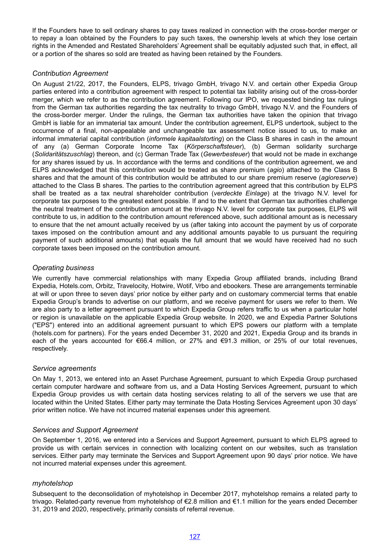If the Founders have to sell ordinary shares to pay taxes realized in connection with the cross-border merger or to repay a loan obtained by the Founders to pay such taxes, the ownership levels at which they lose certain rights in the Amended and Restated Shareholders' Agreement shall be equitably adjusted such that, in effect, all or a portion of the shares so sold are treated as having been retained by the Founders.

## *Contribution Agreement*

On August 21/22, 2017, the Founders, ELPS, trivago GmbH, trivago N.V. and certain other Expedia Group parties entered into a contribution agreement with respect to potential tax liability arising out of the cross-border merger, which we refer to as the contribution agreement. Following our IPO, we requested binding tax rulings from the German tax authorities regarding the tax neutrality to trivago GmbH, trivago N.V. and the Founders of the cross-border merger. Under the rulings, the German tax authorities have taken the opinion that trivago GmbH is liable for an immaterial tax amount. Under the contribution agreement, ELPS undertook, subject to the occurrence of a final, non-appealable and unchangeable tax assessment notice issued to us, to make an informal immaterial capital contribution (*informele kapitaalstorting*) on the Class B shares in cash in the amount of any (a) German Corporate Income Tax (*Körperschaftsteuer*), (b) German solidarity surcharge (*Solidaritätszuschlag*) thereon, and (c) German Trade Tax (*Gewerbesteuer*) that would not be made in exchange for any shares issued by us. In accordance with the terms and conditions of the contribution agreement, we and ELPS acknowledged that this contribution would be treated as share premium (*agio*) attached to the Class B shares and that the amount of this contribution would be attributed to our share premium reserve (*agioreserve*) attached to the Class B shares. The parties to the contribution agreement agreed that this contribution by ELPS shall be treated as a tax neutral shareholder contribution (*verdeckte Einlage*) at the trivago N.V. level for corporate tax purposes to the greatest extent possible. If and to the extent that German tax authorities challenge the neutral treatment of the contribution amount at the trivago N.V. level for corporate tax purposes, ELPS will contribute to us, in addition to the contribution amount referenced above, such additional amount as is necessary to ensure that the net amount actually received by us (after taking into account the payment by us of corporate taxes imposed on the contribution amount and any additional amounts payable to us pursuant the requiring payment of such additional amounts) that equals the full amount that we would have received had no such corporate taxes been imposed on the contribution amount.

## *Operating business*

We currently have commercial relationships with many Expedia Group affiliated brands, including Brand Expedia, Hotels.com, Orbitz, Travelocity, Hotwire, Wotif, Vrbo and ebookers. These are arrangements terminable at will or upon three to seven days' prior notice by either party and on customary commercial terms that enable Expedia Group's brands to advertise on our platform, and we receive payment for users we refer to them. We are also party to a letter agreement pursuant to which Expedia Group refers traffic to us when a particular hotel or region is unavailable on the applicable Expedia Group website. In 2020, we and Expedia Partner Solutions ("EPS") entered into an additional agreement pursuant to which EPS powers our platform with a template (hotels.com for partners). For the years ended December 31, 2020 and 2021, Expedia Group and its brands in each of the years accounted for €66.4 million, or 27% and €91.3 million, or 25% of our total revenues, respectively.

## *Service agreements*

On May 1, 2013, we entered into an Asset Purchase Agreement, pursuant to which Expedia Group purchased certain computer hardware and software from us, and a Data Hosting Services Agreement, pursuant to which Expedia Group provides us with certain data hosting services relating to all of the servers we use that are located within the United States. Either party may terminate the Data Hosting Services Agreement upon 30 days' prior written notice. We have not incurred material expenses under this agreement.

## *Services and Support Agreement*

On September 1, 2016, we entered into a Services and Support Agreement, pursuant to which ELPS agreed to provide us with certain services in connection with localizing content on our websites, such as translation services. Either party may terminate the Services and Support Agreement upon 90 days' prior notice. We have not incurred material expenses under this agreement.

## *myhotelshop*

Subsequent to the deconsolidation of myhotelshop in December 2017, myhotelshop remains a related party to trivago. Related-party revenue from myhotelshop of €2.8 million and €1.1 million for the years ended December 31, 2019 and 2020, respectively, primarily consists of referral revenue.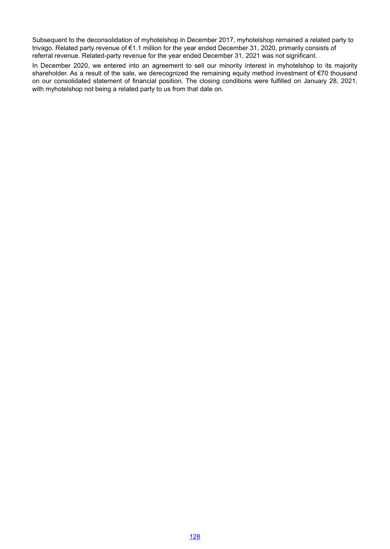Subsequent to the deconsolidation of myhotelshop in December 2017, myhotelshop remained a related party to trivago. Related party revenue of €1.1 million for the year ended December 31, 2020, primarily consists of referral revenue. Related-party revenue for the year ended December 31, 2021 was not significant.

In December 2020, we entered into an agreement to sell our minority interest in myhotelshop to its majority shareholder. As a result of the sale, we derecognized the remaining equity method investment of €70 thousand on our consolidated statement of financial position. The closing conditions were fulfilled on January 28, 2021, with myhotelshop not being a related party to us from that date on.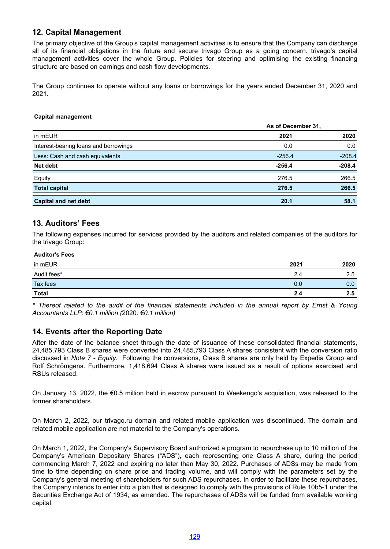## **12. Capital Management**

The primary objective of the Group's capital management activities is to ensure that the Company can discharge all of its financial obligations in the future and secure trivago Group as a going concern. trivago's capital management activities cover the whole Group. Policies for steering and optimising the existing financing structure are based on earnings and cash flow developments.

The Group continues to operate without any loans or borrowings for the years ended December 31, 2020 and 2021.

#### **Capital management**

|                                       | As of December 31, |          |  |
|---------------------------------------|--------------------|----------|--|
| in mEUR                               | 2021               | 2020     |  |
| Interest-bearing loans and borrowings | 0.0                | 0.0      |  |
| Less: Cash and cash equivalents       | $-256.4$           | $-208.4$ |  |
| Net debt                              | $-256.4$           | $-208.4$ |  |
| Equity                                | 276.5              | 266.5    |  |
| <b>Total capital</b>                  | 276.5              | 266.5    |  |
| <b>Capital and net debt</b>           | 20.1               | 58.1     |  |

## **13. Auditors' Fees**

The following expenses incurred for services provided by the auditors and related companies of the auditors for the trivago Group:

#### **Auditor's Fees**

| 2021 | 2020 |
|------|------|
| 2.4  | 2.5  |
| 0.0  | 0.0  |
| 2.4  | 2.5  |
|      |      |

*\* Thereof related to the audit of the financial statements included in the annual report by Ernst & Young Accountants LLP: €0.1 million (*2020*: €0.1 million)*

## **14. Events after the Reporting Date**

After the date of the balance sheet through the date of issuance of these consolidated financial statements, 24,485,793 Class B shares were converted into 24,485,793 Class A shares consistent with the conversion ratio discussed in *Note 7 - Equity*. Following the conversions, Class B shares are only held by Expedia Group and Rolf Schrömgens. Furthermore, 1,418,694 Class A shares were issued as a result of options exercised and RSUs released.

On January 13, 2022, the €0.5 million held in escrow pursuant to Weekengo's acquisition, was released to the former shareholders.

On March 2, 2022, our trivago.ru domain and related mobile application was discontinued. The domain and related mobile application are not material to the Company's operations.

On March 1, 2022, the Company's Supervisory Board authorized a program to repurchase up to 10 million of the Company's American Depositary Shares ("ADS"), each representing one Class A share, during the period commencing March 7, 2022 and expiring no later than May 30, 2022. Purchases of ADSs may be made from time to time depending on share price and trading volume, and will comply with the parameters set by the Company's general meeting of shareholders for such ADS repurchases. In order to facilitate these repurchases, the Company intends to enter into a plan that is designed to comply with the provisions of Rule 10b5-1 under the Securities Exchange Act of 1934, as amended. The repurchases of ADSs will be funded from available working capital.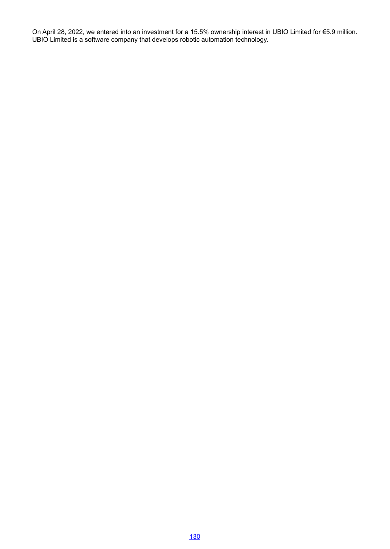On April 28, 2022, we entered into an investment for a 15.5% ownership interest in UBIO Limited for €5.9 million. UBIO Limited is a software company that develops robotic automation technology.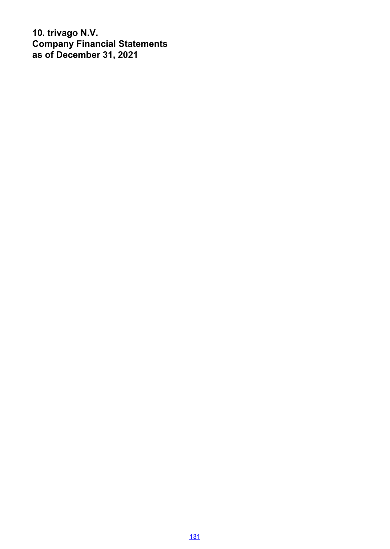**10. trivago N.V. Company Financial Statements as of December 31, 2021**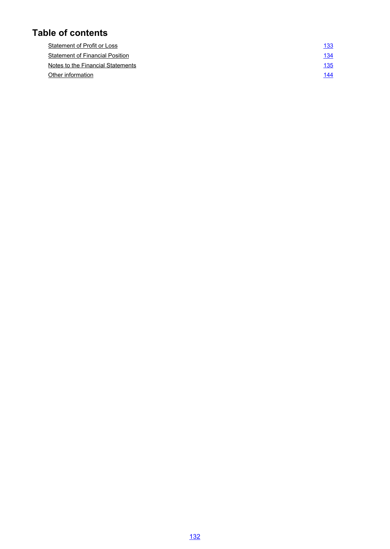# **Table of contents**

| Statement of Profit or Loss            | 133 |
|----------------------------------------|-----|
| <b>Statement of Financial Position</b> | 134 |
| Notes to the Financial Statements      | 135 |
| Other information                      | 144 |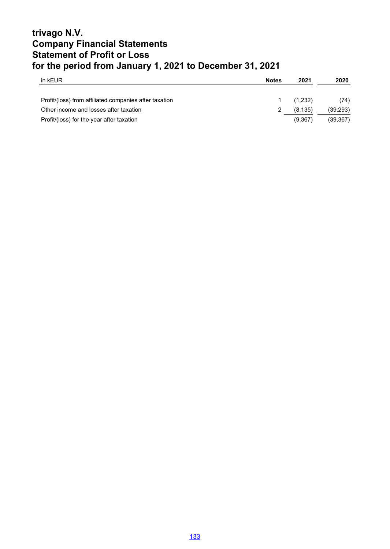# <span id="page-132-0"></span>**trivago N.V. Company Financial Statements Statement of Profit or Loss for the period from January 1, 2021 to December 31, 2021**

| in kEUR                                                | <b>Notes</b> | 2021     | 2020      |
|--------------------------------------------------------|--------------|----------|-----------|
|                                                        |              |          |           |
| Profit/(loss) from affiliated companies after taxation |              | (1,232)  | (74)      |
| Other income and losses after taxation                 |              | (8, 135) | (39,293)  |
| Profit/(loss) for the year after taxation              |              | (9,367)  | (39, 367) |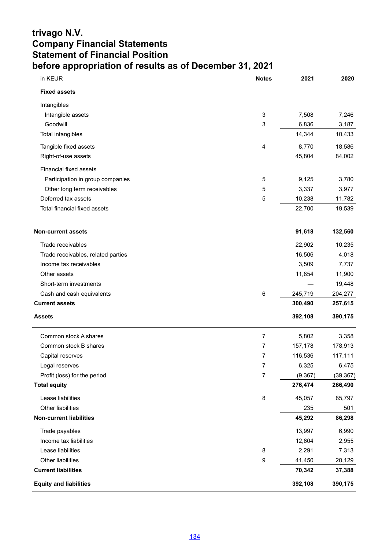# <span id="page-133-0"></span>**trivago N.V. Company Financial Statements Statement of Financial Position before appropriation of results as of December 31, 2021**

| in KEUR                            | <b>Notes</b>            | 2021     | 2020      |
|------------------------------------|-------------------------|----------|-----------|
| <b>Fixed assets</b>                |                         |          |           |
| Intangibles                        |                         |          |           |
| Intangible assets                  | 3                       | 7,508    | 7,246     |
| Goodwill                           | $\sqrt{3}$              | 6,836    | 3,187     |
| Total intangibles                  |                         | 14,344   | 10,433    |
| Tangible fixed assets              | $\overline{\mathbf{4}}$ | 8,770    | 18,586    |
| Right-of-use assets                |                         | 45,804   | 84,002    |
| Financial fixed assets             |                         |          |           |
| Participation in group companies   | 5                       | 9,125    | 3,780     |
| Other long term receivables        | 5                       | 3,337    | 3,977     |
| Deferred tax assets                | $\mathbf 5$             | 10,238   | 11,782    |
| Total financial fixed assets       |                         | 22,700   | 19,539    |
| <b>Non-current assets</b>          |                         | 91,618   | 132,560   |
| Trade receivables                  |                         | 22,902   | 10,235    |
| Trade receivables, related parties |                         | 16,506   | 4,018     |
| Income tax receivables             |                         | 3,509    | 7,737     |
| Other assets                       |                         | 11,854   | 11,900    |
| Short-term investments             |                         |          | 19,448    |
| Cash and cash equivalents          | $\,6\,$                 | 245,719  | 204,277   |
| <b>Current assets</b>              |                         | 300,490  | 257,615   |
| <b>Assets</b>                      |                         | 392,108  | 390,175   |
| Common stock A shares              | $\overline{7}$          | 5,802    | 3,358     |
| Common stock B shares              | $\overline{7}$          | 157,178  | 178,913   |
| Capital reserves                   | 7                       | 116,536  | 117,111   |
| Legal reserves                     | 7                       | 6,325    | 6,475     |
| Profit (loss) for the period       | $\boldsymbol{7}$        | (9, 367) | (39, 367) |
| <b>Total equity</b>                |                         | 276,474  | 266,490   |
| Lease liabilities                  | 8                       | 45,057   | 85,797    |
| Other liabilities                  |                         | 235      | 501       |
| <b>Non-current liabilities</b>     |                         | 45,292   | 86,298    |
| Trade payables                     |                         | 13,997   | 6,990     |
| Income tax liabilities             |                         | 12,604   | 2,955     |
| Lease liabilities                  | 8                       | 2,291    | 7,313     |
| Other liabilities                  | $\boldsymbol{9}$        | 41,450   | 20,129    |
| <b>Current liabilities</b>         |                         | 70,342   | 37,388    |
| <b>Equity and liabilities</b>      |                         | 392,108  | 390,175   |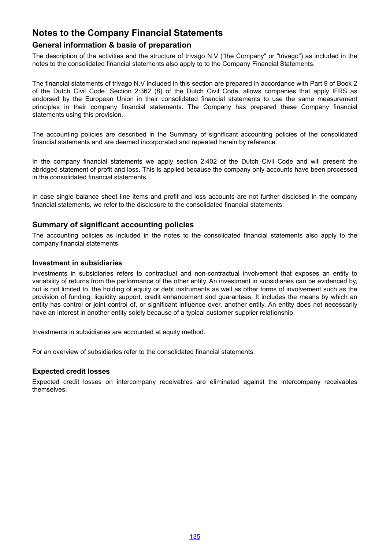# <span id="page-134-0"></span>**Notes to the Company Financial Statements**

# **General information & basis of preparation**

The description of the activities and the structure of trivago N.V ("the Company" or "trivago") as included in the notes to the consolidated financial statements also apply to to the Company Financial Statements.

The financial statements of trivago N.V included in this section are prepared in accordance with Part 9 of Book 2 of the Dutch Civil Code. Section 2:362 (8) of the Dutch Civil Code, allows companies that apply IFRS as endorsed by the European Union in their consolidated financial statements to use the same measurement principles in their company financial statements. The Company has prepared these Company financial statements using this provision.

The accounting policies are described in the Summary of significant accounting policies of the consolidated financial statements and are deemed incorporated and repeated herein by reference.

In the company financial statements we apply section 2:402 of the Dutch Civil Code and will present the abridged statement of profit and loss. This is applied because the company only accounts have been processed in the consolidated financial statements.

In case single balance sheet line items and profit and loss accounts are not further disclosed in the company financial statements, we refer to the disclosure to the consolidated financial statements.

## **Summary of significant accounting policies**

The accounting policies as included in the notes to the consolidated financial statements also apply to the company financial statements.

## **Investment in subsidiaries**

Investments in subsidiaries refers to contractual and non-contractual involvement that exposes an entity to variability of returns from the performance of the other entity. An investment in subsidiaries can be evidenced by, but is not limited to, the holding of equity or debt instruments as well as other forms of involvement such as the provision of funding, liquidity support, credit enhancement and guarantees. It includes the means by which an entity has control or joint control of, or significant influence over, another entity. An entity does not necessarily have an interest in another entity solely because of a typical customer supplier relationship.

Investments in subsidiaries are accounted at equity method.

For an overview of subsidiaries refer to the consolidated financial statements.

## **Expected credit losses**

Expected credit losses on intercompany receivables are eliminated against the intercompany receivables themselves.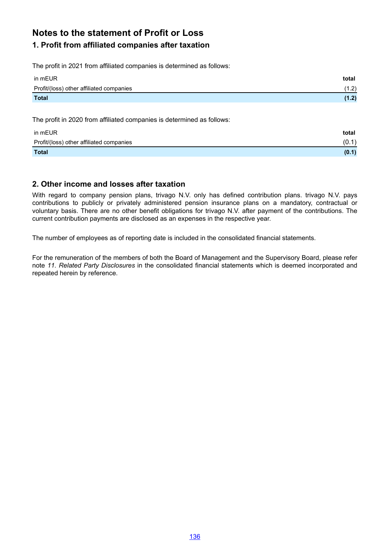# **Notes to the statement of Profit or Loss 1. Profit from affiliated companies after taxation**

The profit in 2021 from affiliated companies is determined as follows:

| in mEUR                                  | total |
|------------------------------------------|-------|
| Profit/(loss) other affiliated companies | (1.2) |
| <b>Total</b>                             | (1.2) |

The profit in 2020 from affiliated companies is determined as follows:

| in mEUR                                  | total |
|------------------------------------------|-------|
| Profit/(loss) other affiliated companies | (0.1) |
| <b>Total</b>                             | (0.1) |

# **2. Other income and losses after taxation**

With regard to company pension plans, trivago N.V. only has defined contribution plans. trivago N.V. pays contributions to publicly or privately administered pension insurance plans on a mandatory, contractual or voluntary basis. There are no other benefit obligations for trivago N.V. after payment of the contributions. The current contribution payments are disclosed as an expenses in the respective year.

The number of employees as of reporting date is included in the consolidated financial statements.

For the remuneration of the members of both the Board of Management and the Supervisory Board, please refer note *11. Related Party Disclosures* in the consolidated financial statements which is deemed incorporated and repeated herein by reference.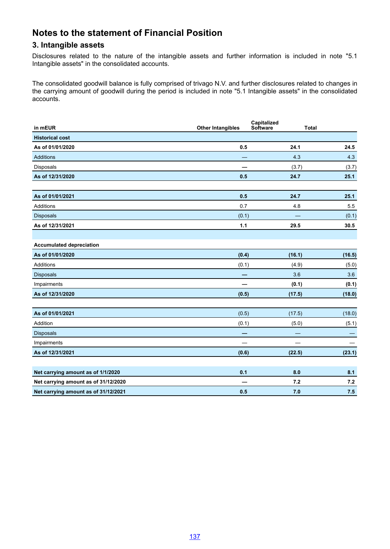# **Notes to the statement of Financial Position**

## **3. Intangible assets**

Disclosures related to the nature of the intangible assets and further information is included in note "5.1 Intangible assets" in the consolidated accounts.

The consolidated goodwill balance is fully comprised of trivago N.V. and further disclosures related to changes in the carrying amount of goodwill during the period is included in note "5.1 Intangible assets" in the consolidated accounts.

| in mEUR                              | <b>Other Intangibles</b>      | Capitalized<br>Software | <b>Total</b> |
|--------------------------------------|-------------------------------|-------------------------|--------------|
| <b>Historical cost</b>               |                               |                         |              |
| As of 01/01/2020                     | 0.5                           | 24.1                    | 24.5         |
| Additions                            | $\overbrace{\phantom{12332}}$ | 4.3                     | 4.3          |
| <b>Disposals</b>                     |                               | (3.7)                   | (3.7)        |
| As of 12/31/2020                     | 0.5                           | 24.7                    | 25.1         |
|                                      |                               |                         |              |
| As of 01/01/2021                     | 0.5                           | 24.7                    | 25.1         |
| Additions                            | 0.7                           | 4.8                     | 5.5          |
| <b>Disposals</b>                     | (0.1)                         |                         | (0.1)        |
| As of 12/31/2021                     | 1.1                           | 29.5                    | 30.5         |
|                                      |                               |                         |              |
| <b>Accumulated depreciation</b>      |                               |                         |              |
| As of 01/01/2020                     | (0.4)                         | (16.1)                  | (16.5)       |
| Additions                            | (0.1)                         | (4.9)                   | (5.0)        |
| <b>Disposals</b>                     |                               | 3.6                     | 3.6          |
| Impairments                          |                               | (0.1)                   | (0.1)        |
| As of 12/31/2020                     | (0.5)                         | (17.5)                  | (18.0)       |
|                                      |                               |                         |              |
| As of 01/01/2021                     | (0.5)                         | (17.5)                  | (18.0)       |
| Addition                             | (0.1)                         | (5.0)                   | (5.1)        |
| <b>Disposals</b>                     |                               |                         |              |
| Impairments                          |                               |                         |              |
| As of 12/31/2021                     | (0.6)                         | (22.5)                  | (23.1)       |
|                                      |                               |                         |              |
| Net carrying amount as of 1/1/2020   | 0.1                           | 8.0                     | 8.1          |
| Net carrying amount as of 31/12/2020 |                               | 7.2                     | 7.2          |
| Net carrying amount as of 31/12/2021 | 0.5                           | 7.0                     | 7.5          |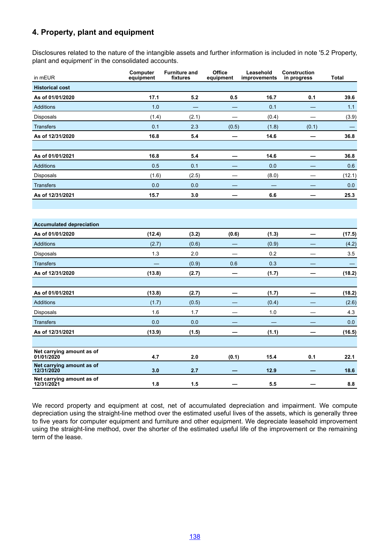# **4. Property, plant and equipment**

Disclosures related to the nature of the intangible assets and further information is included in note '5.2 Property, plant and equipment' in the consolidated accounts.

| in mEUR                                 | Computer<br>equipment | <b>Furniture and</b><br>fixtures | Office<br>equipment      | Leasehold<br>improvements | <b>Construction</b><br>in progress | <b>Total</b> |
|-----------------------------------------|-----------------------|----------------------------------|--------------------------|---------------------------|------------------------------------|--------------|
| <b>Historical cost</b>                  |                       |                                  |                          |                           |                                    |              |
| As of 01/01/2020                        | 17.1                  | 5.2                              | 0.5                      | 16.7                      | 0.1                                | 39.6         |
| <b>Additions</b>                        | 1.0                   |                                  |                          | 0.1                       |                                    | 1.1          |
| <b>Disposals</b>                        | (1.4)                 | (2.1)                            |                          | (0.4)                     |                                    | (3.9)        |
| <b>Transfers</b>                        | 0.1                   | 2.3                              | (0.5)                    | (1.8)                     | (0.1)                              |              |
| As of 12/31/2020                        | 16.8                  | 5.4                              | -                        | 14.6                      |                                    | 36.8         |
|                                         |                       |                                  |                          |                           |                                    |              |
| As of 01/01/2021                        | 16.8                  | 5.4                              | —                        | 14.6                      | —                                  | 36.8         |
| <b>Additions</b>                        | 0.5                   | 0.1                              |                          | 0.0                       |                                    | 0.6          |
| Disposals                               | (1.6)                 | (2.5)                            |                          | (8.0)                     |                                    | (12.1)       |
| <b>Transfers</b>                        | 0.0                   | 0.0                              |                          |                           |                                    | 0.0          |
| As of 12/31/2021                        | 15.7                  | 3.0                              |                          | 6.6                       |                                    | 25.3         |
|                                         |                       |                                  |                          |                           |                                    |              |
|                                         |                       |                                  |                          |                           |                                    |              |
| <b>Accumulated depreciation</b>         |                       |                                  |                          |                           |                                    |              |
| As of 01/01/2020                        | (12.4)                | (3.2)                            | (0.6)                    | (1.3)                     |                                    | (17.5)       |
| <b>Additions</b>                        | (2.7)                 | (0.6)                            |                          | (0.9)                     |                                    | (4.2)        |
| Disposals                               | 1.3                   | 2.0                              | $\overline{\phantom{0}}$ | 0.2                       |                                    | 3.5          |
| <b>Transfers</b>                        |                       | (0.9)                            | 0.6                      | 0.3                       |                                    |              |
| As of 12/31/2020                        | (13.8)                | (2.7)                            |                          | (1.7)                     |                                    | (18.2)       |
|                                         |                       |                                  |                          |                           |                                    |              |
| As of 01/01/2021                        | (13.8)                | (2.7)                            | —                        | (1.7)                     | -                                  | (18.2)       |
| <b>Additions</b>                        | (1.7)                 | (0.5)                            |                          | (0.4)                     |                                    | (2.6)        |
| Disposals                               | 1.6                   | 1.7                              |                          | 1.0                       |                                    | 4.3          |
| <b>Transfers</b>                        | 0.0                   | 0.0                              | —                        |                           |                                    | 0.0          |
| As of 12/31/2021                        | (13.9)                | (1.5)                            |                          | (1.1)                     |                                    | (16.5)       |
|                                         |                       |                                  |                          |                           |                                    |              |
| Net carrying amount as of<br>01/01/2020 | 4.7                   | 2.0                              | (0.1)                    | 15.4                      | 0.1                                | 22.1         |
| Net carrying amount as of<br>12/31/2020 | 3.0                   | 2.7                              |                          | 12.9                      |                                    | 18.6         |
| Net carrying amount as of<br>12/31/2021 | 1.8                   | 1.5                              |                          | 5.5                       |                                    | 8.8          |

We record property and equipment at cost, net of accumulated depreciation and impairment. We compute depreciation using the straight-line method over the estimated useful lives of the assets, which is generally three to five years for computer equipment and furniture and other equipment. We depreciate leasehold improvement using the straight-line method, over the shorter of the estimated useful life of the improvement or the remaining term of the lease.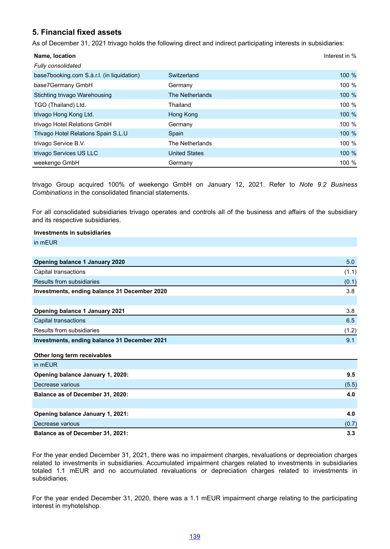# **5. Financial fixed assets**

As of December 31, 2021 trivago holds the following direct and indirect participating interests in subsidiaries:

| Name, location                             |                      | Interest in % |
|--------------------------------------------|----------------------|---------------|
| <b>Fully consolidated</b>                  |                      |               |
| base7booking.com S.à.r.l. (in liquidation) | Switzerland          | 100 %         |
| base7Germany GmbH                          | Germany              | 100 %         |
| Stichting trivago Warehousing              | The Netherlands      | 100 %         |
| TGO (Thailand) Ltd.                        | Thailand             | 100 %         |
| trivago Hong Kong Ltd.                     | Hong Kong            | 100 %         |
| trivago Hotel Relations GmbH               | Germany              | 100 %         |
| Trivago Hotel Relations Spain S.L.U        | Spain                | 100 %         |
| trivago Service B.V.                       | The Netherlands      | 100 %         |
| trivago Services US LLC                    | <b>United States</b> | 100 %         |
| weekengo GmbH                              | Germany              | 100 %         |

trivago Group acquired 100% of weekengo GmbH on January 12, 2021. Refer to *Note 9.2 Business Combinations* in the consolidated financial statements.

For all consolidated subsidiaries trivago operates and controls all of the business and affairs of the subsidiary and its respective subsidiaries.

| Investments in subsidiaries                  |       |
|----------------------------------------------|-------|
| in mEUR                                      |       |
|                                              |       |
| <b>Opening balance 1 January 2020</b>        | 5.0   |
| Capital transactions                         | (1.1) |
| Results from subsidiaries                    | (0.1) |
| Investments, ending balance 31 December 2020 | 3.8   |
|                                              |       |
| <b>Opening balance 1 January 2021</b>        | 3.8   |
| Capital transactions                         | 6.5   |
| Results from subsidiaries                    | (1.2) |
| Investments, ending balance 31 December 2021 | 9.1   |
| Other long term receivables                  |       |
| in mEUR                                      |       |
| Opening balance January 1, 2020:             | 9.5   |
| Decrease various                             | (5.5) |
| Balance as of December 31, 2020:             | 4.0   |
|                                              |       |
| Opening balance January 1, 2021:             | 4.0   |
| Decrease various                             | (0.7) |

**Balance as of December 31, 2021: 3.3** 

For the year ended December 31, 2021, there was no impairment charges, revaluations or depreciation charges related to investments in subsidiaries. Accumulated impairment charges related to investments in subsidiaries totaled 1.1 mEUR and no accumulated revaluations or depreciation charges related to investments in subsidiaries.

For the year ended December 31, 2020, there was a 1.1 mEUR impairment charge relating to the participating interest in myhotelshop.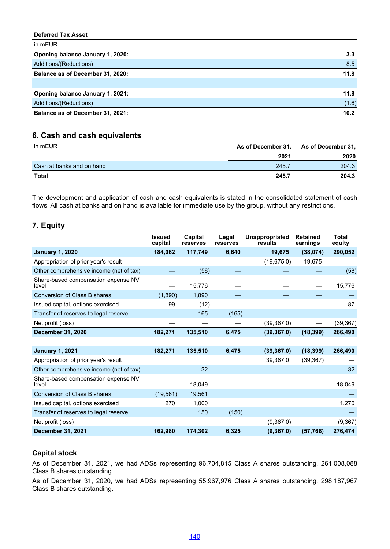| <b>Deferred Tax Asset</b>        |       |
|----------------------------------|-------|
| in mEUR                          |       |
| Opening balance January 1, 2020: | 3.3   |
| Additions/(Reductions)           | 8.5   |
| Balance as of December 31, 2020: | 11.8  |
|                                  |       |
| Opening balance January 1, 2021: | 11.8  |
| Additions/(Reductions)           | (1.6) |
| Balance as of December 31, 2021: | 10.2  |

## **6. Cash and cash equivalents**

| in mEUR                   | As of December 31, | As of December 31, |
|---------------------------|--------------------|--------------------|
|                           | 2021               | 2020               |
| Cash at banks and on hand | 245.7              | 204.3              |
| Total                     | 245.7              | 204.3              |

The development and application of cash and cash equivalents is stated in the consolidated statement of cash flows. All cash at banks and on hand is available for immediate use by the group, without any restrictions.

## **7. Equity**

|                                              | <b>Issued</b><br>capital | Capital<br>reserves | Legal<br>reserves | Unappropriated<br>results | <b>Retained</b><br>earnings | <b>Total</b><br>equity |
|----------------------------------------------|--------------------------|---------------------|-------------------|---------------------------|-----------------------------|------------------------|
| <b>January 1, 2020</b>                       | 184,062                  | 117,749             | 6,640             | 19,675                    | (38, 074)                   | 290,052                |
| Appropriation of prior year's result         |                          |                     |                   | (19,675.0)                | 19,675                      |                        |
| Other comprehensive income (net of tax)      |                          | (58)                |                   |                           |                             | (58)                   |
| Share-based compensation expense NV<br>level |                          | 15,776              |                   |                           |                             | 15,776                 |
| <b>Conversion of Class B shares</b>          | (1,890)                  | 1,890               |                   |                           |                             |                        |
| Issued capital, options exercised            | 99                       | (12)                |                   |                           |                             | 87                     |
| Transfer of reserves to legal reserve        |                          | 165                 | (165)             |                           |                             |                        |
| Net profit (loss)                            |                          |                     |                   | (39, 367.0)               |                             | (39, 367)              |
| <b>December 31, 2020</b>                     | 182,271                  | 135,510             | 6,475             | (39, 367.0)               | (18, 399)                   | 266,490                |
|                                              |                          |                     |                   |                           |                             |                        |
| <b>January 1, 2021</b>                       | 182,271                  | 135,510             | 6,475             | (39, 367.0)               | (18, 399)                   | 266,490                |
| Appropriation of prior year's result         |                          |                     |                   | 39,367.0                  | (39, 367)                   |                        |
| Other comprehensive income (net of tax)      |                          | 32                  |                   |                           |                             | 32                     |
| Share-based compensation expense NV<br>level |                          | 18,049              |                   |                           |                             | 18,049                 |
| Conversion of Class B shares                 | (19, 561)                | 19,561              |                   |                           |                             |                        |
| Issued capital, options exercised            | 270                      | 1,000               |                   |                           |                             | 1,270                  |
| Transfer of reserves to legal reserve        |                          | 150                 | (150)             |                           |                             |                        |
| Net profit (loss)                            |                          |                     |                   | (9,367.0)                 |                             | (9, 367)               |
| <b>December 31, 2021</b>                     | 162,980                  | 174.302             | 6,325             | (9, 367.0)                | (57, 766)                   | 276,474                |

## **Capital stock**

As of December 31, 2021, we had ADSs representing 96,704,815 Class A shares outstanding, 261,008,088 Class B shares outstanding.

As of December 31, 2020, we had ADSs representing 55,967,976 Class A shares outstanding, 298,187,967 Class B shares outstanding.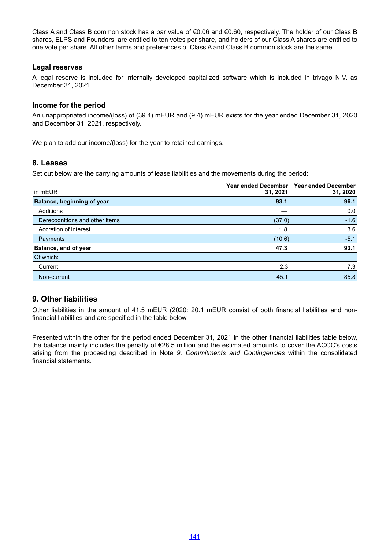Class A and Class B common stock has a par value of €0.06 and €0.60, respectively. The holder of our Class B shares, ELPS and Founders, are entitled to ten votes per share, and holders of our Class A shares are entitled to one vote per share. All other terms and preferences of Class A and Class B common stock are the same.

## **Legal reserves**

A legal reserve is included for internally developed capitalized software which is included in trivago N.V. as December 31, 2021.

## **Income for the period**

An unappropriated income/(loss) of (39.4) mEUR and (9.4) mEUR exists for the year ended December 31, 2020 and December 31, 2021, respectively.

We plan to add our income/(loss) for the year to retained earnings.

## **8. Leases**

Set out below are the carrying amounts of lease liabilities and the movements during the period:

| in mEUR                        | <b>Year ended December</b><br>31, 2021 | <b>Year ended December</b><br>31, 2020 |
|--------------------------------|----------------------------------------|----------------------------------------|
| Balance, beginning of year     | 93.1                                   | 96.1                                   |
| Additions                      |                                        | 0.0                                    |
| Derecognitions and other items | (37.0)                                 | $-1.6$                                 |
| Accretion of interest          | 1.8                                    | 3.6                                    |
| Payments                       | (10.6)                                 | $-5.1$                                 |
| Balance, end of year           | 47.3                                   | 93.1                                   |
| Of which:                      |                                        |                                        |
| Current                        | 2.3                                    | 7.3                                    |
| Non-current                    | 45.1                                   | 85.8                                   |

## **9. Other liabilities**

Other liabilities in the amount of 41.5 mEUR (2020: 20.1 mEUR consist of both financial liabilities and nonfinancial liabilities and are specified in the table below.

Presented within the other for the period ended December 31, 2021 in the other financial liabilities table below, the balance mainly includes the penalty of €28.5 million and the estimated amounts to cover the ACCC's costs arising from the proceeding described in Note *9. Commitments and Contingencies* within the consolidated financial statements.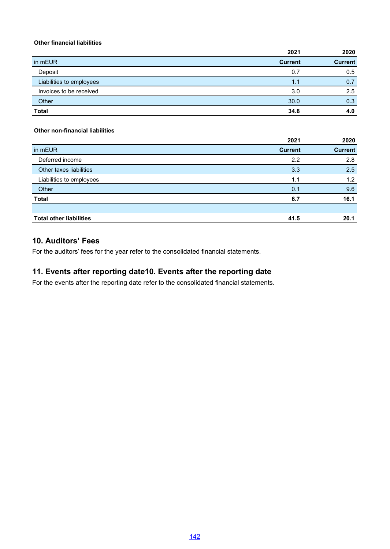### **Other financial liabilities**

|                          | 2021           | 2020           |
|--------------------------|----------------|----------------|
| in mEUR                  | <b>Current</b> | <b>Current</b> |
| Deposit                  | 0.7            | 0.5            |
| Liabilities to employees | 1.1            | 0.7            |
| Invoices to be received  | 3.0            | 2.5            |
| Other                    | 30.0           | 0.3            |
| <b>Total</b>             | 34.8           | 4.0            |

#### **Other non-financial liabilities**

|                                | 2021           | 2020           |
|--------------------------------|----------------|----------------|
| in mEUR                        | <b>Current</b> | <b>Current</b> |
| Deferred income                | 2.2            | 2.8            |
| Other taxes liabilities        | 3.3            | 2.5            |
| Liabilities to employees       | 1.1            | 1.2            |
| Other                          | 0.1            | 9.6            |
| <b>Total</b>                   | 6.7            | 16.1           |
|                                |                |                |
| <b>Total other liabilities</b> | 41.5           | 20.1           |

## **10. Auditors' Fees**

For the auditors' fees for the year refer to the consolidated financial statements.

# **11. Events after reporting date10. Events after the reporting date**

For the events after the reporting date refer to the consolidated financial statements.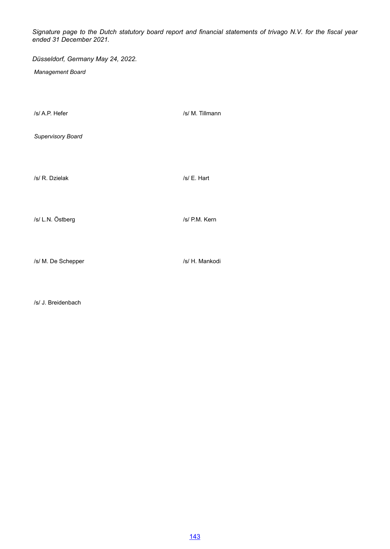*Signature page to the Dutch statutory board report and financial statements of trivago N.V. for the fiscal year ended 31 December 2021.* 

*Düsseldorf, Germany May 24, 2022.*

*Management Board*

/s/ A.P. Hefer /s/ M. Tillmann *Supervisory Board* /s/ R. Dzielak /s/ E. Hart /s/ L.N. Östberg /s/ P.M. Kern

/s/ M. De Schepper /s/ Mankodi

/s/ J. Breidenbach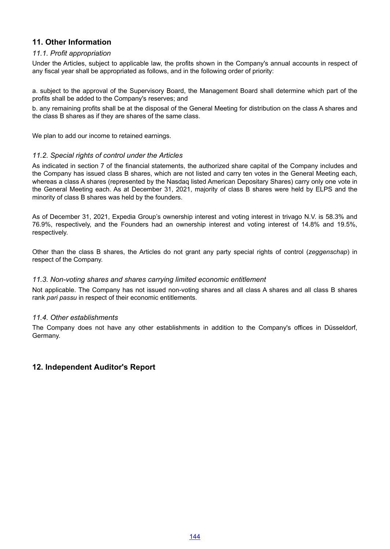# <span id="page-143-0"></span>**11. Other Information**

## *11.1. Profit appropriation*

Under the Articles, subject to applicable law, the profits shown in the Company's annual accounts in respect of any fiscal year shall be appropriated as follows, and in the following order of priority:

a. subject to the approval of the Supervisory Board, the Management Board shall determine which part of the profits shall be added to the Company's reserves; and

b. any remaining profits shall be at the disposal of the General Meeting for distribution on the class A shares and the class B shares as if they are shares of the same class.

We plan to add our income to retained earnings.

## *11.2. Special rights of control under the Articles*

As indicated in section 7 of the financial statements, the authorized share capital of the Company includes and the Company has issued class B shares, which are not listed and carry ten votes in the General Meeting each, whereas a class A shares (represented by the Nasdaq listed American Depositary Shares) carry only one vote in the General Meeting each. As at December 31, 2021, majority of class B shares were held by ELPS and the minority of class B shares was held by the founders.

As of December 31, 2021, Expedia Group's ownership interest and voting interest in trivago N.V. is 58.3% and 76.9%, respectively, and the Founders had an ownership interest and voting interest of 14.8% and 19.5%, respectively.

Other than the class B shares, the Articles do not grant any party special rights of control (*zeggenschap*) in respect of the Company.

## *11.3. Non-voting shares and shares carrying limited economic entitlement*

Not applicable. The Company has not issued non-voting shares and all class A shares and all class B shares rank *pari passu* in respect of their economic entitlements.

## *11.4. Other establishments*

The Company does not have any other establishments in addition to the Company's offices in Düsseldorf, Germany.

## **12. Independent Auditor's Report**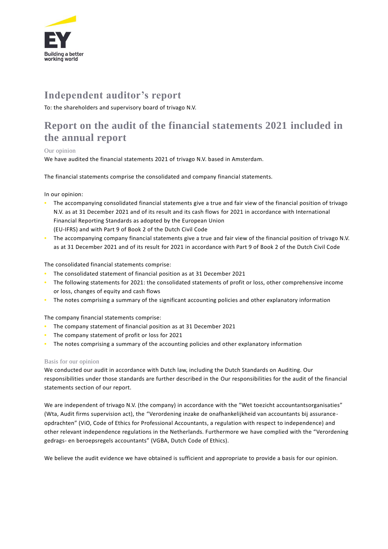

# **Independent auditor's report**

To: the shareholders and supervisory board of trivago N.V.

# **Report on the audit of the financial statements 2021 included in the annual report**

### Our opinion

We have audited the financial statements 2021 of trivago N.V. based in Amsterdam.

The financial statements comprise the consolidated and company financial statements.

In our opinion:

- **•** The accompanying consolidated financial statements give a true and fair view of the financial position of trivago N.V. as at 31 December 2021 and of its result and its cash flows for 2021 in accordance with International Financial Reporting Standards as adopted by the European Union (EU-IFRS) and with Part 9 of Book 2 of the Dutch Civil Code
- **•** The accompanying company financial statements give a true and fair view of the financial position of trivago N.V. as at 31 December 2021 and of its result for 2021 in accordance with Part 9 of Book 2 of the Dutch Civil Code

The consolidated financial statements comprise:

- **•** The consolidated statement of financial position as at 31 December 2021
- **•** The following statements for 2021: the consolidated statements of profit or loss, other comprehensive income or loss, changes of equity and cash flows
- **•** The notes comprising a summary of the significant accounting policies and other explanatory information

The company financial statements comprise:

- **•** The company statement of financial position as at 31 December 2021
- **•** The company statement of profit or loss for 2021
- **•** The notes comprising a summary of the accounting policies and other explanatory information

### Basis for our opinion

We conducted our audit in accordance with Dutch law, including the Dutch Standards on Auditing. Our responsibilities under those standards are further described in the Our responsibilities for the audit of the financial statements section of our report.

We are independent of trivago N.V. (the company) in accordance with the "Wet toezicht accountantsorganisaties" (Wta, Audit firms supervision act), the "Verordening inzake de onafhankelijkheid van accountants bij assuranceopdrachten" (ViO, Code of Ethics for Professional Accountants, a regulation with respect to independence) and other relevant independence regulations in the Netherlands. Furthermore we have complied with the "Verordening gedrags- en beroepsregels accountants" (VGBA, Dutch Code of Ethics).

We believe the audit evidence we have obtained is sufficient and appropriate to provide a basis for our opinion.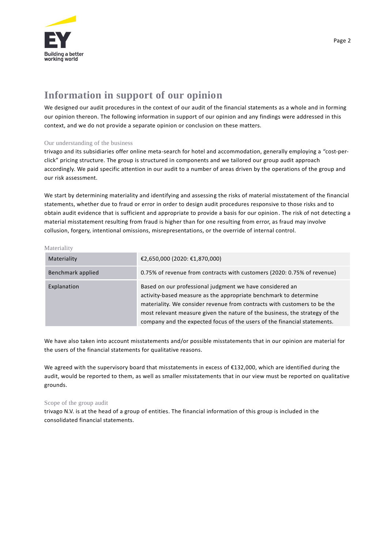

### **Information in support of our opinion**

We designed our audit procedures in the context of our audit of the financial statements as a whole and in forming our opinion thereon. The following information in support of our opinion and any findings were addressed in this context, and we do not provide a separate opinion or conclusion on these matters.

#### Our understanding of the business

trivago and its subsidiaries offer online meta-search for hotel and accommodation, generally employing a "cost-perclick" pricing structure. The group is structured in components and we tailored our group audit approach accordingly. We paid specific attention in our audit to a number of areas driven by the operations of the group and our risk assessment.

We start by determining materiality and identifying and assessing the risks of material misstatement of the financial statements, whether due to fraud or error in order to design audit procedures responsive to those risks and to obtain audit evidence that is sufficient and appropriate to provide a basis for our opinion. The risk of not detecting a material misstatement resulting from fraud is higher than for one resulting from error, as fraud may involve collusion, forgery, intentional omissions, misrepresentations, or the override of internal control.

Materiality

| Materiality       | €2,650,000 (2020: €1,870,000)                                                                                                                                                                                                                                                                                                                                       |
|-------------------|---------------------------------------------------------------------------------------------------------------------------------------------------------------------------------------------------------------------------------------------------------------------------------------------------------------------------------------------------------------------|
| Benchmark applied | 0.75% of revenue from contracts with customers (2020: 0.75% of revenue)                                                                                                                                                                                                                                                                                             |
| Explanation       | Based on our professional judgment we have considered an<br>activity-based measure as the appropriate benchmark to determine<br>materiality. We consider revenue from contracts with customers to be the<br>most relevant measure given the nature of the business, the strategy of the<br>company and the expected focus of the users of the financial statements. |

We have also taken into account misstatements and/or possible misstatements that in our opinion are material for the users of the financial statements for qualitative reasons.

We agreed with the supervisory board that misstatements in excess of €132,000, which are identified during the audit, would be reported to them, as well as smaller misstatements that in our view must be reported on qualitative grounds.

#### Scope of the group audit

trivago N.V. is at the head of a group of entities. The financial information of this group is included in the consolidated financial statements.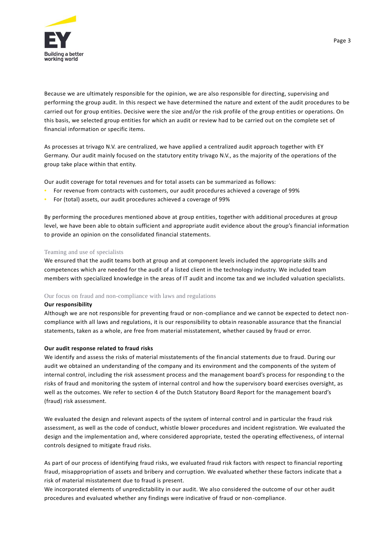

Because we are ultimately responsible for the opinion, we are also responsible for directing, supervising and performing the group audit. In this respect we have determined the nature and extent of the audit procedures to be carried out for group entities. Decisive were the size and/or the risk profile of the group entities or operations. On this basis, we selected group entities for which an audit or review had to be carried out on the complete set of financial information or specific items.

As processes at trivago N.V. are centralized, we have applied a centralized audit approach together with EY Germany. Our audit mainly focused on the statutory entity trivago N.V., as the majority of the operations of the group take place within that entity.

Our audit coverage for total revenues and for total assets can be summarized as follows:

- **•** For revenue from contracts with customers, our audit procedures achieved a coverage of 99%
- **•** For (total) assets, our audit procedures achieved a coverage of 99%

By performing the procedures mentioned above at group entities, together with additional procedures at group level, we have been able to obtain sufficient and appropriate audit evidence about the group's financial information to provide an opinion on the consolidated financial statements.

#### Teaming and use of specialists

We ensured that the audit teams both at group and at component levels included the appropriate skills and competences which are needed for the audit of a listed client in the technology industry. We included team members with specialized knowledge in the areas of IT audit and income tax and we included valuation specialists.

#### Our focus on fraud and non-compliance with laws and regulations

#### **Our responsibility**

Although we are not responsible for preventing fraud or non-compliance and we cannot be expected to detect noncompliance with all laws and regulations, it is our responsibility to obtain reasonable assurance that the financial statements, taken as a whole, are free from material misstatement, whether caused by fraud or error.

#### **Our audit response related to fraud risks**

We identify and assess the risks of material misstatements of the financial statements due to fraud. During our audit we obtained an understanding of the company and its environment and the components of the system of internal control, including the risk assessment process and the management board's process for responding to the risks of fraud and monitoring the system of internal control and how the supervisory board exercises oversight, as well as the outcomes. We refer to section 4 of the Dutch Statutory Board Report for the management board's (fraud) risk assessment.

We evaluated the design and relevant aspects of the system of internal control and in particular the fraud risk assessment, as well as the code of conduct, whistle blower procedures and incident registration. We evaluated the design and the implementation and, where considered appropriate, tested the operating effectiveness, of internal controls designed to mitigate fraud risks.

As part of our process of identifying fraud risks, we evaluated fraud risk factors with respect to financial reporting fraud, misappropriation of assets and bribery and corruption. We evaluated whether these factors indicate that a risk of material misstatement due to fraud is present.

We incorporated elements of unpredictability in our audit. We also considered the outcome of our other audit procedures and evaluated whether any findings were indicative of fraud or non-compliance.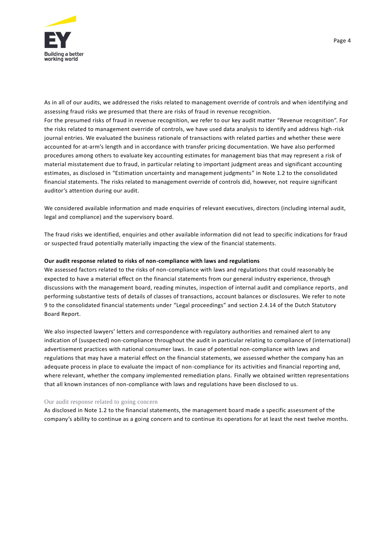

As in all of our audits, we addressed the risks related to management override of controls and when identifying and assessing fraud risks we presumed that there are risks of fraud in revenue recognition. For the presumed risks of fraud in revenue recognition, we refer to our key audit matter "Revenue recognition". For the risks related to management override of controls, we have used data analysis to identify and address high -risk journal entries. We evaluated the business rationale of transactions with related parties and whether these were accounted for at-arm's length and in accordance with transfer pricing documentation. We have also performed procedures among others to evaluate key accounting estimates for management bias that may represent a risk of material misstatement due to fraud, in particular relating to important judgment areas and significant accounting estimates, as disclosed in "Estimation uncertainty and management judgments" in Note 1.2 to the consolidated financial statements. The risks related to management override of controls did, however, not require significant auditor's attention during our audit.

We considered available information and made enquiries of relevant executives, directors (including internal audit, legal and compliance) and the supervisory board.

The fraud risks we identified, enquiries and other available information did not lead to specific indications for fraud or suspected fraud potentially materially impacting the view of the financial statements.

#### **Our audit response related to risks of non-compliance with laws and regulations**

We assessed factors related to the risks of non-compliance with laws and regulations that could reasonably be expected to have a material effect on the financial statements from our general industry experience, through discussions with the management board, reading minutes, inspection of internal audit and compliance reports, and performing substantive tests of details of classes of transactions, account balances or disclosures. We refer to note 9 to the consolidated financial statements under "Legal proceedings" and section 2.4.14 of the Dutch Statutory Board Report.

We also inspected lawyers' letters and correspondence with regulatory authorities and remained alert to any indication of (suspected) non-compliance throughout the audit in particular relating to compliance of (international) advertisement practices with national consumer laws. In case of potential non-compliance with laws and regulations that may have a material effect on the financial statements, we assessed whether the company has an adequate process in place to evaluate the impact of non-compliance for its activities and financial reporting and, where relevant, whether the company implemented remediation plans. Finally we obtained written representations that all known instances of non-compliance with laws and regulations have been disclosed to us.

#### Our audit response related to going concern

As disclosed in Note 1.2 to the financial statements, the management board made a specific assessment of the company's ability to continue as a going concern and to continue its operations for at least the next twelve months.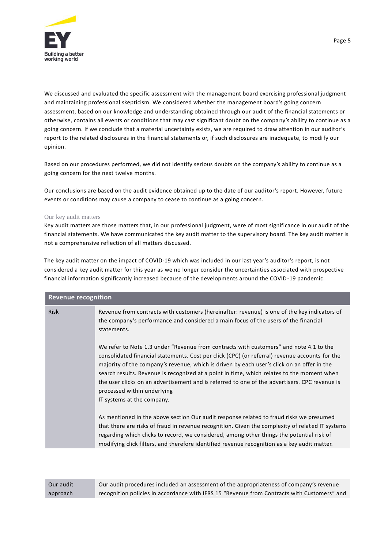

We discussed and evaluated the specific assessment with the management board exercising professional judgment and maintaining professional skepticism. We considered whether the management board's going concern assessment, based on our knowledge and understanding obtained through our audit of the financial statements or otherwise, contains all events or conditions that may cast significant doubt on the company's ability to continue as a going concern. If we conclude that a material uncertainty exists, we are required to draw attention in our auditor's report to the related disclosures in the financial statements or, if such disclosures are inadequate, to modify our opinion.

Based on our procedures performed, we did not identify serious doubts on the company's ability to continue as a going concern for the next twelve months.

Our conclusions are based on the audit evidence obtained up to the date of our auditor's report. However, future events or conditions may cause a company to cease to continue as a going concern.

#### Our key audit matters

Key audit matters are those matters that, in our professional judgment, were of most significance in our audit of the financial statements. We have communicated the key audit matter to the supervisory board. The key audit matter is not a comprehensive reflection of all matters discussed.

The key audit matter on the impact of COVID-19 which was included in our last year's auditor's report, is not considered a key audit matter for this year as we no longer consider the uncertainties associated with prospective financial information significantly increased because of the developments around the COVID-19 pandemic.

| <b>Revenue recognition</b> |                                                                                                                                                                                                                                                                                                                                                                                                                                                                                                                                                    |  |
|----------------------------|----------------------------------------------------------------------------------------------------------------------------------------------------------------------------------------------------------------------------------------------------------------------------------------------------------------------------------------------------------------------------------------------------------------------------------------------------------------------------------------------------------------------------------------------------|--|
| <b>Risk</b>                | Revenue from contracts with customers (hereinafter: revenue) is one of the key indicators of<br>the company's performance and considered a main focus of the users of the financial<br>statements.                                                                                                                                                                                                                                                                                                                                                 |  |
|                            | We refer to Note 1.3 under "Revenue from contracts with customers" and note 4.1 to the<br>consolidated financial statements. Cost per click (CPC) (or referral) revenue accounts for the<br>majority of the company's revenue, which is driven by each user's click on an offer in the<br>search results. Revenue is recognized at a point in time, which relates to the moment when<br>the user clicks on an advertisement and is referred to one of the advertisers. CPC revenue is<br>processed within underlying<br>IT systems at the company. |  |
|                            | As mentioned in the above section Our audit response related to fraud risks we presumed<br>that there are risks of fraud in revenue recognition. Given the complexity of related IT systems<br>regarding which clicks to record, we considered, among other things the potential risk of<br>modifying click filters, and therefore identified revenue recognition as a key audit matter.                                                                                                                                                           |  |

| Our audit | Our audit procedures included an assessment of the appropriateness of company's revenue     |
|-----------|---------------------------------------------------------------------------------------------|
| approach  | recognition policies in accordance with IFRS 15 "Revenue from Contracts with Customers" and |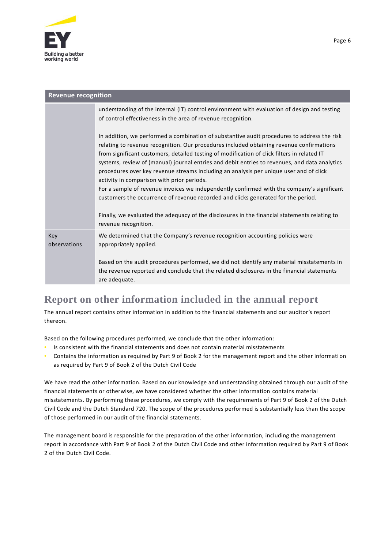

| <b>Revenue recognition</b> |                                                                                                                                                                                                                                                                                                                                                                                                                                                                                                                                                                                                                                                                                                                                                                                                                                             |  |
|----------------------------|---------------------------------------------------------------------------------------------------------------------------------------------------------------------------------------------------------------------------------------------------------------------------------------------------------------------------------------------------------------------------------------------------------------------------------------------------------------------------------------------------------------------------------------------------------------------------------------------------------------------------------------------------------------------------------------------------------------------------------------------------------------------------------------------------------------------------------------------|--|
|                            | understanding of the internal (IT) control environment with evaluation of design and testing<br>of control effectiveness in the area of revenue recognition.                                                                                                                                                                                                                                                                                                                                                                                                                                                                                                                                                                                                                                                                                |  |
|                            | In addition, we performed a combination of substantive audit procedures to address the risk<br>relating to revenue recognition. Our procedures included obtaining revenue confirmations<br>from significant customers, detailed testing of modification of click filters in related IT<br>systems, review of (manual) journal entries and debit entries to revenues, and data analytics<br>procedures over key revenue streams including an analysis per unique user and of click<br>activity in comparison with prior periods.<br>For a sample of revenue invoices we independently confirmed with the company's significant<br>customers the occurrence of revenue recorded and clicks generated for the period.<br>Finally, we evaluated the adequacy of the disclosures in the financial statements relating to<br>revenue recognition. |  |
| Key                        | We determined that the Company's revenue recognition accounting policies were                                                                                                                                                                                                                                                                                                                                                                                                                                                                                                                                                                                                                                                                                                                                                               |  |
| observations               | appropriately applied.<br>Based on the audit procedures performed, we did not identify any material misstatements in<br>the revenue reported and conclude that the related disclosures in the financial statements<br>are adequate.                                                                                                                                                                                                                                                                                                                                                                                                                                                                                                                                                                                                         |  |

# **Report on other information included in the annual report**

The annual report contains other information in addition to the financial statements and our auditor's report thereon.

Based on the following procedures performed, we conclude that the other information:

- **•** Is consistent with the financial statements and does not contain material misstatements
- **•** Contains the information as required by Part 9 of Book 2 for the management report and the other informati on as required by Part 9 of Book 2 of the Dutch Civil Code

We have read the other information. Based on our knowledge and understanding obtained through our audit of the financial statements or otherwise, we have considered whether the other information contains material misstatements. By performing these procedures, we comply with the requirements of Part 9 of Book 2 of the Dutch Civil Code and the Dutch Standard 720. The scope of the procedures performed is substantially less than the scope of those performed in our audit of the financial statements.

The management board is responsible for the preparation of the other information, including the management report in accordance with Part 9 of Book 2 of the Dutch Civil Code and other information required by Part 9 of Book 2 of the Dutch Civil Code.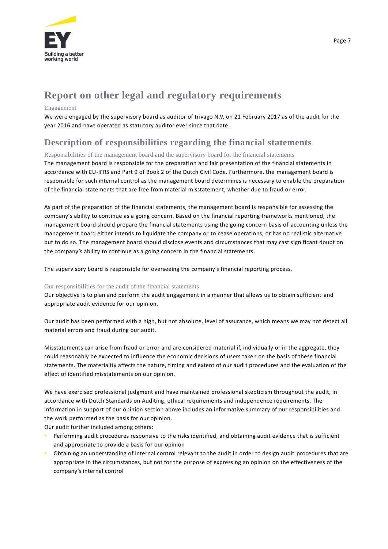

# **Report on other legal and regulatory requirements**

#### Engagement

We were engaged by the supervisory board as auditor of trivago N.V. on 21 February 2017 as of the audit for the year 2016 and have operated as statutory auditor ever since that date.

### **Description of responsibilities regarding the financial statements**

Responsibilities of the management board and the supervisory board for the financial statements The management board is responsible for the preparation and fair presentation of the financial statements in accordance with EU-IFRS and Part 9 of Book 2 of the Dutch Civil Code. Furthermore, the management board is responsible for such internal control as the management board determines is necessary to enable the preparation of the financial statements that are free from material misstatement, whether due to fraud or error.

As part of the preparation of the financial statements, the management board is responsible for assessing the company's ability to continue as a going concern. Based on the financial reporting frameworks mentioned, the management board should prepare the financial statements using the going concern basis of accounting unless the management board either intends to liquidate the company or to cease operations, or has no realistic alternative but to do so. The management board should disclose events and circumstances that may cast significant doubt on the company's ability to continue as a going concern in the financial statements.

The supervisory board is responsible for overseeing the company's financial reporting process.

### Our responsibilities for the audit of the financial statements

Our objective is to plan and perform the audit engagement in a manner that allows us to obtain sufficient and appropriate audit evidence for our opinion.

Our audit has been performed with a high, but not absolute, level of assurance, which means we may not detect all material errors and fraud during our audit.

Misstatements can arise from fraud or error and are considered material if, individually or in the aggregate, they could reasonably be expected to influence the economic decisions of users taken on the basis of these financial statements. The materiality affects the nature, timing and extent of our audit procedures and the evaluation of the effect of identified misstatements on our opinion.

We have exercised professional judgment and have maintained professional skepticism throughout the audit, in accordance with Dutch Standards on Auditing, ethical requirements and independence requirements. The Information in support of our opinion section above includes an informative summary of our responsibilities and the work performed as the basis for our opinion.

Our audit further included among others:

- **•** Performing audit procedures responsive to the risks identified, and obtaining audit evidence that is sufficient and appropriate to provide a basis for our opinion
- **•** Obtaining an understanding of internal control relevant to the audit in order to design audit procedures that are appropriate in the circumstances, but not for the purpose of expressing an opinion on the effectiveness of the company's internal control